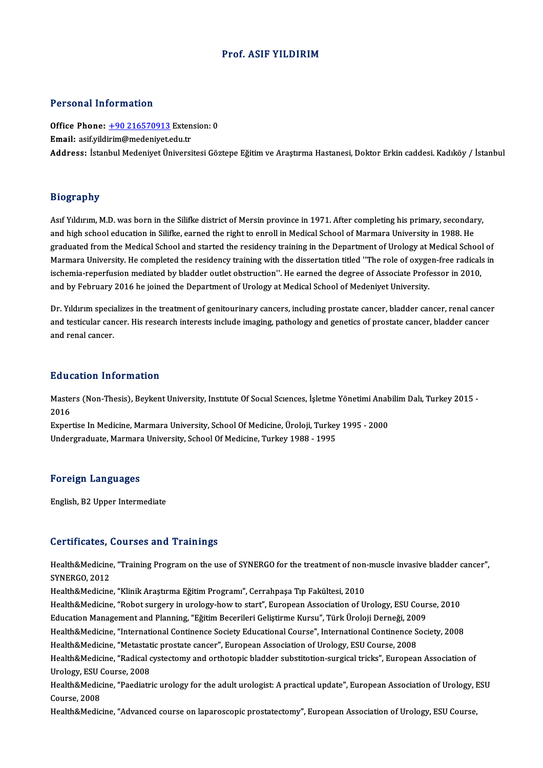#### Prof. ASIF YILDIRIM

#### Personal Information

Personal Information<br>Office Phone: <u>+90 216570913</u> Extension: 0<br>Email: asifuldirim@modeniyet.edu.tr Personal Information<br>Office Phone: <u>+90 216570913</u> Exten<br>Email: asif.yild[irim@medeniyet.e](tel:+90 216570913)du.tr Email: asif.yildirim@medeniyet.edu.tr<br>Address: İstanbul Medeniyet Üniversitesi Göztepe Eğitim ve Araştırma Hastanesi, Doktor Erkin caddesi. Kadıköy / İstanbul

#### Biography

Asıf Yıldırım, M.D. was born in the Silifke district of Mersin province in 1971. After completing his primary, secondary, and high school education in Silifke, earned the right to enroll in Medical School of Marmara University in 1988. He graduated from the Medical School and started the residency training in the Department of Urology at Medical School of and high school education in Silifke, earned the right to enroll in Medical School of Marmara University in 1988. He<br>graduated from the Medical School and started the residency training in the Department of Urology at Medi graduated from the Medical School and started the residency training in the Department of Urology at Medical School<br>Marmara University. He completed the residency training with the dissertation titled ''The role of oxygen-Marmara University. He completed the residency training with the dissertation titled ''The role of oxyge<br>ischemia-reperfusion mediated by bladder outlet obstruction''. He earned the degree of Associate Profe<br>and by Februar

Benema Teperiusion inculated by Bladder oddet obstated in the carlied the degree of Associate Trotessor in 2010,<br>and by February 2016 he joined the Department of Urology at Medical School of Medeniyet University.<br>Dr. Yıldı and by I cortainy 2010 he joined the bepartment of orology at medical school of medemyer oniversity.<br>Dr. Yildirim specializes in the treatment of genitourinary cancers, including prostate cancer, bladder cancer<br>and renel s Dr. Yıldırım specia<br>and testicular can<br>and renal cancer. and renal cancer.<br>Education Information

**Education Information**<br>Masters (Non-Thesis), Beykent University, Institute Of Social Sciences, İşletme Yönetimi Anabilim Dalı, Turkey 2015 -<br>2016 Eure<br>Maste<br>2016 Masters (Non-Thesis), Beykent University, Institute Of Social Sciences, İşletme Yönetimi Anab<br>2016<br>Expertise In Medicine, Marmara University, School Of Medicine, Üroloji, Turkey 1995 - 2000<br>Undergraduate Marmara University

2016<br>Expertise In Medicine, Marmara University, School Of Medicine, Üroloji, Turkey 1995 - 2000<br>Undergraduate, Marmara University, School Of Medicine, Turkey 1988 - 1995

#### Foreign Languages

English,B2Upper Intermediate

#### Certificates, Courses and Trainings

Certificates, Courses and Trainings<br>Health&Medicine, "Training Program on the use of SYNERGO for the treatment of non-muscle invasive bladder cancer",<br>SYNERCO 2012 Ser criteries, s<br>Health&Medicine<br>SYNERGO, 2012<br>Health&Medicine Health&Medicine, "Training Program on the use of SYNERGO for the treatment of non-<br>SYNERGO, 2012<br>Health&Medicine, "Klinik Araştırma Eğitim Programı", Cerrahpaşa Tıp Fakültesi, 2010<br>Health&Medicine, "Pebet surgery in uraleg

SYNERGO, 2012<br>Health&Medicine, "Klinik Araştırma Eğitim Programı", Cerrahpaşa Tıp Fakültesi, 2010<br>Health&Medicine, "Robot surgery in urology-how to start", European Association of Urology, ESU Course, 2010 Health&Medicine, "Klinik Araştırma Eğitim Programı", Cerrahpaşa Tıp Fakültesi, 2010<br>Health&Medicine, "Robot surgery in urology-how to start", European Association of Urology, ESU Cour<br>Education Management and Planning, "Eğ Health&Medicine, "International Continence Society Educational Course", International Continence Society, 2008<br>Health&Medicine, "Metastatic prostate cancer", European Association of Urology, ESU Course, 2008 Education Management and Planning, "Eğitim Becerileri Geliştirme Kursu", Türk Üroloji Derneği, 200<br>Health&Medicine, "International Continence Society Educational Course", International Continence S<br>Health&Medicine, "Netast Health&Medicine, "International Continence Society Educational Course", International Continence Society, 2008<br>Health&Medicine, "Metastatic prostate cancer", European Association of Urology, ESU Course, 2008<br>Health&Medicin Health&Medicine, "Metastat<br>Health&Medicine, "Radical c<br>Urology, ESU Course, 2008<br>Health&Medicine, "Peadistr Health&Medicine, "Radical cystectomy and orthotopic bladder substitotion-surgical tricks", European Association of<br>Urology, ESU Course, 2008<br>Health&Medicine, "Paediatric urology for the adult urologist: A practical update" Urology, ESU (<br>Health&Medic<br>Course, 2008<br>Health&Media Course, 2008<br>Health&Medicine, "Advanced course on laparoscopic prostatectomy", European Association of Urology, ESU Course,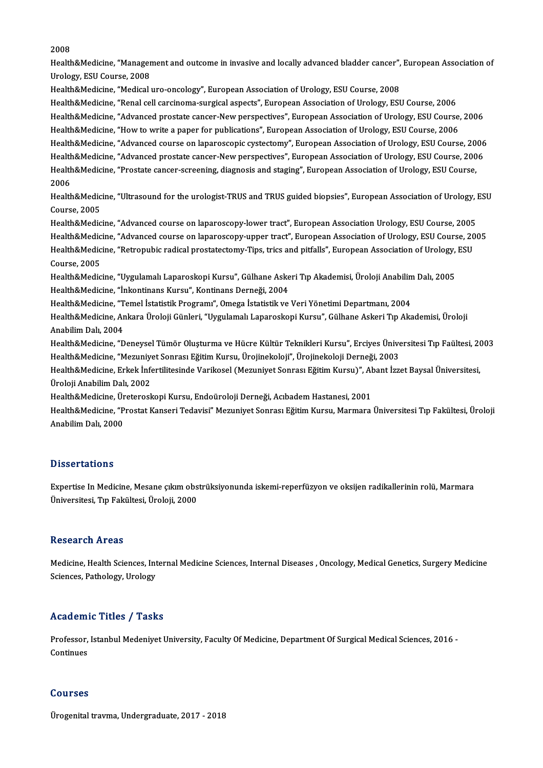2008

2008<br>Health&Medicine, "Management and outcome in invasive and locally advanced bladder cancer", European Association of<br>Unalagy, ESU Cauree, 2009 2008<br>Health&Medicine, "Manager<br>Urology, ESU Course, 2008<br>Health&Medicine, "Medical I Urology, ESU Course, 2008<br>Health&Medicine, "Medical uro-oncology", European Association of Urology, ESU Course, 2008 Urology, ESU Course, 2008<br>Health&Medicine, "Medical uro-oncology", European Association of Urology, ESU Course, 2008<br>Health&Medicine, "Renal cell carcinoma-surgical aspects", European Association of Urology, ESU Course, 20 Health&Medicine, "Medical uro-oncology", European Association of Urology, ESU Course, 2008<br>Health&Medicine, "Renal cell carcinoma-surgical aspects", European Association of Urology, ESU Course, 2006<br>Health&Medicine, "How t Health&Medicine, "Renal cell carcinoma-surgical aspects", European Association of Urology, ESU Course, 2006<br>Health&Medicine, "Advanced prostate cancer-New perspectives", European Association of Urology, ESU Course,<br>Health& Health&Medicine, "Advanced prostate cancer-New perspectives", European Association of Urology, ESU Course, 2006<br>Health&Medicine, "How to write a paper for publications", European Association of Urology, ESU Course, 2006<br>He Health&Medicine, "How to write a paper for publications", European Association of Urology, ESU Course, 2006<br>Health&Medicine, "Advanced course on laparoscopic cystectomy", European Association of Urology, ESU Course, 2006<br>H Health&Medicine, "Advanced course on laparoscopic cystectomy", European Association of Urology, ESU Course, 20<br>Health&Medicine, "Advanced prostate cancer-New perspectives", European Association of Urology, ESU Course, 200<br> Health&Medicine, "Advanced prostate cancer-New perspectives", European Association of Urology, ESU Course, 2006<br>Health&Medicine, "Prostate cancer-screening, diagnosis and staging", European Association of Urology, ESU Cour Health&Medicine, "Prostate cancer-screening, diagnosis and staging", European Association of Urology, ESU Course,<br>2006<br>Health&Medicine, "Ultrasound for the urologist-TRUS and TRUS guided biopsies", European Association of 2006<br>Health&Medic<br>Course, 2005<br>Health&Medic Health&Medicine, "Ultrasound for the urologist-TRUS and TRUS guided biopsies", European Association of Urology, l<br>Course, 2005<br>Health&Medicine, "Advanced course on laparoscopy-lower tract", European Association Urology, ES Course, 2005<br>Health&Medicine, "Advanced course on laparoscopy-lower tract", European Association Urology, ESU Course, 2005<br>Health&Medicine, "Advanced course on laparoscopy-upper tract", European Association of Urology, ESU Health&Medicine, "Advanced course on laparoscopy-lower tract", European Association Urology, ESU Course, 2005<br>Health&Medicine, "Advanced course on laparoscopy-upper tract", European Association of Urology, ESU Course, 20<br>H Health&Medicine, "Advanced course on laparoscopy-upper tract", European Association of Urology, ESU Course, 2005<br>Health&Medicine, "Retropubic radical prostatectomy-Tips, trics and pitfalls", European Association of Urology Health&Medicine, "Retropubic radical prostatectomy-Tips, trics and pitfalls", European Association of Urology, ESU Health&Medicine, "İnkontinans Kursu", Kontinans Derneği, 2004 Health&Medicine, "Uygulamalı Laparoskopi Kursu", Gülhane Askeri Tıp Akademisi, Üroloji Anabilin<br>Health&Medicine, "İnkontinans Kursu", Kontinans Derneği, 2004<br>Health&Medicine, "Temel İstatistik Programı", Omega İstatistik v Health&Medicine, Ankara Üroloji Günleri, "Uygulamalı Laparoskopi Kursu", Gülhane Askeri Tıp Akademisi, Üroloji<br>Anabilim Dalı, 2004 Health&Medicine, "T<br>Health&Medicine, Ar<br>Anabilim Dalı, 2004<br>Health&Medicine, "D Health&Medicine, Ankara Üroloji Günleri, "Uygulamalı Laparoskopi Kursu", Gülhane Askeri Tıp Akademisi, Üroloji<br>Anabilim Dalı, 2004<br>Health&Medicine, "Meguniyet Sonnesi Făttim Kursu, Ünejinekeleji", Ünejinekeleji Derneği, 20 Anabilim Dalı, 2004<br>Health&Medicine, "Deneysel Tümör Oluşturma ve Hücre Kültür Teknikleri Kursu", Erciyes Ünive<br>Health&Medicine, "Mezuniyet Sonrası Eğitim Kursu, Ürojinekoloji", Ürojinekoloji Derneği, 2003<br>Health&Medicine, Health&Medicine, "Deneysel Tümör Oluşturma ve Hücre Kültür Teknikleri Kursu", Erciyes Üniversitesi Tıp Faültesi, 20<br>Health&Medicine, "Mezuniyet Sonrası Eğitim Kursu, Ürojinekoloji", Ürojinekoloji Derneği, 2003<br>Health&Medic Health&Medicine, "Mezuniyet Sonrası Eğitim Kursu, Ürojinekoloji", Ürojinekoloji Derneği, 2003<br>Health&Medicine, Erkek İnfertilitesinde Varikosel (Mezuniyet Sonrası Eğitim Kursu)", Abant İzz<br>Üroloji Anabilim Dalı, 2002 Health&Medicine, Erkek İnfertilitesinde Varikosel (Mezuniyet Sonrası Eğitim Kursu)", Abant İzzet Baysal Üniversitesi, Health&Medicine, "Prostat Kanseri Tedavisi" Mezuniyet Sonrası Eğitim Kursu, Marmara Üniversitesi Tıp Fakültesi, Üroloji<br>Anabilim Dalı, 2000 Health&Medicine, Üreteroskopi Kursu, Endoüroloji Derneği, Acıbadem Hastanesi, 2001

#### **Dissertations**

Expertise In Medicine, Mesane çıkım obstrüksiyonunda iskemi-reperfüzyon ve oksijen radikallerinin rolü, Marmara Üniversitesi,Tıp Fakültesi,Üroloji,2000

#### **Research Areas**

Research Areas<br>Medicine, Health Sciences, Internal Medicine Sciences, Internal Diseases , Oncology, Medical Genetics, Surgery Medicine<br>Sciences, Pathelegy, Urelegy Nedicine, Health Sciences, Int<br>Sciences, Pathology, Urology Sciences, Pathology, Urology<br>Academic Titles / Tasks

Professor, Istanbul Medeniyet University, Faculty Of Medicine, Department Of Surgical Medical Sciences, 2016 -Continues

#### Courses

Ürogenital travma, Undergraduate, 2017 - 2018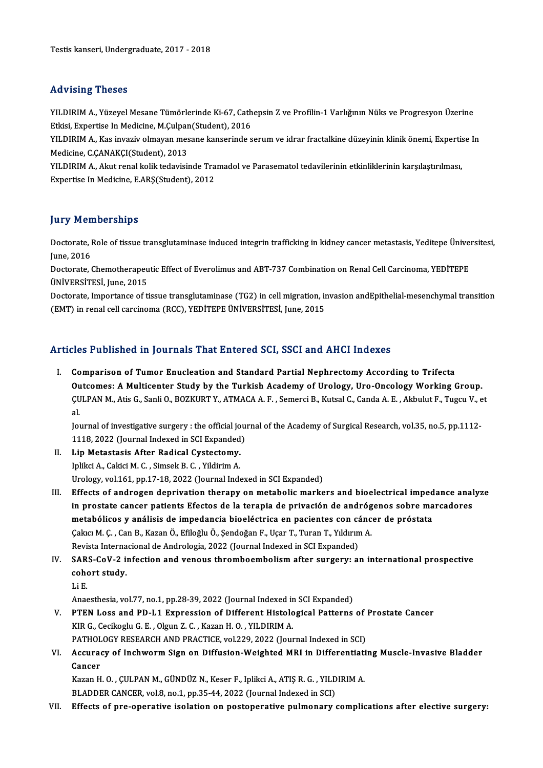#### Advising Theses

Advising Theses<br>YILDIRIM A., Yüzeyel Mesane Tümörlerinde Ki-67, Cathepsin Z ve Profilin-1 Varlığının Nüks ve Progresyon Üzerine<br>Etkisi Evnertise In Medisine M.Culnan(Student), 2016 rra viernig i rresee<br>YILDIRIM A., Yüzeyel Mesane Tümörlerinde Ki-67, Cath<br>Etkisi, Expertise In Medicine, M.Çulpan(Student), 2016<br>VILDIBIM A. Kes inveziy olmayan mesane kanserinde s YILDIRIM A., Yüzeyel Mesane Tümörlerinde Ki-67, Cathepsin Z ve Profilin-1 Varlığının Nüks ve Progresyon Üzerine<br>Etkisi, Expertise In Medicine, M.Çulpan(Student), 2016<br>YILDIRIM A., Kas invaziv olmayan mesane kanserinde seru

Etkisi, Expertise In Medicine, M.Çulpan(Student), 2016<br>YILDIRIM A., Kas invaziv olmayan mesane kanserinde s<br>Medicine, C.ÇANAKÇI(Student), 2013 YILDIRIM A., Kas invaziv olmayan mesane kanserinde serum ve idrar fractalkine düzeyinin klinik önemi, Expertis<br>Medicine, C.ÇANAKÇI(Student), 2013<br>YILDIRIM A., Akut renal kolik tedavisinde Tramadol ve Parasematol tedavileri

YILDIRIM A., Akut renal kolik tedavisinde Tramadol ve Parasematol tedavilerinin etkinliklerinin karşılaştırılması,<br>Expertise In Medicine, E.ARŞ(Student), 2012

#### **Jury Memberships**

Jury Memberships<br>Doctorate, Role of tissue transglutaminase induced integrin trafficking in kidney cancer metastasis, Yeditepe Üniversitesi,<br>Iune 2016 Juny Trem<br>Doctorate, l<br>June, 2016 Doctorate, Role of tissue transglutaminase induced integrin trafficking in kidney cancer metastasis, Yeditepe Ünivel<br>June, 2016<br>Doctorate, Chemotherapeutic Effect of Everolimus and ABT-737 Combination on Renal Cell Carcino

June, 2016<br>Doctorate, Chemotherapeu<br>ÜNİVERSİTESİ, June, 2015<br>Doctorate, İmpertance of ti Doctorate, Chemotherapeutic Effect of Everolimus and ABT-737 Combination on Renal Cell Carcinoma, YEDİTEPE<br>ÜNİVERSİTESİ, June, 2015<br>Doctorate, Importance of tissue transglutaminase (TG2) in cell migration, invasion andEpit

ÜNİVERSİTESİ, June, 2015<br>Doctorate, Importance of tissue transglutaminase (TG2) in cell migration, ir<br>(EMT) in renal cell carcinoma (RCC), YEDİTEPE ÜNİVERSİTESİ, June, 2015

# (EMT) in renal cell carcinoma (RCC), YEDITEPE ÜNIVERSITESI, June, 2015<br>Articles Published in Journals That Entered SCI, SSCI and AHCI Indexes

I. Comparison of Tumor Enucleation and Standard Partial Nephrectomy According to Trifecta Outcomes: A Multicenter Study by the Turkish Academy of Urology, Uro-Oncology Working Group. Comparison of Tumor Enucleation and Standard Partial Nephrectomy According to Trifecta<br>Outcomes: A Multicenter Study by the Turkish Academy of Urology, Uro-Oncology Working Group.<br>ÇULPAN M., Atis G., Sanli O., BOZKURT Y., **Ou**<br>CU<br>Iol CULPAN M., Atis G., Sanli O., BOZKURT Y., ATMACA A. F. , Semerci B., Kutsal C., Canda A. E. , Akbulut F., Tugcu V., e<br>al.<br>Journal of investigative surgery : the official journal of the Academy of Surgical Research, vol.35,

al.<br>Journal of investigative surgery : the official journal of the Academy of Surgical Research, vol.35, no.5, pp.1112-<br>1118, 2022 (Journal Indexed in SCI Expanded) Journal of investigative surgery : the official jo<br>1118, 2022 (Journal Indexed in SCI Expanded<br>II. Lip Metastasis After Radical Cystectomy.

- 1118, 2022 (Journal Indexed in SCI Expanded<br>Lip Metastasis After Radical Cystectomy.<br>Iplikci A., Cakici M. C. , Simsek B. C. , Yildirim A. Iplikci A., Cakici M. C., Simsek B. C., Yildirim A.<br>Urology, vol.161, pp.17-18, 2022 (Journal Indexed in SCI Expanded)
- Iplikci A., Cakici M. C., Simsek B. C., Yildirim A.<br>Urology, vol.161, pp.17-18, 2022 (Journal Indexed in SCI Expanded)<br>III. Effects of androgen deprivation therapy on metabolic markers and bioelectrical impedance analyze<br>i Urology, vol.161, pp.17-18, 2022 (Journal Indexed in SCI Expanded)<br>Effects of androgen deprivation therapy on metabolic markers and bioelectrical impedance anal<br>in prostate cancer patients Efectos de la terapia de privació Effects of androgen deprivation therapy on metabolic markers and bioelectrical imped<br>in prostate cancer patients Efectos de la terapia de privación de andrógenos sobre ma<br>metabólicos y análisis de impedancia bioeléctrica e in prostate cancer patients Efectos de la terapia de privación de andróg<br>metabólicos y análisis de impedancia bioeléctrica en pacientes con cánc<br>Çakıcı M. Ç. , Can B., Kazan Ö., Efiloğlu Ö., Şendoğan F., Uçar T., Turan T., metabólicos y análisis de impedancia bioeléctrica en pacientes con cá<br>Çakıcı M. Ç. , Can B., Kazan Ö., Efiloğlu Ö., Şendoğan F., Uçar T., Turan T., Yıldırın<br>Revista Internacional de Andrologia, 2022 (Journal Indexed in SCI Cakıcı M. Ç. , Can B., Kazan Ö., Efiloğlu Ö., Şendoğan F., Uçar T., Turan T., Yıldırım A.<br>Revista Internacional de Andrologia, 2022 (Journal Indexed in SCI Expanded)<br>IV. SARS-CoV-2 infection and venous thromboembolism afte
- Revista Internacional de Andrologia, 2022 (Journal Indexed in SCI Expanded)<br>SARS-CoV-2 infection and venous thromboembolism after surgery: a<br>cohort study.<br>Li E. SAR<br>coho<br>Li E.<br>Anac
	-

Anaesthesia, vol.77, no.1, pp.28-39, 2022 (Journal Indexed in SCI Expanded)

Li E.<br>Anaesthesia, vol.77, no.1, pp.28-39, 2022 (Journal Indexed in SCI Expanded)<br>V. PTEN Loss and PD-L1 Expression of Different Histological Patterns of Prostate Cancer<br>V.P.C. Cosikosky C.E., Olgyn 7.C., Vasar H.O., VII D Anaesthesia, vol.77, no.1, pp.28-39, 2022 (Journal Indexed in<br>**PTEN Loss and PD-L1 Expression of Different Histolo**<br>KIR G., Cecikoglu G. E. , Olgun Z. C. , Kazan H. O. , YILDIRIM A.<br>PATHOLOCY RESEARCH AND PRACTICE vol.229, PTEN Loss and PD-L1 Expression of Different Histological Patterns of<br>KIR G., Cecikoglu G. E. , Olgun Z. C. , Kazan H. O. , YILDIRIM A.<br>PATHOLOGY RESEARCH AND PRACTICE, vol.229, 2022 (Journal Indexed in SCI)<br>Accuracy of Inc

KIR G., Cecikoglu G. E. , Olgun Z. C. , Kazan H. O. , YILDIRIM A.<br>PATHOLOGY RESEARCH AND PRACTICE, vol.229, 2022 (Journal Indexed in SCI)<br>VI. Accuracy of Inchworm Sign on Diffusion-Weighted MRI in Differentiating Muscl PATHOL<br>Accurae<br>Cancer<br><sup>Karan</sub> u</sup> Accuracy of Inchworm Sign on Diffusion-Weighted MRI in Differentiati<br>Cancer<br>Kazan H. O. , ÇULPAN M., GÜNDÜZ N., Keser F., Iplikci A., ATIŞ R. G. , YILDIRIM A.<br>BLADDER CANCER val 8 no 1 nn 35 44 3033 (Jeurnal Indexed in SCL

Cancer<br>Kazan H. O. , ÇULPAN M., GÜNDÜZ N., Keser F., Iplikci A., ATIŞ R. G. , YILDIRIM A.<br>BLADDER CANCER, vol.8, no.1, pp.35-44, 2022 (Journal Indexed in SCI)

VII. Effects of pre-operative isolation on postoperative pulmonary complications after elective surgery: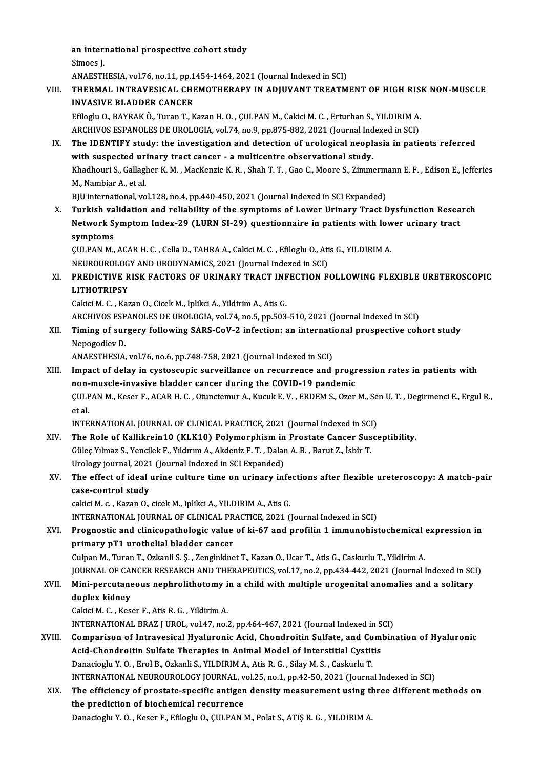an international prospective cohort study<br>Simoes I an inter:<br>Simoes J.<br>ANAESTL

Simoes J.<br>ANAESTHESIA, vol.76, no.11, pp.1454-1464, 2021 (Journal Indexed in SCI)

## Simoes J.<br>ANAESTHESIA, vol.76, no.11, pp.1454-1464, 2021 (Journal Indexed in SCI)<br>VIII. THERMAL INTRAVESICAL CHEMOTHERAPY IN ADJUVANT TREATMENT OF HIGH RISK NON-MUSCLE<br>INVASIVE BLADDER CANGER ANAESTHESIA, vol.76, no.11, pp.1<br>THERMAL INTRAVESICAL CHI<br>INVASIVE BLADDER CANCER<br>Efiloglu O, PAVPAKÖ, Turon T, K THERMAL INTRAVESICAL CHEMOTHERAPY IN ADJUVANT TREATMENT OF HIGH RIS!<br>INVASIVE BLADDER CANCER<br>Efiloglu O., BAYRAK Ö., Turan T., Kazan H. O. , ÇULPAN M., Cakici M. C. , Erturhan S., YILDIRIM A.<br>ARCHIVOS ESPANOLES DE UROLOCIA

INVASIVE BLADDER CANCER<br>Efiloglu O., BAYRAK Ö., Turan T., Kazan H. O. , ÇULPAN M., Cakici M. C. , Erturhan S., YILDIRIM A.<br>ARCHIVOS ESPANOLES DE UROLOGIA, vol.74, no.9, pp.875-882, 2021 (Journal Indexed in SCI)<br>The IDENTIE Efiloglu O., BAYRAK Ö., Turan T., Kazan H. O. , ÇULPAN M., Cakici M. C. , Erturhan S., YILDIRIM A.<br>ARCHIVOS ESPANOLES DE UROLOGIA, vol.74, no.9, pp.875-882, 2021 (Journal Indexed in SCI)<br>IX. The IDENTIFY study: the investi

ARCHIVOS ESPANOLES DE UROLOGIA, vol.74, no.9, pp.875-882, 2021 (Journal Ind<br>The IDENTIFY study: the investigation and detection of urological neopli<br>with suspected urinary tract cancer - a multicentre observational study.<br> The IDENTIFY study: the investigation and detection of urological neoplasia in patients referred<br>with suspected urinary tract cancer - a multicentre observational study.<br>Khadhouri S., Gallagher K. M. , MacKenzie K. R. , Sh with suspected ur<br>Khadhouri S., Gallagl<br>M., Nambiar A., et al.<br>PIII international vo Khadhouri S., Gallagher K. M. , MacKenzie K. R. , Shah T. T. , Gao C., Moore S., Zimmerm<br>M., Nambiar A., et al.<br>BJU international, vol.128, no.4, pp.440-450, 2021 (Journal Indexed in SCI Expanded)<br>Turkish volidation and re M., Nambiar A., et al.<br>BJU international, vol.128, no.4, pp.440-450, 2021 (Journal Indexed in SCI Expanded)<br>X. Turkish validation and reliability of the symptoms of Lower Urinary Tract Dysfunction Research

BJU international, vol.128, no.4, pp.440-450, 2021 (Journal Indexed in SCI Expanded)<br>Turkish validation and reliability of the symptoms of Lower Urinary Tract Dysfunction Resea<br>Network Symptom Index-29 (LURN SI-29) questio Turkish va<br>Network S<br>symptoms<br>CULPAN M Network Symptom Index-29 (LURN SI-29) questionnaire in patients with low<br>symptoms<br>ÇULPAN M., ACAR H. C. , Cella D., TAHRA A., Cakici M. C. , Efiloglu O., Atis G., YILDIRIM A.<br>NEUPOUROLOGY AND URODYNAMICS 2021 (Journal Indo symptoms<br>CULPAN M., ACAR H. C. , Cella D., TAHRA A., Cakici M. C. , Efiloglu O., Atis G., YILDIRIM A.

NEUROUROLOGY AND URODYNAMICS, 2021 (Journal Indexed in SCI)

## XI. PREDICTIVE RISK FACTORS OF URINARY TRACT INFECTION FOLLOWING FLEXIBLE URETEROSCOPIC<br>LITHOTRIPSY LI<mark>THOTRIPSY</mark><br>Cakici M. C. , Kazan O., Cicek M., Iplikci A., Yildirim A., Atis G.<br>ARCHIVOS ESPANOLES DE UROLOGIA, vol.74, no.5, pp.503-510, 2021 (Journal Indexed in SCI)<br>Timing of surgery following SAPS CoV 2 infection: an

Cakici M. C., Kazan O., Cicek M., Iplikci A., Yildirim A., Atis G.

XII. Timing of surgery following SARS-CoV-2 infection: an international prospective cohort study<br>Nepogodiev D. **ARCHIVOS ESP<br>Timing of sur<br>Nepogodiev D.**<br>ANAESTHESIA Timing of surgery following SARS-CoV-2 infection: an internation<br>Nepogodiev D.<br>ANAESTHESIA, vol.76, no.6, pp.748-758, 2021 (Journal Indexed in SCI)<br>Impact of dalay in systessenis survaillance on resurrence and

XIII. Impact of delay in cystoscopic surveillance on recurrence and progression rates in patients with ANAESTHESIA, vol.76, no.6, pp.748-758, 2021 (Journal Indexed in SCI)<br>Impact of delay in cystoscopic surveillance on recurrence and progr<br>non-muscle-invasive bladder cancer during the COVID-19 pandemic<br>CULPAN M. Kesen E. AC ÇULPAN M., Keser F., ACAR H. C. , Otunctemur A., Kucuk E. V. , ERDEM S., Ozer M., Sen U. T. , Degirmenci E., Ergul R.,<br>et al. non-muscle-invasive bladder cancer during the COVID-19 pandemic CULPAN M., Keser F., ACAR H. C. , Otunctemur A., Kucuk E. V. , ERDEM S., Ozer M., Se<br>et al.<br>INTERNATIONAL JOURNAL OF CLINICAL PRACTICE, 2021 (Journal Indexed in SCI)<br>The Bole of Kollikrein10 (KLK10) Polymornhiam in Prostat

et al.<br>INTERNATIONAL JOURNAL OF CLINICAL PRACTICE, 2021 (Journal Indexed in SCI)<br>XIV. The Role of Kallikrein10 (KLK10) Polymorphism in Prostate Cancer Susceptibility.<br>Cilles Vilmes S. Vensilek E. Vilduum A. Akdonis E.T., D INTERNATIONAL JOURNAL OF CLINICAL PRACTICE, 2021 (Journal Indexed in SCI)<br>The Role of Kallikrein10 (KLK10) Polymorphism in Prostate Cancer Sus<br>Güleç Yılmaz S., Yencilek F., Yıldırım A., Akdeniz F. T. , Dalan A. B. , Barut The Role of Kallikrein10 (KLK10) Polymorphism in<br>Güleç Yılmaz S., Yencilek F., Yıldırım A., Akdeniz F. T. , Dalar<br>Urology journal, 2021 (Journal Indexed in SCI Expanded)<br>The effect of ideal urine sulture time on urinew int Güleç Yılmaz S., Yencilek F., Yıldırım A., Akdeniz F. T. , Dalan A. B. , Barut Z., İsbir T.<br>Urology journal, 2021 (Journal Indexed in SCI Expanded)<br>XV. The effect of ideal urine culture time on urinary infections after

## Urology journal, 2021<br>The effect of ideal<br>case-control study<br>cakici M.c., Karan O The effect of ideal urine culture time on urinary infe<br>case-control study<br>cakici M. c. , Kazan O., cicek M., Iplikci A., YILDIRIM A., Atis G.<br>INTERNATIONAL JOURNAL OF CLINICAL RRACTICE 2021 (

case-control study<br>cakici M. c. , Kazan O., cicek M., Iplikci A., YILDIRIM A., Atis G.<br>INTERNATIONAL JOURNAL OF CLINICAL PRACTICE, 2021 (Journal Indexed in SCI)

## cakici M. c. , Kazan O., cicek M., Iplikci A., YILDIRIM A., Atis G.<br>INTERNATIONAL JOURNAL OF CLINICAL PRACTICE, 2021 (Journal Indexed in SCI)<br>XVI. Prognostic and clinicopathologic value of ki-67 and profilin 1 immunohistoc primary pT1 urothelial bladder cancer<br>Culpan M., Turan T., Ozkanli S. Ș. , Zenginkinet T., Kazan O., Ucar T., Atis G., Caskurlu T., Yildirim A. Prognostic and clinicopathologic value of ki-67 and profilin 1 immunohistochemical<br>primary pT1 urothelial bladder cancer<br>Culpan M., Turan T., Ozkanli S. Ş. , Zenginkinet T., Kazan O., Ucar T., Atis G., Caskurlu T., Yildiri

JOURNALOF CANCERRESEARCHANDTHERAPEUTICS,vol.17,no.2,pp.434-442,2021 (Journal Indexed inSCI)

### Culpan M., Turan T., Ozkanli S. Ş. , Zenginkinet T., Kazan O., Ucar T., Atis G., Caskurlu T., Yildirim A.<br>JOURNAL OF CANCER RESEARCH AND THERAPEUTICS, vol.17, no.2, pp.434-442, 2021 (Journal Indexed in SC<br>XVII. Mini-percut JOURNAL OF CA<br>Mini-percutane<br>duplex kidney<br>Colici M.C. Kes Mini-percutaneous nephrolithotomy i<br>duplex kidney<br>Cakici M. C. , Keser F., Atis R. G. , Yildirim A.<br>INTERNATIONAL PRAZ LUROL vol 47, po duplex kidney<br>Cakici M. C. , Keser F., Atis R. G. , Yildirim A.<br>INTERNATIONAL BRAZ J UROL, vol.47, no.2, pp.464-467, 2021 (Journal Indexed in SCI)<br>Comparison of Intravesisal Hyaluronis Asid, Chandraitin Sulfate, and Combin

Cakici M. C. , Keser F., Atis R. G. , Yildirim A.<br>INTERNATIONAL BRAZ J UROL, vol.47, no.2, pp.464-467, 2021 (Journal Indexed in SCI)<br>XVIII. Comparison of Intravesical Hyaluronic Acid, Chondroitin Sulfate, and Combination o INTERNATIONAL BRAZ J UROL, vol.47, no.2, pp.464-467, 2021 (Journal Indexed in S<br>Comparison of Intravesical Hyaluronic Acid, Chondroitin Sulfate, and Com<br>Acid-Chondroitin Sulfate Therapies in Animal Model of Interstitial Cy Danacioglu Y.O., Erol B., Ozkanli S., YILDIRIM A., Atis R. G., Silay M. S., Caskurlu T. Acid-Chondroitin Sulfate Therapies in Animal Model of Interstitial Cystitis<br>Danacioglu Y. O. , Erol B., Ozkanli S., YILDIRIM A., Atis R. G. , Silay M. S. , Caskurlu T.<br>INTERNATIONAL NEUROUROLOGY JOURNAL, vol.25, no.1, pp.4 Danacioglu Y. O. , Erol B., Ozkanli S., YILDIRIM A., Atis R. G. , Silay M. S. , Caskurlu T.<br>INTERNATIONAL NEUROUROLOGY JOURNAL, vol.25, no.1, pp.42-50, 2021 (Journal Indexed in SCI)<br>XIX. The efficiency of prostate-specific

## INTERNATIONAL NEUROUROLOGY JOURNAL, v<br>The efficiency of prostate-specific antigent<br>the prediction of biochemical recurrence The efficiency of prostate-specific antigen density measurement using three different methods on<br>the prediction of biochemical recurrence<br>Danacioglu Y. O. , Keser F., Efiloglu O., ÇULPAN M., Polat S., ATIŞ R. G. , YILDIRIM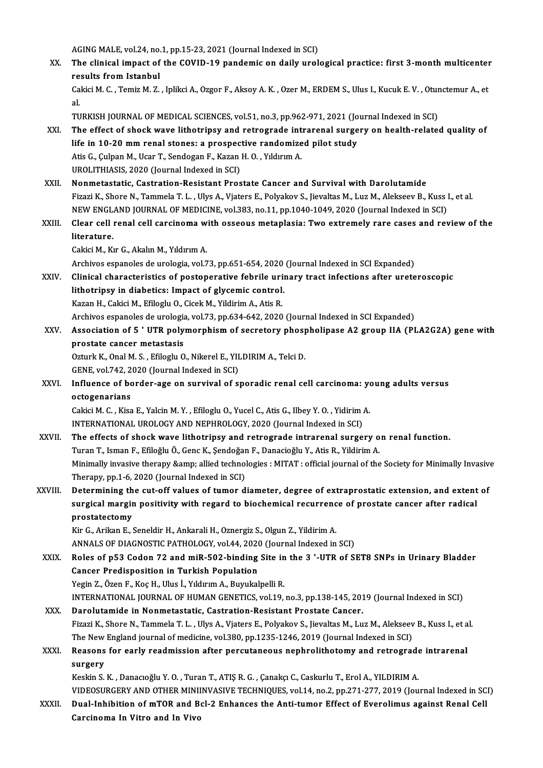AGING MALE, vol.24, no.1, pp.15-23, 2021 (Journal Indexed in SCI)

AGING MALE, vol.24, no.1, pp.15-23, 2021 (Journal Indexed in SCI)<br>XX. The clinical impact of the COVID-19 pandemic on daily urological practice: first 3-month multicenter AGING MALE, vol.24, no.<br>The clinical impact of<br>results from Istanbul<br>Colisi M.C., Temir M.Z. The clinical impact of the COVID-19 pandemic on daily urological practice: first 3-month multicenter<br>results from Istanbul<br>Cakici M. C. , Temiz M. Z. , Iplikci A., Ozgor F., Aksoy A. K. , Ozer M., ERDEM S., Ulus I., Kucuk

re<br>Ca<br>al Cakici M. C. , Temiz M. Z. , Iplikci A., Ozgor F., Aksoy A. K. , Ozer M., ERDEM S., Ulus I., Kucuk E. V. , Otunctemur A., et<br>al.<br>TURKISH JOURNAL OF MEDICAL SCIENCES, vol.51, no.3, pp.962-971, 2021 (Journal Indexed in SCI)

- al.<br>TURKISH JOURNAL OF MEDICAL SCIENCES, vol.51, no.3, pp.962-971, 2021 (Journal Indexed in SCI)<br>XXI. The effect of shock wave lithotripsy and retrograde intrarenal surgery on health-related quality of<br>life in 10.20 mm TURKISH JOURNAL OF MEDICAL SCIENCES, vol.51, no.3, pp.962-971, 2021 (Jo<br>The effect of shock wave lithotripsy and retrograde intrarenal surge<br>life in 10-20 mm renal stones: a prospective randomized pilot study<br>Atis C. Culpa The effect of shock wave lithotripsy and retrograde int<br>life in 10-20 mm renal stones: a prospective randomize<br>Atis G., Çulpan M., Ucar T., Sendogan F., Kazan H. O. , Yıldırım A.<br>UPOLITHIASIS 2020 (Journal Indaved in SCI) life in 10-20 mm renal stones: a prospective randomized pilot study<br>Atis G., Çulpan M., Ucar T., Sendogan F., Kazan H. O. , Yıldırım A.<br>UROLITHIASIS, 2020 (Journal Indexed in SCI)
- XXII. Nonmetastatic, Castration-Resistant Prostate Cancer and Survival with Darolutamide UROLITHIASIS, 2020 (Journal Indexed in SCI)<br>Nonmetastatic, Castration-Resistant Prostate Cancer and Survival with Darolutamide<br>Fizazi K., Shore N., Tammela T. L. , Ulys A., Vjaters E., Polyakov S., Jievaltas M., Luz M., Al Nonmetastatic, Castration-Resistant Prostate Cancer and Survival with Darolutamide<br>Fizazi K., Shore N., Tammela T. L. , Ulys A., Vjaters E., Polyakov S., Jievaltas M., Luz M., Alekseev B., Kuss<br>NEW ENGLAND JOURNAL OF MEDIC Fizazi K., Shore N., Tammela T. L. , Ulys A., Vjaters E., Polyakov S., Jievaltas M., Luz M., Alekseev B., Kuss I., et al.<br>NEW ENGLAND JOURNAL OF MEDICINE, vol.383, no.11, pp.1040-1049, 2020 (Journal Indexed in SCI)<br>XXIII.
- NEW ENGL<br>Clear cell<br>literature.<br>Celsis M. K. Clear cell renal cell carcinoma w<br>literature.<br>Cakici M., Kır G., Akalın M., Yıldırım A.<br>Arshives espanales de uralagia val 7 literature.<br>Cakici M., Kır G., Akalın M., Yıldırım A.<br>Archivos espanoles de urologia, vol.73, pp.651-654, 2020 (Journal Indexed in SCI Expanded)

XXIV. Clinical characteristics of postoperative febrile urinary tract infections after ureteroscopic Archivos espanoles de urologia, vol.73, pp.651-654, 2020<br>Clinical characteristics of postoperative febrile uri<br>lithotripsy in diabetics: Impact of glycemic control.<br>Karan H. Colisi M. Efilogly O. Cisak M. Vildinim A. Atis Clinical characteristics of postoperative febrile uri<br>lithotripsy in diabetics: Impact of glycemic control.<br>Kazan H., Cakici M., Efiloglu O., Cicek M., Yildirim A., Atis R.<br>Archives caranoles de urelegia vol 72 np 624,642, lithotripsy in diabetics: Impact of glycemic control.<br>Kazan H., Cakici M., Efiloglu O., Cicek M., Yildirim A., Atis R.<br>Archivos espanoles de urologia, vol.73, pp.634-642, 2020 (Journal Indexed in SCI Expanded)<br>Association

Kazan H., Cakici M., Efiloglu O., Cicek M., Yildirim A., Atis R.<br>Archivos espanoles de urologia, vol.73, pp.634-642, 2020 (Journal Indexed in SCI Expanded)<br>XXV. Association of 5 ' UTR polymorphism of secretory phospholipas Archivos espanoles de urologia<br>Association of 5 ' UTR poly<br>prostate cancer metastasis<br>Orturk K. Opel M. S., Efiloglu O Association of 5 ' UTR polymorphism of secretory phosp<br>prostate cancer metastasis<br>Ozturk K., Onal M. S. , Efiloglu O., Nikerel E., YILDIRIM A., Telci D.<br>CENE. vol 742–2020 (Journal Indoved in SC) prostate cancer metastasis<br>Ozturk K., Onal M. S. , Efiloglu O., Nikerel E., YII<br>GENE, vol.742, 2020 (Journal Indexed in SCI)<br>Influence of berder age on survivel of st

Ozturk K., Onal M. S. , Efiloglu O., Nikerel E., YILDIRIM A., Telci D.<br>GENE, vol.742, 2020 (Journal Indexed in SCI)<br>XXVI. Influence of border-age on survival of sporadic renal cell carcinoma: young adults versus<br>estacepari GENE, vol.742, 2<br>Influence of bo<br>octogenarians<br>Coltisi M.C., Kiss Influence of border-age on survival of sporadic renal cell carcinoma: ye<br>octogenarians<br>Cakici M. C. , Kisa E., Yalcin M. Y. , Efiloglu O., Yucel C., Atis G., Ilbey Y. O. , Yidirim A.<br>INTERNATIONAL UROLOCY AND NEBUROLOCY 20

octogenarians<br>Cakici M. C. , Kisa E., Yalcin M. Y. , Efiloglu O., Yucel C., Atis G., Ilbey Y. O. , Yidirim .<br>INTERNATIONAL UROLOGY AND NEPHROLOGY, 2020 (Journal Indexed in SCI)<br>The effects of shock ways lithetringy and ret INTERNATIONAL UROLOGY AND NEPHROLOGY, 2020 (Journal Indexed in SCI)

- XXVII. The effects of shock wave lithotripsy and retrograde intrarenal surgery on renal function.<br>Turan T., Isman F., Efiloğlu Ö., Genc K., Sendoğan F., Danacioğlu Y., Atis R., Yildirim A. The effects of shock wave lithotripsy and retrograde intrarenal surgery on renal function.<br>Turan T., Isman F., Efiloğlu Ö., Genc K., Şendoğan F., Danacioğlu Y., Atis R., Yildirim A.<br>Minimally invasive therapy &amp; allied Turan T., Isman F., Efiloğlu Ö., Genc K., Şendoğar<br>Minimally invasive therapy &amp; allied technol<br>Therapy, pp.1-6, 2020 (Journal Indexed in SCI)<br>Determining the eut off volues of tumor d Minimally invasive therapy & allied technologies : MITAT : official journal of the Society for Minimally Invasive<br>Therapy, pp.1-6, 2020 (Journal Indexed in SCI)<br>XXVIII. Determining the cut-off values of tumor diameter,
- Therapy, pp.1-6, 2020 (Journal Indexed in SCI)<br>Determining the cut-off values of tumor diameter, degree of extraprostatic extension, and extent<br>surgical margin positivity with regard to biochemical recurrence of prostate c Determining th<br>surgical margin<br>prostatectomy<br><sup>Vin C</sup>ra<sup>llon E</sup> surgical margin positivity with regard to biochemical recurrence of prostate cancer after radical<br>prostatectomy<br>Kir G., Arikan E., Seneldir H., Ankarali H., Oznergiz S., Olgun Z., Yildirim A.

prostatectomy<br>Kir G., Arikan E., Seneldir H., Ankarali H., Oznergiz S., Olgun Z., Yildirim A.<br>ANNALS OF DIAGNOSTIC PATHOLOGY, vol.44, 2020 (Journal Indexed in SCI)<br>Poles of PE3 Coden 72 and miB 502 binding Site in the 3 '

XXIX. Roles of p53 Codon 72 and miR-502-binding Site in the 3 '-UTR of SET8 SNPs in Urinary Bladder<br>Cancer Predisposition in Turkish Population ANNALS OF DIAGNOSTIC PATHOLOGY, vol.44, 2020<br>Roles of p53 Codon 72 and miR-502-binding<br>Cancer Predisposition in Turkish Population<br>Vegin 7, Özen E. Koc H. Hlus İ. Vilduum A. Burukal Yegin Z., Özen F., Koç H., Ulus İ., Yıldırım A., Buyukalpelli R. INTERNATIONAL JOURNAL OF HUMAN GENETICS, vol.19, no.3, pp.138-145, 2019 (Journal Indexed in SCI)

XXX. Darolutamide in Nonmetastatic, Castration-Resistant Prostate Cancer. INTERNATIONAL JOURNAL OF HUMAN GENETICS, vol.19, no.3, pp.138-145, 2019 (Journal Indexed in SCI)<br>Darolutamide in Nonmetastatic, Castration-Resistant Prostate Cancer.<br>Fizazi K., Shore N., Tammela T. L. , Ulys A., Vjaters E. Darolutamide in Nonmetastatic, Castration-Resistant Prostate Cancer.<br>Fizazi K., Shore N., Tammela T. L. , Ulys A., Vjaters E., Polyakov S., Jievaltas M., Luz M., Alekseev<br>The New England journal of medicine, vol.380, pp.12 Fizazi K., Shore N., Tammela T. L. , Ulys A., Vjaters E., Polyakov S., Jievaltas M., Luz M., Alekseev B., Kuss I., et a<br>The New England journal of medicine, vol.380, pp.1235-1246, 2019 (Journal Indexed in SCI)<br>XXXI. Reason

## The New England journal of medicine, vol.380, pp.1235-1246, 2019 (Journal Indexed in SCI)<br>Reasons for early readmission after percutaneous nephrolithotomy and retrograde<br>surgery<br>Keskin S. K. , Danacıoğlu Y. O. , Turan T., Reasons for early readmission after percutaneous nephrolithotomy and retrograde<br>surgery<br>Keskin S. K. , Danacıoğlu Y. O. , Turan T., ATIŞ R. G. , Çanakçı C., Caskurlu T., Erol A., YILDIRIM A.<br>VIDEOSURCERY AND OTHER MINUNYAS s<mark>urgery</mark><br>Keskin S. K. , Danacıoğlu Y. O. , Turan T., ATIŞ R. G. , Çanakçı C., Caskurlu T., Erol A., YILDIRIM A.<br>VIDEOSURGERY AND OTHER MINIINVASIVE TECHNIQUES, vol.14, no.2, pp.271-277, 2019 (Journal Indexed in SCI)<br>Pual

XXXII. Dual-Inhibition of mTOR and Bcl-2 Enhances the Anti-tumor Effect of Everolimus against Renal Cell<br>Carcinoma In Vitro and In Vivo VIDEOSURGERY AND OTHER MINII<br>Dual-Inhibition of mTOR and B<br>Carcinoma In Vitro and In Vivo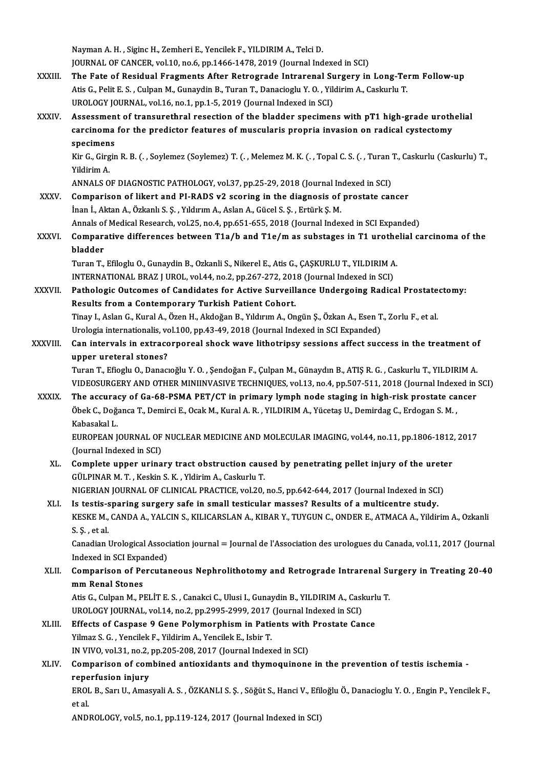Nayman A.H., Siginc H., Zemheri E., Yencilek F., YILDIRIM A., Telci D. JOURNAL OF CANCER, vol.10, no.6, pp.1466-1478, 2019 (Journal Indexed in SCI) XXXIII. The Fate of Residual Fragments After Retrograde Intrarenal Surgery in Long-Term Follow-up JOURNAL OF CANCER, vol.10, no.6, pp.1466-1478, 2019 (Journal Indexed in SCI)<br>The Fate of Residual Fragments After Retrograde Intrarenal Surgery in Long-Te<br>Atis G., Pelit E. S. , Culpan M., Gunaydin B., Turan T., Danacioglu The Fate of Residual Fragments After Retrograde Intrarenal Su<br>Atis G., Pelit E. S. , Culpan M., Gunaydin B., Turan T., Danacioglu Y. O. , Yild<br>UROLOGY JOURNAL, vol.16, no.1, pp.1-5, 2019 (Journal Indexed in SCI)<br>Assessment Atis G., Pelit E. S. , Culpan M., Gunaydin B., Turan T., Danacioglu Y. O. , Yildirim A., Caskurlu T.<br>UROLOGY JOURNAL, vol.16, no.1, pp.1-5, 2019 (Journal Indexed in SCI)<br>XXXIV. Assessment of transurethral resection of the UROLOGY JOURNAL, vol.16, no.1, pp.1-5, 2019 (Journal Indexed in SCI)<br>Assessment of transurethral resection of the bladder specimens with pT1 high-grade uroth<br>carcinoma for the predictor features of muscularis propria invas carcinoma for the predictor features of muscularis propria invasion on radical cystectomy specimens carcinoma for the predictor features of muscularis propria invasion on radical cystectomy<br>specimens<br>Kir G., Girgin R. B. (. , Soylemez (Soylemez) T. (. , Melemez M. K. (. , Topal C. S. (. , Turan T., Caskurlu (Caskurlu) T. specimen<br>Kir G., Girg<br>Yildirim A.<br>ANNALS O Kir G., Girgin R. B. (. , Soylemez (Soylemez) T. (. , Melemez M. K. (. , Topal C. S. (. , Turan '<br>Yildirim A.<br>ANNALS OF DIAGNOSTIC PATHOLOGY, vol.37, pp.25-29, 2018 (Journal Indexed in SCI)<br>Comparison of likert and BL BADS Yildirim A.<br>ANNALS OF DIAGNOSTIC PATHOLOGY, vol.37, pp.25-29, 2018 (Journal Indexed in SCI)<br>XXXV. Comparison of likert and PI-RADS v2 scoring in the diagnosis of prostate cancer İnan İ., Aktan A., Özkanlı S. Ş., Yıldırım A., Aslan A., Gücel S. Ş., Ertürk Ş. M. Comparison of likert and PI-RADS v2 scoring in the diagnosis of prostate cancer<br>Inan I., Aktan A., Özkanlı S. Ş., Yıldırım A., Aslan A., Gücel S. Ş., Ertürk Ş. M.<br>Annals of Medical Research, vol.25, no.4, pp.651-655, 2018 inan İ., Aktan A., Özkanlı S. Ş. , Yıldırım A., Aslan A., Gücel S. Ş. , Ertürk Ş. M.<br>Annals of Medical Research, vol.25, no.4, pp.651-655, 2018 (Journal Indexed in SCI Expanded)<br>XXXVI. Comparative differences between T Annals of<br><mark>Compar</mark>a<br>bladder<br>Turen T Comparative differences between T1a/b and T1e/m as substages in T1 urothe<br>bladder<br>Turan T., Efiloglu O., Gunaydin B., Ozkanli S., Nikerel E., Atis G., ÇAŞKURLU T., YILDIRIM A.<br>INTERNATIONAL PRAZ LUROL YRL44 no 2 nn 267 272 bladder<br>Turan T., Efiloglu O., Gunaydin B., Ozkanli S., Nikerel E., Atis G., ÇAŞKURLU T., YILDIRIM A<br>INTERNATIONAL BRAZ J UROL, vol.44, no.2, pp.267-272, 2018 (Journal Indexed in SCI)<br>Pathologia Qutaomas of Condidates for Turan T., Efiloglu O., Gunaydin B., Ozkanli S., Nikerel E., Atis G., ÇAŞKURLU T., YILDIRIM A.<br>INTERNATIONAL BRAZ J UROL, vol.44, no.2, pp.267-272, 2018 (Journal Indexed in SCI)<br>XXXVII. Pathologic Outcomes of Candidates for INTERNATIONAL BRAZ J UROL, vol.44, no.2, pp.267-272, 201<br>Pathologic Outcomes of Candidates for Active Surveill<br>Results from a Contemporary Turkish Patient Cohort.<br>Tinou L Aclan C. Kural A. Özen H. Akdağan B. Vıldırım A. On Pathologic Outcomes of Candidates for Active Surveillance Undergoing Radical Prostate<br>Results from a Contemporary Turkish Patient Cohort.<br>Tinay I., Aslan G., Kural A., Özen H., Akdoğan B., Yıldırım A., Ongün Ş., Özkan A., Results from a Contemporary Turkish Patient Cohort.<br>Tinay I., Aslan G., Kural A., Özen H., Akdoğan B., Yıldırım A., Ongün Ş., Özkan A., Esen T., Zorlu F., et al.<br>Urologia internationalis, vol.100, pp.43-49, 2018 (Journal I Tinay I., Aslan G., Kural A., Özen H., Akdoğan B., Yıldırım A., Ongün Ş., Özkan A., Esen T., Zorlu F., et al.<br>Urologia internationalis, vol.100, pp.43-49, 2018 (Journal Indexed in SCI Expanded)<br>XXXVIII. Can intervals in ex Urologia internationalis, vo<br>Can intervals in extracce<br>upper ureteral stones?<br>Turan T. Eficslu O. Danas Can intervals in extracorporeal shock wave lithotripsy sessions affect success in the treatment of<br>upper ureteral stones?<br>Turan T., Efioglu O., Danacıoğlu Y. O. , Şendoğan F., Çulpan M., Günaydın B., ATIŞ R. G. , Caskurlu upper ureteral stones?<br>Turan T., Efioglu O., Danacıoğlu Y. O. , Şendoğan F., Çulpan M., Günaydın B., ATIŞ R. G. , Caskurlu T., YILDIRIM A.<br>VIDEOSURGERY AND OTHER MINIINVASIVE TECHNIQUES, vol.13, no.4, pp.507-511, 2018 (Jou Turan T., Efioglu O., Danacıoğlu Y. O., Şendoğan F., Çulpan M., Günaydın B., ATIŞ R. G., Caskurlu T., YILDIRIM A.<br>VIDEOSURGERY AND OTHER MINIINVASIVE TECHNIQUES, vol.13, no.4, pp.507-511, 2018 (Journal Indexed in<br>XXXIX. Th VIDEOSURGERY AND OTHER MINIINVASIVE TECHNIQUES, vol.13, no.4, pp.507-511, 2018 (Journal Index<br>The accuracy of Ga-68-PSMA PET/CT in primary lymph node staging in high-risk prostate ca<br>Öbek C., Doğanca T., Demirci E., Ocak M T<mark>he accura</mark><br>Öbek C., Doğ<del>.</del><br>Kabasakal L.<br>EUROPEAN L Öbek C., Doğanca T., Demirci E., Ocak M., Kural A. R. , YILDIRIM A., Yücetaş U., Demirdag C., Erdogan S. M. ,<br>Kabasakal L.<br>EUROPEAN JOURNAL OF NUCLEAR MEDICINE AND MOLECULAR IMAGING, vol.44, no.11, pp.1806-1812, 2017<br>(Jaur Kabasakal L.<br>EUROPEAN JOURNAL OF<br>(Journal Indexed in SCI)<br>Complete unner unine EUROPEAN JOURNAL OF NUCLEAR MEDICINE AND MOLECULAR IMAGING, vol.44, no.11, pp.1806-1812<br>(Journal Indexed in SCI)<br>XL. Complete upper urinary tract obstruction caused by penetrating pellet injury of the ureter<br>(CULENAR M.T. (Journal Indexed in SCI)<br>Complete upper urinary tract obstruction caus<br>GÜLPINAR M. T. , Keskin S. K. , Yldirim A., Caskurlu T.<br>NICERIAN JOURNAL OF CLINICAL PRACTICE vol 30 Complete upper urinary tract obstruction caused by penetrating pellet injury of the urete<br>GÜLPINAR M. T. , Keskin S. K. , Yldirim A., Caskurlu T.<br>NIGERIAN JOURNAL OF CLINICAL PRACTICE, vol.20, no.5, pp.642-644, 2017 (Journ GÜLPINAR M. T., Keskin S. K., Yldirim A., Caskurlu T.<br>NIGERIAN JOURNAL OF CLINICAL PRACTICE, vol.20, no.5, pp.642-644, 2017 (Journal Indexed in SCI<br>XLI. Is testis-sparing surgery safe in small testicular masses? Results of NIGERIAN JOURNAL OF CLINICAL PRACTICE, vol.20, no.5, pp.642-644, 2017 (Journal Indexed in SCI)<br>Is testis-sparing surgery safe in small testicular masses? Results of a multicentre study.<br>KESKE M., CANDA A., YALCIN S., KILIC XLI. Is testis-sparing surgery safe in small testicular masses? Results of a multicentre study.<br>KESKE M., CANDA A., YALCIN S., KILICARSLAN A., KIBAR Y., TUYGUN C., ONDER E., ATMACA A., Yildirim A., Ozkanli<br>S. Ş. , et al. KESKE M., CANDA A., YALCIN S., KILICARSLAN A., KIBAR Y., TUYGUN C., ONDER E., ATMACA A., Yildirim A., Ozkanli<br>S. Ş. , et al.<br>Canadian Urological Association journal = Journal de l'Association des urologues du Canada, vol.1 S. Ş. , et al.<br>Canadian Urological Assoc<br>Indexed in SCI Expanded)<br>Comnanison of Porsutal Canadian Urological Association journal = Journal de l'Association des urologues du Canada, vol.11, 2017 (Journal<br>Indexed in SCI Expanded)<br>XLII. Comparison of Percutaneous Nephrolithotomy and Retrograde Intrarenal Surgery Indexed in SCI Expanded)<br>Comparison of Percutaneous Nephrolithotomy and Retrograde Intrarenal Surgery in Treating 20-40<br>mm Renal Stones Comparison of Percutaneous Nephrolithotomy and Retrograde Intrarenal Summ Renal Stones<br>Atis G., Culpan M., PELİT E. S. , Canakci C., Ulusi I., Gunaydin B., YILDIRIM A., Caskurlu T.<br>UPOLOCY JOUPNAL VRL14, De 2, PP 2995-2999 mm Renal Stones<br>Atis G., Culpan M., PELİT E. S. , Canakci C., Ulusi I., Gunaydin B., YILDIRIM A., Cask<br>UROLOGY JOURNAL, vol.14, no.2, pp.2995-2999, 2017 (Journal Indexed in SCI)<br>Effects of Caspass 9 Cone Bolymornhism in Ba Atis G., Culpan M., PELİT E. S., Canakci C., Ulusi I., Gunaydin B., YILDIRIM A., Caskurl<br>UROLOGY JOURNAL, vol.14, no.2, pp.2995-2999, 2017 (Journal Indexed in SCI)<br>XLIII. Effects of Caspase 9 Gene Polymorphism in Patients UROLOGY JOURNAL, vol.14, no.2, pp.2995-2999, 2017 (Journal Indexed in SCI)<br>Effects of Caspase 9 Gene Polymorphism in Patients with Prostate Car<br>Yilmaz S. G. , Yencilek F., Yildirim A., Yencilek E., Isbir T. Effects of Caspase 9 Gene Polymorphism in Patients with Prostate Cance XLIV. Comparison of combined antioxidants and thymoquinone in the prevention of testis ischemia - IN VIVO, vol.31, no.2, pp.205-208, 2017 (Journal Indexed in SCI) Comparison of combined antioxidants and thymoquinone in the prevention of testis ischemia -<br>reperfusion injury<br>EROL B., Sarı U., Amasyali A. S. , ÖZKANLI S. Ş. , Söğüt S., Hanci V., Efiloğlu Ö., Danacioglu Y. O. , Engin P. repe<br>EROI<br>et al. et al.<br>ANDROLOGY, vol.5, no.1, pp.119-124, 2017 (Journal Indexed in SCI)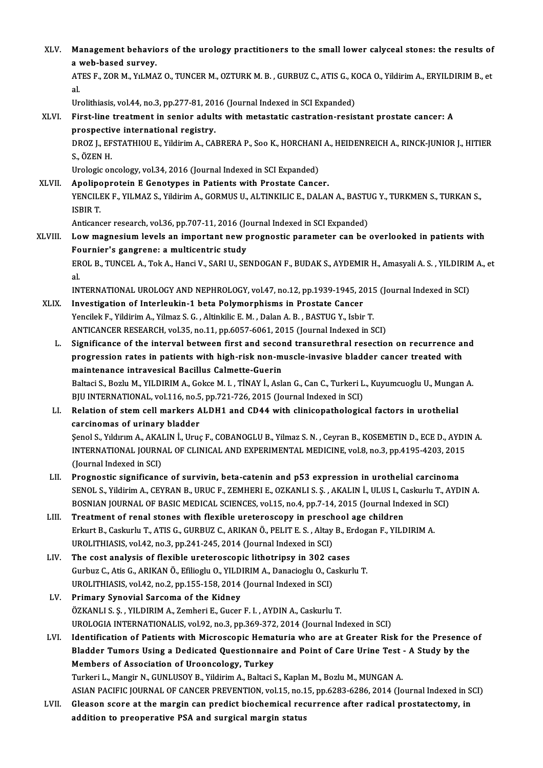| XLV.    | Management behaviors of the urology practitioners to the small lower calyceal stones: the results of<br>a web-based survey.                                                       |
|---------|-----------------------------------------------------------------------------------------------------------------------------------------------------------------------------------|
|         | ATES F., ZOR M., YıLMAZ O., TUNCER M., OZTURK M. B., GURBUZ C., ATIS G., KOCA O., Yildirim A., ERYILDIRIM B., et<br>al.                                                           |
|         | Urolithiasis, vol.44, no.3, pp.277-81, 2016 (Journal Indexed in SCI Expanded)                                                                                                     |
| XLVI.   | First-line treatment in senior adults with metastatic castration-resistant prostate cancer: A                                                                                     |
|         | prospective international registry.                                                                                                                                               |
|         | DROZ J., EFSTATHIOU E., Yildirim A., CABRERA P., Soo K., HORCHANI A., HEIDENREICH A., RINCK-JUNIOR J., HITIER<br>S, ÖZEN H                                                        |
|         | Urologic oncology, vol.34, 2016 (Journal Indexed in SCI Expanded)                                                                                                                 |
| XLVII.  | Apolipoprotein E Genotypes in Patients with Prostate Cancer.                                                                                                                      |
|         | YENCILEK F., YILMAZ S., Yildirim A., GORMUS U., ALTINKILIC E., DALAN A., BASTUG Y., TURKMEN S., TURKAN S.,<br><b>ISBIRT</b>                                                       |
|         | Anticancer research, vol.36, pp.707-11, 2016 (Journal Indexed in SCI Expanded)                                                                                                    |
| XLVIII. | Low magnesium levels an important new prognostic parameter can be overlooked in patients with                                                                                     |
|         | Fournier's gangrene: a multicentric study                                                                                                                                         |
|         | EROL B., TUNCEL A., Tok A., Hanci V., SARI U., SENDOGAN F., BUDAK S., AYDEMIR H., Amasyali A. S., YILDIRIM A., et                                                                 |
|         | al.                                                                                                                                                                               |
| XLIX.   | INTERNATIONAL UROLOGY AND NEPHROLOGY, vol.47, no.12, pp.1939-1945, 2015 (Journal Indexed in SCI)                                                                                  |
|         | Investigation of Interleukin-1 beta Polymorphisms in Prostate Cancer<br>Yencilek F., Yildirim A., Yilmaz S. G., Altinkilic E. M., Dalan A. B., BASTUG Y., Isbir T.                |
|         | ANTICANCER RESEARCH, vol.35, no.11, pp.6057-6061, 2015 (Journal Indexed in SCI)                                                                                                   |
| L.      | Significance of the interval between first and second transurethral resection on recurrence and                                                                                   |
|         | progression rates in patients with high-risk non-muscle-invasive bladder cancer treated with                                                                                      |
|         | maintenance intravesical Bacillus Calmette-Guerin                                                                                                                                 |
|         | Baltaci S., Bozlu M., YILDIRIM A., Gokce M. I., TİNAY İ., Aslan G., Can C., Turkeri L., Kuyumcuoglu U., Mungan A.                                                                 |
|         | BJU INTERNATIONAL, vol.116, no.5, pp.721-726, 2015 (Journal Indexed in SCI)                                                                                                       |
| LI.     | Relation of stem cell markers ALDH1 and CD44 with clinicopathological factors in urothelial                                                                                       |
|         | carcinomas of urinary bladder                                                                                                                                                     |
|         | Senol S., Yıldırım A., AKALIN İ., Uruç F., COBANOGLU B., Yilmaz S. N., Ceyran B., KOSEMETIN D., ECE D., AYDIN A                                                                   |
|         | INTERNATIONAL JOURNAL OF CLINICAL AND EXPERIMENTAL MEDICINE, vol.8, no.3, pp.4195-4203, 2015                                                                                      |
|         | (Journal Indexed in SCI)                                                                                                                                                          |
| LII.    | Prognostic significance of survivin, beta-catenin and p53 expression in urothelial carcinoma                                                                                      |
|         | SENOL S., Yildirim A., CEYRAN B., URUC F., ZEMHERI E., OZKANLI S. Ş., AKALIN İ., ULUS I., Caskurlu T., AYDIN A.                                                                   |
| LIII.   | BOSNIAN JOURNAL OF BASIC MEDICAL SCIENCES, vol.15, no.4, pp.7-14, 2015 (Journal Indexed in SCI)<br>Treatment of renal stones with flexible ureteroscopy in preschool age children |
|         | Erkurt B., Caskurlu T., ATIS G., GURBUZ C., ARIKAN Ö., PELIT E. S., Altay B., Erdogan F., YILDIRIM A.                                                                             |
|         | UROLITHIASIS, vol.42, no.3, pp.241-245, 2014 (Journal Indexed in SCI)                                                                                                             |
| LIV.    | The cost analysis of flexible ureteroscopic lithotripsy in 302 cases                                                                                                              |
|         | Gurbuz C., Atis G., ARIKAN Ö., Efilioglu O., YILDIRIM A., Danacioglu O., Caskurlu T.                                                                                              |
|         | UROLITHIASIS, vol.42, no.2, pp.155-158, 2014 (Journal Indexed in SCI)                                                                                                             |
| LV.     | Primary Synovial Sarcoma of the Kidney                                                                                                                                            |
|         | ÖZKANLI S. Ş., YILDIRIM A., Zemheri E., Gucer F. I., AYDIN A., Caskurlu T.                                                                                                        |
|         | UROLOGIA INTERNATIONALIS, vol.92, no.3, pp.369-372, 2014 (Journal Indexed in SCI)                                                                                                 |
| LVI.    | Identification of Patients with Microscopic Hematuria who are at Greater Risk for the Presence of                                                                                 |
|         | Bladder Tumors Using a Dedicated Questionnaire and Point of Care Urine Test - A Study by the                                                                                      |
|         | Members of Association of Urooncology, Turkey                                                                                                                                     |
|         | Turkeri L., Mangir N., GUNLUSOY B., Yildirim A., Baltaci S., Kaplan M., Bozlu M., MUNGAN A.                                                                                       |
|         | ASIAN PACIFIC JOURNAL OF CANCER PREVENTION, vol.15, no.15, pp.6283-6286, 2014 (Journal Indexed in SCI)                                                                            |
| LVII.   | Gleason score at the margin can predict biochemical recurrence after radical prostatectomy, in                                                                                    |
|         | addition to preoperative PSA and surgical margin status                                                                                                                           |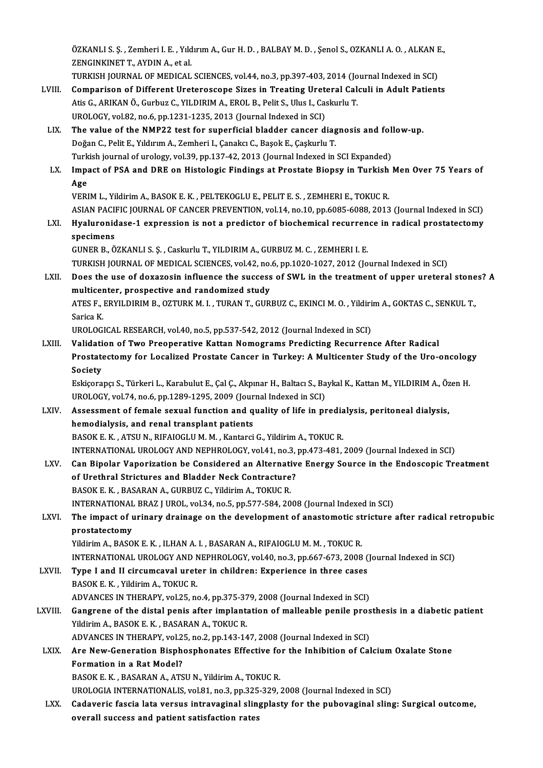ÖZKANLI S. Ş. , Zemheri I. E. , Yıldırım A., Gur H. D. , BALBAY M. D. , Şenol S., OZKANLI A. O. , ALKAN E.,<br>ZENÇINKINET T. AYDIN A. et el ZENGINKINET T., AYDIN A., et al. ÖZKANLI S. Ş. , Zemheri I. E. , Yıldırım A., Gur H. D. , BALBAY M. D. , Şenol S., OZKANLI A. O. , ALKAN F<br>ZENGINKINET T., AYDIN A., et al.<br>TURKISH JOURNAL OF MEDICAL SCIENCES, vol.44, no.3, pp.397-403, 2014 (Journal Indexe

- ZENGINKINET T., AYDIN A., et al.<br>TURKISH JOURNAL OF MEDICAL SCIENCES, vol.44, no.3, pp.397-403, 2014 (Journal Indexed in SCI)<br>LVIII. Comparison of Different Ureteroscope Sizes in Treating Ureteral Calculi in Adult Patients TURKISH JOURNAL OF MEDICAL SCIENCES, vol.44, no.3, pp.397-403, 2014 (Journal Indexed in SCI)<br>Comparison of Different Ureteroscope Sizes in Treating Ureteral Calculi in Adult Patient<br>Atis G., ARIKAN Ö., Gurbuz C., YILDIRIM Comparison of Different Ureteroscope Sizes in Treating Uret<br>Atis G., ARIKAN Ö., Gurbuz C., YILDIRIM A., EROL B., Pelit S., Ulus I., Ca:<br>UROLOGY, vol.82, no.6, pp.1231-1235, 2013 (Journal Indexed in SCI)<br>The value of the NM Atis G., ARIKAN Ö., Gurbuz C., YILDIRIM A., EROL B., Pelit S., Ulus I., Caskurlu T.<br>UROLOGY, vol.82, no.6, pp.1231-1235, 2013 (Journal Indexed in SCI)<br>LIX. The value of the NMP22 test for superficial bladder cancer diagnos
- UROLOGY, vol.82, no.6, pp.1231-1235, 2013 (Journal Indexed in SCI)<br>The value of the NMP22 test for superficial bladder cancer diag<br>Doğan C., Pelit E., Yıldırım A., Zemheri I., Çanakcı C., Başok E., Çaşkurlu T.<br>Turkish jour The value of the NMP22 test for superficial bladder cancer diagnosis and fol.<br>Doğan C., Pelit E., Yıldırım A., Zemheri I., Çanakcı C., Başok E., Çaşkurlu T.<br>Turkish journal of urology, vol.39, pp.137-42, 2013 (Journal Inde

#### Doğan C., Pelit E., Yıldırım A., Zemheri I., Çanakcı C., Başok E., Çaşkurlu T.<br>Turkish journal of urology, vol.39, pp.137-42, 2013 (Journal Indexed in SCI Expanded)<br>LX. Impact of PSA and DRE on Histologic Findings at P Turk<br>I<mark>mp</mark>a<br>Age<br>VEPI Impact of PSA and DRE on Histologic Findings at Prostate Biopsy in Turkish<br>Age<br>VERIM L., Yildirim A., BASOK E. K. , PELTEKOGLU E., PELIT E. S. , ZEMHERI E., TOKUC R.<br>ASIAN PACIELS JOURNAL OF CANCER RREVENTION vol.14, no.10 Age<br>VERIM L., Yildirim A., BASOK E. K. , PELTEKOGLU E., PELIT E. S. , ZEMHERI E., TOKUC R.<br>ASIAN PACIFIC JOURNAL OF CANCER PREVENTION, vol.14, no.10, pp.6085-6088, 2013 (Journal Indexed in SCI)

VERIM L., Yildirim A., BASOK E. K. , PELTEKOGLU E., PELIT E. S. , ZEMHERI E., TOKUC R.<br>ASIAN PACIFIC JOURNAL OF CANCER PREVENTION, vol.14, no.10, pp.6085-6088, 2013 (Journal Indexed in SCI)<br>LXI. Hyaluronidase-1 expression ASIAN PACI<br><mark>Hyaluronid</mark><br>specimens<br>CUNER B. Ö specimens<br>GUNER B., ÖZKANLI S. Ş. , Caskurlu T., YILDIRIM A., GURBUZ M. C. , ZEMHERI I. E.

specimens<br>GUNER B., ÖZKANLI S. Ş. , Caskurlu T., YILDIRIM A., GURBUZ M. C. , ZEMHERI I. E.<br>TURKISH JOURNAL OF MEDICAL SCIENCES, vol.42, no.6, pp.1020-1027, 2012 (Journal Indexed in SCI)<br>Doss the use of deversein influence

LXII. Does the use of doxazosin influence the success of SWL in the treatment of upper ureteral stones? A multicenter, prospective and randomized study TURKISH JOURNAL OF MEDICAL SCIENCES, vol.42, no.<br>Does the use of doxazosin influence the success<br>multicenter, prospective and randomized study<br>ATES E. EDVU DIPIM B. OZTUDY M. L. TURAN T. CUD. Does the use of doxazosin influence the success of SWL in the treatment of upper ureteral stone<br>multicenter, prospective and randomized study<br>ATES F., ERYILDIRIM B., OZTURK M. I. , TURAN T., GURBUZ C., EKINCI M. O. , Yildi

multicer<br>ATES F., I<br>Sarica K.<br>UPOLOC ATES F., ERYILDIRIM B., OZTURK M. I. , TURAN T., GURBUZ C., EKINCI M. O. , Yildiri<br>Sarica K.<br>UROLOGICAL RESEARCH, vol.40, no.5, pp.537-542, 2012 (Journal Indexed in SCI)<br>Validation of Tuto Breonarative Kattan Nomograms Bro

Sarica K.<br>UROLOGICAL RESEARCH, vol.40, no.5, pp.537-542, 2012 (Journal Indexed in SCI)<br>LXIII. Validation of Two Preoperative Kattan Nomograms Predicting Recurrence After Radical UROLOGICAL RESEARCH, vol.40, no.5, pp.537-542, 2012 (Journal Indexed in SCI)<br>Validation of Two Preoperative Kattan Nomograms Predicting Recurrence After Radical<br>Prostatectomy for Localized Prostate Cancer in Turkey: A Mult Validati<br>Prostate<br>Society<br>Eskisere Prostatectomy for Localized Prostate Cancer in Turkey: A Multicenter Study of the Uro-oncolog<br>Society<br>Eskiçorapçı S., Türkeri L., Karabulut E., Çal Ç., Akpınar H., Baltacı S., Baykal K., Kattan M., YILDIRIM A., Özen H.<br>UPO

Society<br>Eskiçorapçı S., Türkeri L., Karabulut E., Çal Ç., Akpınar H., Baltacı S., Baykal K., Kattan M., YILDIRIM A., Özen H.<br>UROLOGY, vol.74, no.6, pp.1289-1295, 2009 (Journal Indexed in SCI)

LXIV. Assessment of female sexual function and quality of life in predialysis, peritoneal dialysis, hemodialysis, and renal transplant patients BASOK E.K., ATSUN., RIFAIOGLUM.M., Kantarci G., Yildirim A., TOKUCR. INTERNATIONALUROLOGYANDNEPHROLOGY,vol.41,no.3,pp.473-481,2009 (Journal Indexed inSCI) BASOK E. K. , ATSU N., RIFAIOGLU M. M. , Kantarci G., Yildirim A., TOKUC R.<br>INTERNATIONAL UROLOGY AND NEPHROLOGY, vol.41, no.3, pp.473-481, 2009 (Journal Indexed in SCI)<br>LXV. Can Bipolar Vaporization be Considered an Alter

INTERNATIONAL UROLOGY AND NEPHROLOGY, vol.41, no.3,<br>Can Bipolar Vaporization be Considered an Alternativ<br>of Urethral Strictures and Bladder Neck Contracture?<br>PASOK E.K., PASARAN A. GURBUZ G. Vildinim A. TOKUG R Can Bipolar Vaporization be Considered an Alternatiof Urethral Strictures and Bladder Neck Contracture<br>BASOK E. K. , BASARAN A., GURBUZ C., Yildirim A., TOKUC R.<br>INTERNATIONAL PRAZ LUROL vol 34 no 5 nn 577 594 30 of Urethral Strictures and Bladder Neck Contracture?<br>BASOK E. K. , BASARAN A., GURBUZ C., Yildirim A., TOKUC R.<br>INTERNATIONAL BRAZ J UROL, vol.34, no.5, pp.577-584, 2008 (Journal Indexed in SCI)<br>The impact of unipour drain BASOK E. K. , BASARAN A., GURBUZ C., Yildirim A., TOKUC R.<br>INTERNATIONAL BRAZ J UROL, vol.34, no.5, pp.577-584, 2008 (Journal Indexed in SCI)<br>LXVI. The impact of urinary drainage on the development of anastomotic stricture

## **INTERNATIONAL**<br>The impact of u<br>prostatectomy<br><sup>Vildirim A - PASO</sup> The impact of urinary drainage on the development of anastomotic st<br>prostatectomy<br>Yildirim A., BASOK E. K. , ILHAN A. I. , BASARAN A., RIFAIOGLU M. M. , TOKUC R.<br>INTERNATIONAL UPOLOCY AND NEPUPOLOCY vol.40, no.3, np.667,67

INTERNATIONAL UROLOGY AND NEPHROLOGY, vol.40, no.3, pp.667-673, 2008 (Journal Indexed in SCI)<br>Type I and II circumcaval ureter in children: Experience in three cases

# Yildirim A., BASOK E. K., ILHAN A. I., BASARAN A., RIFAIOGLU M. M., TOKUC R.<br>INTERNATIONAL UROLOGY AND NEPHROLOGY, vol.40, no.3, pp.667-673, 2008 (<br>LXVII. Type I and II circumcaval ureter in children: Experience in three c

BASOK E.K., Yildirim A., TOKUCR. Type I and II circumcaval ureter in children: Experience in three cases<br>BASOK E. K. , Yildirim A., TOKUC R.<br>ADVANCES IN THERAPY, vol.25, no.4, pp.375-379, 2008 (Journal Indexed in SCI)<br>Cangrana of the distal popis ofter im

BASOK E. K., Yildirim A., TOKUC R.<br>ADVANCES IN THERAPY, vol.25, no.4, pp.375-379, 2008 (Journal Indexed in SCI)<br>LXVIII. Gangrene of the distal penis after implantation of malleable penile prosthesis in a diabetic patient<br>V ADVANCES IN THERAPY, vol.25, no.4, pp.375-37<br>Gangrene of the distal penis after implant:<br>Yildirim A., BASOK E. K. , BASARAN A., TOKUC R.<br>ADVANCES IN TUEPAPY, vol.25, no.2, np.142,14 Gangrene of the distal penis after implantation of malleable penile pros<br>Yildirim A., BASOK E. K. , BASARAN A., TOKUC R.<br>ADVANCES IN THERAPY, vol.25, no.2, pp.143-147, 2008 (Journal Indexed in SCI)<br>Are New Concration Bigph

## Yildirim A., BASOK E. K. , BASARAN A., TOKUC R.<br>ADVANCES IN THERAPY, vol.25, no.2, pp.143-147, 2008 (Journal Indexed in SCI)<br>LXIX. Are New-Generation Bisphosphonates Effective for the Inhibition of Calcium Oxalate Stone<br>Fo ADVANCES IN THERAPY, vol.25, no.2, pp.143-147, 2008 (Journal Indexed in SCI)<br>Are New-Generation Bisphosphonates Effective for the Inhibition of Ca<br>Formation in a Rat Model?<br>BASOK E. K., BASARAN A., ATSU N., Yildirim A., TO Are New-Generation Bisphosphonates Effective fo<br>Formation in a Rat Model?<br>BASOK E. K. , BASARAN A., ATSU N., Yildirim A., TOKUC R.<br>UPOLOGIA INTERNATIONALIS VOL91 no 3 nn 325 320 ;

UROLOGIA INTERNATIONALIS, vol.81, no.3, pp.325-329, 2008 (Journal Indexed in SCI)

BASOK E. K. , BASARAN A., ATSU N., Yildirim A., TOKUC R.<br>UROLOGIA INTERNATIONALIS, vol.81, no.3, pp.325-329, 2008 (Journal Indexed in SCI)<br>LXX. Cadaveric fascia lata versus intravaginal slingplasty for the pubovaginal slin UROLOGIA INTERNATIONALIS, vol.81, no.3, pp.325<br>Cadaveric fascia lata versus intravaginal slin<sub>i</sub><br>overall success and patient satisfaction rates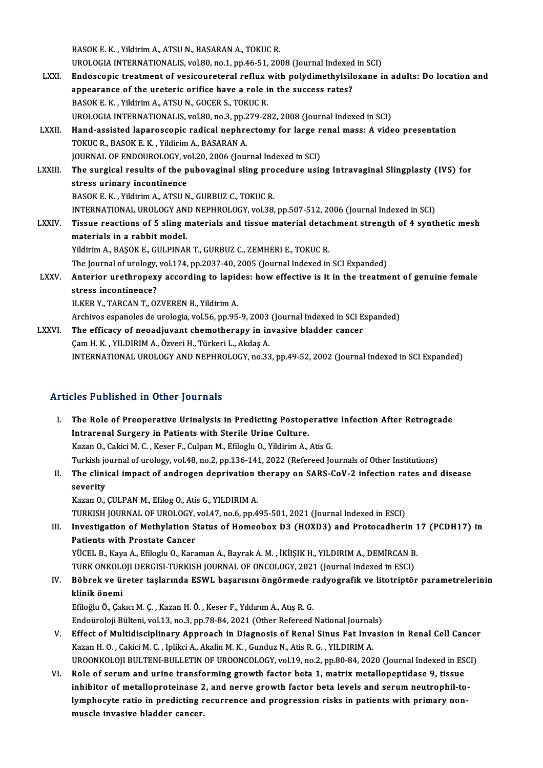BASOK E.K., Yildirim A., ATSU N., BASARAN A., TOKUC R. BASOK E. K. , Yildirim A., ATSU N., BASARAN A., TOKUC R.<br>UROLOGIA INTERNATIONALIS, vol.80, no.1, pp.46-51, 2008 (Journal Indexed in SCI)<br>Endessenis treatment of vesiseurateral reflux with nelydimethylejlevane i LXXI. Endoscopic treatment of vesicoureteral reflux with polydimethylsiloxane in adults: Do location and UROLOGIA INTERNATIONALIS, vol.80, no.1, pp.46-51, 2008 (Journal Indexed<br>Endoscopic treatment of vesicoureteral reflux with polydimethylsile<br>appearance of the ureteric orifice have a role in the success rates?<br>PASOK E.K., V appearance of the ureteric orifice have a role in the success rates?<br>BASOK E. K., Yildirim A., ATSU N., GOCER S., TOKUC R. UROLOGIA INTERNATIONALIS, vol.80, no.3, pp.279-282, 2008 (Journal Indexed in SCI) BASOK E. K. , Yildirim A., ATSU N., GOCER S., TOKUC R.<br>UROLOGIA INTERNATIONALIS, vol.80, no.3, pp.279-282, 2008 (Journal Indexed in SCI)<br>LXXII. Hand-assisted laparoscopic radical nephrectomy for large renal mass: A vid UROLOGIA INTERNATIONALIS, vol.80, no.3, pp.2<br>Hand-assisted laparoscopic radical nephre<br>TOKUC R., BASOK E. K. , Yildirim A., BASARAN A.<br>JOUPNAL OF ENDOUPOLOCY, vol.20, 2006 (Jour Hand-assisted laparoscopic radical nephrectomy for large r<br>TOKUC R., BASOK E. K. , Yildirim A., BASARAN A.<br>JOURNAL OF ENDOUROLOGY, vol.20, 2006 (Journal Indexed in SCI)<br>The surgical results of the pubousginal sling presedu TOKUC R., BASOK E. K. , Yildirim A., BASARAN A.<br>JOURNAL OF ENDOUROLOGY, vol.20, 2006 (Journal Indexed in SCI)<br>LXXIII. The surgical results of the pubovaginal sling procedure using Intravaginal Slingplasty (IVS) for<br> JOURNAL OF ENDOUROLOGY, vo<br>The surgical results of the p<br>stress urinary incontinence<br>PASOV E V. Vildinim A. ATSU N The surgical results of the pubovaginal sling pro<br>stress urinary incontinence<br>BASOK E. K. , Yildirim A., ATSU N., GURBUZ C., TOKUC R.<br>INTERNATIONAL UROLOCY AND NEBHROLOCY .vel 39 stress urinary incontinence<br>BASOK E. K. , Yildirim A., ATSU N., GURBUZ C., TOKUC R.<br>INTERNATIONAL UROLOGY AND NEPHROLOGY, vol.38, pp.507-512, 2006 (Journal Indexed in SCI) BASOK E. K. , Yildirim A., ATSU N., GURBUZ C., TOKUC R.<br>INTERNATIONAL UROLOGY AND NEPHROLOGY, vol.38, pp.507-512, 2006 (Journal Indexed in SCI)<br>LXXIV. Tissue reactions of 5 sling materials and tissue material detachmen INTERNATIONAL UROLOGY AN<br>Tissue reactions of 5 sling n<br>materials in a rabbit model.<br>Vildinim A. PASOKE, CULPINAL Tissue reactions of 5 sling materials and tissue material detac<br>materials in a rabbit model.<br>Yildirim A., BAŞOK E., GULPINAR T., GURBUZ C., ZEMHERI E., TOKUC R.<br>The Journal of urology vol.174 nn 2027-40-2005 (Journal Indov materials in a rabbit model.<br>Yildirim A., BAŞOK E., GULPINAR T., GURBUZ C., ZEMHERI E., TOKUC R.<br>The Journal of urology, vol.174, pp.2037-40, 2005 (Journal Indexed in SCI Expanded) Yildirim A., BAŞOK E., GULPINAR T., GURBUZ C., ZEMHERI E., TOKUC R.<br>The Journal of urology, vol.174, pp.2037-40, 2005 (Journal Indexed in SCI Expanded)<br>LXXV. Anterior urethropexy according to lapides: how effective is The Journal of urology,<br>Anterior urethropexy<br>stress incontinence?<br>H KER V TARCAN T OF Anterior urethropexy according to lapid<br>stress incontinence?<br>ILKER Y., TARCAN T., OZVEREN B., Yildirim A. stress incontinence?<br>ILKER Y., TARCAN T., OZVEREN B., Yildirim A.<br>Archivos espanoles de urologia, vol.56, pp.95-9, 2003 (Journal Indexed in SCI Expanded) LXXVI. The efficacy of neoadjuvant chemotherapy in invasive bladder cancer Çam H. K., YILDIRIM A., Özveri H., Türkeri L., Akdaş A.

INTERNATIONAL UROLOGY AND NEPHROLOGY, no.33, pp.49-52, 2002 (Journal Indexed in SCI Expanded)

#### Articles Published in Other Journals

rticles Published in Other Journals<br>I. The Role of Preoperative Urinalysis in Predicting Postoperative Infection After Retrograde<br>Intrarenal Surgery in Petients with Starile Urine Culture Intrarenal Surgery in Patients with Sterile Urine Culture.<br>Kazan O., Cakici M. C., Keser F., Culpan M., Efiloglu O., Yildirim A., Atis G. The Role of Preoperative Urinalysis in Predicting Postoperativ<br>Intrarenal Surgery in Patients with Sterile Urine Culture.<br>Kazan O., Cakici M. C. , Keser F., Culpan M., Efiloglu O., Yildirim A., Atis G.<br>Turkish iournal of u Turkish journal of urology, vol.48, no.2, pp.136-141, 2022 (Refereed Journals of Other Institutions) Kazan O., Cakici M. C. , Keser F., Culpan M., Efiloglu O., Yildirim A., Atis G.<br>Turkish journal of urology, vol.48, no.2, pp.136-141, 2022 (Refereed Journals of Other Institutions)<br>II. The clinical impact of androgen depri Turkish jo<br>**The clini**<br>severity<br>Karan O

severity<br>Kazan O., ÇULPAN M., Efilog O., Atis G., YILDIRIM A. severity<br>Kazan O., ÇULPAN M., Efilog O., Atis G., YILDIRIM A.<br>TURKISH JOURNAL OF UROLOGY, vol.47, no.6, pp.495-501, 2021 (Journal Indexed in ESCI)<br>Investigation of Methylation Status of Homeobey D3 (HOVD3) and Protogadberi

III. Investigation of Methylation Status of Homeobox D3 (HOXD3) and Protocadherin 17 (PCDH17) in Patients with Prostate Cancer TURKISH JOURNAL OF UROLOGY,<br>Investigation of Methylation S<br>Patients with Prostate Cancer<br>VÜCEL B. Kava A. Efilogly O. Kara Investigation of Methylation Status of Homeobox D3 (HOXD3) and Protocadherin 1<br>Patients with Prostate Cancer<br>YÜCEL B., Kaya A., Efiloglu O., Karaman A., Bayrak A. M. , İKİIŞIK H., YILDIRIM A., DEMİRCAN B.<br>TURK ONKOLOU DERC

Patients with Prostate Cancer<br>YÜCEL B., Kaya A., Efiloglu O., Karaman A., Bayrak A. M. , İKİIŞIK H., YILDIRIM A., DEMİRCAN B<br>TURK ONKOLOJI DERGISI-TURKISH JOURNAL OF ONCOLOGY, 2021 (Journal Indexed in ESCI)<br>Böhnek ve ünete

## YÜCEL B., Kaya A., Efiloglu O., Karaman A., Bayrak A. M. , İKİIŞIK H., YILDIRIM A., DEMİRCAN B.<br>TURK ONKOLOJI DERGISI-TURKISH JOURNAL OF ONCOLOGY, 2021 (Journal Indexed in ESCI)<br>IV. Böbrek ve üreter taşlarında ESWL baş TURK ONKOLOJI DERGISI-TURKISH JOURNAL OF ONCOLOGY, 2021 (Journal Indexed in ESCI)<br>Böbrek ve üreter taşlarında ESWL başarısını öngörmede radyografik ve litotriptör<br>klinik önemi<br>Efiloğlu Ö., Cakıcı M. C. , Kazan H. Ö. , Kese Böbrek ve üreter taşlarında ESWL başarısını öngörmede ı<br>klinik önemi<br>Efiloğlu Ö., Çakıcı M. Ç. , Kazan H. Ö. , Keser F., Yıldırım A., Atış R. G.<br>Endoüreleji Bülteni vel 12. no 2. np 79.94.2021 (Other Befereed

Endoüroloji Bülteni, vol.13, no.3, pp.78-84, 2021 (Other Refereed National Journals)

- Efiloğlu Ö., Çakıcı M. Ç. , Kazan H. Ö. , Keser F., Yıldırım A., Atış R. G.<br>Endoüroloji Bülteni, vol.13, no.3, pp.78-84, 2021 (Other Refereed National Journals)<br>V. Effect of Multidisciplinary Approach in Diagnosis of Renal Endoüroloji Bülteni, vol.13, no.3, pp.78-84, 2021 (Other Refereed National Journal<br>Effect of Multidisciplinary Approach in Diagnosis of Renal Sinus Fat Inva<br>Kazan H. O. , Cakici M. C. , Iplikci A., Akalin M. K. , Gunduz N. Effect of Multidisciplinary Approach in Diagnosis of Renal Sinus Fat Invasion in Renal Cell Cancer<br>Kazan H. O. , Cakici M. C. , Iplikci A., Akalin M. K. , Gunduz N., Atis R. G. , YILDIRIM A.<br>UROONKOLOJI BULTENI-BULLETIN OF Kazan H. O. , Cakici M. C. , Iplikci A., Akalin M. K. , Gunduz N., Atis R. G. , YILDIRIM A.<br>UROONKOLOJI BULTENI-BULLETIN OF UROONCOLOGY, vol.19, no.2, pp.80-84, 2020 (Journal Indexed in ES<br>VI. Role of serum and urine trans
- UROONKOLOJI BULTENI-BULLETIN OF UROONCOLOGY, vol.19, no.2, pp.80-84, 2020 (Journal Indexed in ESCI)<br>Role of serum and urine transforming growth factor beta 1, matrix metallopeptidase 9, tissue<br>inhibitor of metalloproteinas Role of serum and urine transforming growth factor beta 1, matrix metallopeptidase 9, tissue<br>inhibitor of metalloproteinase 2, and nerve growth factor beta levels and serum neutrophil-to-<br>lymphocyte ratio in predicting rec inhibitor of metalloproteinase 2<br>lymphocyte ratio in predicting r<br>muscle invasive bladder cancer.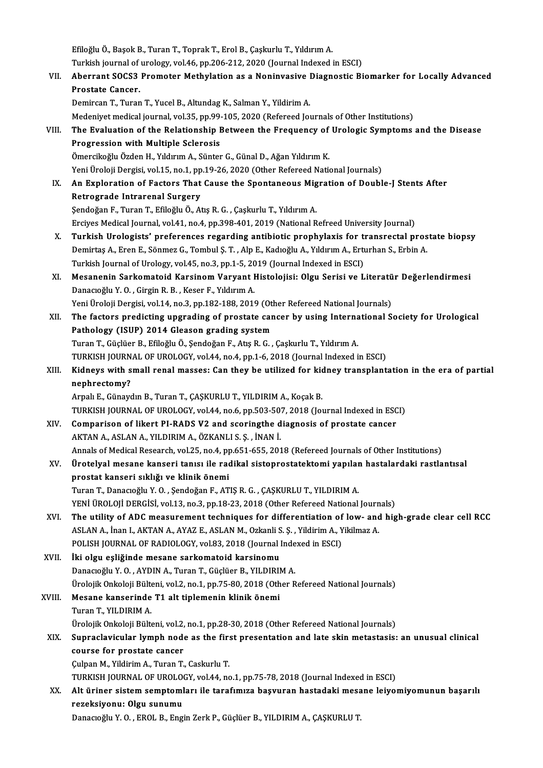EfiloğluÖ.,BaşokB.,TuranT.,ToprakT.,ErolB.,ÇaşkurluT.,YıldırımA. Efiloğlu Ö., Başok B., Turan T., Toprak T., Erol B., Çaşkurlu T., Yıldırım A.<br>Turkish journal of urology, vol.46, pp.206-212, 2020 (Journal Indexed in ESCI)<br>Aberrant SOCS2 Premeter Methyletian as a Noninyesiye Diagnestis B Efiloğlu Ö., Başok B., Turan T., Toprak T., Erol B., Çaşkurlu T., Yıldırım A.<br>Turkish journal of urology, vol.46, pp.206-212, 2020 (Journal Indexed in ESCI)<br>VII. Aberrant SOCS3 Promoter Methylation as a Noninvasive Dia Turkish journal of<br>Aberrant SOCS3<br>Prostate Cancer.<br>Domirson T. Turer Aberrant SOCS3 Promoter Methylation as a Noninvasive l<br>Prostate Cancer.<br>Demircan T., Turan T., Yucel B., Altundag K., Salman Y., Yildirim A.<br>Medeniyet medical journal yol 25 nn 99,105,2020 (Refereed Ier Prostate Cancer.<br>Demircan T., Turan T., Yucel B., Altundag K., Salman Y., Yildirim A.<br>Medeniyet medical journal, vol.35, pp.99-105, 2020 (Refereed Journals of Other Institutions) Demircan T., Turan T., Yucel B., Altundag K., Salman Y., Yildirim A.<br>Medeniyet medical journal, vol.35, pp.99-105, 2020 (Refereed Journals of Other Institutions)<br>VIII. The Evaluation of the Relationship Between the Frequen Medeniyet medical journal, vol.35, pp.99-<br>The Evaluation of the Relationship I<br>Progression with Multiple Sclerosis<br>Ömersikeğlu Örden H. Vıldırım A. Sünter The Evaluation of the Relationship Between the Frequency of<br>Progression with Multiple Sclerosis<br>Ömercikoğlu Özden H., Yıldırım A., Sünter G., Günal D., Ağan Yıldırım K.<br>Yoni Üreleji Dergisi vel 15. no.1. np.19.26.2020 (Oth Progression with Multiple Sclerosis<br>Ömercikoğlu Özden H., Yıldırım A., Sünter G., Günal D., Ağan Yıldırım K.<br>Yeni Üroloji Dergisi, vol.15, no.1, pp.19-26, 2020 (Other Refereed National Journals) Ömercikoğlu Özden H., Yıldırım A., Sünter G., Günal D., Ağan Yıldırım K.<br>1991 - Yeni Üroloji Dergisi, vol.15, no.1, pp.19-26, 2020 (Other Refereed National Journals)<br>IX. An Exploration of Factors That Cause the Spontan Yeni Üroloji Dergisi, vol.15, no.1, pp<br>An Exploration of Factors That<br>Retrograde Intrarenal Surgery<br>Sendeğan E. Turen T. Efiloğlu Ö. 41 An Exploration of Factors That Cause the Spontaneous Mig<br>Retrograde Intrarenal Surgery<br>Şendoğan F., Turan T., Efiloğlu Ö., Atış R. G. , Çaşkurlu T., Yıldırım A.<br>Freives Medisəl Journal vol 41, nə 4, np 209, 401, 2010 (Nati Retrograde Intrarenal Surgery<br>Şendoğan F., Turan T., Efiloğlu Ö., Atış R. G. , Çaşkurlu T., Yıldırım A.<br>Erciyes Medical Journal, vol.41, no.4, pp.398-401, 2019 (National Refreed University Journal) X. Turkish Urologists' preferences regarding antibiotic prophylaxis for transrectal prostate biopsy Erciyes Medical Journal, vol.41, no.4, pp.398-401, 2019 (National Refreed University Journal)<br>**Turkish Urologists' preferences regarding antibiotic prophylaxis for transrectal pros**<br>Demirtaş A., Eren E., Sönmez G., Tombul Turkish Urologists' preferences regarding antibiotic prophylaxis for the Demirtas A., Eren E., Sönmez G., Tombul S. T. , Alp E., Kadıoğlu A., Yıldırım A., Ertu<br>Turkish Journal of Urology, vol.45, no.3, pp.1-5, 2019 (Journa Demirtaş A., Eren E., Sönmez G., Tombul Ş. T. , Alp E., Kadıoğlu A., Yıldırım A., Erturhan S., Erbin A.<br>Turkish Journal of Urology, vol.45, no.3, pp.1-5, 2019 (Journal Indexed in ESCI)<br>XI. Mesanenin Sarkomatoid Karsinom Va Turkish Journal of Urology, vol.45, no.3, pp.1-5, 20<br>Mesanenin Sarkomatoid Karsinom Varyant I<br>Danacıoğlu Y. O. , Girgin R. B. , Keser F., Yıldırım A.<br>Veni Üroloji Dergisi vol.14, no.2, np.192,199, 2016 Mesanenin Sarkomatoid Karsinom Varyant Histolojisi: Olgu Serisi ve Literatü<br>Danacıoğlu Y. O. , Girgin R. B. , Keser F., Yıldırım A.<br>Yeni Üroloji Dergisi, vol.14, no.3, pp.182-188, 2019 (Other Refereed National Journals)<br>Th Danacıoğlu Y. O. , Girgin R. B. , Keser F., Yıldırım A.<br>Yeni Üroloji Dergisi, vol.14, no.3, pp.182-188, 2019 (Other Refereed National Journals)<br>XII. The factors predicting upgrading of prostate cancer by using Internationa Yeni Üroloji Dergisi, vol.14, no.3, pp.182-188, 2019 (Other Refereed National Journals) Turan T., Güçlüer B., Efiloğlu Ö., Şendoğan F., Atış R. G., Çaşkurlu T., Yıldırım A. Pathology (ISUP) 2014 Gleason grading system<br>Turan T., Güçlüer B., Efiloğlu Ö., Şendoğan F., Atış R. G. , Çaşkurlu T., Yıldırım A.<br>TURKISH JOURNAL OF UROLOGY, vol.44, no.4, pp.1-6, 2018 (Journal Indexed in ESCI)<br>Kidneys wi Turan T., Güçlüer B., Efiloğlu Ö., Şendoğan F., Atış R. G. , Çaşkurlu T., Yıldırım A.<br>TURKISH JOURNAL OF UROLOGY, vol.44, no.4, pp.1-6, 2018 (Journal Indexed in ESCI)<br>XIII. Kidneys with small renal masses: Can they be TURKISH JOURN<br>Kidneys with s<br>nephrectomy? Kidneys with small renal masses: Can they be utilized for kion<br>nephrectomy?<br>Arpalı E., Günaydın B., Turan T., ÇAŞKURLU T., YILDIRIM A., Koçak B.<br>TURKISH JOURNAL OF UROLOCY, vel 44, ne 6, np 503, 507, 2018 (Jou nephrectomy?<br>Arpalı E., Günaydın B., Turan T., ÇAŞKURLU T., YILDIRIM A., Koçak B.<br>TURKISH JOURNAL OF UROLOGY, vol.44, no.6, pp.503-507, 2018 (Journal Indexed in ESCI) Arpalı E., Günaydın B., Turan T., ÇAŞKURLU T., YILDIRIM A., Koçak B.<br>TURKISH JOURNAL OF UROLOGY, vol.44, no.6, pp.503-507, 2018 (Journal Indexed in ESC<br>XIV. Comparison of likert PI-RADS V2 and scoringthe diagnosis of prost TURKISH JOURNAL OF UROLOGY, vol.44, no.6, pp.503-50<br>Comparison of likert PI-RADS V2 and scoringthe d<br>AKTAN A., ASLAN A., YILDIRIM A., ÖZKANLI S. Ş. , İNAN İ.<br>Annak of Modisal Bassarsh vol.25 no.4 nn 651, 655, 201 Comparison of likert PI-RADS V2 and scoringthe diagnosis of prostate cancer<br>AKTAN A., ASLAN A., YILDIRIM A., ÖZKANLI S. Ş. , İNAN İ.<br>Annals of Medical Research, vol.25, no.4, pp.651-655, 2018 (Refereed Journals of Other In AKTAN A., ASLAN A., YILDIRIM A., ÖZKANLI S. Ş. , İNAN İ.<br>Annals of Medical Research, vol.25, no.4, pp.651-655, 2018 (Refereed Journals of Other Institutions)<br>XV. Ürotelyal mesane kanseri tanısı ile radikal sistoprostat Annals of Medical Research, vol.25, no.4, p<sub>l</sub><br>Ürotelyal mesane kanseri tanısı ile rad<br>prostat kanseri sıklığı ve klinik önemi<br>Turar T. Dansgeğlu V.O. Sandeğan E. AT Ürotelyal mesane kanseri tanısı ile radikal sistoprostatektomi yapılar<br>prostat kanseri sıklığı ve klinik önemi<br>Turan T., Danacıoğlu Y. O. , Şendoğan F., ATIŞ R. G. , ÇAŞKURLU T., YILDIRIM A.<br>VENİ ÜROLOU DERÇİSİ vel 12 no 2 prostat kanseri sıklığı ve klinik önemi<br>Turan T., Danacıoğlu Y. O. , Şendoğan F., ATIŞ R. G. , ÇAŞKURLU T., YILDIRIM A.<br>YENİ ÜROLOJİ DERGİSİ, vol.13, no.3, pp.18-23, 2018 (Other Refereed National Journals)<br>The utility of A Turan T., Danacıoğlu Y. O. , Şendoğan F., ATIŞ R. G. , ÇAŞKURLU T., YILDIRIM A.<br>YENİ ÜROLOJİ DERGİSİ, vol.13, no.3, pp.18-23, 2018 (Other Refereed National Journals)<br>XVI. The utility of ADC measurement techniques for d YENİ ÜROLOJİ DERGİSİ, vol.13, no.3, pp.18-23, 2018 (Other Refereed National Journ<br>The utility of ADC measurement techniques for differentiation of low- and<br>ASLAN A., İnan I., AKTAN A., AYAZ E., ASLAN M., Ozkanli S. Ş. , Yi The utility of ADC measurement techniques for differentiation of<br>ASLAN A., İnan I., AKTAN A., AYAZ E., ASLAN M., Ozkanli S. Ş. , Yildirim A., Y<br>POLISH JOURNAL OF RADIOLOGY, vol.83, 2018 (Journal Indexed in ESCI)<br>İki elsu e ASLAN A., İnan I., AKTAN A., AYAZ E., ASLAN M., Ozkanlı S<br>POLISH JOURNAL OF RADIOLOGY, vol.83, 2018 (Journal I<br>XVII. İki olgu eşliğinde mesane sarkomatoid karsinomu<br>Danasıoğlu V.O., AYDIN A. Turan T. Güslüar B. VII DIBIN POLISH JOURNAL OF RADIOLOGY, vol.83, 2018 (Journal Inde<br>İki olgu eşliğinde mesane sarkomatoid karsinomu<br>Danacıoğlu Y. O. , AYDIN A., Turan T., Güçlüer B., YILDIRIM A.<br>Ürolojik Onkoloji Bültoni vol.2, no.1, nn.75, 90, 2019 İki olgu eşliğinde mesane sarkomatoid karsinomu<br>Danacıoğlu Y. O. , AYDIN A., Turan T., Güçlüer B., YILDIRIM A.<br>Ürolojik Onkoloji Bülteni, vol.2, no.1, pp.75-80, 2018 (Other Refereed National Journals)<br>Mesane kanseninde T1 Danacıoğlu Y. O. , AYDIN A., Turan T., Güçlüer B., YILDIRII<br>Ürolojik Onkoloji Bülteni, vol.2, no.1, pp.75-80, 2018 (Oth<br>XVIII. Mesane kanserinde T1 alt tiplemenin klinik önemi<br>Turan T. XII DIBIM A Ürolojik Onkoloji Bülta<br>Mesane kanserinde<br>Turan T., YILDIRIM A.<br>Ürolojik Onkoloji Bülta Mesane kanserinde T1 alt tiplemenin klinik önemi<br>Turan T., YILDIRIM A.<br>Ürolojik Onkoloji Bülteni, vol.2, no.1, pp.28-30, 2018 (Other Refereed National Journals)<br>Sunnaclavicular lymph node as the first presentation and late Turan T., YILDIRIM A.<br>Ürolojik Onkoloji Bülteni, vol.2, no.1, pp.28-30, 2018 (Other Refereed National Journals)<br>XIX. Supraclavicular lymph node as the first presentation and late skin metastasis: an unusual clinical<br>course Ürolojik Onkoloji Bülteni, vol.2,<br>Supraclavicular lymph node<br>course for prostate cancer<br>Culpap M. Vildinim A. Tunap T. ÇulpanM.,YildirimA.,TuranT.,CaskurluT. course for prostate cancer<br>Çulpan M., Yildirim A., Turan T., Caskurlu T.<br>TURKISH JOURNAL OF UROLOGY, vol.44, no.1, pp.75-78, 2018 (Journal Indexed in ESCI)<br>Alt üniner sistem semptemlen: ile tenefimise besuuren bestedeki me XX. Alt üriner sistem semptomları ile tarafımıza başvuran hastadaki mesane leiyomiyomunun başarılı<br>rezeksiyonu: Olgu sunumu TURKISH JOURNAL OF UROLO<br>Alt üriner sistem semptoml<br>rezeksiyonu: Olgu sunumu<br>Penagağlu Y.O., EPOL B. Eng Danacıoğlu Y.O., EROL B., Engin Zerk P., Güçlüer B., YILDIRIM A., ÇAŞKURLU T.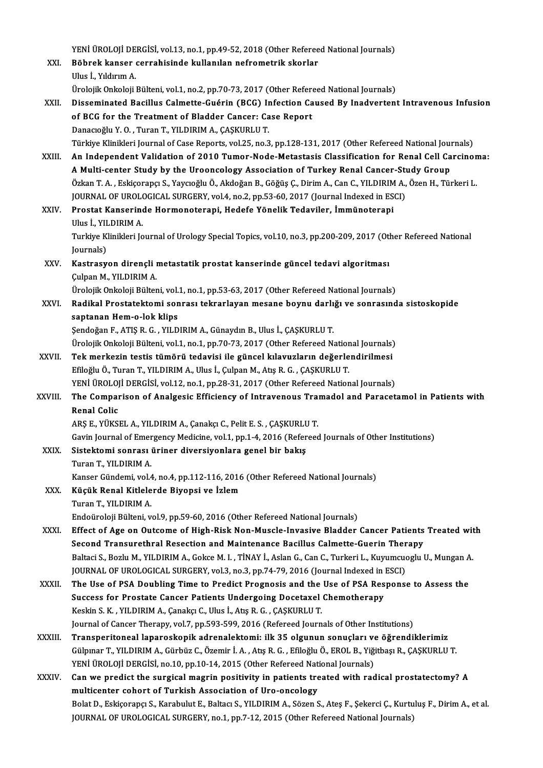YENİ ÜROLOJİ DERGİSİ, vol.13, no.1, pp.49-52, 2018 (Other Refereed National Journals)<br>Böhnek kansen sennebisinde kullanılan nefnemetnik ekenler YENİ ÜROLOJİ DERGİSİ, vol.13, no.1, pp.49-52, 2018 (Other Referee<br>XXI. Böbrek kanser cerrahisinde kullanılan nefrometrik skorlar<br>Ulus İ. Yıldınım A YENİ ÜROLOJİ DE<br>Böbrek kanser<br>Ulus İ., Yıldırım A.<br>Ürolojik Onkoloji Böbrek kanser cerrahisinde kullanılan nefrometrik skorlar<br>Ulus İ., Yıldırım A.<br>Ürolojik Onkoloji Bülteni, vol.1, no.2, pp.70-73, 2017 (Other Refereed National Journals) Ulus İ., Yıldırım A.<br>Ürolojik Onkoloji Bülteni, vol.1, no.2, pp.70-73, 2017 (Other Refereed National Journals)<br>XXII. Disseminated Bacillus Calmette-Guérin (BCG) Infection Caused By Inadvertent Intravenous Infusion<br> Ürolojik Onkoloji Bülteni, vol.1, no.2, pp.70-73, 2017 (Other Referd<br>Disseminated Bacillus Calmette-Guérin (BCG) Infection Ca<br>of BCG for the Treatment of Bladder Cancer: Case Report<br>Danagoğlu V.O., Turan T. VII DIBIM A. CA Disseminated Bacillus Calmette-Guérin (BCG) In<br>of BCG for the Treatment of Bladder Cancer: Ca<br>Danacıoğlu Y. O. , Turan T., YILDIRIM A., ÇAŞKURLU T.<br>Türkiye Klinikleri Jeurnal of Case Benerts vel 25-ne 2 of BCG for the Treatment of Bladder Cancer: Case Report<br>Danacıoğlu Y. O. , Turan T., YILDIRIM A., ÇAŞKURLU T.<br>Türkiye Klinikleri Journal of Case Reports, vol.25, no.3, pp.128-131, 2017 (Other Refereed National Journals) XXIII. An Independent Validation of 2010 Tumor-Node-Metastasis Classification for Renal Cell Carcinoma: Türkiye Klinikleri Journal of Case Reports, vol.25, no.3, pp.128-131, 2017 (Other Refereed National Journal C<br>An Independent Validation of 2010 Tumor-Node-Metastasis Classification for Renal Cell Ca<br>A Multi-center Study by An Independent Validation of 2010 Tumor-Node-Metastasis Classification for Renal Cell Carcinon<br>A Multi-center Study by the Urooncology Association of Turkey Renal Cancer-Study Group<br>Özkan T. A., Eskiçorapçı S., Yaycıoğlu Ö A Multi-center Study by the Urooncology Association of Turkey Renal Cancer-St<br>Özkan T. A. , Eskiçorapçı S., Yaycıoğlu Ö., Akdoğan B., Göğüş Ç., Dirim A., Can C., YILDIRIM A.,<br>JOURNAL OF UROLOGICAL SURGERY, vol.4, no.2, pp. Özkan T. A. , Eskiçorapçı S., Yaycıoğlu Ö., Akdoğan B., Göğüş Ç., Dirim A., Can C., YILDIRIM<br>JOURNAL OF UROLOGICAL SURGERY, vol.4, no.2, pp.53-60, 2017 (Journal Indexed in ES<br>XXIV. Prostat Kanserinde Hormonoterapi, Hedefe JOURNAL OF UROLOGICAL SURGERY, vol.4, no.2, pp.53-60, 2017 (Journal Indexed in ESCI)<br>Prostat Kanserinde Hormonoterapi, Hedefe Yönelik Tedaviler, İmmünoterapi Turkiye Klinikleri Journal of Urology Special Topics, vol.10, no.3, pp.200-209, 2017 (Other Refereed National<br>Journals) Ulus İ. YILDIRIM A Turkiye Klinikleri Journal of Urology Special Topics, vol.10, no.3, pp.200-209, 2017 (Oth<br>Journals)<br>XXV. Kastrasyon dirençli metastatik prostat kanserinde güncel tedavi algoritması<br>Culpan M. XII DIBIM A Journals)<br><mark>Kastrasyon dirençli ı</mark><br>Çulpan M., YILDIRIM A.<br>Ürolejik Orkeleji Bülter Çulpan M., YILDIRIM A.<br>Ürolojik Onkoloji Bülteni, vol.1, no.1, pp.53-63, 2017 (Other Refereed National Journals) Çulpan M., YILDIRIM A.<br>Ürolojik Onkoloji Bülteni, vol.1, no.1, pp.53-63, 2017 (Other Refereed National Journals)<br>XXVI. Radikal Prostatektomi sonrası tekrarlayan mesane boynu darlığı ve sonrasında sistoskopide<br>sontanan Ürolojik Onkoloji Bülteni, vol.<br>Radikal Prostatektomi son<br>saptanan Hem-o-lok klips<br>Sendoğan E. ATIS B. G., VII D Radikal Prostatektomi sonrası tekrarlayan mesane boynu darlı<br>saptanan Hem-o-lok klips<br>Şendoğan F., ATIŞ R. G. , YILDIRIM A., Günaydın B., Ulus İ., ÇAŞKURLU T.<br>Ürelejik Onkaleji Bültani vel 1, na 1, nn 70, 72, 2017 (Other P saptanan Hem-o-lok klips<br>Şendoğan F., ATIŞ R. G. , YILDIRIM A., Günaydın B., Ulus İ., ÇAŞKURLU T.<br>Ürolojik Onkoloji Bülteni, vol.1, no.1, pp.70-73, 2017 (Other Refereed National Journals)<br>Tek merkegin testis tümörü tedevis Şendoğan F., ATIŞ R. G. , YILDIRIM A., Günaydın B., Ulus İ., ÇAŞKURLU T.<br>Ürolojik Onkoloji Bülteni, vol.1, no.1, pp.70-73, 2017 (Other Refereed National Journals)<br>XXVII. Tek merkezin testis tümörü tedavisi ile güncel k Ürolojik Onkoloji Bülteni, vol.1, no.1, pp.70-73, 2017 (Other Refereed Nation<br>Tek merkezin testis tümörü tedavisi ile güncel kılavuzların değerle<br>Efiloğlu Ö., Turan T., YILDIRIM A., Ulus İ., Çulpan M., Atış R. G. , ÇAŞKURL YENİ ÜROLOJİ DERGİSİ, vol.12, no.1, pp.28-31, 2017 (Other Refereed National Journals) Efiloğlu Ö., Turan T., YILDIRIM A., Ulus İ., Çulpan M., Atış R. G. , ÇAŞKURLU T.<br>YENİ ÜROLOJİ DERGİSİ, vol.12, no.1, pp.28-31, 2017 (Other Refereed National Journals)<br>XXVIII. The Comparison of Analgesic Efficiency of I **YENİ ÜROLOJ<br>The Compai<br>Renal Colic<br>ABS E. VÜYSI** The Comparison of Analgesic Efficiency of Intravenous Tra<mark>:</mark><br>Renal Colic<br>ARŞ E., YÜKSEL A., YILDIRIM A., Çanakçı C., Pelit E. S. , ÇAŞKURLU T.<br>Cavin Journal of Emergengy Medisine vel 1 np 1 4 2016 (Peferees Renal Colic<br>ARŞ E., YÜKSEL A., YILDIRIM A., Çanakçı C., Pelit E. S. , ÇAŞKURLU T.<br>Gavin Journal of Emergency Medicine, vol.1, pp.1-4, 2016 (Refereed Journals of Other Institutions)<br>Sistektomi sonrası üriner diversiyonlara ARŞ E., YÜKSEL A., YILDIRIM A., Çanakçı C., Pelit E. S. , ÇAŞKURLU T.<br>Gavin Journal of Emergency Medicine, vol.1, pp.1-4, 2016 (Refereed<br>XXIX. Sistektomi sonrası üriner diversiyonlara genel bir bakış<br>Turan T., YILDIRIM A. Gavin Journal of Emer<br>Sistektomi sonrası<br>Turan T., YILDIRIM A.<br>Kanser Gündemi yalı Kanser Gündemi, vol.4, no.4, pp.112-116, 2016 (Other Refereed National Journals) XXX. Küçük Renal Kitlelerde Biyopsi ve İzlem Turan T., YILDIRIM A. Endoüroloji Bülteni, vol.9, pp.59-60, 2016 (Other Refereed National Journals) XXXI. Effect of Age on Outcome of High-Risk Non-Muscle-Invasive Bladder Cancer Patients Treated with Endoüroloji Bülteni, vol.9, pp.59-60, 2016 (Other Refereed National Journals)<br>Effect of Age on Outcome of High-Risk Non-Muscle-Invasive Bladder Cancer Patients<br>Second Transurethral Resection and Maintenance Bacillus Calmet Baltaci S., Bozlu M., YILDIRIM A., Gokce M. I. , TİNAY İ., Aslan G., Can C., Turkeri L., Kuyumcuoglu U., Mungan A.<br>JOURNAL OF UROLOGICAL SURGERY, vol.3, no.3, pp.74-79, 2016 (Journal Indexed in ESCI) Second Transurethral Resection and Maintenance Bacillus Calmette-Guerin Ther<br>Baltaci S., Bozlu M., YILDIRIM A., Gokce M. I. , TİNAY İ., Aslan G., Can C., Turkeri L., Kuyumcud<br>JOURNAL OF UROLOGICAL SURGERY, vol.3, no.3, pp. XXXII. The Use of PSA Doubling Time to Predict Prognosis and the Use of PSA Response to Assess the JOURNAL OF UROLOGICAL SURGERY, vol.3, no.3, pp.74-79, 2016 (Journal Indexed in The Use of PSA Doubling Time to Predict Prognosis and the Use of PSA Res<br>Success for Prostate Cancer Patients Undergoing Docetaxel Chemotherapy The Use of PSA Doubling Time to Predict Prognosis and the<br>Success for Prostate Cancer Patients Undergoing Docetaxel<br>Keskin S. K. , YILDIRIM A., Çanakçı C., Ulus İ., Atış R. G. , ÇAŞKURLU T.<br>Journal of Cancer Thereny val 7, Success for Prostate Cancer Patients Undergoing Docetaxel Chemotherapy<br>Keskin S. K. , YILDIRIM A., Çanakçı C., Ulus İ., Atış R. G. , ÇAŞKURLU T.<br>Journal of Cancer Therapy, vol.7, pp.593-599, 2016 (Refereed Journals of Othe Keskin S. K., YILDIRIM A., Çanakçı C., Ulus İ., Atış R. G., ÇAŞKURLU T.<br>Journal of Cancer Therapy, vol.7, pp.593-599, 2016 (Refereed Journals of Other Institutions)<br>XXXIII. Transperitoneal laparoskopik adrenalektomi: i Journal of Cancer Therapy, vol.7, pp.593-599, 2016 (Refereed Journals of Other Institutions)<br>Transperitoneal laparoskopik adrenalektomi: ilk 35 olgunun sonuçları ve öğrendiklerimiz<br>Gülpınar T., YILDIRIM A., Gürbüz C., Özem Transperitoneal laparoskopik adrenalektomi: ilk 35 olgunun sonuçları ve<br>Gülpınar T., YILDIRIM A., Gürbüz C., Özemir İ. A. , Atış R. G. , Efiloğlu Ö., EROL B., Yiği<br>YENİ ÜROLOJİ DERGİSİ, no.10, pp.10-14, 2015 (Other Referee Gülpınar T., YILDIRIM A., Gürbüz C., Özemir İ. A., Atış R. G., Efiloğlu Ö., EROL B., Yiğitbaşı R., ÇAŞKURLU T.<br>YENİ ÜROLOJİ DERGİSİ, no.10, pp.10-14, 2015 (Other Refereed National Journals)<br>XXXIV. Can we predict the surgic YENİ ÜROLOJİ DERGİSİ, no.10, pp.10-14, 2015 (Other Refereed Nat<br>Can we predict the surgical magrin positivity in patients tre<br>multicenter cohort of Turkish Association of Uro-oncology<br>Bekt D. Fekisereng S. Karabulut E. Bek multicenter cohort of Turkish Association of Uro-oncology<br>Bolat D., Eskiçorapçı S., Karabulut E., Baltacı S., YILDIRIM A., Sözen S., Ateş F., Şekerci Ç., Kurtuluş F., Dirim A., et al. JOURNAL OF UROLOGICAL SURGERY, no.1, pp.7-12, 2015 (Other Refereed National Journals)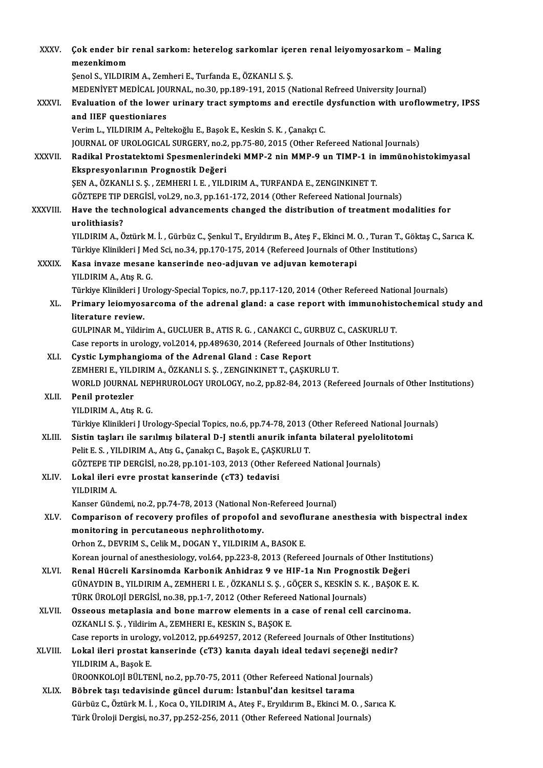| <b>XXXV</b>    | Çok ender bir renal sarkom: heterelog sarkomlar içeren renal leiyomyosarkom - Maling                                                                             |
|----------------|------------------------------------------------------------------------------------------------------------------------------------------------------------------|
|                | mezenkimom                                                                                                                                                       |
|                | Şenol S., YILDIRIM A., Zemheri E., Turfanda E., ÖZKANLI S. Ş.                                                                                                    |
|                | MEDENIYET MEDICAL JOURNAL, no.30, pp.189-191, 2015 (National Refreed University Journal)                                                                         |
| XXXVI.         | Evaluation of the lower urinary tract symptoms and erectile dysfunction with uroflowmetry, IPSS                                                                  |
|                | and IIEF questioniares                                                                                                                                           |
|                | Verim L., YILDIRIM A., Peltekoğlu E., Başok E., Keskin S. K., Çanakçı C.                                                                                         |
|                | JOURNAL OF UROLOGICAL SURGERY, no.2, pp.75-80, 2015 (Other Refereed National Journals)                                                                           |
| <b>XXXVII</b>  | Radikal Prostatektomi Spesmenlerindeki MMP-2 nin MMP-9 un TIMP-1 in immünohistokimyasal                                                                          |
|                | Ekspresyonlarının Prognostik Değeri                                                                                                                              |
|                | ŞEN A., ÖZKANLI S. Ş., ZEMHERI I. E., YILDIRIM A., TURFANDA E., ZENGINKINET T.                                                                                   |
|                | GÖZTEPE TIP DERGİSİ, vol.29, no.3, pp.161-172, 2014 (Other Refereed National Journals)                                                                           |
| <b>XXXVIII</b> | Have the technological advancements changed the distribution of treatment modalities for                                                                         |
|                | urolithiasis?                                                                                                                                                    |
|                | YILDIRIM A., Öztürk M. İ., Gürbüz C., Şenkul T., Eryıldırım B., Ateş F., Ekinci M. O., Turan T., Göktaş C., Sarıca K.                                            |
|                | Türkiye Klinikleri J Med Sci, no.34, pp.170-175, 2014 (Refereed Journals of Other Institutions)                                                                  |
| <b>XXXIX</b>   | Kasa invaze mesane kanserinde neo-adjuvan ve adjuvan kemoterapi                                                                                                  |
|                | YILDIRIM A., Atış R. G.                                                                                                                                          |
|                | Türkiye Klinikleri J Urology-Special Topics, no.7, pp.117-120, 2014 (Other Refereed National Journals)                                                           |
| XL.            | Primary leiomyosarcoma of the adrenal gland: a case report with immunohistochemical study and                                                                    |
|                | literature review.                                                                                                                                               |
|                | GULPINAR M., Yildirim A., GUCLUER B., ATIS R. G., CANAKCI C., GURBUZ C., CASKURLU T.                                                                             |
|                | Case reports in urology, vol.2014, pp.489630, 2014 (Refereed Journals of Other Institutions)                                                                     |
| XLI.           | Cystic Lymphangioma of the Adrenal Gland : Case Report                                                                                                           |
|                | ZEMHERI E., YILDIRIM A., ÖZKANLI S. Ş., ZENGINKINET T., ÇAŞKURLU T.                                                                                              |
|                | WORLD JOURNAL NEPHRUROLOGY UROLOGY, no.2, pp.82-84, 2013 (Refereed Journals of Other Institutions)                                                               |
| XLII.          | Penil protezler                                                                                                                                                  |
|                | YILDIRIM A, Atış R G.                                                                                                                                            |
|                | Türkiye Klinikleri J Urology-Special Topics, no.6, pp.74-78, 2013 (Other Refereed National Journals)                                                             |
| XLIII.         | Sistin taşları ile sarılmış bilateral D-J stentli anurik infanta bilateral pyelolitotomi<br>Pelit E. S., YILDIRIM A., Atış G., Çanakçı C., Başok E., ÇAŞKURLU T. |
|                | GÖZTEPE TIP DERGİSİ, no.28, pp.101-103, 2013 (Other Refereed National Journals)                                                                                  |
| XLIV.          | Lokal ileri evre prostat kanserinde (cT3) tedavisi                                                                                                               |
|                | YILDIRIM A.                                                                                                                                                      |
|                | Kanser Gündemi, no.2, pp.74-78, 2013 (National Non-Refereed Journal)                                                                                             |
| XLV.           | Comparison of recovery profiles of propofol and sevoflurane anesthesia with bispectral index                                                                     |
|                | monitoring in percutaneous nephrolithotomy.                                                                                                                      |
|                | Orhon Z., DEVRIM S., Celik M., DOGAN Y., YILDIRIM A., BASOK E.                                                                                                   |
|                | Korean journal of anesthesiology, vol.64, pp.223-8, 2013 (Refereed Journals of Other Institutions)                                                               |
| XLVI.          | Renal Hücreli Karsinomda Karbonik Anhidraz 9 ve HIF-1a Nın Prognostik Değeri                                                                                     |
|                | GÜNAYDIN B., YILDIRIM A., ZEMHERI I. E., ÖZKANLI S. Ş., GÖÇER S., KESKİN S. K., BAŞOK E. K.                                                                      |
|                | TÜRK ÜROLOJİ DERGİSİ, no.38, pp.1-7, 2012 (Other Refereed National Journals)                                                                                     |
| XLVII.         | Osseous metaplasia and bone marrow elements in a case of renal cell carcinoma.                                                                                   |
|                | OZKANLI S. Ș., Yildirim A., ZEMHERI E., KESKIN S., BAȘOK E.                                                                                                      |
|                | Case reports in urology, vol.2012, pp.649257, 2012 (Refereed Journals of Other Institutions)                                                                     |
| XLVIII.        | Lokal ileri prostat kanserinde (cT3) kanıta dayalı ideal tedavi seçeneği nedir?                                                                                  |
|                | YILDIRIM A., Başok E.                                                                                                                                            |
|                | ÜROONKOLOJİ BÜLTENİ, no.2, pp.70-75, 2011 (Other Refereed National Journals)                                                                                     |
| XLIX.          | Böbrek taşı tedavisinde güncel durum: İstanbul'dan kesitsel tarama                                                                                               |
|                | Gürbüz C., Öztürk M. İ., Koca O., YILDIRIM A., Ateş F., Eryıldırım B., Ekinci M. O., Sarıca K.                                                                   |
|                | Türk Üroloji Dergisi, no.37, pp.252-256, 2011 (Other Refereed National Journals)                                                                                 |
|                |                                                                                                                                                                  |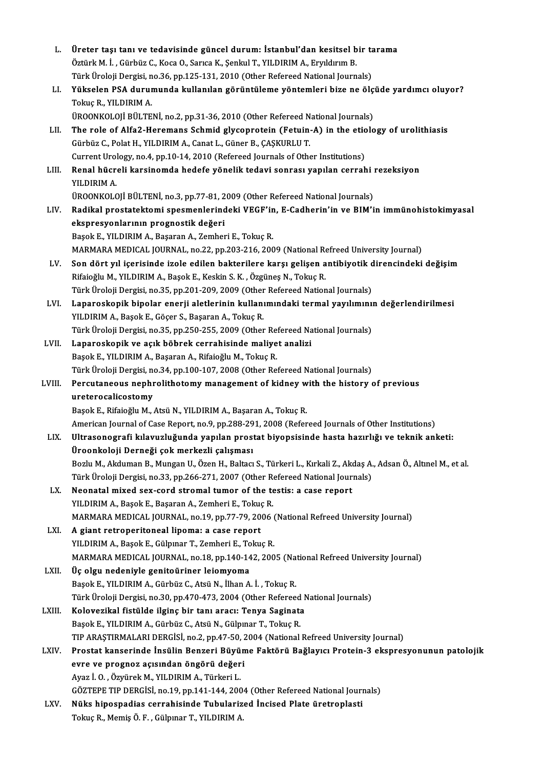| L.     | Üreter taşı tanı ve tedavisinde güncel durum: İstanbul'dan kesitsel bir tarama                                       |
|--------|----------------------------------------------------------------------------------------------------------------------|
|        | Öztürk M. İ., Gürbüz C., Koca O., Sarıca K., Şenkul T., YILDIRIM A., Eryıldırım B.                                   |
|        | Türk Üroloji Dergisi, no.36, pp.125-131, 2010 (Other Refereed National Journals)                                     |
| LI.    | Yükselen PSA durumunda kullanılan görüntüleme yöntemleri bize ne ölçüde yardımcı oluyor?                             |
|        | Tokuç R., YILDIRIM A.                                                                                                |
|        | ÜROONKOLOJİ BÜLTENİ, no.2, pp.31-36, 2010 (Other Refereed National Journals)                                         |
| LII.   | The role of Alfa2-Heremans Schmid glycoprotein (Fetuin-A) in the etiology of urolithiasis                            |
|        | Gürbüz C., Polat H., YILDIRIM A., Canat L., Güner B., ÇAŞKURLU T.                                                    |
|        | Current Urology, no.4, pp.10-14, 2010 (Refereed Journals of Other Institutions)                                      |
| LIII.  | Renal hücreli karsinomda hedefe yönelik tedavi sonrası yapılan cerrahi rezeksiyon                                    |
|        | YILDIRIM A.                                                                                                          |
|        | ÜROONKOLOJİ BÜLTENİ, no.3, pp.77-81, 2009 (Other Refereed National Journals)                                         |
| LIV.   | Radikal prostatektomi spesmenlerindeki VEGF'in, E-Cadherin'in ve BIM'in immünohistokimyasal                          |
|        | ekspresyonlarının prognostik değeri                                                                                  |
|        | Başok E., YILDIRIM A., Başaran A., Zemheri E., Tokuç R.                                                              |
|        | MARMARA MEDICAL JOURNAL, no.22, pp.203-216, 2009 (National Refreed University Journal)                               |
| LV.    | Son dört yıl içerisinde izole edilen bakterilere karşı gelişen antibiyotik direncindeki değişim                      |
|        | Rifaioğlu M., YILDIRIM A., Başok E., Keskin S. K., Özgüneş N., Tokuç R.                                              |
|        | Türk Üroloji Dergisi, no.35, pp.201-209, 2009 (Other Refereed National Journals)                                     |
| LVI.   | Laparoskopik bipolar enerji aletlerinin kullanımındaki termal yayılımının değerlendirilmesi                          |
|        | YILDIRIM A., Başok E., Göçer S., Başaran A., Tokuç R.                                                                |
|        | Türk Üroloji Dergisi, no.35, pp.250-255, 2009 (Other Refereed National Journals)                                     |
| LVII.  | Laparoskopik ve açık böbrek cerrahisinde maliyet analizi                                                             |
|        | Başok E., YILDIRIM A., Başaran A., Rifaioğlu M., Tokuç R.                                                            |
|        | Türk Üroloji Dergisi, no.34, pp.100-107, 2008 (Other Refereed National Journals)                                     |
| LVIII. | Percutaneous nephrolithotomy management of kidney with the history of previous                                       |
|        | ureterocalicostomy                                                                                                   |
|        | Başok E., Rifaioğlu M., Atsü N., YILDIRIM A., Başaran A., Tokuç R.                                                   |
|        | American Journal of Case Report, no.9, pp.288-291, 2008 (Refereed Journals of Other Institutions)                    |
| LIX.   | Ultrasonografi kılavuzluğunda yapılan prostat biyopsisinde hasta hazırlığı ve teknik anketi:                         |
|        | Üroonkoloji Derneği çok merkezli çalışması                                                                           |
|        | Bozlu M., Akduman B., Mungan U., Özen H., Baltacı S., Türkeri L., Kırkali Z., Akdaş A., Adsan Ö., Altınel M., et al. |
|        | Türk Üroloji Dergisi, no.33, pp.266-271, 2007 (Other Refereed National Journals)                                     |
| LX.    | Neonatal mixed sex-cord stromal tumor of the testis: a case report                                                   |
|        | YILDIRIM A., Başok E., Başaran A., Zemheri E., Tokuç R.                                                              |
|        | MARMARA MEDICAL JOURNAL, no.19, pp.77-79, 2006 (National Refreed University Journal)                                 |
| LXI.   | A giant retroperitoneal lipoma: a case report                                                                        |
|        | YILDIRIM A., Başok E., Gülpınar T., Zemheri E., Tokuç R.                                                             |
|        | MARMARA MEDICAL JOURNAL, no.18, pp.140-142, 2005 (National Refreed University Journal)                               |
| LXII.  | Üç olgu nedeniyle genitoüriner leiomyoma                                                                             |
|        | Başok E., YILDIRIM A., Gürbüz C., Atsü N., İlhan A. İ., Tokuç R.                                                     |
|        | Türk Üroloji Dergisi, no.30, pp.470-473, 2004 (Other Refereed National Journals)                                     |
| LXIII. | Kolovezikal fistülde ilginç bir tanı aracı: Tenya Saginata                                                           |
|        | Başok E., YILDIRIM A., Gürbüz C., Atsü N., Gülpınar T., Tokuç R.                                                     |
|        | TIP ARAŞTIRMALARI DERGİSİ, no.2, pp.47-50, 2004 (National Refreed University Journal)                                |
| LXIV.  | Prostat kanserinde İnsülin Benzeri Büyüme Faktörü Bağlayıcı Protein-3 ekspresyonunun patolojik                       |
|        | evre ve prognoz açısından öngörü değeri                                                                              |
|        | Ayaz İ. O., Özyürek M., YILDIRIM A., Türkeri L.                                                                      |
|        | GÖZTEPE TIP DERGISI, no.19, pp.141-144, 2004 (Other Refereed National Journals)                                      |
| LXV.   | Nüks hipospadias cerrahisinde Tubularized İncised Plate üretroplasti                                                 |
|        | Tokuç R., Memiş Ö. F., Gülpınar T., YILDIRIM A.                                                                      |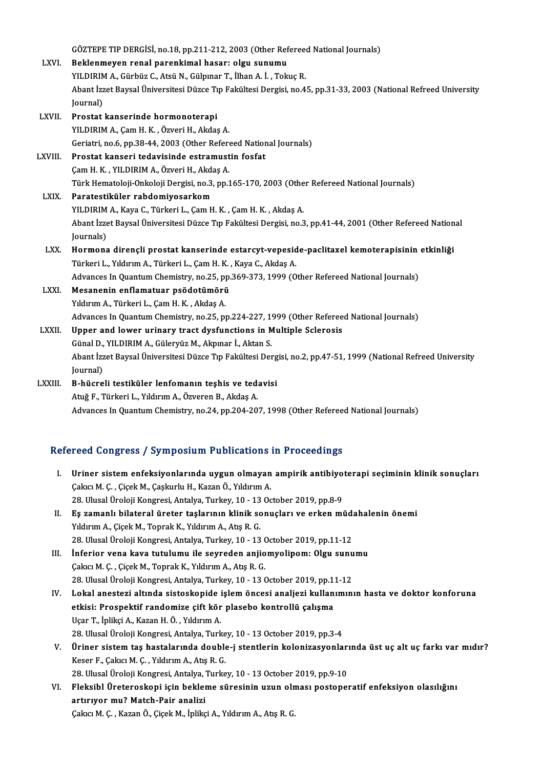|              | GÖZTEPE TIP DERGISİ, no.18, pp.211-212, 2003 (Other Refereed National Journals)                                 |
|--------------|-----------------------------------------------------------------------------------------------------------------|
| LXVI.        | Beklenmeyen renal parenkimal hasar: olgu sunumu                                                                 |
|              | YILDIRIM A., Gürbüz C., Atsü N., Gülpınar T., İlhan A. İ., Tokuç R.                                             |
|              | Abant İzzet Baysal Üniversitesi Düzce Tıp Fakültesi Dergisi, no.45, pp.31-33, 2003 (National Refreed University |
|              | Journal)                                                                                                        |
| LXVII.       | Prostat kanserinde hormonoterapi                                                                                |
|              | YILDIRIM A., Çam H. K., Özveri H., Akdaş A.                                                                     |
|              | Geriatri, no.6, pp.38-44, 2003 (Other Refereed National Journals)                                               |
| LXVIII.      | Prostat kanseri tedavisinde estramustin fosfat                                                                  |
|              | Çam H. K., YILDIRIM A., Özveri H., Akdaş A.                                                                     |
|              | Türk Hematoloji-Onkoloji Dergisi, no.3, pp.165-170, 2003 (Other Refereed National Journals)                     |
| <b>LXIX</b>  | Paratestiküler rabdomiyosarkom                                                                                  |
|              | YILDIRIM A., Kaya C., Türkeri L., Çam H. K., Çam H. K., Akdaş A.                                                |
|              | Abant İzzet Baysal Üniversitesi Düzce Tıp Fakültesi Dergisi, no.3, pp.41-44, 2001 (Other Refereed National      |
|              | Journals)                                                                                                       |
| LXX.         | Hormona dirençli prostat kanserinde estarcyt-vepeside-paclitaxel kemoterapisinin etkinliği                      |
|              | Türkeri L., Yıldırım A., Türkeri L., Çam H. K., Kaya C., Akdaş A.                                               |
|              | Advances In Quantum Chemistry, no.25, pp.369-373, 1999 (Other Refereed National Journals)                       |
| LXXI.        | Mesanenin enflamatuar psödotümörü                                                                               |
|              | Yıldırım A., Türkeri L., Çam H. K., Akdaş A.                                                                    |
|              | Advances In Quantum Chemistry, no.25, pp.224-227, 1999 (Other Refereed National Journals)                       |
| <b>LXXII</b> | Upper and lower urinary tract dysfunctions in Multiple Sclerosis                                                |
|              | Günal D., YILDIRIM A., Güleryüz M., Akpınar İ., Aktan S.                                                        |
|              | Abant İzzet Baysal Üniversitesi Düzce Tıp Fakültesi Dergisi, no.2, pp.47-51, 1999 (National Refreed University  |
|              | Journal)                                                                                                        |
| LXXIII.      | B-hücreli testiküler lenfomanın teşhis ve tedavisi                                                              |
|              | Atuğ F., Türkeri L., Yıldırım A., Özveren B., Akdaş A.                                                          |
|              | Advances In Quantum Chemistry, no.24, pp.204-207, 1998 (Other Refereed National Journals)                       |
|              |                                                                                                                 |

# Advances in Quantum Chemistry, no.24, pp.204-207, 1998 (Other Refereed<br>Refereed Congress / Symposium Publications in Proceedings

| Refereed Congress / Symposium Publications in Proceedings |                                                                                                       |  |
|-----------------------------------------------------------|-------------------------------------------------------------------------------------------------------|--|
| L                                                         | Uriner sistem enfeksiyonlarında uygun olmayan ampirik antibiyoterapi seçiminin klinik sonuçları       |  |
|                                                           | Çakıcı M. Ç., Çiçek M., Çaşkurlu H., Kazan Ö., Yıldırım A.                                            |  |
|                                                           | 28. Ulusal Üroloji Kongresi, Antalya, Turkey, 10 - 13 October 2019, pp 8-9                            |  |
| II.                                                       | Eş zamanlı bilateral üreter taşlarının klinik sonuçları ve erken müdahalenin önemi                    |  |
|                                                           | Yıldırım A., Çiçek M., Toprak K., Yıldırım A., Atış R. G.                                             |  |
|                                                           | 28. Ulusal Üroloji Kongresi, Antalya, Turkey, 10 - 13 October 2019, pp.11-12                          |  |
| Ш.                                                        | Inferior vena kava tutulumu ile seyreden anjiomyolipom: Olgu sunumu                                   |  |
|                                                           | Çakıcı M. Ç., Çiçek M., Toprak K., Yıldırım A., Atış R. G.                                            |  |
|                                                           | 28. Ulusal Üroloji Kongresi, Antalya, Turkey, 10 - 13 October 2019, pp.11-12                          |  |
| IV                                                        | Lokal anestezi altında sistoskopide işlem öncesi analjezi kullanımının hasta ve doktor konforuna      |  |
|                                                           | etkisi: Prospektif randomize çift kör plasebo kontrollü çalışma                                       |  |
|                                                           | Uçar T., İplikçi A., Kazan H. Ö., Yıldırım A.                                                         |  |
|                                                           | 28. Ulusal Üroloji Kongresi, Antalya, Turkey, 10 - 13 October 2019, pp 3-4                            |  |
| V.                                                        | Üriner sistem taş hastalarında double-j stentlerin kolonizasyonlarında üst uç alt uç farkı var mıdır? |  |
|                                                           | Keser F., Çakıcı M. Ç., Yıldırım A., Atış R. G.                                                       |  |
|                                                           | 28. Ulusal Üroloji Kongresi, Antalya, Turkey, 10 - 13 October 2019, pp.9-10                           |  |
| VI.                                                       | Fleksibl Üreteroskopi için bekleme süresinin uzun olması postoperatif enfeksiyon olasılığını          |  |
|                                                           | artırıyor mu? Match-Pair analizi                                                                      |  |

ÇakıcıM.Ç. ,KazanÖ.,ÇiçekM., İplikçiA.,YıldırımA.,AtışR.G.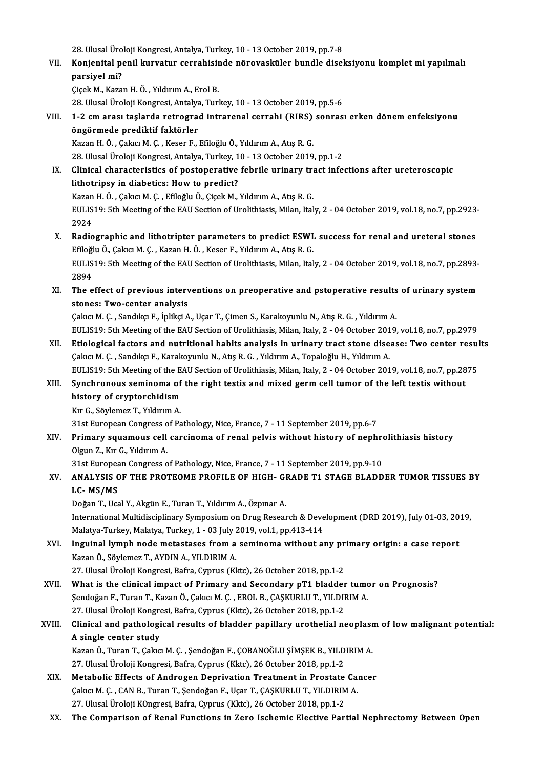28. Ulusal Üroloji Kongresi, Antalya, Turkey, 10 - 13 October 2019, pp.7-8<br>Konianital popil kunyatur serrahisinde përeveskëler bundle disel

VII. Konjenital penil kurvatur cerrahisinde nörovasküler bundle diseksiyonu komplet mi yapılmalı<br>parsiyel mi? 28. Ulusal Üro<br>Konjenital po<br>parsiyel mi?<br>Gisek M. Kare parsiyel mi?<br>Çiçek M., Kazan H. Ö. , Yıldırım A., Erol B.<br>28. Ulusal Üroloji Kongresi, Antalya, Turkey, 10 - 13 October 2019, pp.5-6<br>1. 3.cm arası, taslarda retrograd intrarenal sarrabi (BIBS), sanras

ÇiçekM.,KazanH.Ö. ,YıldırımA.,ErolB.

## VIII. 1-2 cm arası taşlarda retrograd intrarenal cerrahi (RIRS) sonrası erken dönem enfeksiyonu<br>öngörmede prediktif faktörler 28. Ulusal Üroloji Kongresi, Antalya<br>1-2 cm arası taşlarda retrograd<br>öngörmede prediktif faktörler

Kazan H. Ö., Çakıcı M. Ç., Keser F., Efiloğlu Ö., Yıldırım A., Atış R. G. <mark>öngörmede prediktif faktörler</mark><br>Kazan H. Ö. , Çakıcı M. Ç. , Keser F., Efiloğlu Ö., Yıldırım A., Atış R. G.<br>28. Ulusal Üroloji Kongresi, Antalya, Turkey, 10 - 13 October 2019, pp.1-2<br>Clinisal sharastaristiss of nostoperati

Kazan H. Ö. , Çakıcı M. Ç. , Keser F., Efiloğlu Ö., Yıldırım A., Atış R. G.<br>28. Ulusal Üroloji Kongresi, Antalya, Turkey, 10 - 13 October 2019, pp.1-2<br>IX. Clinical characteristics of postoperative febrile urinary tract inf 28. Ulusal Üroloji Kongresi, Antalya, Turkey, 1<br>Clinical characteristics of postoperative<br>lithotripsy in diabetics: How to predict?<br>Karan H.Ö., Calan M.C., Ffiloğlu Ö. Cisal: M. Clinical characteristics of postoperative febrile urinary traition is diabetics: How to predict?<br>Kazan H.Ö., Çakıcı M. Ç., Efiloğlu Ö., Çiçek M., Yıldırım A., Atış R. G.<br>EULIS19: Eth Meeting of the EAU Segtion of Urelithie lithotripsy in diabetics: How to predict?<br>Kazan H. Ö. , Çakıcı M. Ç. , Efiloğlu Ö., Çiçek M., Yıldırım A., Atış R. G.<br>EULIS19: 5th Meeting of the EAU Section of Urolithiasis, Milan, Italy, 2 - 04 October 2019, vol.18, no.7

Kazan<br>EULIS<br>2924<br>Padia EULIS19: 5th Meeting of the EAU Section of Urolithiasis, Milan, Italy, 2 - 04 October 2019, vol.18, no.7, pp.2923<br>2924<br>X. Radiographic and lithotripter parameters to predict ESWL success for renal and ureteral stones<br>Efloğ

- 2924<br>**Radiographic and lithotripter parameters to predict ESWI**<br>Efiloğlu Ö., Çakıcı M. Ç. , Kazan H. Ö. , Keser F., Yıldırım A., Atış R. G.<br>EULIS19: Eth Meeting of the FAU Segtion of Unalithiasis Milen, Ital EULIS19: 5th Meeting of the EAU Section of Urolithiasis, Milan, Italy, 2 - 04 October 2019, vol.18, no.7, pp.2893-<br>2894 Efiloğlu Ö., Çakıcı M. Ç., Kazan H. Ö., Keser F., Yıldırım A., Atış R. G. EULIS19: 5th Meeting of the EAU Section of Urolithiasis, Milan, Italy, 2 - 04 October 2019, vol.18, no.7, pp.2893-<br>2894<br>XI. The effect of previous interventions on preoperative and pstoperative results of urinary system<br>at
- 2894<br>The effect of previous interv<br>stones: Two-center analysis<br>Celas M.C. Sandlig E. Inlikei A The effect of previous interventions on preoperative and pstoperative results<br>stones: Two-center analysis<br>Çakıcı M. Ç. , Sandıkçı F., İplikçi A., Uçar T., Çimen S., Karakoyunlu N., Atış R. G. , Yıldırım A.<br>FULIS19, 5th Mee stones: Two-center analysis<br>Çakıcı M. Ç. , Sandıkçı F., İplikçi A., Uçar T., Çimen S., Karakoyunlu N., Atış R. G. , Yıldırım A.<br>EULIS19: 5th Meeting of the EAU Section of Urolithiasis, Milan, Italy, 2 - 04 October 2019, vo

- 
- Cakici M. C. , Sandikçi F., İplikçi A., Uçar T., Çimen S., Karakoyunlu N., Atış R. G. , Yıldırım A.<br>EULIS19: 5th Meeting of the EAU Section of Urolithiasis, Milan, Italy, 2 04 October 2019, vol.18, no.7, pp.2979<br>XII. Eti EULIS19: 5th Meeting of the EAU Section of Urolithiasis, Milan, Italy, 2 - 04 October 201<br>Etiological factors and nutritional habits analysis in urinary tract stone dise<br>Çakıcı M. Ç. , Sandıkçı F., Karakoyunlu N., Atış R. Etiological factors and nutritional habits analysis in urinary tract stone disease: Two center resul<br>Çakıcı M. Ç. , Sandıkçı F., Karakoyunlu N., Atış R. G. , Yıldırım A., Topaloğlu H., Yıldırım A.<br>EULIS19: 5th Meeting of t Cakıcı M. Ç. , Sandıkçı F., Karakoyunlu N., Atış R. G. , Yıldırım A., Topaloğlu H., Yıldırım A.<br>EULIS19: 5th Meeting of the EAU Section of Urolithiasis, Milan, Italy, 2 - 04 October 2019, vol.18, no.7, pp.28<br>XIII. Synchron

## EULIS19: 5th Meeting of the EAU Section of Urolithiasis, Milan, Italy, 2 - 04 October 2019, vol.18, no.7, pp.2875<br>Synchronous seminoma of the right testis and mixed germ cell tumor of the left testis without<br>history of cry Synchronous seminoma of<br>history of cryptorchidism<br>Kır G., Söylemez T., Yıldırım A.<br>21st Euronean Congrees of Be history of cryptorchidism<br>Kır G., Söylemez T., Yıldırım A.<br>31st European Congress of Pathology, Nice, France, 7 - 11 September 2019, pp.6-7<br>Primany sauemous sell sergineme of renal polyje without history of neph:

## Kır G., Söylemez T., Yıldırım A.<br>31st European Congress of Pathology, Nice, France, 7 - 11 September 2019, pp.6-7<br>XIV. Primary squamous cell carcinoma of renal pelvis without history of nephrolithiasis history<br>Qlgun 7. **31st European Congress o<br>Primary squamous cell<br>Olgun Z., Kır G., Yıldırım A.<br>21st European Congress e** Primary squamous cell carcinoma of renal pelvis without history of nephropean Congress of Pathology, Nice, France, 7 - 11 September 2019, pp.9-10<br>31st European Congress of Pathology, Nice, France, 7 - 11 September 2019, pp

## Olgun Z., Kır G., Yıldırım A.<br>31st European Congress of Pathology, Nice, France, 7 - 11 September 2019, pp.9-10<br>XV. ANALYSIS OF THE PROTEOME PROFILE OF HIGH- GRADE T1 STAGE BLADDER TUMOR TISSUES BY 31st European Congress of Pathology, Nice, France, 7 - 11 September 2019, pp.9-10<br>ANALYSIS OF THE PROTEOME PROFILE OF HIGH- GRADE T1 STAGE BLADD<br>LC- MS/MS<br>Doğan T., Ucal Y., Akgün E., Turan T., Yıldırım A., Özpınar A. ANALYSIS OF THE PROTEOME PROFILE OF HIGH- GI<br>LC- MS/MS<br>Doğan T., Ucal Y., Akgün E., Turan T., Yıldırım A., Özpınar A.<br>International Multidiasinlinew Sumnosium on Drug Besser

L**C- MS/MS**<br>Doğan T., Ucal Y., Akgün E., Turan T., Yıldırım A., Özpınar A.<br>International Multidisciplinary Symposium on Drug Research & Development (DRD 2019), July 01-03, 2019,<br>Malatın Turkay, Malatın Turkay, 1., 03 July Doğan T., Ucal Y., Akgün E., Turan T., Yıldırım A., Özpınar A.<br>International Multidisciplinary Symposium on Drug Research & Deve<br>Malatya-Turkey, Malatya, Turkey, 1 - 03 July 2019, vol.1, pp.413-414<br>Inguinal lymph pode meta International Multidisciplinary Symposium on Drug Research & Development (DRD 2019), July 01-03, 20<br>Malatya-Turkey, Malatya, Turkey, 1 - 03 July 2019, vol.1, pp.413-414<br>XVI. Inguinal lymph node metastases from a seminoma w

Malatya-Turkey, Malatya, Turkey, 1 - 03 July 2<br>Inguinal lymph node metastases from a<br>Kazan Ö., Söylemez T., AYDIN A., YILDIRIM A.<br>27. Illucal Üroloji Kongresi, Bafra, Gunus (Kl Inguinal lymph node metastases from a seminoma without any pr<br>Kazan Ö., Söylemez T., AYDIN A., YILDIRIM A.<br>27. Ulusal Üroloji Kongresi, Bafra, Cyprus (Kktc), 26 October 2018, pp.1-2<br>What is the slinisel impast of Brimary a Kazan Ö., Söylemez T., AYDIN A., YILDIRIM A.<br>27. Ulusal Üroloji Kongresi, Bafra, Cyprus (Kktc), 26 October 2018, pp.1-2<br>XVII. What is the clinical impact of Primary and Secondary pT1 bladder tumor on Prognosis?<br>Sendoğan E.

27. Ulusal Üroloji Kongresi, Bafra, Cyprus (Kktc), 26 October 2018, pp.1-2<br>What is the clinical impact of Primary and Secondary pT1 bladder tume<br>Şendoğan F., Turan T., Kazan Ö., Çakıcı M. Ç. , EROL B., ÇAŞKURLU T., YILDIRI What is the clinical impact of Primary and Secondary pT1 bladder<br>Şendoğan F., Turan T., Kazan Ö., Çakıcı M. Ç. , EROL B., ÇAŞKURLU T., YILDII<br>27. Ulusal Üroloji Kongresi, Bafra, Cyprus (Kktc), 26 October 2018, pp.1-2<br>Clini Sendoğan F., Turan T., Kazan Ö., Çakıcı M. Ç. , EROL B., ÇAŞKURLU T., YILDIRIM A.<br>27. Ulusal Üroloji Kongresi, Bafra, Cyprus (Kktc), 26 October 2018, pp.1-2<br>XVIII. Clinical and pathological results of bladder papillary

## 27. Ulusal Üroloji Kongresi, Bafra, Cyprus (Kktc), 26 October 2018, pp.1-2<br>Clinical and pathological results of bladder papillary urothelial n<br>A single center study Clinical and pathological results of bladder papillary urothelial neoplası<br>A single center study<br>Kazan Ö., Turan T., Çakıcı M. Ç. , Şendoğan F., ÇOBANOĞLU ŞİMŞEK B., YILDIRIM A.<br>27 Ulucal Ürolaji Kongresi Bafra Cunrus (Klt

Kazan Ö., Turan T., Çakıcı M. Ç. , Şendoğan F., ÇOBANOĞLU ŞİMŞEK B., YILDIRIM A.<br>27. Ulusal Üroloji Kongresi, Bafra, Cyprus (Kktc), 26 October 2018, pp.1-2 Kazan Ö., Turan T., Çakıcı M. Ç. , Şendoğan F., ÇOBANOĞLU ŞİMŞEK B., YILDIRIM A.<br>27. Ulusal Üroloji Kongresi, Bafra, Cyprus (Kktc), 26 October 2018, pp.1-2<br>XIX. Metabolic Effects of Androgen Deprivation Treatment in Prosta

- 27. Ulusal Üroloji Kongresi, Bafra, Cyprus (Kktc), 26 October 2018, pp.1-2<br>Metabolic Effects of Androgen Deprivation Treatment in Prostate Ca:<br>Çakıcı M. Ç. , CAN B., Turan T., Şendoğan F., Uçar T., ÇAŞKURLU T., YILDIRIM A. Metabolic Effects of Androgen Deprivation Treatment in Prostate<br>Çakıcı M. Ç. , CAN B., Turan T., Şendoğan F., Uçar T., ÇAŞKURLU T., YILDIRIM<br>27. Ulusal Üroloji KOngresi, Bafra, Cyprus (Kktc), 26 October 2018, pp.1-2<br>The Co Cakıcı M. Ç. , CAN B., Turan T., Şendoğan F., Uçar T., ÇAŞKURLU T., YILDIRIM A.<br>27. Ulusal Üroloji KOngresi, Bafra, Cyprus (Kktc), 26 October 2018, pp.1-2<br>XX. The Comparison of Renal Functions in Zero Ischemic Elective
-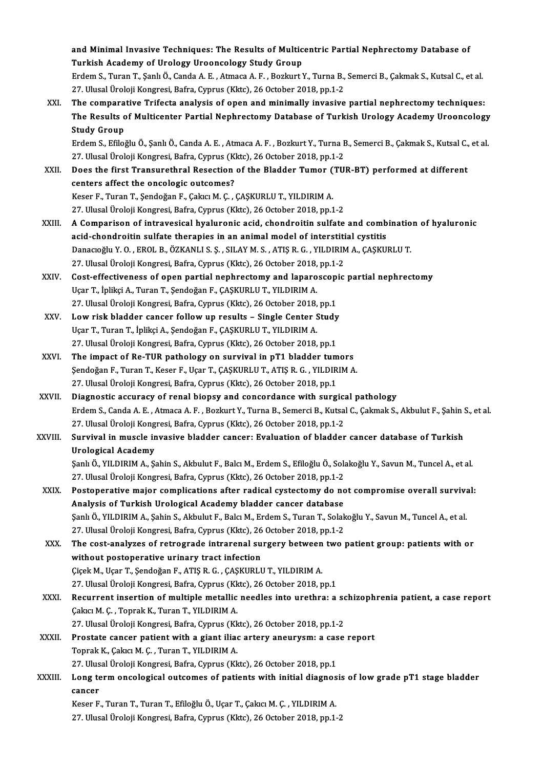and Minimal Invasive Techniques: The Results of Multicentric Partial Nephrectomy Database of<br>Turkich Asadomy of Unalogy Uneongology Study Croup and Minimal Invasive Techniques: The Results of Multic<br>Turkish Academy of Urology Urooncology Study Group<br>Endem S. Turen T. Sank Ö. Canda A. E., Atmaga A. E., Beglaut Y and Minimal Invasive Techniques: The Results of Multicentric Partial Nephrectomy Database of<br>Turkish Academy of Urology Urooncology Study Group<br>Erdem S., Turan T., Şanlı Ö., Canda A. E. , Atmaca A. F. , Bozkurt Y., Turna B

Turkish Academy of Urology Urooncology Study Group<br>Erdem S., Turan T., Şanlı Ö., Canda A. E. , Atmaca A. F. , Bozkurt Y., Turna B., Semerci B., Çakmak S., Kutsal C., et al.<br>27. Ulusal Üroloji Kongresi, Bafra, Cyprus (Kktc) Erdem S., Turan T., Şanlı Ö., Canda A. E. , Atmaca A. F. , Bozkurt Y., Turna B., Semerci B., Çakmak S., Kutsal C., et al.<br>27. Ulusal Üroloji Kongresi, Bafra, Cyprus (Kktc), 26 October 2018, pp.1-2<br>XXI. The comparative

The Results of Multicenter Partial Nephrectomy Database of Turkish Urology Academy Urooncology<br>Study Group The compara<br>The Results c<br>Study Group<br>Erdem S. Efilei

ErdemS.,EfiloğluÖ.,ŞanlıÖ.,CandaA.E. ,AtmacaA.F. ,BozkurtY.,TurnaB.,SemerciB.,ÇakmakS.,KutsalC.,etal. 27. Ulusal Üroloji Kongresi, Bafra, Cyprus (Kktc), 26 October 2018, pp.1-2 Erdem S., Efiloğlu Ö., Şanlı Ö., Canda A. E. , Atmaca A. F. , Bozkurt Y., Turna B., Semerci B., Çakmak S., Kutsal C.,<br>27. Ulusal Üroloji Kongresi, Bafra, Cyprus (Kktc), 26 October 2018, pp.1-2<br>XXII. Does the first Transure

27. Ulusal Üroloji Kongresi, Bafra, Cyprus (K)<br>Does the first Transurethral Resection<br>centers affect the oncologic outcomes?<br>Keser E. Turen T. Sendežen E. Calva M. C. Does the first Transurethral Resection of the Bladder Tumor (<br>centers affect the oncologic outcomes?<br>Keser F., Turan T., Şendoğan F., Çakıcı M. Ç. , ÇAŞKURLU T., YILDIRIM A.<br>27 Hlucel Üreleji Kongresi Befre Cunnus (Klta), centers affect the oncologic outcomes?<br>27. Ulusal Üroloji Kongresi, Bafra, Cyprus (Kktc), 26 October 2018, pp.1-2<br>27. Ulusal Üroloji Kongresi, Bafra, Cyprus (Kktc), 26 October 2018, pp.1-2

- Keser F., Turan T., Şendoğan F., Çakıcı M. Ç. , ÇAŞKURLU T., YILDIRIM A.<br>27. Ulusal Üroloji Kongresi, Bafra, Cyprus (Kktc), 26 October 2018, pp.1-2<br>XXIII. A Comparison of intravesical hyaluronic acid, chondroitin sulfa 27. Ulusal Üroloji Kongresi, Bafra, Cyprus (Kktc), 26 October 2018, pp.1-2<br>A Comparison of intravesical hyaluronic acid, chondroitin sulfate and comb<br>acid-chondroitin sulfate therapies in an animal model of interstitial cy A Comparison of intravesical hyaluronic acid, chondroitin sulfate and combinatio<br>acid-chondroitin sulfate therapies in an animal model of interstitial cystitis<br>Danacıoğlu Y. O. , EROL B., ÖZKANLI S. Ş. , SILAY M. S. , ATIŞ acid-chondroitin sulfate therapies in an animal model of interstitical<br>Danacıoğlu Y. O. , EROL B., ÖZKANLI S. Ş. , SILAY M. S. , ATIŞ R. G. , YILDIRIN<br>27. Ulusal Üroloji Kongresi, Bafra, Cyprus (Kktc), 26 October 2018, pp. Danacıoğlu Y. O. , EROL B., ÖZKANLI S. Ş. , SILAY M. S. , ATIŞ R. G. , YILDIRIM A., ÇAŞKURLU T.<br>27. Ulusal Üroloji Kongresi, Bafra, Cyprus (Kktc), 26 October 2018, pp.1-2<br>XXIV. Cost-effectiveness of open partial nephrectom
- 27. Ulusal Üroloji Kongresi, Bafra, Cyprus (Kktc), 26 October 2018, pp.1-2<br>Cost-effectiveness of open partial nephrectomy and laparoscopic partial nephrectomy<br>Uçar T., İplikçi A., Turan T., Şendoğan F., ÇAŞKURLU T., YILDIR Cost-effectiveness of open partial nephrectomy and laparoscopi<br>Uçar T., İplikçi A., Turan T., Şendoğan F., ÇAŞKURLU T., YILDIRIM A.<br>27. Ulusal Üroloji Kongresi, Bafra, Cyprus (Kktc), 26 October 2018, pp.1<br>Law risk bladdar Uçar T., İplikçi A., Turan T., Şendoğan F., ÇAŞKURLU T., YILDIRIM A.<br>27. Ulusal Üroloji Kongresi, Bafra, Cyprus (Kktc), 26 October 2018, pp.1<br>XXV. Low risk bladder cancer follow up results – Single Center Study<br>1100F.T
- 27. Ulusal Üroloji Kongresi, Bafra, Cyprus (Kktc), 26 October 2018,<br>Low risk bladder cancer follow up results Single Center S.<br>Uçar T., Turan T., İplikçi A., Şendoğan F., ÇAŞKURLU T., YILDIRIM A.<br>27. Ulusal Üroloji Kongr Low risk bladder cancer follow up results – Single Center Study<br>Uçar T., Turan T., İplikçi A., Şendoğan F., ÇAŞKURLU T., YILDIRIM A.<br>27. Ulusal Üroloji Kongresi, Bafra, Cyprus (Kktc), 26 October 2018, pp.1 Uçar T., Turan T., İplikçi A., Şendoğan F., ÇAŞKURLU T., YILDIRIM A.<br>27. Ulusal Üroloji Kongresi, Bafra, Cyprus (Kktc), 26 October 2018, pp.1<br>XXVI. The impact of Re-TUR pathology on survival in pT1 bladder tumors<br>Sendoğan
- Şendoğan F., Turan T., Keser F., Uçar T., ÇAŞKURLU T., ATIŞ R. G. , YILDIRIM A.<br>27. Ulusal Üroloji Kongresi, Bafra, Cyprus (Kktc), 26 October 2018, pp.1 The impact of Re-TUR pathology on survival in pT1 bladder tum<br>Şendoğan F., Turan T., Keser F., Uçar T., ÇAŞKURLU T., ATIŞ R. G. , YILDIR<br>27. Ulusal Üroloji Kongresi, Bafra, Cyprus (Kktc), 26 October 2018, pp.1<br>Diagnostia a
- XXVII. Diagnostic accuracy of renal biopsy and concordance with surgical pathology ErdemS.,CandaA.E. ,AtmacaA.F. ,BozkurtY.,TurnaB.,SemerciB.,KutsalC.,ÇakmakS.,AkbulutF.,ŞahinS.,etal. Diagnostic accuracy of renal biopsy and concordance with surgict<br>Erdem S., Canda A. E. , Atmaca A. F. , Bozkurt Y., Turna B., Semerci B., Kutsa<br>27. Ulusal Üroloji Kongresi, Bafra, Cyprus (Kktc), 26 October 2018, pp.1-2<br>Sur
- XXVIII. Survival in muscle invasive bladder cancer: Evaluation of bladder cancer database of Turkish<br>Urological Academy 27. Ulusal Üroloji Kong<br>Survival in muscle in<br>Urological Academy<br>Sanh Ö. VII DIPIM A. S. Survival in muscle invasive bladder cancer: Evaluation of bladder cancer database of Turkish<br>Urological Academy<br>Şanlı Ö., YILDIRIM A., Şahin S., Akbulut F., Balcı M., Erdem S., Efiloğlu Ö., Solakoğlu Y., Savun M., Tuncel A

Urological Academy<br>Şanlı Ö., YILDIRIM A., Şahin S., Akbulut F., Balcı M., Erdem S., Efiloğlu Ö., Sola<br>27. Ulusal Üroloji Kongresi, Bafra, Cyprus (Kktc), 26 October 2018, pp.1-2<br>Bestenerative major semplisations after radis Sanlı Ö., YILDIRIM A., Şahin S., Akbulut F., Balcı M., Erdem S., Efiloğlu Ö., Solakoğlu Y., Savun M., Tuncel A., et al.<br>27. Ulusal Üroloji Kongresi, Bafra, Cyprus (Kktc), 26 October 2018, pp.1-2<br>XXIX. Postoperative major c

27. Ulusal Üroloji Kongresi, Bafra, Cyprus (Kktc), 26 October 2018, pp.1-2<br>Postoperative major complications after radical cystectomy do no<br>Analysis of Turkish Urological Academy bladder cancer database<br>Sank Ö, VU DIPIM A, Postoperative major complications after radical cystectomy do not compromise overall surviva<br>Analysis of Turkish Urological Academy bladder cancer database<br>Şanlı Ö., YILDIRIM A., Şahin S., Akbulut F., Balcı M., Erdem S., T Analysis of Turkish Urological Academy bladder cancer database<br>Şanlı Ö., YILDIRIM A., Şahin S., Akbulut F., Balcı M., Erdem S., Turan T., Solakoğlu Y., Savun M., Tuncel A., et al.<br>27. Ulusal Üroloji Kongresi, Bafra, Cyprus Sanlı Ö., YILDIRIM A., Şahin S., Akbulut F., Balcı M., Erdem S., Turan T., Solakoğlu Y., Savun M., Tuncel A., et al.<br>27. Ulusal Üroloji Kongresi, Bafra, Cyprus (Kktc), 26 October 2018, pp.1-2<br>XXX. The cost-analyzes of

27. Ulusal Üroloji Kongresi, Bafra, Cyprus (Kktc), 26<br>The cost-analyzes of retrograde intrarenal su<br>without postoperative urinary tract infection<br>Cisek M. Hear T. Sondoğan E. ATIS P. G. GASKUPLI The cost-analyzes of retrograde intrarenal surgery between<br>without postoperative urinary tract infection<br>Çiçek M., Uçar T., Şendoğan F., ATIŞ R. G. , ÇAŞKURLU T., YILDIRIM A.<br>27 Hlucel Üreleji Kongresi Bafre Cunnus (Klte), without postoperative urinary tract infection<br>Çiçek M., Uçar T., Şendoğan F., ATIŞ R. G. , ÇAŞKURLU T., YILDIRIM A.<br>27. Ulusal Üroloji Kongresi, Bafra, Cyprus (Kktc), 26 October 2018, pp.1<br>Begunnent insertion of multiple m

- Ciçek M., Uçar T., Şendoğan F., ATIŞ R. G. , ÇAŞKURLU T., YILDIRIM A.<br>27. Ulusal Üroloji Kongresi, Bafra, Cyprus (Kktc), 26 October 2018, pp.1<br>XXXI. Recurrent insertion of multiple metallic needles into urethra: a schizoph 27. Ulusal Üroloji Kongresi, Bafra, Cyprus (Kk<br>Recurrent insertion of multiple metallic<br>Çakıcı M. Ç. , Toprak K., Turan T., YILDIRIM A.<br>27. Ulusal Üroloji Kongresi, Bafra, Cynrus (Kk Recurrent insertion of multiple metallic needles into urethra: a sc<br>Çakıcı M. Ç. , Toprak K., Turan T., YILDIRIM A.<br>27. Ulusal Üroloji Kongresi, Bafra, Cyprus (Kktc), 26 October 2018, pp.1-2<br>Prestate sansar patient with a Cakici M. C. , Toprak K., Turan T., YILDIRIM A.<br>27. Ulusal Üroloji Kongresi, Bafra, Cyprus (Kktc), 26 October 2018, pp.1-2<br>XXXII. Prostate cancer patient with a giant iliac artery aneurysm: a case report<br>Tenrak K. Colas M.
- 27. Ulusal Üroloji Kongresi, Bafra, Cyprus (Kktc), 26 October 2018, pp.1-2<br>Prostate cancer patient with a giant iliac artery aneurysm: a case<br>Toprak K., Çakıcı M. Ç. , Turan T., YILDIRIM A.<br>27. Ulusal Üroloji Kongresi, Baf Prostate cancer patient with a giant iliac artery aneurysm: a cas<br>Toprak K., Çakıcı M. Ç. , Turan T., YILDIRIM A.<br>27. Ulusal Üroloji Kongresi, Bafra, Cyprus (Kktc), 26 October 2018, pp.1<br>Long term angelegisel euteemes of n
- Toprak K., Çakıcı M. Ç. , Turan T., YILDIRIM A.<br>27. Ulusal Üroloji Kongresi, Bafra, Cyprus (Kktc), 26 October 2018, pp.1<br>XXXIII. Long term oncological outcomes of patients with initial diagnosis of low grade pT1 stage 27. Ulus<br>Long te<br>cancer<br><sup>Koson F</sup> Long term oncological outcomes of patients with initial diagnos<br>cancer<br>Keser F., Turan T., Turan T., Efiloğlu Ö., Uçar T., Çakıcı M. Ç. , YILDIRIM A.<br>27 Ulucal Üralaji Kongresi Bafra Gunrus (Klus), 26 Ostaber 2018, np.1.

**cancer**<br>Keser F., Turan T., Turan T., Efiloğlu Ö., Uçar T., Çakıcı M. Ç. , YILDIRIM A.<br>27. Ulusal Üroloji Kongresi, Bafra, Cyprus (Kktc), 26 October 2018, pp.1-2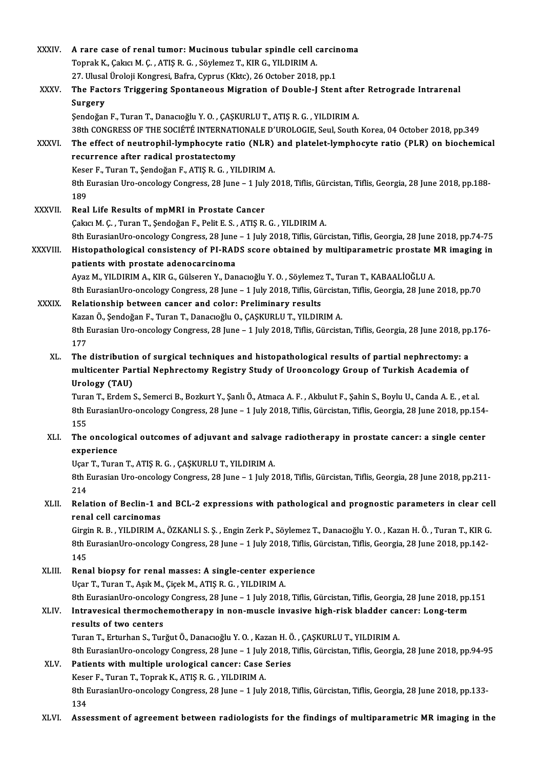| XXXIV.        | A rare case of renal tumor: Mucinous tubular spindle cell carcinoma                                                                                                                                      |
|---------------|----------------------------------------------------------------------------------------------------------------------------------------------------------------------------------------------------------|
|               | Toprak K., Çakıcı M. Ç., ATIŞ R. G., Söylemez T., KIR G., YILDIRIM A.                                                                                                                                    |
|               | 27. Ulusal Üroloji Kongresi, Bafra, Cyprus (Kktc), 26 October 2018, pp.1                                                                                                                                 |
| XXXV.         | The Factors Triggering Spontaneous Migration of Double-J Stent after Retrograde Intrarenal                                                                                                               |
|               | Surgery                                                                                                                                                                                                  |
|               | Șendoğan F., Turan T., Danacıoğlu Y.O., ÇAŞKURLU T., ATIŞ R.G., YILDIRIM A.                                                                                                                              |
| XXXVI.        | 38th CONGRESS OF THE SOCIÉTÉ INTERNATIONALE D'UROLOGIE, Seul, South Korea, 04 October 2018, pp.349<br>The effect of neutrophil-lymphocyte ratio (NLR) and platelet-lymphocyte ratio (PLR) on biochemical |
|               | recurrence after radical prostatectomy                                                                                                                                                                   |
|               | Keser F., Turan T., Şendoğan F., ATIŞ R. G., YILDIRIM A.                                                                                                                                                 |
|               | 8th Eurasian Uro-oncology Congress, 28 June - 1 July 2018, Tiflis, Gürcistan, Tiflis, Georgia, 28 June 2018, pp.188-<br>189                                                                              |
| <b>XXXVII</b> | Real Life Results of mpMRI in Prostate Cancer                                                                                                                                                            |
|               | Çakıcı M. Ç., Turan T., Şendoğan F., Pelit E. S., ATIŞ R. G., YILDIRIM A.                                                                                                                                |
|               | 8th EurasianUro-oncology Congress, 28 June - 1 July 2018, Tiflis, Gürcistan, Tiflis, Georgia, 28 June 2018, pp.74-75                                                                                     |
| XXXVIII.      | Histopathological consistency of PI-RADS score obtained by multiparametric prostate MR imaging in                                                                                                        |
|               | patients with prostate adenocarcinoma                                                                                                                                                                    |
|               | Ayaz M., YILDIRIM A., KIR G., Gülseren Y., Danacıoğlu Y. O., Söylemez T., Turan T., KABAALİOĞLU A.                                                                                                       |
|               | 8th EurasianUro-oncology Congress, 28 June - 1 July 2018, Tiflis, Gürcistan, Tiflis, Georgia, 28 June 2018, pp.70                                                                                        |
| <b>XXXIX</b>  | Relationship between cancer and color: Preliminary results                                                                                                                                               |
|               | Kazan Ö., Şendoğan F., Turan T., Danacıoğlu O., ÇAŞKURLU T., YILDIRIM A.<br>8th Eurasian Uro-oncology Congress, 28 June - 1 July 2018, Tiflis, Gürcistan, Tiflis, Georgia, 28 June 2018, pp.176-         |
|               | 177                                                                                                                                                                                                      |
| XL.           | The distribution of surgical techniques and histopathological results of partial nephrectomy: a                                                                                                          |
|               | multicenter Partial Nephrectomy Registry Study of Urooncology Group of Turkish Academia of                                                                                                               |
|               | Urology (TAU)                                                                                                                                                                                            |
|               | Turan T., Erdem S., Semerci B., Bozkurt Y., Şanlı Ö., Atmaca A. F., Akbulut F., Şahin S., Boylu U., Canda A. E., et al.                                                                                  |
|               | 8th EurasianUro-oncology Congress, 28 June - 1 July 2018, Tiflis, Gürcistan, Tiflis, Georgia, 28 June 2018, pp.154-                                                                                      |
|               | 155                                                                                                                                                                                                      |
| XLI.          | The oncological outcomes of adjuvant and salvage radiotherapy in prostate cancer: a single center<br>experience                                                                                          |
|               | Uçar T., Turan T., ATIŞ R. G., ÇAŞKURLU T., YILDIRIM A.                                                                                                                                                  |
|               | 8th Eurasian Uro-oncology Congress, 28 June - 1 July 2018, Tiflis, Gürcistan, Tiflis, Georgia, 28 June 2018, pp.211-                                                                                     |
|               | 214                                                                                                                                                                                                      |
| XLII.         | Relation of Beclin-1 and BCL-2 expressions with pathological and prognostic parameters in clear cell                                                                                                     |
|               | renal cell carcinomas                                                                                                                                                                                    |
|               | Girgin R. B., YILDIRIM A., ÖZKANLI S. Ş., Engin Zerk P., Söylemez T., Danacıoğlu Y. O., Kazan H. Ö., Turan T., KIR G.                                                                                    |
|               | 8th EurasianUro-oncology Congress, 28 June - 1 July 2018, Tiflis, Gürcistan, Tiflis, Georgia, 28 June 2018, pp.142-<br>145                                                                               |
| XLIII.        | Renal biopsy for renal masses: A single-center experience                                                                                                                                                |
|               | Uçar T., Turan T., Aşık M., Çiçek M., ATIŞ R. G., YILDIRIM A.                                                                                                                                            |
|               | 8th EurasianUro-oncology Congress, 28 June - 1 July 2018, Tiflis, Gürcistan, Tiflis, Georgia, 28 June 2018, pp.151                                                                                       |
| XLIV.         | Intravesical thermochemotherapy in non-muscle invasive high-risk bladder cancer: Long-term                                                                                                               |
|               | results of two centers                                                                                                                                                                                   |
|               | Turan T., Erturhan S., Turğut Ö., Danacıoğlu Y. O., Kazan H. Ö., ÇAŞKURLU T., YILDIRIM A.                                                                                                                |
|               | 8th EurasianUro-oncology Congress, 28 June - 1 July 2018, Tiflis, Gürcistan, Tiflis, Georgia, 28 June 2018, pp.94-95                                                                                     |
| XLV.          | Patients with multiple urological cancer: Case Series                                                                                                                                                    |
|               | Keser F., Turan T., Toprak K., ATIŞ R. G., YILDIRIM A.                                                                                                                                                   |
|               | 8th EurasianUro-oncology Congress, 28 June - 1 July 2018, Tiflis, Gürcistan, Tiflis, Georgia, 28 June 2018, pp.133-                                                                                      |
|               | 134                                                                                                                                                                                                      |
| XLVI.         | Assessment of agreement between radiologists for the findings of multiparametric MR imaging in the                                                                                                       |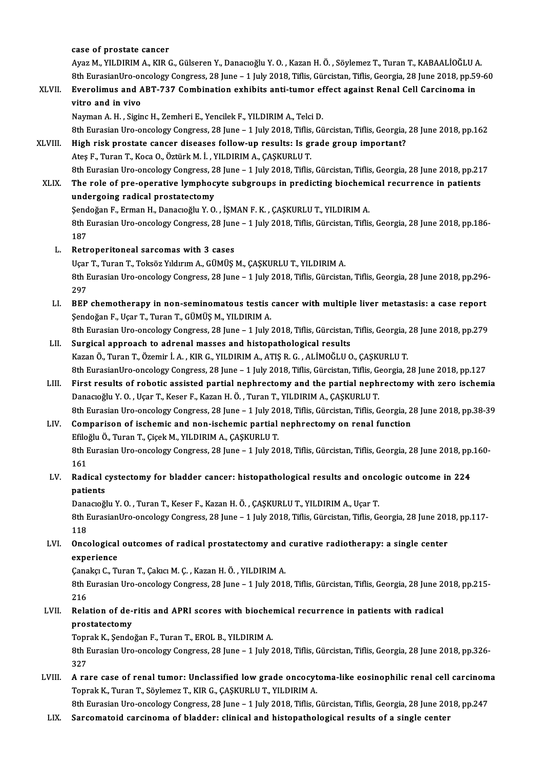case of prostate cancer case of prostate cancer<br>Ayaz M., YILDIRIM A., KIR G., Gülseren Y., Danacıoğlu Y. O. , Kazan H. Ö. , Söylemez T., Turan T., KABAALİOĞLU A<br><sup>Oth Eunosian</sub>I'nə ənəsləsu Canspees 28 June - 1 July 2018, Tiflis Günsistan Tiflis C</sup> case of prostate cancer<br>Ayaz M., YILDIRIM A., KIR G., Gülseren Y., Danacıoğlu Y. O. , Kazan H. Ö. , Söylemez T., Turan T., KABAALİOĞLU A.<br>8th EurasianUro-oncology Congress, 28 June – 1 July 2018, Tiflis, Gürcistan, Tiflis, Ayaz M., YILDIRIM A., KIR G., Gülseren Y., Danacıoğlu Y. O. , Kazan H. Ö. , Söylemez T., Turan T., KABAALİOĞLU<br>8th EurasianUro-oncology Congress, 28 June – 1 July 2018, Tiflis, Gürcistan, Tiflis, Georgia, 28 June 2018, pp. 8th EurasianUro-or<br>Everolimus and A<br>vitro and in vivo<br>Nayman A H - Sigin Everolimus and ABT-737 Combination exhibits anti-tumor ef<br>vitro and in vivo<br>Nayman A. H. , Siginc H., Zemheri E., Yencilek F., YILDIRIM A., Telci D.<br><sup>Oth Eurosian Uro ongology Congress 28 June - 1 July 2019, Tiflis Ci</sup> vitro and in vivo<br>Nayman A. H. , Siginc H., Zemheri E., Yencilek F., YILDIRIM A., Telci D.<br>8th Eurasian Uro-oncology Congress, 28 June – 1 July 2018, Tiflis, Gürcistan, Tiflis, Georgia, 28 June 2018, pp.162<br>High rick prest Nayman A. H. , Siginc H., Zemheri E., Yencilek F., YILDIRIM A., Telci D.<br>8th Eurasian Uro-oncology Congress, 28 June – 1 July 2018, Tiflis, Gürcistan, Tiflis, Georgia,<br>XLVIII. High risk prostate cancer diseases follow-up r 8th Eurasian Uro-oncology Congress, 28 June – 1 July 2018, Tiflis<br>High risk prostate cancer diseases follow-up results: Is gi<br>Ateş F., Turan T., Koca O., Öztürk M. İ. , YILDIRIM A., ÇAŞKURLU T.<br>8th Eurasian Uro oncology Co High risk prostate cancer diseases follow-up results: Is grade group important?<br>Ateş F., Turan T., Koca O., Öztürk M. İ. , YILDIRIM A., ÇAŞKURLU T.<br>8th Eurasian Uro-oncology Congress, 28 June – 1 July 2018, Tiflis, Gürcist Ateş F., Turan T., Koca O., Öztürk M. İ. , YILDIRIM A., ÇAŞKURLU T.<br>8th Eurasian Uro-oncology Congress, 28 June – 1 July 2018, Tiflis, Gürcistan, Tiflis, Georgia, 28 June 2018, pp.21<br>XLIX. The role of pre-operative lymphoc 8th Eurasian Uro-oncology Congress, 2<br>The role of pre-operative lymphoc<br>undergoing radical prostatectomy<br>Sandožan E. Erman H. Danagožlu V. O The role of pre-operative lymphocyte subgroups in predicting biochemical recurrence in patients<br>undergoing radical prostatectomy<br>Şendoğan F., Erman H., Danacıoğlu Y. O. , İŞMAN F. K. , ÇAŞKURLU T., YILDIRIM A. undergoing radical prostatectomy<br>Şendoğan F., Erman H., Danacıoğlu Y. O. , İŞMAN F. K. , ÇAŞKURLU T., YILDIRIM A.<br>8th Eurasian Uro-oncology Congress, 28 June – 1 July 2018, Tiflis, Gürcistan, Tiflis, Georgia, 28 June 2018, Send<br>8th E<br>187<br>Betr 8th Eurasian Uro-oncology Congress, 28 June<br>187<br>L. Retroperitoneal sarcomas with 3 cases<br>Leon T. Turon T. Tolses Viduum A. CÜMÜS 187<br>L. Retroperitoneal sarcomas with 3 cases<br>Uçar T., Turan T., Toksöz Yıldırım A., GÜMÜŞ M., ÇAŞKURLU T., YILDIRIM A. Retroperitoneal sarcomas with 3 cases<br>Uçar T., Turan T., Toksöz Yıldırım A., GÜMÜŞ M., ÇAŞKURLU T., YILDIRIM A.<br>8th Eurasian Uro-oncology Congress, 28 June – 1 July 2018, Tiflis, Gürcistan, Tiflis, Georgia, 28 June 2018, p Uçar<br>8th E<br>297 8th Eurasian Uro-oncology Congress, 28 June – 1 July 2018, Tiflis, Gürcistan, Tiflis, Georgia, 28 June 2018, pp.296<br>297<br>LI. BEP chemotherapy in non-seminomatous testis cancer with multiple liver metastasis: a case report<br>S 297<br>BEP chemotherapy in non-seminomatous testis<br>Şendoğan F., Uçar T., Turan T., GÜMÜŞ M., YILDIRIM A.<br><sup>9th Eurasian Ure enselegy Congress, 29 June - 1 July 1</sup> BEP chemotherapy in non-seminomatous testis cancer with multiple liver metastasis: a case report<br>Şendoğan F., Uçar T., Turan T., GÜMÜŞ M., YILDIRIM A.<br>8th Eurasian Uro-oncology Congress, 28 June – 1 July 2018, Tiflis, Gürc Şendoğan F., Uçar T., Turan T., GÜMÜŞ M., YILDIRIM A.<br>8th Eurasian Uro-oncology Congress, 28 June – 1 July 2018, Tiflis, Gürcistan, Tiflis, Georgia, 28 June 2018, pp.279<br>LII. Surgical approach to adrenal masses and his KazanÖ.,TuranT.,Özemir İ.A. ,KIRG.,YILDIRIMA.,ATIŞR.G. ,ALİMOĞLUO.,ÇAŞKURLUT. Surgical approach to adrenal masses and histopathological results<br>Kazan Ö., Turan T., Özemir İ. A. , KIR G., YILDIRIM A., ATIŞ R. G. , ALİMOĞLU O., ÇAŞKURLU T.<br>8th EurasianUro-oncology Congress, 28 June – 1 July 2018, Tifl Kazan Ö., Turan T., Özemir İ. A., KIR G., YILDIRIM A., ATIŞ R. G., ALİMOĞLU O., ÇAŞKURLU T.<br>8th EurasianUro-oncology Congress, 28 June – 1 July 2018, Tiflis, Gürcistan, Tiflis, Georgia, 28 June 2018, pp.127<br>1. First result 8th EurasianUro-oncology Congress, 28 June – 1 July 2018, Tiflis, Gürcistan, Tiflis, Gürcistan, Tiflis, Gürcistan, Tiflis, Gürcistan, Tiflis, Gürcistan, Tiflis, Gürcistan, Tiflis, Gürcistan eph<br>Danacıoğlu Y. O. , Uçar T., First results of robotic assisted partial nephrectomy and the partial nephrectomy with zero ischemia<br>Danacıoğlu Y. O. , Uçar T., Keser F., Kazan H. Ö. , Turan T., YILDIRIM A., ÇAŞKURLU T.<br>8th Eurasian Uro-oncology Congress

Danacıoğlu Y. O. , Uçar T., Keser F., Kazan H. Ö. , Turan T., YILDIRIM A., ÇAŞKURLU T.<br>8th Eurasian Uro-oncology Congress, 28 June – 1 July 2018, Tiflis, Gürcistan, Tiflis, Georgia, 2<br>LIV. Comparison of ischemic and non-is

### 8th Eurasian Uro-oncology Congress, 28 June – 1 July 20<br>Comparison of ischemic and non-ischemic partial<br>Efiloğlu Ö., Turan T., Çiçek M., YILDIRIM A., ÇAŞKURLU T.<br>8th Eurasian Ure ongalagy Congress, 28 June – 1 July 20 8th Eurasian Uro-oncology Congress, 28 June – 1 July 2018, Tiflis, Gürcistan, Tiflis, Georgia, 28 June 2018, pp.160-<br>161 Efiloğlu Ö., Turan T., Çiçek M., YILDIRIM A., ÇAŞKURLU T. 8th Eurasian Uro-oncology Congress, 28 June – 1 July 2018, Tiflis, Gürcistan, Tiflis, Georgia, 28 June 2018, pp.<br>161<br>LV. Radical cystectomy for bladder cancer: histopathological results and oncologic outcome in 224

## 161<br>Radical<br>patients<br><sup>Danago</sub>ă!</sup> Radical cystectomy for bladder cancer: histopathological results and onco<br>patients<br>Danacıoğlu Y. O. , Turan T., Keser F., Kazan H. Ö. , ÇAŞKURLU T., YILDIRIM A., Uçar T.<br><sup>Oth Eunosian Une ongelegy Conguess 28 June – 1 July</sup>

patients<br>Danacıoğlu Y. O. , Turan T., Keser F., Kazan H. Ö. , ÇAŞKURLU T., YILDIRIM A., Uçar T.<br>8th EurasianUro-oncology Congress, 28 June – 1 July 2018, Tiflis, Gürcistan, Tiflis, Georgia, 28 June 2018, pp.117-<br>118 Dana<br>8th F<br>118 8th EurasianUro-oncology Congress, 28 June – 1 July 2018, Tiflis, Gürcistan, Tiflis, Georgia, 28 June 201<br>118<br>LVI. Oncological outcomes of radical prostatectomy and curative radiotherapy: a single center<br>averations

## 118<br>Oncological<br>experience<br>Canaka C. Tr Oncological outcomes of radical prostatectomy and<br>experience<br>Çanakçı C., Turan T., Çakıcı M. Ç. , Kazan H. Ö. , YILDIRIM A.<br><sup>Oth Eurosian Uro ongology Congress 28 June - 1 July 2011</sub></sup>

experience<br>Çanakçı C., Turan T., Çakıcı M. Ç. , Kazan H. Ö. , YILDIRIM A.<br>8th Eurasian Uro-oncology Congress, 28 June – 1 July 2018, Tiflis, Gürcistan, Tiflis, Georgia, 28 June 2018, pp.215-Çana<br>8th E<br>216

## 8th Eurasian Uro-oncology Congress, 28 June – 1 July 2018, Tiflis, Gürcistan, Tiflis, Georgia, 28 June 2<br>216<br>LVII. Relation of de-ritis and APRI scores with biochemical recurrence in patients with radical<br>nuncatactomy 216<br>Relation of de-<br>prostatectomy<br>Tonrek K. Sende Relation of de-ritis and APRI scores with biocher<br>prostatectomy<br>Toprak K., Şendoğan F., Turan T., EROL B., YILDIRIM A.<br><sup>9th Funasion Ure ongelegy Congress 28 June - 1 July 3</sub></sup>

prostatectomy<br>Toprak K., Şendoğan F., Turan T., EROL B., YILDIRIM A.<br>8th Eurasian Uro-oncology Congress, 28 June – 1 July 2018, Tiflis, Gürcistan, Tiflis, Georgia, 28 June 2018, pp.326-<br>327 Toprak K., Şendoğan F., Turan T., EROL B., YILDIRIM A. 8th Eurasian Uro-oncology Congress, 28 June – 1 July 2018, Tiflis, Gürcistan, Tiflis, Georgia, 28 June 2018, pp.326-<br>327<br>LVIII. A rare case of renal tumor: Unclassified low grade oncocytoma-like eosinophilic renal cell car

327<br>A rare case of renal tumor: Unclassified low grade oncocyt<br>Toprak K., Turan T., Söylemez T., KIR G., ÇAŞKURLU T., YILDIRIM A.<br>8th Eunasian Ure engelegy Congress, 38 June - 1 July 2018 Tiflie ( A rare case of renal tumor: Unclassified low grade oncocytoma-like eosinophilic renal cell carcinom<br>Toprak K., Turan T., Söylemez T., KIR G., ÇAŞKURLU T., YILDIRIM A.<br>8th Eurasian Uro-oncology Congress, 28 June – 1 July 20

Toprak K., Turan T., Söylemez T., KIR G., ÇAŞKURLU T., YILDIRIM A.<br>1991 - 8th Eurasian Uro-oncology Congress, 28 June – 1 July 2018, Tiflis, Gürcistan, Tiflis, Georgia, 28 June<br>11X. Sarcomatoid carcinoma of bladder: cl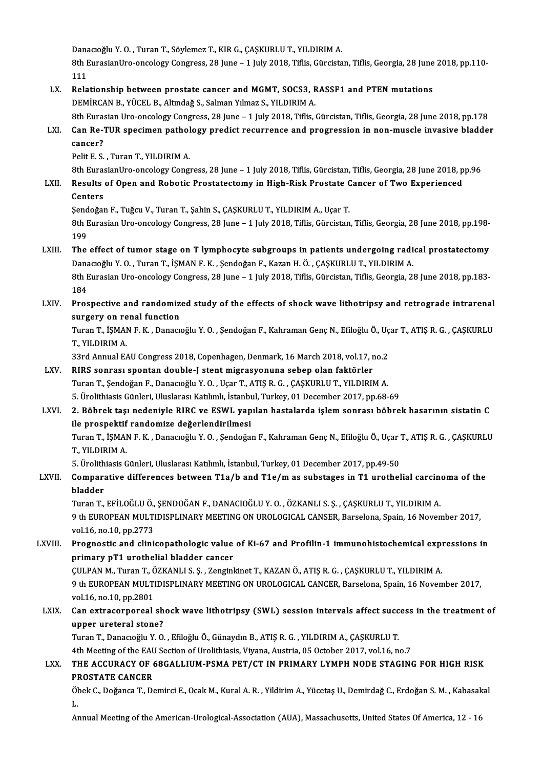Danacıoğlu Y. O. , Turan T., Söylemez T., KIR G., ÇAŞKURLU T., YILDIRIM A.<br>Pth EunosianUre, ongelegy Congress, 28 June – 1 July 2018, Tiflis, Günsiste

Danacıoğlu Y. O. , Turan T., Söylemez T., KIR G., ÇAŞKURLU T., YILDIRIM A.<br>8th EurasianUro-oncology Congress, 28 June – 1 July 2018, Tiflis, Gürcistan, Tiflis, Georgia, 28 June 2018, pp.110-Dana<br>8th E<br>111 8th EurasianUro-oncology Congress, 28 June – 1 July 2018, Tiflis, Gürcistan, Tiflis, Georgia, 28 June<br>111<br>LX. Relationship between prostate cancer and MGMT, SOCS3, RASSF1 and PTEN mutations<br>DEMIDCAN B. VÜCEL B. Altude & S.

111<br>Relationship between prostate cancer and MGMT, SOCS3, RASSF1 and PTEN mutations<br>DEMİRCAN B., YÜCEL B., Altındağ S., Salman Yılmaz S., YILDIRIM A.

8th Eurasian Uro-oncology Congress, 28 June – 1 July 2018, Tiflis, Gürcistan, Tiflis, Georgia, 28 June 2018, pp.178

## DEMIRCAN B., YÜCEL B., Altındağ S., Salman Yılmaz S., YILDIRIM A.<br>8th Eurasian Uro-oncology Congress, 28 June – 1 July 2018, Tiflis, Gürcistan, Tiflis, Georgia, 28 June 2018, pp.178<br>LXI. Can Re-TUR specimen pathology p 8th Euras<br>Can Re-'<br>cancer?<br><sup>Polit F</sup> S Can Re-TUR specimen pathol<br>cancer?<br>Pelit E. S. , Turan T., YILDIRIM A.<br><sup>Oth EurosianUre engelegy Congr</sup>

cancer?<br>8th E. S. , Turan T., YILDIRIM A.<br>8th EurasianUro-oncology Congress, 28 June – 1 July 2018, Tiflis, Gürcistan, Tiflis, Georgia, 28 June 2018, pp.96 Pelit E. S. , Turan T., YILDIRIM A.<br>8th EurasianUro-oncology Congress, 28 June – 1 July 2018, Tiflis, Gürcistan, Tiflis, Georgia, 28 June 2018, p<br>2011. Results of Open and Robotic Prostatectomy in High-Risk Prostate Cancer

# 8th Euras<br>Results<br>Centers<br>Sendeğas

Results of Open and Robotic Prostatectomy in High-Risk Prostate C<br>Centers<br>Şendoğan F., Tuğcu V., Turan T., Şahin S., ÇAŞKURLU T., YILDIRIM A., Uçar T.<br>8th Eurosian Ure engelegy Congress, 28 June - 1 July 2018, Tiflis Gürgi

Centers<br>Şendoğan F., Tuğcu V., Turan T., Şahin S., ÇAŞKURLU T., YILDIRIM A., Uçar T.<br>8th Eurasian Uro-oncology Congress, 28 June – 1 July 2018, Tiflis, Gürcistan, Tiflis, Georgia, 28 June 2018, pp.198-Send<br>8th E<br>199<br>The 8th Eurasian Uro-oncology Congress, 28 June – 1 July 2018, Tiflis, Gürcistan, Tiflis, Georgia, 28 June 2018, pp.198-<br>199<br>LXIII. The effect of tumor stage on T lymphocyte subgroups in patients undergoing radical prostatecto

## 199<br>The effect of tumor stage on T lymphocyte subgroups in patients undergoing radical prostatectomy<br>Danacıoğlu Y. O. , Turan T., İŞMAN F. K. , Şendoğan F., Kazan H. Ö. , ÇAŞKURLU T., YILDIRIM A. The effect of tumor stage on T lymphocyte subgroups in patients undergoing radical prostatectomy<br>Danacıoğlu Y. O. , Turan T., İŞMAN F. K. , Şendoğan F., Kazan H. Ö. , ÇAŞKURLU T., YILDIRIM A.<br>8th Eurasian Uro-oncology Cong

Dana<br>8th E<br>184 8th Eurasian Uro-oncology Congress, 28 June – 1 July 2018, Tiflis, Gürcistan, Tiflis, Georgia, 28 June 2018, pp.183-<br>184<br>LXIV. Prospective and randomized study of the effects of shock wave lithotripsy and retrograde intrar

184<br>Prospective and randomize<br>surgery on renal function<br>Turan T. İSMAN E.K., Danagy Prospective and randomized study of the effects of shock wave lithotripsy and retrograde intrarenal<br>surgery on renal function<br>Turan T., İŞMAN F. K. , Danacıoğlu Y. O. , Şendoğan F., Kahraman Genç N., Efiloğlu Ö., Uçar T.,

surgery on re<br>Turan T., İŞMAI<br>T., YILDIRIM A.<br><sup>22rd Annual E.</sup> Turan T., İŞMAN F. K. , Danacıoğlu Y. O. , Şendoğan F., Kahraman Genç N., Efiloğlu Ö., Uç<br>T., YILDIRIM A.<br>33rd Annual EAU Congress 2018, Copenhagen, Denmark, 16 March 2018, vol.17, no.2<br>BIBS Senrası spentan deuble Letent m

T., YILDIRIM A.<br>33rd Annual EAU Congress 2018, Copenhagen, Denmark, 16 March 2018, vol.17, no.2<br>LXV. RIRS sonrası spontan double-J stent migrasyonuna sebep olan faktörler

TuranT.,ŞendoğanF.,DanacıoğluY.O. ,UçarT.,ATIŞR.G. ,ÇAŞKURLUT.,YILDIRIMA. 5. Ürolithiasis Günleri, Uluslarası Katılımlı, İstanbul, Turkey, 01 December 2017, pp.68-69

#### LXVI. 2. Böbrek taşı nedeniyle RIRC ve ESWL yapılan hastalarda işlemsonrası böbrek hasarının sistatin C 5. Ürolithiasis Günleri, Uluslarası Katılımlı, İstanbı<br>2. Böbrek taşı nedeniyle RIRC ve ESWL yap<br>ile prospektif randomize değerlendirilmesi<br>Turan T. İSMAN E.K., Danasıağlu V.Q., Sandağa Turan T., İŞMAN F. K. , Danacıoğlu Y. O. , Şendoğan F., Kahraman Genç N., Efiloğlu Ö., Uçar T., ATIŞ R. G. , ÇAŞKURLU<br>T., YILDIRIM A. ile prospektif<br>Turan T., İŞMAI<br>T., YILDIRIM A.<br>E. Ürelitbiasis C Turan T., İŞMAN F. K. , Danacıoğlu Y. O. , Şendoğan F., Kahraman Genç N., Efiloğlu Ö., Uçar '<br>T., YILDIRIM A.<br>5. Ürolithiasis Günleri, Uluslarası Katılımlı, İstanbul, Turkey, 01 December 2017, pp.49-50<br>Comparative differen

## LXVII. Comparative differences between T1a/b and T1e/m as substages in T1 urothelial carcinoma of the bladder 5. Ürolith<br>Compara<br>bladder<br>Turen T

Comparative differences between T1a/b and T1e/m as substages in T1 urothelial carcine<br>bladder<br>Turan T., EFİLOĞLU Ö., ŞENDOĞAN F., DANACIOĞLU Y. O. , ÖZKANLI S. Ş. , ÇAŞKURLU T., YILDIRIM A.<br>9 th EUROBEAN MIJI TIDISBI INARY 9 th EUROPEAN MULTIDISPLINARY MEETING ON UROLOGICAL CANSER, Barselona, Spain, 16 November 2017, vol.16, no.10, pp.2773 Turan T., EFİLOĞLU Ö.,<br>9 th EUROPEAN MULTI<br>vol.16, no.10, pp.2773<br>Prognostic and clini. 9 th EUROPEAN MULTIDISPLINARY MEETING ON UROLOGICAL CANSER, Barselona, Spain, 16 November 2017,<br>vol.16, no.10, pp.2773<br>LXVIII. Prognostic and clinicopathologic value of Ki-67 and Profilin-1 immunohistochemical expressions

## vol.16, no.10, pp.2773<br>Prognostic and clinicopathologic value<br>primary pT1 urothelial bladder cancer<br>CULPAN M. Turon T. ÖZKANLLS S. Zonginl Prognostic and clinicopathologic value of Ki-67 and Profilin-1 immunohistochemical expi<br>primary pT1 urothelial bladder cancer<br>ÇULPAN M., Turan T., ÖZKANLI S. Ş. , Zenginkinet T., KAZAN Ö., ATIŞ R. G. , ÇAŞKURLU T., YILDIRI

primary pT1 urothelial bladder cancer<br>ÇULPAN M., Turan T., ÖZKANLI S. Ş. , Zenginkinet T., KAZAN Ö., ATIŞ R. G. , ÇAŞKURLU T., YILDIRIM A.<br>9 th EUROPEAN MULTIDISPLINARY MEETING ON UROLOGICAL CANCER, Barselona, Spain, 16 No CULPAN M., Turan T., Č<br>9 th EUROPEAN MULTI<br>vol.16, no.10, pp.2801<br>Can extrassupersel 9 th EUROPEAN MULTIDISPLINARY MEETING ON UROLOGICAL CANCER, Barselona, Spain, 16 November 2017,<br>vol.16, no.10, pp.2801<br>LXIX. Can extracorporeal shock wave lithotripsy (SWL) session intervals affect success in the treatment

## vol.16, no.10, pp.2801<br>Can extracorporeal sh<br>upper ureteral stone?<br>Turen T. Denemečky Y. O Can extracorporeal shock wave lithotripsy (SWL) session intervals affect succ<br>upper ureteral stone?<br>Turan T., Danacıoğlu Y. O. , Efiloğlu Ö., Günaydın B., ATIŞ R. G. , YILDIRIM A., ÇAŞKURLU T.<br>4th Meeting of the FAU Sectio

upper ureteral stone?<br>Turan T., Danacıoğlu Y. O. , Efiloğlu Ö., Günaydın B., ATIŞ R. G. , YILDIRIM A., ÇAŞKURLU T.<br>4th Meeting of the EAU Section of Urolithiasis, Viyana, Austria, 05 October 2017, vol.16, no.7

## Turan T., Danacıoğlu Y. O. , Efiloğlu Ö., Günaydın B., ATIŞ R. G. , YILDIRIM A., ÇAŞKURLU T.<br>4th Meeting of the EAU Section of Urolithiasis, Viyana, Austria, 05 October 2017, vol.16, no.7<br>LXX. THE ACCURACY OF 68GALLIUM 4th Meeting of the EAL<br>THE ACCURACY OF<br>PROSTATE CANCER THE ACCURACY OF 68GALLIUM-PSMA PET/CT IN PRIMARY LYMPH NODE STAGING FOR HIGH RISK<br>PROSTATE CANCER<br>Öbek C., Doğanca T., Demirci E., Ocak M., Kural A. R. , Yildirim A., Yücetaş U., Demirdağ C., Erdoğan S. M. , Kabasakal<br>I

PI<br>Öl<br>L. Öbek C., Doğanca T., Demirci E., Ocak M., Kural A. R. , Yildirim A., Yücetaş U., Demirdağ C., Erdoğan S. M. , Kabasakal<br>L.<br>Annual Meeting of the American-Urological-Association (AUA), Massachusetts, United States Of Americ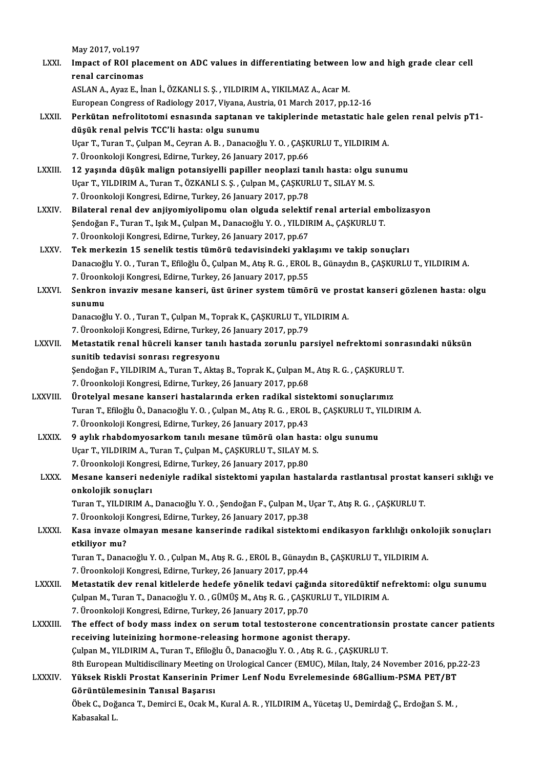May 2017, vol.197

| LXXI.            | May 2017, vol 197<br>Impact of ROI placement on ADC values in differentiating between low and high grade clear cell                                             |
|------------------|-----------------------------------------------------------------------------------------------------------------------------------------------------------------|
|                  | renal carcinomas                                                                                                                                                |
|                  | ASLAN A., Ayaz E., İnan İ., ÖZKANLI S. Ş., YILDIRIM A., YIKILMAZ A., Acar M.                                                                                    |
|                  | European Congress of Radiology 2017, Viyana, Austria, 01 March 2017, pp.12-16                                                                                   |
| LXXII.           | Perkütan nefrolitotomi esnasında saptanan ve takiplerinde metastatic hale gelen renal pelvis pT1-                                                               |
|                  | düşük renal pelvis TCC'li hasta: olgu sunumu                                                                                                                    |
|                  | Uçar T., Turan T., Çulpan M., Ceyran A. B., Danacıoğlu Y. O., ÇAŞKURLU T., YILDIRIM A.                                                                          |
|                  | 7. Üroonkoloji Kongresi, Edirne, Turkey, 26 January 2017, pp.66                                                                                                 |
| LXXIII.          | 12 yaşında düşük malign potansiyelli papiller neoplazi tanılı hasta: olgu sunumu                                                                                |
|                  | Uçar T., YILDIRIM A., Turan T., ÖZKANLI S. Ş., Çulpan M., ÇAŞKURLU T., SILAY M. S.                                                                              |
|                  | 7. Üroonkoloji Kongresi, Edirne, Turkey, 26 January 2017, pp.78                                                                                                 |
| <b>LXXIV</b>     | Bilateral renal dev anjiyomiyolipomu olan olguda selektif renal arterial embolizasyon                                                                           |
|                  | Şendoğan F., Turan T., Işık M., Çulpan M., Danacıoğlu Y. O., YILDIRIM A., ÇAŞKURLU T.                                                                           |
|                  | 7. Üroonkoloji Kongresi, Edirne, Turkey, 26 January 2017, pp.67                                                                                                 |
| LXXV.            | Tek merkezin 15 senelik testis tümörü tedavisindeki yaklaşımı ve takip sonuçları                                                                                |
|                  | Danacıoğlu Y. O., Turan T., Efiloğlu Ö., Çulpan M., Atış R. G., EROL B., Günaydın B., ÇAŞKURLU T., YILDIRIM A.                                                  |
|                  | 7. Üroonkoloji Kongresi, Edirne, Turkey, 26 January 2017, pp.55                                                                                                 |
| LXXVI.           | Senkron invaziv mesane kanseri, üst üriner system tümörü ve prostat kanseri gözlenen hasta: olgu                                                                |
|                  | sunumu                                                                                                                                                          |
|                  | Danacıoğlu Y.O., Turan T., Çulpan M., Toprak K., ÇAŞKURLU T., YILDIRIM A.                                                                                       |
|                  | 7. Üroonkoloji Kongresi, Edirne, Turkey, 26 January 2017, pp.79                                                                                                 |
| LXXVII.          | Metastatik renal hücreli kanser tanılı hastada zorunlu parsiyel nefrektomi sonrasındaki nüksün                                                                  |
|                  | sunitib tedavisi sonrası regresyonu                                                                                                                             |
|                  | Şendoğan F., YILDIRIM A., Turan T., Aktaş B., Toprak K., Çulpan M., Atış R. G. , ÇAŞKURLU T.<br>7. Üroonkoloji Kongresi, Edirne, Turkey, 26 January 2017, pp.68 |
| <b>LXXVIII</b> . | Ürotelyal mesane kanseri hastalarında erken radikal sistektomi sonuçlarımız                                                                                     |
|                  | Turan T., Efiloğlu Ö., Danacıoğlu Y. O., Çulpan M., Atış R. G., EROL B., ÇAŞKURLU T., YILDIRIM A.                                                               |
|                  | 7. Üroonkoloji Kongresi, Edirne, Turkey, 26 January 2017, pp.43                                                                                                 |
| <b>LXXIX</b>     | 9 aylık rhabdomyosarkom tanılı mesane tümörü olan hasta: olgu sunumu                                                                                            |
|                  | Uçar T., YILDIRIM A., Turan T., Çulpan M., ÇAŞKURLU T., SILAY M. S.                                                                                             |
|                  | 7. Üroonkoloji Kongresi, Edirne, Turkey, 26 January 2017, pp.80                                                                                                 |
| <b>LXXX</b>      | Mesane kanseri nedeniyle radikal sistektomi yapılan hastalarda rastlantısal prostat kanseri sıklığı ve                                                          |
|                  | onkolojik sonuçları                                                                                                                                             |
|                  | Turan T., YILDIRIM A., Danacıoğlu Y. O., Şendoğan F., Çulpan M., Uçar T., Atış R. G., ÇAŞKURLU T.                                                               |
|                  | 7. Üroonkoloji Kongresi, Edirne, Turkey, 26 January 2017, pp.38                                                                                                 |
| LXXXI.           | Kasa invaze olmayan mesane kanserinde radikal sistektomi endikasyon farklılığı onkolojik sonuçları                                                              |
|                  | etkiliyor mu?                                                                                                                                                   |
|                  | Turan T., Danacıoğlu Y. O., Çulpan M., Atış R. G., EROL B., Günaydın B., ÇAŞKURLU T., YILDIRIM A.                                                               |
|                  | 7. Üroonkoloji Kongresi, Edirne, Turkey, 26 January 2017, pp.44                                                                                                 |
| <b>LXXXII</b>    | Metastatik dev renal kitlelerde hedefe yönelik tedavi çağında sitoredüktif nefrektomi: olgu sunumu                                                              |
|                  | Çulpan M., Turan T., Danacıoğlu Y. O., GÜMÜŞ M., Atış R. G., ÇAŞKURLU T., YILDIRIM A.                                                                           |
|                  | 7. Üroonkoloji Kongresi, Edirne, Turkey, 26 January 2017, pp.70                                                                                                 |
| <b>LXXXIII</b>   | The effect of body mass index on serum total testosterone concentrationsin prostate cancer patients                                                             |
|                  | receiving luteinizing hormone-releasing hormone agonist therapy.                                                                                                |
|                  | Çulpan M., YILDIRIM A., Turan T., Efiloğlu Ö., Danacıoğlu Y. O. , Atış R. G. , ÇAŞKURLU T.                                                                      |
|                  | 8th European Multidiscilinary Meeting on Urological Cancer (EMUC), Milan, Italy, 24 November 2016, pp.22-23                                                     |
| <b>LXXXIV</b>    | Yüksek Riskli Prostat Kanserinin Primer Lenf Nodu Evrelemesinde 68Gallium-PSMA PET/BT                                                                           |
|                  | Görüntülemesinin Tanısal Başarısı                                                                                                                               |
|                  | , Öbek C., Doğanca T., Demirci E., Ocak M., Kural A. R. , YILDIRIM A., Yücetaş U., Demirdağ Ç., Erdoğan S. M.<br>Kabasakal L                                    |
|                  |                                                                                                                                                                 |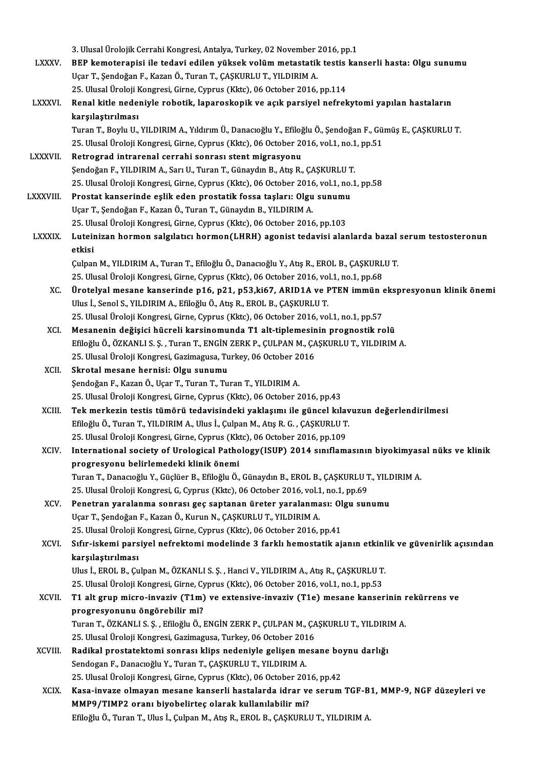3. Ulusal Ürolojik Cerrahi Kongresi, Antalya, Turkey, 02 November 2016, pp.1<br>PEP komotoranisi ile todavi odilen vülsek velüm motostatik testis kel

|                | 3. Ulusal Ürolojik Cerrahi Kongresi, Antalya, Turkey, 02 November 2016, pp.1                                 |
|----------------|--------------------------------------------------------------------------------------------------------------|
| <b>LXXXV.</b>  | BEP kemoterapisi ile tedavi edilen yüksek volüm metastatik testis kanserli hasta: Olgu sunumu                |
|                | Uçar T., Şendoğan F., Kazan Ö., Turan T., ÇAŞKURLU T., YILDIRIM A.                                           |
|                | 25. Ulusal Üroloji Kongresi, Girne, Cyprus (Kktc), 06 October 2016, pp.114                                   |
| <b>LXXXVI.</b> | Renal kitle nedeniyle robotik, laparoskopik ve açık parsiyel nefrekytomi yapılan hastaların                  |
|                | karşılaştırılması                                                                                            |
|                | Turan T., Boylu U., YILDIRIM A., Yıldırım Ü., Danacıoğlu Y., Efiloğlu Ö., Şendoğan F., Gümüş E., ÇAŞKURLU T. |
|                | 25. Ulusal Üroloji Kongresi, Girne, Cyprus (Kktc), 06 October 2016, vol.1, no.1, pp.51                       |
| <b>LXXXVII</b> | Retrograd intrarenal cerrahi sonrası stent migrasyonu                                                        |
|                | Şendoğan F., YILDIRIM A., Sarı U., Turan T., Günaydın B., Atış R., ÇAŞKURLU T.                               |
|                | 25. Ulusal Üroloji Kongresi, Girne, Cyprus (Kktc), 06 October 2016, vol.1, no.1, pp.58                       |
| LXXXVIII       | Prostat kanserinde eşlik eden prostatik fossa taşları: Olgu sunumu                                           |
|                | Uçar T., Şendoğan F., Kazan Ö., Turan T., Günaydın B., YILDIRIM A.                                           |
|                | 25. Ulusal Üroloji Kongresi, Girne, Cyprus (Kktc), 06 October 2016, pp.103                                   |
| <b>LXXXIX</b>  | Luteinizan hormon salgılatıcı hormon(LHRH) agonist tedavisi alanlarda bazal serum testosteronun              |
|                | etkisi                                                                                                       |
|                | Çulpan M., YILDIRIM A., Turan T., Efiloğlu Ö., Danacıoğlu Y., Atış R., EROL B., ÇAŞKURLU T.                  |
|                | 25. Ulusal Üroloji Kongresi, Girne, Cyprus (Kktc), 06 October 2016, vol.1, no.1, pp.68                       |
| XC.            | Ürotelyal mesane kanserinde p16, p21, p53, ki67, ARID1A ve PTEN immün ekspresyonun klinik önemi              |
|                | Ulus İ., Senol S., YILDIRIM A., Efiloğlu Ö., Atış R., EROL B., ÇAŞKURLU T.                                   |
|                | 25. Ulusal Üroloji Kongresi, Girne, Cyprus (Kktc), 06 October 2016, vol.1, no.1, pp.57                       |
| XCI.           | Mesanenin değişici hücreli karsinomunda T1 alt-tiplemesinin prognostik rolü                                  |
|                | Efiloğlu Ö., ÖZKANLI S. Ş., Turan T., ENGİN ZERK P., ÇULPAN M., ÇAŞKURLU T., YILDIRIM A.                     |
|                | 25. Ulusal Üroloji Kongresi, Gazimagusa, Turkey, 06 October 2016                                             |
| XCII.          | Skrotal mesane hernisi: Olgu sunumu                                                                          |
|                | Şendoğan F., Kazan Ö., Uçar T., Turan T., Turan T., YILDIRIM A.                                              |
|                | 25. Ulusal Üroloji Kongresi, Girne, Cyprus (Kktc), 06 October 2016, pp.43                                    |
| XCIII.         | Tek merkezin testis tümörü tedavisindeki yaklaşımı ile güncel kılavuzun değerlendirilmesi                    |
|                | Efiloğlu Ö., Turan T., YILDIRIM A., Ulus İ., Çulpan M., Atış R. G., ÇAŞKURLU T.                              |
|                | 25. Ulusal Üroloji Kongresi, Girne, Cyprus (Kktc), 06 October 2016, pp.109                                   |
| XCIV.          | International society of Urological Pathology (ISUP) 2014 sınıflamasının biyokimyasal nüks ve klinik         |
|                | progresyonu belirlemedeki klinik önemi                                                                       |
|                | Turan T., Danacıoğlu Y., Güçlüer B., Efiloğlu Ö., Günaydın B., EROL B., ÇAŞKURLU T., YILDIRIM A.             |
|                | 25. Ulusal Üroloji Kongresi, G, Cyprus (Kktc), 06 October 2016, vol.1, no.1, pp.69                           |
| XCV.           | Penetran yaralanma sonrası geç saptanan üreter yaralanması: Olgu sunumu                                      |
|                | Uçar T., Şendoğan F., Kazan Ö., Kurun N., ÇAŞKURLU T., YILDIRIM A.                                           |
|                | 25. Ulusal Üroloji Kongresi, Girne, Cyprus (Kktc), 06 October 2016, pp.41                                    |
| XCVI.          | Sıfır-iskemi parsiyel nefrektomi modelinde 3 farklı hemostatik ajanın etkinlik ve güvenirlik açısından       |
|                | karşılaştırılması                                                                                            |
|                | Ulus İ., EROL B., Çulpan M., ÖZKANLI S. Ş., Hanci V., YILDIRIM A., Atış R., ÇAŞKURLU T.                      |
|                | 25. Ulusal Üroloji Kongresi, Girne, Cyprus (Kktc), 06 October 2016, vol.1, no.1, pp.53                       |
| <b>XCVII</b>   | T1 alt grup micro-invaziv (T1m) ve extensive-invaziv (T1e) mesane kanserinin rekürrens ve                    |
|                | progresyonunu öngörebilir mi?                                                                                |
|                | Turan T., ÖZKANLI S. Ş., Efiloğlu Ö., ENGİN ZERK P., ÇULPAN M., ÇAŞKURLU T., YILDIRIM A.                     |
|                | 25. Ulusal Üroloji Kongresi, Gazimagusa, Turkey, 06 October 2016                                             |
| <b>XCVIII</b>  | Radikal prostatektomi sonrası klips nedeniyle gelişen mesane boynu darlığı                                   |
|                | Sendogan F., Danacıoğlu Y., Turan T., ÇAŞKURLU T., YILDIRIM A.                                               |
|                | 25. Ulusal Üroloji Kongresi, Girne, Cyprus (Kktc), 06 October 2016, pp.42                                    |
| <b>XCIX</b>    | Kasa-invaze olmayan mesane kanserli hastalarda idrar ve serum TGF-B1, MMP-9, NGF düzeyleri ve                |
|                | MMP9/TIMP2 oranı biyobelirteç olarak kullanılabilir mi?                                                      |
|                | Efiloğlu Ö., Turan T., Ulus İ., Çulpan M., Atış R., EROL B., ÇAŞKURLU T., YILDIRIM A.                        |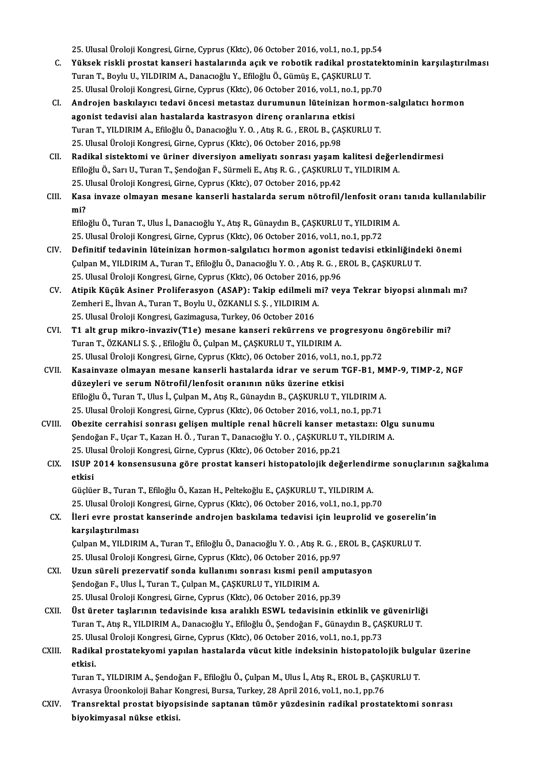25. Ulusal Üroloji Kongresi, Girne, Cyprus (Kktc), 06 October 2016, vol.1, no.1, pp.54<br>Vükaek riskli prestat kanseri hastalarında asık ve rebatik radikal prestatel

- 25. Ulusal Üroloji Kongresi, Girne, Cyprus (Kktc), 06 October 2016, vol.1, no.1, pp.54<br>C. Yüksek riskli prostat kanseri hastalarında açık ve robotik radikal prostatektominin karşılaştırılması<br>Turen T. Beylu II, YILDIPI 25. Ulusal Üroloji Kongresi, Girne, Cyprus (Kktc), 06 October 2016, vol.1, no.1, pp.<br>Yüksek riskli prostat kanseri hastalarında açık ve robotik radikal prosta<br>Turan T., Boylu U., YILDIRIM A., Danacıoğlu Y., Efiloğlu Ö., Gü Yüksek riskli prostat kanseri hastalarında açık ve robotik radikal prostatek<br>Turan T., Boylu U., YILDIRIM A., Danacıoğlu Y., Efiloğlu Ö., Gümüş E., ÇAŞKURLU T.<br>25. Ulusal Üroloji Kongresi, Girne, Cyprus (Kktc), 06 October 25. Ulusal Üroloji Kongresi, Girne, Cyprus (Kktc), 06 October 2016, vol.1, no.1, pp.70
- Turan T., Boylu U., YILDIRIM A., Danacıoğlu Y., Efiloğlu Ö., Gümüş E., ÇAŞKURLU T.<br>25. Ulusal Üroloji Kongresi, Girne, Cyprus (Kktc), 06 October 2016, vol.1, no.1, pp.70<br>CI. Androjen baskılayıcı tedavi öncesi metastaz Androjen baskılayıcı tedavi öncesi metastaz durumunun lüteinizan hormol agonist tedavisi alan hastalarda kastrasyon direnç oranlarına etkisi<br>Turan T., YILDIRIM A., Efiloğlu Ö., Danacıoğlu Y. O. , Atış R. G. , EROL B., ÇAŞK agonist tedavisi alan hastalarda kastrasyon direnç oranlarına etk<br>Turan T., YILDIRIM A., Efiloğlu Ö., Danacıoğlu Y. O. , Atış R. G. , EROL B., ÇA.<br>25. Ulusal Üroloji Kongresi, Girne, Cyprus (Kktc), 06 October 2016, pp.98<br>P
- 25. Ulusal Üroloji Kongresi, Girne, Cyprus (Kktc), 06 October 2016, pp.98<br>CII. Radikal sistektomi ve üriner diversiyon ameliyatı sonrası yaşam kalitesi değerlendirmesi 25. Ulusal Üroloji Kongresi, Girne, Cyprus (Kktc), 06 October 2016, pp.98<br>**Radikal sistektomi ve üriner diversiyon ameliyatı sonrası yaşam kalitesi değer**l<br>Efiloğlu Ö., Sarı U., Turan T., Şendoğan F., Sürmeli E., Atış R. G Radikal sistektomi ve üriner diversiyon ameliyatı sonrası yaşam |<br>Efiloğlu Ö., Sarı U., Turan T., Şendoğan F., Sürmeli E., Atış R. G. , ÇAŞKURLU<br>25. Ulusal Üroloji Kongresi, Girne, Cyprus (Kktc), 07 October 2016, pp.42<br>Kas 25. Ulusal Üroloji Kongresi, Girne, Cyprus (Kktc), 07 October 2016, pp.42
- CIII. Kasa invaze olmayan mesane kanserli hastalarda serum nötrofil/lenfosit oranı tanıda kullanılabilir<br>mi? Kasa invaze olmayan mesane kanserli hastalarda serum nötrofil/lenfosit oranı<br>mi?<br>Efiloğlu Ö., Turan T., Ulus İ., Danacıoğlu Y., Atış R., Günaydın B., ÇAŞKURLU T., YILDIRIM A.<br>25 Ulusel Ünakij Kongresi Cinne Cunrus (Klta),

<mark>mi?</mark><br>Efiloğlu Ö., Turan T., Ulus İ., Danacıoğlu Y., Atış R., Günaydın B., ÇAŞKURLU T., YILDIRI!<br>25. Ulusal Üroloji Kongresi, Girne, Cyprus (Kktc), 06 October 2016, vol.1, no.1, pp.72<br>Definitif tedevinin lütejniran bermen,

- Efiloğlu Ö., Turan T., Ulus İ., Danacıoğlu Y., Atış R., Günaydın B., ÇAŞKURLU T., YILDIRIM A.<br>25. Ulusal Üroloji Kongresi, Girne, Cyprus (Kktc), 06 October 2016, vol.1, no.1, pp.72<br>CIV. Definitif tedavinin lüteinizan hormo 25. Ulusal Üroloji Kongresi, Girne, Cyprus (Kktc), 06 October 2016, vol.1, no.1, pp.72<br>Definitif tedavinin lüteinizan hormon-salgılatıcı hormon agonist tedavisi etkinliğinde<br>Çulpan M., YILDIRIM A., Turan T., Efiloğlu Ö., D Definitif tedavinin lüteinizan hormon-salgılatıcı hormon agonist t<br>Çulpan M., YILDIRIM A., Turan T., Efiloğlu Ö., Danacıoğlu Y. O. , Atış R. G. , E<br>25. Ulusal Üroloji Kongresi, Girne, Cyprus (Kktc), 06 October 2016, pp.96<br> Culpan M., YILDIRIM A., Turan T., Efiloğlu Ö., Danacıoğlu Y. O. , Atış R. G. , EROL B., ÇAŞKURLU T.<br>25. Ulusal Üroloji Kongresi, Girne, Cyprus (Kktc), 06 October 2016, pp.96<br>27. Atipik Küçük Asiner Proliferasyon (ASAP): Ta
- 25. Ulusal Üroloji Kongresi, Girne, Cyprus (Kktc), 06 October 2016,<br>Atipik Küçük Asiner Proliferasyon (ASAP): Takip edilmeli m<br>Zemheri E., İhvan A., Turan T., Boylu U., ÖZKANLI S. Ş. , YILDIRIM A.<br>25. Ulusal Üroloji Kongre Atipik Küçük Asiner Proliferasyon (ASAP): Takip edilmeli 1<br>Zemheri E., İhvan A., Turan T., Boylu U., ÖZKANLI S. Ş. , YILDIRIM A<br>25. Ulusal Üroloji Kongresi, Gazimagusa, Turkey, 06 October 2016<br>T1 alt grun mikro, invaziv(T1 Zemheri E., İhvan A., Turan T., Boylu U., ÖZKANLI S. Ş. , YILDIRIM A.<br>25. Ulusal Üroloji Kongresi, Gazimagusa, Turkey, 06 October 2016<br>CVI. T1 alt grup mikro-invaziv(T1e) mesane kanseri rekürrens ve progresyonu öngöreb
- 25. Ulusal Üroloji Kongresi, Gazimagusa, Turkey, 06 October 2016<br>T1 alt grup mikro-invaziv(T1e) mesane kanseri rekürrens ve progresyonu<br>Turan T., ÖZKANLI S. Ş. , Efiloğlu Ö., Çulpan M., ÇAŞKURLU T., YILDIRIM A.<br>25. Ulusal 19 T1 alt grup mikro-invaziv(T1e) mesane kanseri rekürrens ve progresyonu<br>Turan T., ÖZKANLI S. Ş. , Efiloğlu Ö., Çulpan M., ÇAŞKURLU T., YILDIRIM A.<br>25. Ulusal Üroloji Kongresi, Girne, Cyprus (Kktc), 06 October 2016, vol.1 Turan T., ÖZKANLI S. Ş. , Efiloğlu Ö., Çulpan M., ÇAŞKURLU T., YILDIRIM A.<br>25. Ulusal Üroloji Kongresi, Girne, Cyprus (Kktc), 06 October 2016, vol.1, no.1, pp.72<br>CVII. Kasainvaze olmayan mesane kanserli hastalarda idra
- 25. Ulusal Üroloji Kongresi, Girne, Cyprus (Kktc), 06 October 2016, vol.1, n<br>Kasainvaze olmayan mesane kanserli hastalarda idrar ve serum T<br>düzeyleri ve serum Nötrofil/lenfosit oranının nüks üzerine etkisi<br>F<sup>filoğlu Ö.</sup> Tu Kasainvaze olmayan mesane kanserli hastalarda idrar ve serum TGF-B1, Ml<br>düzeyleri ve serum Nötrofil/lenfosit oranının nüks üzerine etkisi<br>Efiloğlu Ö., Turan T., Ulus İ., Çulpan M., Atış R., Günaydın B., ÇAŞKURLU T., YILDIR düzeyleri ve serum Nötrofil/lenfosit oranının nüks üzerine etkisi<br>Efiloğlu Ö., Turan T., Ulus İ., Çulpan M., Atış R., Günaydın B., ÇAŞKURLU T., YILDIRIM A.<br>25. Ulusal Üroloji Kongresi, Girne, Cyprus (Kktc), 06 October 2016 Efiloğlu Ö., Turan T., Ulus İ., Çulpan M., Atış R., Günaydın B., ÇAŞKURLU T., YILDIRIM A.<br>25. Ulusal Üroloji Kongresi, Girne, Cyprus (Kktc), 06 October 2016, vol.1, no.1, pp.71<br>CVIII. Obezite cerrahisi sonrası gelişen mult
- 25. Ulusal Üroloji Kongresi, Girne, Cyprus (Kktc), 06 October 2016, vol.1, no.1, pp.71<br>Obezite cerrahisi sonrası gelişen multiple renal hücreli kanser metastazı: Olgı<br>Şendoğan F., Uçar T., Kazan H. Ö. , Turan T., Danacıoğl Obezite cerrahisi sonrası gelişen multiple renal hücreli kanser m<br>Şendoğan F., Uçar T., Kazan H. Ö. , Turan T., Danacıoğlu Y. O. , ÇAŞKURLU T<br>25. Ulusal Üroloji Kongresi, Girne, Cyprus (Kktc), 06 October 2016, pp.21<br>ISUP 2 Şendoğan F., Uçar T., Kazan H. Ö. , Turan T., Danacıoğlu Y. O. , ÇAŞKURLU T., YILDIRIM A.<br>25. Ulusal Üroloji Kongresi, Girne, Cyprus (Kktc), 06 October 2016, pp.21<br>CIX. ISUP 2014 konsensusuna göre prostat kanseri histo
- 25. Ul<mark>i</mark><br>ISUP<br>etkisi ISUP 2014 konsensusuna göre prostat kanseri histopatolojik değerlendi:<br>etkisi<br>Güçlüer B., Turan T., Efiloğlu Ö., Kazan H., Peltekoğlu E., ÇAŞKURLU T., YILDIRIM A.<br>25 Ulugal Ürelaji Kongresi Girne Gunrus (Klts), 06 Osteber

<mark>etkisi</mark><br>Güçlüer B., Turan T., Efiloğlu Ö., Kazan H., Peltekoğlu E., ÇAŞKURLU T., YILDIRIM A.<br>25. Ulusal Üroloji Kongresi, Girne, Cyprus (Kktc), 06 October 2016, vol.1, no.1, pp.70<br>Ueri evre prestat kanserinde endrejen bas 25. Ulusal Üroloji Kongresi, Girne, Cyprus (Kktc), 06 October 2016, vol.1, no.1, pp.70

CX. İleri evre prostat kanserinde androjen baskılama tedavisi için leuprolid ve goserelin'in İleri evre prostat kanserinde androjen baskılama tedavisi için leuprolid ve goserelin<br>karşılaştırılması<br>Çulpan M., YILDIRIM A., Turan T., Efiloğlu Ö., Danacıoğlu Y. O. , Atış R. G. , EROL B., ÇAŞKURLU T.<br>25 Ulucal Üreleji

<mark>karşılaştırılması</mark><br>Çulpan M., YILDIRIM A., Turan T., Efiloğlu Ö., Danacıoğlu Y. O. , Atış R. G. , E<br>25. Ulusal Üroloji Kongresi, Girne, Cyprus (Kktc), 06 October 2016, pp.97<br>Ugun şüroli pregervetif sonda kullanımı sonrası Culpan M., YILDIRIM A., Turan T., Efiloğlu Ö., Danacıoğlu Y. O. , Atış R. G. , EROL B., C. 25. Ulusal Üroloji Kongresi, Girne, Cyprus (Kktc), 06 October 2016, pp.97<br>CXI. Uzun süreli prezervatif sonda kullanımı sonrası kısm

- 25. Ulusal Üroloji Kongresi, Girne, Cyprus (Kktc), 06 October 2016, pp.97<br>CXI. Uzun süreli prezervatif sonda kullanımı sonrası kısmi penil amputasyon<br>Şendoğan F., Ulus İ., Turan T., Çulpan M., ÇAŞKURLU T., YILDIRIM A. 25. Ulusal Üroloji Kongresi, Girne, Cyprus (Kktc), 06 October 2016, pp.39 Şendoğan F., Ulus İ., Turan T., Çulpan M., ÇAŞKURLU T., YILDIRIM A.<br>25. Ulusal Üroloji Kongresi, Girne, Cyprus (Kktc), 06 October 2016, pp.39<br>CXII. Üst üreter taşlarının tedavisinde kısa aralıklı ESWL tedavisinin etkin
- 25. Ulusal Üroloji Kongresi, Girne, Cyprus (Kktc), 06 October 2016, pp.39<br>Üst üreter taşlarının tedavisinde kısa aralıklı ESWL tedavisinin etkinlik ve güvenirliğ<br>Turan T., Atış R., YILDIRIM A., Danacıoğlu Y., Efiloğlu Ö., Üst üreter taşlarının tedavisinde kısa aralıklı ESWL tedavisinin etkinlik ve <sub>i</sub><br>Turan T., Atış R., YILDIRIM A., Danacıoğlu Y., Efiloğlu Ö., Şendoğan F., Günaydın B., ÇAŞ<br>25. Ulusal Üroloji Kongresi, Girne, Cyprus (Kktc), 25. Ulusal Üroloji Kongresi, Girne, Cyprus (Kktc), 06 October 2016, vol.1, no.1, pp.73
- Turan T., Atış R., YILDIRIM A., Danacıoğlu Y., Efiloğlu Ö., Şendoğan F., Günaydın B., ÇAŞKURLU T.<br>25. Ulusal Üroloji Kongresi, Girne, Cyprus (Kktc), 06 October 2016, vol.1, no.1, pp.73<br>CXIII. Radikal prostatekyomi yapılan Radikal prostatekyomi yapılan hastalarda vücut kitle indeksinin histopatolojik bulgı<br>etkisi.<br>Turan T., YILDIRIM A., Şendoğan F., Efiloğlu Ö., Çulpan M., Ulus İ., Atış R., EROL B., ÇAŞKURLU T.<br>Aynaya Üneonlaleji Behar Kongr

<mark>etkisi.</mark><br>Turan T., YILDIRIM A., Şendoğan F., Efiloğlu Ö., Çulpan M., Ulus İ., Atış R., EROL B., ÇAŞI<br>Avrasya Üroonkoloji Bahar Kongresi, Bursa, Turkey, 28 April 2016, vol.1, no.1, pp.76<br>Transrektal prestat biyansisinde sa Turan T., YILDIRIM A., Şendoğan F., Efiloğlu Ö., Çulpan M., Ulus İ., Atış R., EROL B., ÇAŞKURLU T.<br>Avrasya Üroonkoloji Bahar Kongresi, Bursa, Turkey, 28 April 2016, vol.1, no.1, pp.76<br>CXIV. Transrektal prostat biyopsis

Avrasya Üroonkoloji Bahar K<br>Transrektal prostat biyop<br>biyokimyasal nükse etkisi.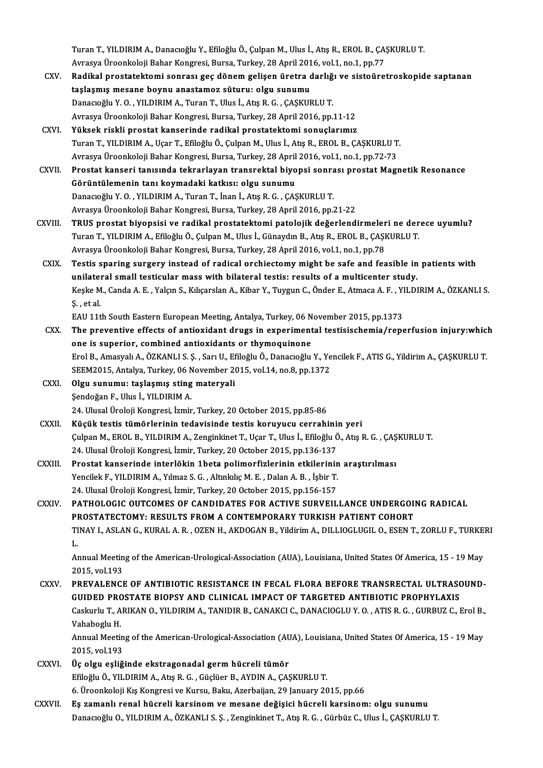Turan T., YILDIRIM A., Danacıoğlu Y., Efiloğlu Ö., Çulpan M., Ulus İ., Atış R., EROL B., ÇAŞKURLU T.<br>Ayrasıya Ürasarkalaji Bahar Konsussi, Bursa, Turkay, 28 Anril 2016, yal 1 no. 1 np. 77 Turan T., YILDIRIM A., Danacıoğlu Y., Efiloğlu Ö., Çulpan M., Ulus İ., Atış R., EROL B., ÇA!<br>Avrasya Üroonkoloji Bahar Kongresi, Bursa, Turkey, 28 April 2016, vol.1, no.1, pp.77<br>Padikal prestataktami sonrası ges dönem geli Turan T., YILDIRIM A., Danacıoğlu Y., Efiloğlu Ö., Çulpan M., Ulus İ., Atış R., EROL B., ÇAŞKURLU T.<br>Avrasya Üroonkoloji Bahar Kongresi, Bursa, Turkey, 28 April 2016, vol.1, no.1, pp.77<br>CXV. Radikal prostatektomi sonrası g

- Avrasya Üroonkoloji Bahar Kongresi, Bursa, Turkey, 28 April 2016, vol.1, no.1, pp.77<br>Radikal prostatektomi sonrası geç dönem gelişen üretra darlığı ve sistoüretroskopide saptanan<br>taşlaşmış mesane boynu anastamoz süturu: ol Danacıoğlu Y.O., YILDIRIM A., Turan T., Ulus İ., Atış R.G., ÇAŞKURLU T. Avrasya Üroonkoloji Bahar Kongresi, Bursa, Turkey, 28 April 2016, pp.11-12
- CXVI. Yüksek riskli prostat kanserinde radikal prostatektomi sonuçlarımız TuranT.,YILDIRIMA.,UçarT.,EfiloğluÖ.,ÇulpanM.,Ulus İ.,AtışR.,EROLB.,ÇAŞKURLUT. Yüksek riskli prostat kanserinde radikal prostatektomi sonuçlarımız<br>Turan T., YILDIRIM A., Uçar T., Efiloğlu Ö., Çulpan M., Ulus İ., Atış R., EROL B., ÇAŞKURLU T<br>Avrasya Üroonkoloji Bahar Kongresi, Bursa, Turkey, 28 April Turan T., YILDIRIM A., Uçar T., Efiloğlu Ö., Çulpan M., Ulus İ., Atış R., EROL B., ÇAŞKURLU T.<br>Avrasya Üroonkoloji Bahar Kongresi, Bursa, Turkey, 28 April 2016, vol.1, no.1, pp.72-73<br>CXVII. Prostat kanseri tanısında tekrar
- Avrasya Üroonkoloji Bahar Kongresi, Bursa, Turkey, 28 April<br>Prostat kanseri tanısında tekrarlayan transrektal biyo<br>Görüntülemenin tanı koymadaki katkısı: olgu sunumu<br>Penagağlu Y.O., YU DIBIM A. Turan T. İnan İ. Ata B.G., G Prostat kanseri tanısında tekrarlayan transrektal biyopsi sonra<br>Görüntülemenin tanı koymadaki katkısı: olgu sunumu<br>Danacıoğlu Y. O. , YILDIRIM A., Turan T., İnan İ., Atış R. G. , ÇAŞKURLU T.<br>Ayrasya Üroonkoloji Babar Konsr Görüntülemenin tanı koymadaki katkısı: olgu sunumu<br>Danacıoğlu Y. O. , YILDIRIM A., Turan T., İnan İ., Atış R. G. , ÇAŞKURLU T.<br>Avrasya Üroonkoloji Bahar Kongresi, Bursa, Turkey, 28 April 2016, pp.21-22 Danacıoğlu Y. O. , YILDIRIM A., Turan T., İnan İ., Atış R. G. , ÇAŞKURLU T.<br>Avrasya Üroonkoloji Bahar Kongresi, Bursa, Turkey, 28 April 2016, pp.21-22<br>CXVIII. TRUS prostat biyopsisi ve radikal prostatektomi patolojik d
- Avrasya Üroonkoloji Bahar Kongresi, Bursa, Turkey, 28 April 2016, pp.21-22<br>TRUS prostat biyopsisi ve radikal prostatektomi patolojik değerlendirmeleri ne der<br>Turan T., YILDIRIM A., Efiloğlu Ö., Çulpan M., Ulus İ., Günaydın TRUS prostat biyopsisi ve radikal prostatektomi patolojik değerlendirmeler<br>Turan T., YILDIRIM A., Efiloğlu Ö., Çulpan M., Ulus İ., Günaydın B., Atış R., EROL B., ÇAŞI<br>Avrasya Üroonkoloji Bahar Kongresi, Bursa, Turkey, 28 A Turan T., YILDIRIM A., Efiloğlu Ö., Çulpan M., Ulus İ., Günaydın B., Atış R., EROL B., ÇAŞKURLU T.<br>Avrasya Üroonkoloji Bahar Kongresi, Bursa, Turkey, 28 April 2016, vol.1, no.1, pp.78<br>CXIX. Testis sparing surgery instead o
- Avrasya Üroonkoloji Bahar Kongresi, Bursa, Turkey, 28 April 2016, vol.1, no.1, pp.78<br>Testis sparing surgery instead of radical orchiectomy might be safe and feasible in<br>unilateral small testicular mass with bilateral testi Testis sparing surgery instead of radical orchiectomy might be safe and feasible in patients with<br>unilateral small testicular mass with bilateral testis: results of a multicenter study.<br>Keşke M., Canda A. E. , Yalçın S., K unilate<mark>l</mark><br>Keşke M<br>Ş. , et al.<br>EAU 11+ Keşke M., Canda A. E. , Yalçın S., Kılıçarslan A., Kibar Y., Tuygun C., Önder E., Atmaca A. F. , Yl<br>Ş. , et al.<br>EAU 11th South Eastern European Meeting, Antalya, Turkey, 06 November 2015, pp.1373<br>The preventive effects of S. , et al.<br>EAU 11th South Eastern European Meeting, Antalya, Turkey, 06 November 2015, pp.1373<br>CXX. The preventive effects of antioxidant drugs in experimental testisischemia/reperfusion injury:which

- one is superior, combined antioxidants or thymoquinone The preventive effects of antioxidant drugs in experimental testisischemia/reperfusion injury:which<br>The is superior, combined antioxidants or thymoquinone<br>Erol B., Amasyalı A., ÖZKANLI S. Ş. , Sarı U., Efiloğlu Ö., Danacıo one is superior, combined antioxidants or thymoquinone<br>Erol B., Amasyalı A., ÖZKANLI S. Ş. , Sarı U., Efiloğlu Ö., Danacıoğlu Y., Ye<br>SEEM2015, Antalya, Turkey, 06 November 2015, vol.14, no.8, pp.1372<br>Olsu sunumu: taslasmış Erol B., Amasyalı A., ÖZKANLI S. Ş., Sarı U., Ef<br>SEEM2015, Antalya, Turkey, 06 November 20<br>CXXI. Olgu sunumu: taşlaşmış sting materyali<br>Sondoğan E. Illus İ. YU DIPIM A
- SEEM2015, Antalya, Turkey, 06 November 2015, vol.14, no.8, pp.1372<br>Olgu sunumu: taşlaşmış sting materyali<br>Sendoğan F., Ulus İ., YILDIRIM A. 24. Ulusal Üroloji Kongresi, İzmir, Turkey, 20 October 2015, pp.85-86 Sendoğan F., Ulus İ., YILDIRIM A.<br>24. Ulusal Üroloji Kongresi, İzmir, Turkey, 20 October 2015, pp.85-86<br>CXXII. Küçük testis tümörlerinin tedavisinde testis koruyucu cerrahinin yeri<br>Cylnan M. EBOL B. YU DIBIM A. Zonginl
- Çulpan M., EROL B., YILDIRIM A., Zenginkinet T., Uçar T., Ulus İ., Efiloğlu Ö., Atış R. G. , ÇAŞKURLU T.<br>24. Ulusal Üroloji Kongresi, İzmir, Turkey, 20 October 2015, pp.136-137 Küçük testis tümörlerinin tedavisinde testis koruyucu cerrahini<br>Çulpan M., EROL B., YILDIRIM A., Zenginkinet T., Uçar T., Ulus İ., Efiloğlu Ö<br>24. Ulusal Üroloji Kongresi, İzmir, Turkey, 20 October 2015, pp.136-137<br>Prestat Culpan M., EROL B., YILDIRIM A., Zenginkinet T., Uçar T., Ulus İ., Efiloğlu Ö., Atış R. G. , ÇAŞ<br>24. Ulusal Üroloji Kongresi, İzmir, Turkey, 20 October 2015, pp.136-137<br>CXXIII. Prostat kanserinde interlökin 1beta polimorfi
- 24. Ulusal Üroloji Kongresi, İzmir, Turkey, 20 October 2015, pp.136-137<br>Prostat kanserinde interlökin 1beta polimorfizlerinin etkilerinin<br>Yencilek F., YILDIRIM A., Yılmaz S. G. , Altınkılıç M. E. , Dalan A. B. , İşbir T.<br>2 Prostat kanserinde interlökin 1beta polimorfizlerinin etkilerinin<br>Yencilek F., YILDIRIM A., Yılmaz S. G. , Altınkılıç M. E. , Dalan A. B. , İşbir T.<br>24. Ulusal Üroloji Kongresi, İzmir, Turkey, 20 October 2015, pp.156-157<br>P Yencilek F., YILDIRIM A., Yılmaz S. G. , Altınkılıç M. E. , Dalan A. B. , İşbir T.<br>24. Ulusal Üroloji Kongresi, İzmir, Turkey, 20 October 2015, pp.156-157<br>CXXIV. PATHOLOGIC OUTCOMES OF CANDIDATES FOR ACTIVE SURVEILLANCE UN
- 24. Ulusal Üroloji Kongresi, İzmir, Turkey, 20 October 2015, pp.156-157<br>PATHOLOGIC OUTCOMES OF CANDIDATES FOR ACTIVE SURVEILLANCE UNDERGOI!<br>PROSTATECTOMY: RESULTS FROM A CONTEMPORARY TURKISH PATIENT COHORT<br>TINAV LASLAN C. PATHOLOGIC OUTCOMES OF CANDIDATES FOR ACTIVE SURVEILLANCE UNDERGOING RADICAL<br>PROSTATECTOMY: RESULTS FROM A CONTEMPORARY TURKISH PATIENT COHORT<br>TINAY I., ASLAN G., KURAL A. R. , OZEN H., AKDOGAN B., Yildirim A., DILLIOGLUGI PI<br>TI<br>L. TINAY I., ASLAN G., KURAL A. R. , OZEN H., AKDOGAN B., Yildirim A., DILLIOGLUGIL O., ESEN T., ZORLU F., TURKE<br>L.<br>Annual Meeting of the American-Urological-Association (AUA), Louisiana, United States Of America, 15 - 19 May

L.<br>Annual Meetin<br>2015, vol.193<br>PREVALENCI Annual Meeting of the American-Urological-Association (AUA), Louisiana, United States Of America, 15 - 19 May<br>2015, vol.193<br>CXXV. PREVALENCE OF ANTIBIOTIC RESISTANCE IN FECAL FLORA BEFORE TRANSRECTAL ULTRASOUND-<br>CUIDED BRO

- 2015, vol193<br>PREVALENCE OF ANTIBIOTIC RESISTANCE IN FECAL FLORA BEFORE TRANSRECTAL ULTRASO<br>GUIDED PROSTATE BIOPSY AND CLINICAL IMPACT OF TARGETED ANTIBIOTIC PROPHYLAXIS<br>Cechurby T. ARIKAN O. VILDIRIM A. TANIDIR R. CANAKCLE PREVALENCE OF ANTIBIOTIC RESISTANCE IN FECAL FLORA BEFORE TRANSRECTAL ULTRASOUND-<br>GUIDED PROSTATE BIOPSY AND CLINICAL IMPACT OF TARGETED ANTIBIOTIC PROPHYLAXIS<br>Caskurlu T., ARIKAN O., YILDIRIM A., TANIDIR B., CANAKCI C., D GUIDED PROSTATE BIOPSY AND CLINICAL IMPACT OF TARGETED ANTIBIOTIC PROPHYLAXIS<br>Caskurlu T., ARIKAN O., YILDIRIM A., TANIDIR B., CANAKCI C., DANACIOGLU Y. O., ATIS R. G., GURBUZ C., I<br>Vahaboglu H. Caskurlu T., ARIKAN O., YILDIRIM A., TANIDIR B., CANAKCI C., DANACIOGLU Y. O. , ATIS R. G. , GURBUZ C., Erol B.,<br>Vahaboglu H.<br>Annual Meeting of the American-Urological-Association (AUA), Louisiana, United States Of America Annual Meeting of the American-Urological-Association (AUA), Louisiana, United States Of America, 15 - 19 May
- CXXVI. Üç olgu eşliğinde ekstragonadal germhücreli tümör Efiloğlu Ö., YILDIRIM A., Atış R. G., Güçlüer B., AYDIN A., ÇAŞKURLU T. 6.ÜroonkolojiKışKongresiveKursu,Baku,Azerbaijan,29 January2015,pp.66
- CXXVII. Eş zamanlı renal hücreli karsinom ve mesane değişici hücreli karsinom: olgu sunumu Danacıoğlu O., YILDIRIM A., ÖZKANLI S. Ş. , Zenginkinet T., Atış R. G. , Gürbüz C., Ulus İ., ÇAŞKURLU T.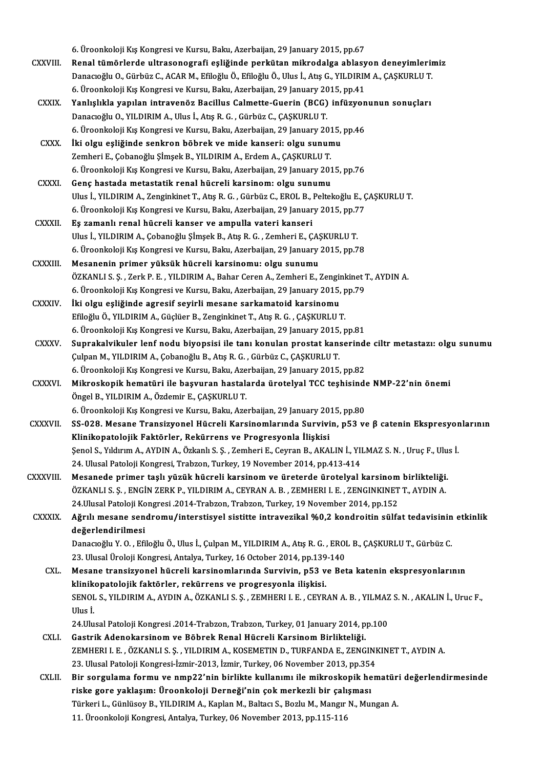6. Üroonkoloji Kış Kongresi ve Kursu, Baku, Azerbaijan, 29 January 2015, pp.67 6. Üroonkoloji Kış Kongresi ve Kursu, Baku, Azerbaijan, 29 January 2015, pp.67<br>CXXVIII. Renal tümörlerde ultrasonografi eşliğinde perkütan mikrodalga ablasyon deneyimlerimiz 6. Üroonkoloji Kış Kongresi ve Kursu, Baku, Azerbaijan, 29 January 2015, pp.67<br>Renal tümörlerde ultrasonografi eşliğinde perkütan mikrodalga ablasyon deneyimlerin<br>Danacıoğlu O., Gürbüz C., ACAR M., Efiloğlu Ö., Efiloğlu Ö. Renal tümörlerde ultrasonografi eşliğinde perkütan mikrodalga ablasy<br>Danacıoğlu O., Gürbüz C., ACAR M., Efiloğlu Ö., Efiloğlu Ö., Ulus İ., Atış G., YILDIRIN<br>6. Üroonkoloji Kış Kongresi ve Kursu, Baku, Azerbaijan, 29 Januar Danacıoğlu O., Gürbüz C., ACAR M., Efiloğlu Ö., Efiloğlu Ö., Ulus İ., Atış G., YILDIRIM A., ÇAŞKURLU T.<br>6. Üroonkoloji Kış Kongresi ve Kursu, Baku, Azerbaijan, 29 January 2015, pp.41<br>CXXIX. Yanlışlıkla yapılan intravenöz B 6. Üroonkoloji Kış Kongresi ve Kursu, Baku, Azerbaijan, 29 January 20<br>Yanlışlıkla yapılan intravenöz Bacillus Calmette-Guerin (BCG)<br>Danacıoğlu O., YILDIRIM A., Ulus İ., Atış R. G. , Gürbüz C., ÇAŞKURLU T.<br>6. Üroonkoloji Kı Yanlışlıkla yapılan intravenöz Bacillus Calmette-Guerin (BCG) infüzyon<br>Danacıoğlu O., YILDIRIM A., Ulus İ., Atış R. G. , Gürbüz C., ÇAŞKURLU T.<br>6. Üroonkoloji Kış Kongresi ve Kursu, Baku, Azerbaijan, 29 January 2015, pp.46 Danacıoğlu O., YILDIRIM A., Ulus İ., Atış R. G. , Gürbüz C., ÇAŞKURLU T.<br>6. Üroonkoloji Kış Kongresi ve Kursu, Baku, Azerbaijan, 29 January 2015,<br>CXXX. İki olgu eşliğinde senkron böbrek ve mide kanseri: olgu sunumu<br>7. Tamb 6. Üroonkoloji Kış Kongresi ve Kursu, Baku, Azerbaijan, 29 January 2015, pp.46<br>İki olgu eşliğinde senkron böbrek ve mide kanseri: olgu sunumu<br>Zemheri E., Cobanoğlu Sİmsek B., YILDIRIM A., Erdem A., CASKURLU T. İki olgu eşliğinde senkron böbrek ve mide kanseri: olgu sunumu<br>Zemheri E., Çobanoğlu Şİmşek B., YILDIRIM A., Erdem A., ÇAŞKURLU T.<br>6. Üroonkoloji Kış Kongresi ve Kursu, Baku, Azerbaijan, 29 January 2015, pp.76<br>Cons bastada Zemheri E., Çobanoğlu Şİmşek B., YILDIRIM A., Erdem A., ÇAŞKURLU T.<br>6. Üroonkoloji Kış Kongresi ve Kursu, Baku, Azerbaijan, 29 January 2014<br>CXXXI. Genç hastada metastatik renal hücreli karsinom: olgu sunumu 6. Üroonkoloji Kış Kongresi ve Kursu, Baku, Azerbaijan, 29 January 2015, pp.76<br>Genç hastada metastatik renal hücreli karsinom: olgu sunumu<br>Ulus İ., YILDIRIM A., Zenginkinet T., Atış R. G. , Gürbüz C., EROL B., Peltekoğlu E Genç hastada metastatik renal hücreli karsinom: olgu sunumu<br>Ulus İ., YILDIRIM A., Zenginkinet T., Atış R. G. , Gürbüz C., EROL B., Peltekoğlu E., Ç<br>6. Üroonkoloji Kış Kongresi ve Kursu, Baku, Azerbaijan, 29 January 2015, p 6. Üroonkoloji Kış Kongresi ve Kursu, Baku, Azerbaijan, 29 January 2015, pp.77<br>CXXXII. Eş zamanlı renal hücreli kanser ve ampulla vateri kanseri 6. Üroonkoloji Kış Kongresi ve Kursu, Baku, Azerbaijan, 29 January 2015, pp.7<br>**Eş zamanlı renal hücreli kanser ve ampulla vateri kanseri**<br>Ulus İ., YILDIRIM A., Çobanoğlu Şİmşek B., Atış R. G. , Zemheri E., ÇAŞKURLU T.<br>6. Ü Eş zamanlı renal hücreli kanser ve ampulla vateri kanseri<br>Ulus İ., YILDIRIM A., Çobanoğlu Şİmşek B., Atış R. G. , Zemheri E., ÇAŞKURLU T.<br>6. Üroonkoloji Kış Kongresi ve Kursu, Baku, Azerbaijan, 29 January 2015, pp.78<br>Mesan Ulus İ., YILDIRIM A., Çobanoğlu Şİmşek B., Atış R. G. , Zemheri E., ÇAŞ<br>6. Üroonkoloji Kış Kongresi ve Kursu, Baku, Azerbaijan, 29 January<br>CXXXIII. Mesanenin primer yüksük hücreli karsinomu: olgu sunumu<br>ÖZKANLLS S. Zerk B. 6. Üroonkoloji Kış Kongresi ve Kursu, Baku, Azerbaijan, 29 January 2015, pp.78<br>Mesanenin primer yüksük hücreli karsinomu: olgu sunumu<br>ÖZKANLI S. Ş. , Zerk P. E. , YILDIRIM A., Bahar Ceren A., Zemheri E., Zenginkinet T., AY Mesanenin primer yüksük hücreli karsinomu: olgu sunumu<br>ÖZKANLI S. Ş. , Zerk P. E. , YILDIRIM A., Bahar Ceren A., Zemheri E., Zenginkinet 1<br>6. Üroonkoloji Kış Kongresi ve Kursu, Baku, Azerbaijan, 29 January 2015, pp.79<br><sup>İlt</sup> ÖZKANLI S. Ş. , Zerk P. E. , YILDIRIM A., Bahar Ceren A., Zemheri E., Zengir<br>6. Üroonkoloji Kış Kongresi ve Kursu, Baku, Azerbaijan, 29 January 2015,<br>CXXXIV. İki olgu eşliğinde agresif seyirli mesane sarkamatoid karsinomu<br> 6. Üroonkoloji Kış Kongresi ve Kursu, Baku, Azerbaijan, 29 January 2015, p<br>İki olgu eşliğinde agresif seyirli mesane sarkamatoid karsinomu<br>Efiloğlu Ö., YILDIRIM A., Güçlüer B., Zenginkinet T., Atış R. G. , ÇAŞKURLU T.<br>6. Ü İki olgu eşliğinde agresif seyirli mesane sarkamatoid karsinomu<br>Efiloğlu Ö., YILDIRIM A., Güçlüer B., Zenginkinet T., Atış R. G. , ÇAŞKURLU T.<br>6. Üroonkoloji Kış Kongresi ve Kursu, Baku, Azerbaijan, 29 January 2015, pp.81<br> Efiloğlu Ö., YILDIRIM A., Güçlüer B., Zenginkinet T., Atış R. G. , ÇAŞKURLU T.<br>6. Üroonkoloji Kış Kongresi ve Kursu, Baku, Azerbaijan, 29 January 2015, pp.81<br>CXXXV. Suprakalvikuler lenf nodu biyopsisi ile tanı konulan pros 6. Üroonkoloji Kış Kongresi ve Kursu, Baku, Azerbaijan, 29 January 2015, pp.81<br>Suprakalvikuler lenf nodu biyopsisi ile tanı konulan prostat kanserind<br>Çulpan M., YILDIRIM A., Çobanoğlu B., Atış R. G. , Gürbüz C., ÇAŞKURLU T Suprakalvikuler lenf nodu biyopsisi ile tanı konulan prostat kanserinde<br>Çulpan M., YILDIRIM A., Çobanoğlu B., Atış R. G. , Gürbüz C., ÇAŞKURLU T.<br>6. Üroonkoloji Kış Kongresi ve Kursu, Baku, Azerbaijan, 29 January 2015, pp. Culpan M., YILDIRIM A., Çobanoğlu B., Atış R. G. , Gürbüz C., ÇAŞKURLU T.<br>6. Üroonkoloji Kış Kongresi ve Kursu, Baku, Azerbaijan, 29 January 2015, pp.82<br>CXXXVI. Mikroskopik hematüri ile başvuran hastalarda ürotelyal TCC te 6. Üroonkoloji Kış Kongresi ve Kursu, Baku, Aze<br>Mikroskopik hematüri ile başvuran hastal:<br>Öngel B., YILDIRIM A., Özdemir E., ÇAŞKURLU T.<br>6. Üroonkoloji Kış Kongresi ve Kursu, Baku, Aze Mikroskopik hematüri ile başvuran hastalarda ürotelyal TCC teşhisinde<br>Öngel B., YILDIRIM A., Özdemir E., ÇAŞKURLU T.<br>6. Üroonkoloji Kış Kongresi ve Kursu, Baku, Azerbaijan, 29 January 2015, pp.80<br>SS. 028. Masana Transizvan Öngel B., YILDIRIM A., Özdemir E., ÇAŞKURLU T.<br>6. Üroonkoloji Kış Kongresi ve Kursu, Baku, Azerbaijan, 29 January 2015, pp.80<br>CXXXVII. SS-028. Mesane Transizyonel Hücreli Karsinomlarında Survivin, p53 ve β catenin Eks 6. Üroonkoloji Kış Kongresi ve Kursu, Baku, Azerbaijan, 29 January 20<br>SS-028. Mesane Transizyonel Hücreli Karsinomlarında Survivi<br>Klinikopatolojik Faktörler, Rekürrens ve Progresyonla İlişkisi<br>Sanal S. Yıldırım A. AYDIN A. SS-028. Mesane Transizyonel Hücreli Karsinomlarında Survivin, p53 ve β catenin Ekspresyor<br>Klinikopatolojik Faktörler, Rekürrens ve Progresyonla İlişkisi<br>Şenol S., Yıldırım A., AYDIN A., Özkanlı S. Ş. , Zemheri E., Ceyran Klinikopatolojik Faktörler, Rekürrens ve Progresyonla İlişkisi<br>Şenol S., Yıldırım A., AYDIN A., Özkanlı S. Ş. , Zemheri E., Ceyran B., AKALIN İ., YILMAZ S. N. , Uruç F., Ulus İ.<br>24. Ulusal Patoloji Kongresi, Trabzon, Turke Senol S., Yıldırım A., AYDIN A., Özkanlı S. Ş. , Zemheri E., Ceyran B., AKALIN İ., YILMAZ S. N. , Uruç F., Ulu<br>24. Ulusal Patoloji Kongresi, Trabzon, Turkey, 19 November 2014, pp.413-414<br>2. CXXXVIII. Mesanede primer taşlı 24. Ulusal Patoloji Kongresi, Trabzon, Turkey, 19 November 2014, pp.413-414<br>Mesanede primer taşlı yüzük hücreli karsinom ve üreterde ürotelyal karsinom birlikteliği.<br>ÖZKANLI S. Ş. , ENGİN ZERK P., YILDIRIM A., CEYRAN A. B. Mesanede primer taşlı yüzük hücreli karsinom ve üreterde ürotelyal karsinom<br>ÖZKANLI S. Ş. , ENGİN ZERK P., YILDIRIM A., CEYRAN A. B. , ZEMHERI I. E. , ZENGINKINET<br>24.Ulusal Patoloji Kongresi .2014-Trabzon, Trabzon, Turkey, ÖZKANLI S. Ş. , ENGİN ZERK P., YILDIRIM A., CEYRAN A. B. , ZEMHERI I. E. , ZENGINKINET T., AYDIN A.<br>24.Ulusal Patoloji Kongresi .2014-Trabzon, Trabzon, Turkey, 19 November 2014, pp.152<br>CXXXIX. Ağrılı mesane sendromu/in 24. Ulusal Patoloji Kongresi . 2014-Trabzon, Trabzon, Turkey, 19 November 2014, pp.152 Ağrılı mesane sendromu/interstisyel sistitte intravezikal %0,2 kondroitin sülfat tedavisinin<br>değerlendirilmesi<br>Danacıoğlu Y. O. , Efiloğlu Ö., Ulus İ., Çulpan M., YILDIRIM A., Atış R. G. , EROL B., ÇAŞKURLU T., Gürbüz C.<br>2 <mark>değerlendirilmesi</mark><br>Danacıoğlu Y. O. , Efiloğlu Ö., Ulus İ., Çulpan M., YILDIRIM A., Atış R. G. , EROI<br>23. Ulusal Üroloji Kongresi, Antalya, Turkey, 16 October 2014, pp.139-140<br>Mesane transisyonel büsreli karsinemlerunde S Danacıoğlu Y. O. , Efiloğlu Ö., Ulus İ., Çulpan M., YILDIRIM A., Atış R. G. , EROL B., ÇAŞKURLU T., Gürbüz C.<br>23. Ulusal Üroloji Kongresi, Antalya, Turkey, 16 October 2014, pp.139-140<br>CXL. Mesane transizyonel hücreli karsi 23. Ulusal Üroloji Kongresi, Antalya, Turkey, 16 October 2014, pp.139<br>Mesane transizyonel hücreli karsinomlarında Survivin, p53 v<br>klinikopatolojik faktörler, rekürrens ve progresyonla ilişkisi.<br>SENOL S. VILDIBIM A. AVDIN A Mesane transizyonel hücreli karsinomlarında Survivin, p53 ve Beta katenin ekspresyonlarının<br>klinikopatolojik faktörler, rekürrens ve progresyonla ilişkisi.<br>SENOL S., YILDIRIM A., AYDIN A., ÖZKANLI S. Ş. , ZEMHERI I. E. , C <mark>klinik</mark><br>SENOL<br>Ulus İ.<br>24 Ulu SENOL S., YILDIRIM A., AYDIN A., ÖZKANLI S. Ş. , ZEMHERI I. E. , CEYRAN A. B. , YILMAZ<br>Ulus İ.<br>24.Ulusal Patoloji Kongresi .2014-Trabzon, Trabzon, Turkey, 01 January 2014, pp.100<br>Costrik Adenakarajnam ve Böhnek Banal Hüsre Ulus İ.<br>24.Ulusal Patoloji Kongresi .2014-Trabzon, Trabzon, Turkey, 01 January 2014, pp.100<br>CXLI. Gastrik Adenokarsinom ve Böbrek Renal Hücreli Karsinom Birlikteliği. ZEMHERI I.E. ,ÖZKANLI S.Ş. ,YILDIRIMA.,KOSEMETIND.,TURFANDAE.,ZENGINKINETT.,AYDINA. Gastrik Adenokarsinom ve Böbrek Renal Hücreli Karsinom Birlikteliği.<br>ZEMHERI I. E. , ÖZKANLI S. Ş. , YILDIRIM A., KOSEMETIN D., TURFANDA E., ZENGINI<br>23. Ulusal Patoloji Kongresi-İzmir-2013, İzmir, Turkey, 06 November 2013, ZEMHERI I. E. , ÖZKANLI S. Ş. , YILDIRIM A., KOSEMETIN D., TURFANDA E., ZENGINKINET T., AYDIN A.<br>23. Ulusal Patoloji Kongresi-İzmir-2013, İzmir, Turkey, 06 November 2013, pp.354<br>CXLII. Bir sorgulama formu ve nmp22'nin birl 23. Ulusal Patoloji Kongresi-İzmir-2013, İzmir, Turkey, 06 November 2013, pp.354<br>Bir sorgulama formu ve nmp22'nin birlikte kullanımı ile mikroskopik he<br>riske gore yaklaşım: Üroonkoloji Derneği'nin çok merkezli bir çalışmas Bir sorgulama formu ve nmp22'nin birlikte kullanımı ile mikroskopik hematür:<br>riske gore yaklaşım: Üroonkoloji Derneği'nin çok merkezli bir çalışması<br>Türkeri L., Günlüsoy B., YILDIRIM A., Kaplan M., Baltacı S., Bozlu M., Ma riske gore yaklaşım: Üroonkoloji Derneği'nin çok merkezli bir çalışması<br>Türkeri L., Günlüsoy B., YILDIRIM A., Kaplan M., Baltacı S., Bozlu M., Mangır N., Mungan A.<br>11. Üroonkoloji Kongresi, Antalya, Turkey, 06 November 201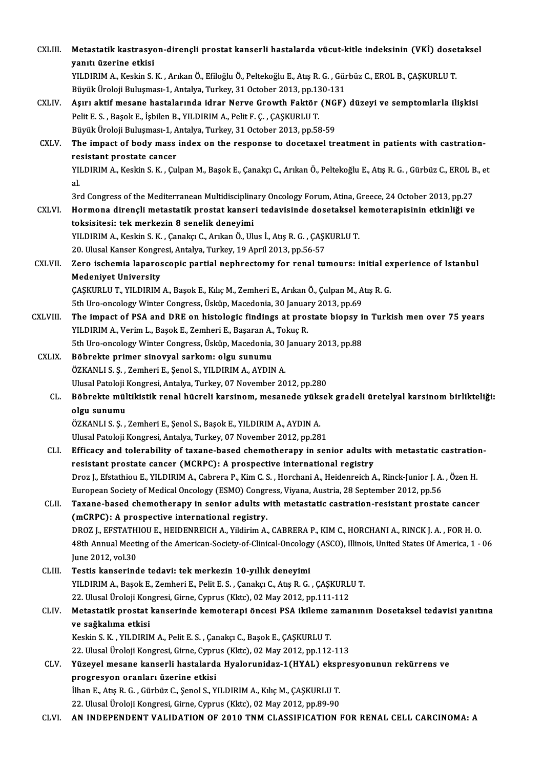| <b>CXLIII.</b> | Metastatik kastrasyon-dirençli prostat kanserli hastalarda vücut-kitle indeksinin (VKİ) dosetaksel                                              |
|----------------|-------------------------------------------------------------------------------------------------------------------------------------------------|
|                | yanıtı üzerine etkisi                                                                                                                           |
|                | YILDIRIM A., Keskin S. K., Arıkan Ö., Efiloğlu Ö., Peltekoğlu E., Atış R. G., Gürbüz C., EROL B., ÇAŞKURLU T.                                   |
|                | Büyük Üroloji Buluşması-1, Antalya, Turkey, 31 October 2013, pp.130-131                                                                         |
| CXLIV.         | Aşırı aktif mesane hastalarında idrar Nerve Growth Faktör (NGF) düzeyi ve semptomlarla ilişkisi                                                 |
|                | Pelit E. S., Başok E., İşbilen B., YILDIRIM A., Pelit F. Ç., ÇAŞKURLU T.                                                                        |
|                | Büyük Üroloji Buluşması-1, Antalya, Turkey, 31 October 2013, pp.58-59                                                                           |
| CXLV.          | The impact of body mass index on the response to docetaxel treatment in patients with castration-<br>resistant prostate cancer                  |
|                | YILDIRIM A., Keskin S. K., Çulpan M., Başok E., Çanakçı C., Arıkan Ö., Peltekoğlu E., Atış R. G., Gürbüz C., EROL B., et<br>al.                 |
|                | 3rd Congress of the Mediterranean Multidisciplinary Oncology Forum, Atina, Greece, 24 October 2013, pp.27                                       |
| CXLVI.         | Hormona dirençli metastatik prostat kanseri tedavisinde dosetaksel kemoterapisinin etkinliği ve<br>toksisitesi: tek merkezin 8 senelik deneyimi |
|                | YILDIRIM A., Keskin S. K., Çanakçı C., Arıkan Ö., Ulus İ., Atış R. G., ÇAŞKURLU T.                                                              |
|                | 20. Ulusal Kanser Kongresi, Antalya, Turkey, 19 April 2013, pp.56-57                                                                            |
| CXLVII.        | Zero ischemia laparoscopic partial nephrectomy for renal tumours: initial experience of Istanbul                                                |
|                | <b>Medeniyet University</b>                                                                                                                     |
|                | ÇAŞKURLU T., YILDIRIM A., Başok E., Kılıç M., Zemheri E., Arıkan Ö., Çulpan M., Atış R. G.                                                      |
|                | 5th Uro-oncology Winter Congress, Üsküp, Macedonia, 30 January 2013, pp.69                                                                      |
| CXLVIII.       | The impact of PSA and DRE on histologic findings at prostate biopsy in Turkish men over 75 years                                                |
|                | YILDIRIM A., Verim L., Başok E., Zemheri E., Başaran A., Tokuç R.                                                                               |
|                | 5th Uro-oncology Winter Congress, Üsküp, Macedonia, 30 January 2013, pp.88                                                                      |
| <b>CXLIX</b>   | Böbrekte primer sinovyal sarkom: olgu sunumu                                                                                                    |
|                | ÖZKANLI S. Ş., Zemheri E., Şenol S., YILDIRIM A., AYDIN A.                                                                                      |
|                | Ulusal Patoloji Kongresi, Antalya, Turkey, 07 November 2012, pp.280                                                                             |
| CL.            | Böbrekte mültikistik renal hücreli karsinom, mesanede yüksek gradeli üretelyal karsinom birlikteliği:                                           |
|                | olgu sunumu                                                                                                                                     |
|                | ÖZKANLI S. Ş., Zemheri E., Şenol S., Başok E., YILDIRIM A., AYDIN A.                                                                            |
|                | Ulusal Patoloji Kongresi, Antalya, Turkey, 07 November 2012, pp.281                                                                             |
| CLI.           | Efficacy and tolerability of taxane-based chemotherapy in senior adults with metastatic castration-                                             |
|                | resistant prostate cancer (MCRPC): A prospective international registry                                                                         |
|                | Droz J., Efstathiou E., YILDIRIM A., Cabrera P., Kim C. S., Horchani A., Heidenreich A., Rinck-Junior J. A., Özen H.                            |
|                | European Society of Medical Oncology (ESMO) Congress, Viyana, Austria, 28 September 2012, pp.56                                                 |
| CLII.          | Taxane-based chemotherapy in senior adults with metastatic castration-resistant prostate cancer                                                 |
|                | (mCRPC): A prospective international registry.                                                                                                  |
|                | DROZ J., EFSTATHIOU E., HEIDENREICH A., Yildirim A., CABRERA P., KIM C., HORCHANI A., RINCK J. A., FOR H. O.                                    |
|                | 48th Annual Meeting of the American-Society-of-Clinical-Oncology (ASCO), Illinois, United States Of America, 1 - 06                             |
| CLIII.         | June 2012, vol.30<br>Testis kanserinde tedavi: tek merkezin 10-yıllık deneyimi                                                                  |
|                | YILDIRIM A., Başok E., Zemheri E., Pelit E. S., Çanakçı C., Atış R. G., ÇAŞKURLU T.                                                             |
|                | 22. Ulusal Üroloji Kongresi, Girne, Cyprus (Kktc), 02 May 2012, pp.111-112                                                                      |
| CLIV.          | Metastatik prostat kanserinde kemoterapi öncesi PSA ikileme zamanının Dosetaksel tedavisi yanıtına                                              |
|                | ve sağkalıma etkisi                                                                                                                             |
|                | Keskin S. K., YILDIRIM A., Pelit E. S., Çanakçı C., Başok E., ÇAŞKURLU T.                                                                       |
|                | 22. Ulusal Üroloji Kongresi, Girne, Cyprus (Kktc), 02 May 2012, pp.112-113                                                                      |
| CLV.           | Yüzeyel mesane kanserli hastalarda Hyalorunidaz-1(HYAL) ekspresyonunun rekürrens ve                                                             |
|                | progresyon oranları üzerine etkisi                                                                                                              |
|                | İlhan E., Atış R. G., Gürbüz C., Şenol S., YILDIRIM A., Kılıç M., ÇAŞKURLU T.                                                                   |
|                | 22. Ulusal Üroloji Kongresi, Girne, Cyprus (Kktc), 02 May 2012, pp.89-90                                                                        |
| CLVI.          | AN INDEPENDENT VALIDATION OF 2010 TNM CLASSIFICATION FOR RENAL CELL CARCINOMA: A                                                                |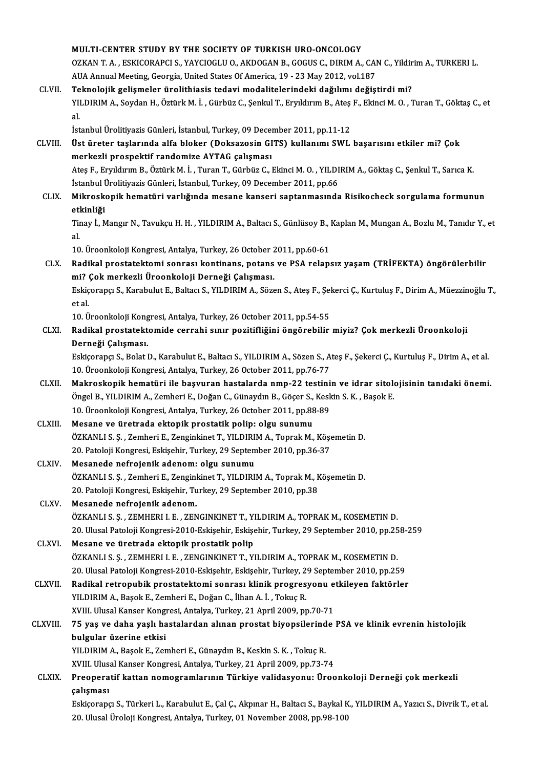|               | MULTI-CENTER STUDY BY THE SOCIETY OF TURKISH URO-ONCOLOGY                                                                      |
|---------------|--------------------------------------------------------------------------------------------------------------------------------|
|               | OZKAN T. A., ESKICORAPCI S., YAYCIOGLU O., AKDOGAN B., GOGUS C., DIRIM A., CAN C., Yildirim A., TURKERI L.                     |
|               | AUA Annual Meeting, Georgia, United States Of America, 19 - 23 May 2012, vol.187                                               |
| CLVII.        | Teknolojik gelişmeler ürolithiasis tedavi modalitelerindeki dağılımı değiştirdi mi?                                            |
|               | YILDIRIM A., Soydan H., Öztürk M. İ., Gürbüz C., Şenkul T., Eryıldırım B., Ateş F., Ekinci M. O., Turan T., Göktaş C., et      |
|               | al.                                                                                                                            |
|               | İstanbul Ürolitiyazis Günleri, İstanbul, Turkey, 09 December 2011, pp.11-12                                                    |
| CLVIII.       | Üst üreter taşlarında alfa bloker (Doksazosin GITS) kullanımı SWL başarısını etkiler mi? Çok                                   |
|               | merkezli prospektif randomize AYTAG çalışması                                                                                  |
|               | Ateş F., Eryıldırım B., Öztürk M. İ., Turan T., Gürbüz C., Ekinci M. O., YILDIRIM A., Göktaş C., Şenkul T., Sarıca K.          |
|               | İstanbul Ürolitiyazis Günleri, İstanbul, Turkey, 09 December 2011, pp.66                                                       |
| <b>CLIX</b>   | Mikroskopik hematüri varlığında mesane kanseri saptanmasında Risikocheck sorgulama formunun                                    |
|               | etkinliği                                                                                                                      |
|               | Tinay İ., Mangır N., Tavukçu H. H. , YILDIRIM A., Baltacı S., Günlüsoy B., Kaplan M., Mungan A., Bozlu M., Tanıdır Y., et      |
|               | al.                                                                                                                            |
|               | 10. Üroonkoloji Kongresi, Antalya, Turkey, 26 October 2011, pp.60-61                                                           |
| CLX.          | Radikal prostatektomi sonrası kontinans, potans ve PSA relapsız yaşam (TRİFEKTA) öngörülerbilir                                |
|               | mi? Çok merkezli Üroonkoloji Derneği Çalışması.                                                                                |
|               | Eskiçorapçı S., Karabulut E., Baltacı S., YILDIRIM A., Sözen S., Ateş F., Şekerci Ç., Kurtuluş F., Dirim A., Müezzinoğlu T.,   |
|               | et al.                                                                                                                         |
|               | 10. Üroonkoloji Kongresi, Antalya, Turkey, 26 October 2011, pp.54-55                                                           |
| CLXI.         | Radikal prostatektomide cerrahi sınır pozitifliğini öngörebilir miyiz? Çok merkezli Üroonkoloji                                |
|               | Derneği Çalışması.                                                                                                             |
|               | Eskiçorapçı S., Bolat D., Karabulut E., Baltacı S., YILDIRIM A., Sözen S., Ateş F., Şekerci Ç., Kurtuluş F., Dirim A., et al.  |
|               | 10. Üroonkoloji Kongresi, Antalya, Turkey, 26 October 2011, pp.76-77                                                           |
| CLXII.        | Makroskopik hematüri ile başvuran hastalarda nmp-22 testinin ve idrar sitolojisinin tanıdaki önemi.                            |
|               | Öngel B., YILDIRIM A., Zemheri E., Doğan C., Günaydın B., Göçer S., Keskin S. K., Başok E.                                     |
|               | 10. Üroonkoloji Kongresi, Antalya, Turkey, 26 October 2011, pp.88-89                                                           |
| CLXIII.       | Mesane ve üretrada ektopik prostatik polip: olgu sunumu                                                                        |
|               | ÖZKANLI S. Ş., Zemheri E., Zenginkinet T., YILDIRIM A., Toprak M., Köşemetin D.                                                |
|               | 20. Patoloji Kongresi, Eskişehir, Turkey, 29 September 2010, pp.36-37                                                          |
| <b>CLXIV</b>  | Mesanede nefrojenik adenom: olgu sunumu                                                                                        |
|               | ÖZKANLI S. Ş., Zemheri E., Zenginkinet T., YILDIRIM A., Toprak M., Köşemetin D.                                                |
|               | 20. Patoloji Kongresi, Eskişehir, Turkey, 29 September 2010, pp.38                                                             |
| CLXV.         | Mesanede nefrojenik adenom.                                                                                                    |
|               | ÖZKANLI S. Ş. , ZEMHERI I. E. , ZENGINKINET T., YILDIRIM A., TOPRAK M., KOSEMETIN D.                                           |
|               | 20. Ulusal Patoloji Kongresi-2010-Eskişehir, Eskişehir, Turkey, 29 September 2010, pp.258-259                                  |
| CLXVI.        | Mesane ve üretrada ektopik prostatik polip                                                                                     |
|               | ÖZKANLI S. Ş. , ZEMHERI I. E. , ZENGINKINET T., YILDIRIM A., TOPRAK M., KOSEMETIN D.                                           |
|               | 20. Ulusal Patoloji Kongresi-2010-Eskişehir, Eskişehir, Turkey, 29 September 2010, pp.259                                      |
| <b>CLXVII</b> | Radikal retropubik prostatektomi sonrası klinik progresyonu etkileyen faktörler                                                |
|               | YILDIRIM A., Başok E., Zemheri E., Doğan C., İlhan A. İ., Tokuç R.                                                             |
|               | XVIII. Ulusal Kanser Kongresi, Antalya, Turkey, 21 April 2009, pp.70-71                                                        |
| CLXVIII.      | 75 yaş ve daha yaşlı hastalardan alınan prostat biyopsilerinde PSA ve klinik evrenin histolojik                                |
|               | bulgular üzerine etkisi                                                                                                        |
|               | YILDIRIM A., Başok E., Zemheri E., Günaydın B., Keskin S. K., Tokuç R.                                                         |
|               | XVIII. Ulusal Kanser Kongresi, Antalya, Turkey, 21 April 2009, pp.73-74                                                        |
| <b>CLXIX</b>  | Preoperatif kattan nomogramlarının Türkiye validasyonu: Üroonkoloji Derneği çok merkezli                                       |
|               | çalışması                                                                                                                      |
|               | Eskiçorapçı S., Türkeri L., Karabulut E., Çal Ç., Akpınar H., Baltacı S., Baykal K., YILDIRIM A., Yazıcı S., Divrik T., et al. |
|               | 20. Ulusal Üroloji Kongresi, Antalya, Turkey, 01 November 2008, pp.98-100                                                      |
|               |                                                                                                                                |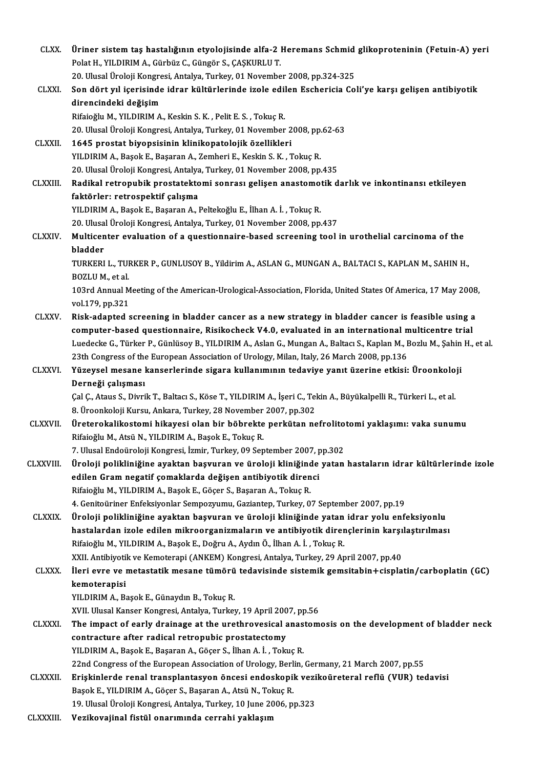| <b>CLXX</b>     | Üriner sistem taş hastalığının etyolojisinde alfa-2 Heremans Schmid glikoproteninin (Fetuin-A) yeri                                                                     |
|-----------------|-------------------------------------------------------------------------------------------------------------------------------------------------------------------------|
|                 | Polat H., YILDIRIM A., Gürbüz C., Güngör S., ÇAŞKURLU T.                                                                                                                |
|                 | 20. Ulusal Üroloji Kongresi, Antalya, Turkey, 01 November 2008, pp.324-325                                                                                              |
| <b>CLXXI</b>    | Son dört yıl içerisinde idrar kültürlerinde izole edilen Eschericia Coli'ye karşı gelişen antibiyotik                                                                   |
|                 | direncindeki değişim                                                                                                                                                    |
|                 | Rifaioğlu M., YILDIRIM A., Keskin S. K., Pelit E. S., Tokuç R.                                                                                                          |
|                 | 20. Ulusal Üroloji Kongresi, Antalya, Turkey, 01 November 2008, pp.62-63                                                                                                |
| <b>CLXXII</b> . | 1645 prostat biyopsisinin klinikopatolojik özellikleri                                                                                                                  |
|                 | YILDIRIM A., Başok E., Başaran A., Zemheri E., Keskin S. K., Tokuç R.                                                                                                   |
|                 | 20. Ulusal Üroloji Kongresi, Antalya, Turkey, 01 November 2008, pp.435                                                                                                  |
| <b>CLXXIII</b>  | Radikal retropubik prostatektomi sonrası gelişen anastomotik darlık ve inkontinansı etkileyen                                                                           |
|                 | faktörler: retrospektif çalışma                                                                                                                                         |
|                 | YILDIRIM A., Başok E., Başaran A., Peltekoğlu E., İlhan A. İ., Tokuç R.                                                                                                 |
| <b>CLXXIV</b>   | 20. Ulusal Üroloji Kongresi, Antalya, Turkey, 01 November 2008, pp.437<br>Multicenter evaluation of a questionnaire-based screening tool in urothelial carcinoma of the |
|                 | bladder                                                                                                                                                                 |
|                 | TURKERI L., TURKER P., GUNLUSOY B., Yildirim A., ASLAN G., MUNGAN A., BALTACI S., KAPLAN M., SAHIN H.,                                                                  |
|                 | BOZLU M, et al.                                                                                                                                                         |
|                 | 103rd Annual Meeting of the American-Urological-Association, Florida, United States Of America, 17 May 2008,                                                            |
|                 | vol 179, pp 321                                                                                                                                                         |
| CLXXV.          | Risk-adapted screening in bladder cancer as a new strategy in bladder cancer is feasible using a                                                                        |
|                 | computer-based questionnaire, Risikocheck V4.0, evaluated in an international multicentre trial                                                                         |
|                 | Luedecke G., Türker P., Günlüsoy B., YILDIRIM A., Aslan G., Mungan A., Baltacı S., Kaplan M., Bozlu M., Şahin H., et al.                                                |
|                 | 23th Congress of the European Association of Urology, Milan, Italy, 26 March 2008, pp.136                                                                               |
| <b>CLXXVI</b>   | Yüzeysel mesane kanserlerinde sigara kullanımının tedaviye yanıt üzerine etkisi: Üroonkoloji                                                                            |
|                 | Derneği çalışması                                                                                                                                                       |
|                 | Çal Ç., Ataus S., Divrik T., Baltacı S., Köse T., YILDIRIM A., İşeri C., Tekin A., Büyükalpelli R., Türkeri L., et al.                                                  |
|                 | 8. Üroonkoloji Kursu, Ankara, Turkey, 28 November 2007, pp.302<br>Üreterokalikostomi hikayesi olan bir böbrekte perkütan nefrolitotomi yaklaşımı: vaka sunumu           |
| <b>CLXXVII</b>  | Rifaioğlu M., Atsü N., YILDIRIM A., Başok E., Tokuç R.                                                                                                                  |
|                 | 7. Ulusal Endoüroloji Kongresi, İzmir, Turkey, 09 September 2007, pp.302                                                                                                |
| CLXXVIII.       | Üroloji polikliniğine ayaktan başvuran ve üroloji kliniğinde yatan hastaların idrar kültürlerinde izole                                                                 |
|                 | edilen Gram negatif çomaklarda değişen antibiyotik direnci                                                                                                              |
|                 | Rifaioğlu M., YILDIRIM A., Başok E., Göçer S., Başaran A., Tokuç R.                                                                                                     |
|                 | 4. Genitoüriner Enfeksiyonlar Sempozyumu, Gaziantep, Turkey, 07 September 2007, pp.19                                                                                   |
| <b>CLXXIX</b>   | Üroloji polikliniğine ayaktan başvuran ve üroloji kliniğinde yatan idrar yolu enfeksiyonlu                                                                              |
|                 | hastalardan izole edilen mikroorganizmaların ve antibiyotik dirençlerinin karşılaştırılması                                                                             |
|                 | Rifaioğlu M., YILDIRIM A., Başok E., Doğru A., Aydın Ö., İlhan A. İ., Tokuç R.                                                                                          |
|                 | XXII. Antibiyotik ve Kemoterapi (ANKEM) Kongresi, Antalya, Turkey, 29 April 2007, pp.40                                                                                 |
| <b>CLXXX</b>    | İleri evre ve metastatik mesane tümörü tedavisinde sistemik gemsitabin+cisplatin/carboplatin (GC)                                                                       |
|                 | kemoterapisi                                                                                                                                                            |
|                 | YILDIRIM A., Başok E., Günaydın B., Tokuç R.                                                                                                                            |
|                 | XVII. Ulusal Kanser Kongresi, Antalya, Turkey, 19 April 2007, pp.56                                                                                                     |
| <b>CLXXXI</b>   | The impact of early drainage at the urethrovesical anastomosis on the development of bladder neck<br>contracture after radical retropubic prostatectomy                 |
|                 | YILDIRIM A., Başok E., Başaran A., Göçer S., İlhan A. İ., Tokuç R.                                                                                                      |
|                 | 22nd Congress of the European Association of Urology, Berlin, Germany, 21 March 2007, pp.55                                                                             |
| <b>CLXXXII.</b> | Erişkinlerde renal transplantasyon öncesi endoskopik vezikoüreteral reflü (VUR) tedavisi                                                                                |
|                 | Başok E., YILDIRIM A., Göçer S., Başaran A., Atsü N., Tokuç R.                                                                                                          |
|                 | 19. Ulusal Üroloji Kongresi, Antalya, Turkey, 10 June 2006, pp.323                                                                                                      |
| <b>CLXXXIII</b> | Vezikovajinal fistül onarımında cerrahi yaklaşım                                                                                                                        |
|                 |                                                                                                                                                                         |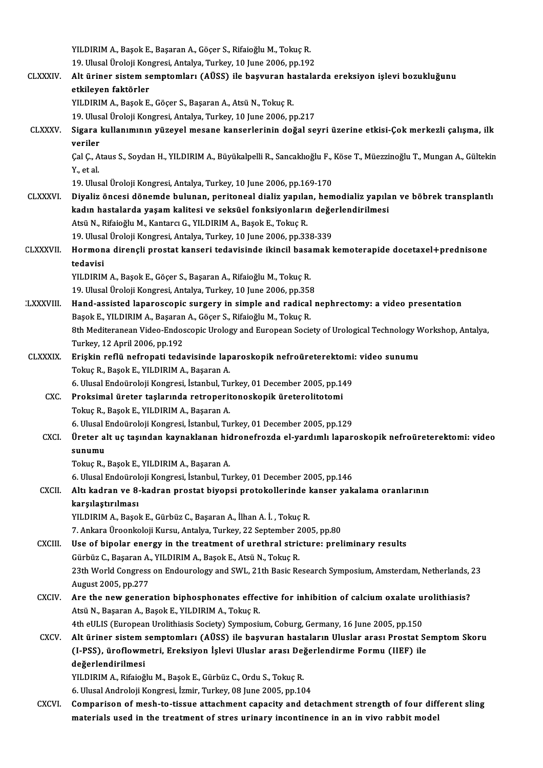|                  | YILDIRIM A., Başok E., Başaran A., Göçer S., Rifaioğlu M., Tokuç R.                                                      |
|------------------|--------------------------------------------------------------------------------------------------------------------------|
|                  | 19. Ulusal Üroloji Kongresi, Antalya, Turkey, 10 June 2006, pp.192                                                       |
| <b>CLXXXIV</b>   | Alt üriner sistem semptomları (AÜSS) ile başvuran hastalarda ereksiyon işlevi bozukluğunu                                |
|                  | etkileyen faktörler                                                                                                      |
|                  | YILDIRIM A., Başok E., Göçer S., Başaran A., Atsü N., Tokuç R.                                                           |
|                  | 19. Ulusal Üroloji Kongresi, Antalya, Turkey, 10 June 2006, pp.217                                                       |
| <b>CLXXXV</b>    | Sigara kullanımının yüzeyel mesane kanserlerinin doğal seyri üzerine etkisi-Çok merkezli çalışma, ilk                    |
|                  | veriler                                                                                                                  |
|                  | Çal Ç., Ataus S., Soydan H., YILDIRIM A., Büyükalpelli R., Sancaklıoğlu F., Köse T., Müezzinoğlu T., Mungan A., Gültekin |
|                  | Y, et al.                                                                                                                |
|                  | 19. Ulusal Üroloji Kongresi, Antalya, Turkey, 10 June 2006, pp.169-170                                                   |
| <b>CLXXXVI</b>   | Diyaliz öncesi dönemde bulunan, peritoneal dializ yapılan, hemodializ yapılan ve böbrek transplantlı                     |
|                  | kadın hastalarda yaşam kalitesi ve seksüel fonksiyonların değerlendirilmesi                                              |
|                  | Atsü N., Rifaioğlu M., Kantarcı G., YILDIRIM A., Başok E., Tokuç R.                                                      |
|                  | 19. Ulusal Üroloji Kongresi, Antalya, Turkey, 10 June 2006, pp.338-339                                                   |
| <b>CLXXXVII</b>  | Hormona dirençli prostat kanseri tedavisinde ikincil basamak kemoterapide docetaxel+prednisone                           |
|                  | tedavisi                                                                                                                 |
|                  | YILDIRIM A., Başok E., Göçer S., Başaran A., Rifaioğlu M., Tokuç R.                                                      |
|                  | 19. Ulusal Üroloji Kongresi, Antalya, Turkey, 10 June 2006, pp.358                                                       |
| <b>LXXXVIII.</b> | Hand-assisted laparoscopic surgery in simple and radical nephrectomy: a video presentation                               |
|                  | Başok E., YILDIRIM A., Başaran A., Göçer S., Rifaioğlu M., Tokuç R.                                                      |
|                  | 8th Mediteranean Video-Endoscopic Urology and European Society of Urological Technology Workshop, Antalya,               |
|                  | Turkey, 12 April 2006, pp.192                                                                                            |
| <b>CLXXXIX</b>   | Erişkin reflü nefropati tedavisinde laparoskopik nefroüreterektomi: video sunumu                                         |
|                  | Tokuç R., Başok E., YILDIRIM A., Başaran A.                                                                              |
|                  | 6. Ulusal Endoüroloji Kongresi, İstanbul, Turkey, 01 December 2005, pp.149                                               |
| CXC.             | Proksimal üreter taşlarında retroperitonoskopik üreterolitotomi<br>Tokuç R., Başok E., YILDIRIM A., Başaran A.           |
|                  | 6. Ulusal Endoüroloji Kongresi, İstanbul, Turkey, 01 December 2005, pp.129                                               |
| <b>CXCI</b>      | Üreter alt uç taşından kaynaklanan hidronefrozda el-yardımlı laparoskopik nefroüreterektomi: video                       |
|                  | sunumu                                                                                                                   |
|                  | Tokuç R., Başok E., YILDIRIM A., Başaran A.                                                                              |
|                  | 6. Ulusal Endoüroloji Kongresi, İstanbul, Turkey, 01 December 2005, pp.146                                               |
| <b>CXCII</b>     | Altı kadran ve 8-kadran prostat biyopsi protokollerinde kanser yakalama oranlarının                                      |
|                  | karşılaştırılması                                                                                                        |
|                  | YILDIRIM A., Başok E., Gürbüz C., Başaran A., İlhan A. İ., Tokuç R.                                                      |
|                  | 7. Ankara Üroonkoloji Kursu, Antalya, Turkey, 22 September 2005, pp.80                                                   |
| CXCIII.          | Use of bipolar energy in the treatment of urethral stricture: preliminary results                                        |
|                  | Gürbüz C., Başaran A., YILDIRIM A., Başok E., Atsü N., Tokuç R.                                                          |
|                  | 23th World Congress on Endourology and SWL, 21th Basic Research Symposium, Amsterdam, Netherlands, 23                    |
|                  | August 2005, pp 277                                                                                                      |
| <b>CXCIV</b>     | Are the new generation biphosphonates effective for inhibition of calcium oxalate urolithiasis?                          |
|                  | Atsü N., Başaran A., Başok E., YILDIRIM A., Tokuç R.                                                                     |
|                  | 4th eULIS (European Urolithiasis Society) Symposium, Coburg, Germany, 16 June 2005, pp.150                               |
| <b>CXCV</b>      | Alt üriner sistem semptomları (AÜSS) ile başvuran hastaların Uluslar arası Prostat Semptom Skoru                         |
|                  | (I-PSS), üroflowmetri, Ereksiyon İşlevi Uluslar arası Değerlendirme Formu (IIEF) ile                                     |
|                  | değerlendirilmesi                                                                                                        |
|                  | YILDIRIM A., Rifaioğlu M., Başok E., Gürbüz C., Ordu S., Tokuç R.                                                        |
|                  | 6. Ulusal Androloji Kongresi, İzmir, Turkey, 08 June 2005, pp.104                                                        |
| CXCVI.           | Comparison of mesh-to-tissue attachment capacity and detachment strength of four different sling                         |
|                  | materials used in the treatment of stres urinary incontinence in an in vivo rabbit model                                 |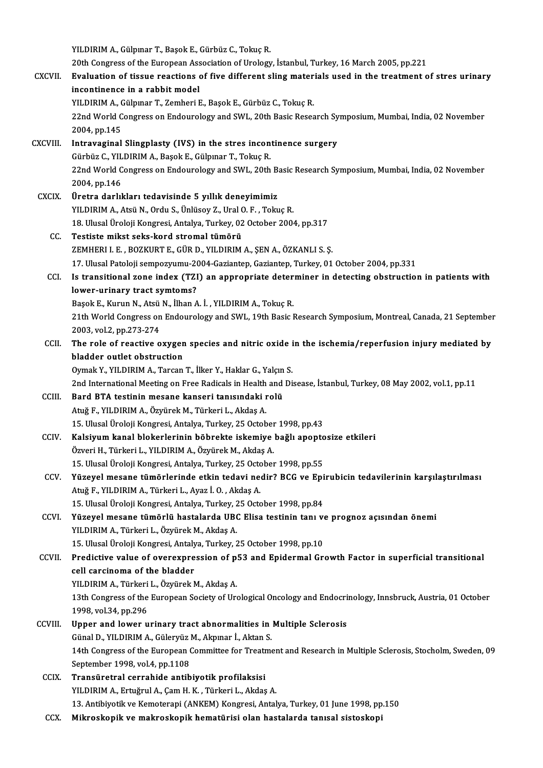YILDIRIM A., Gülpınar T., Başok E., Gürbüz C., Tokuç R.

- 20thCongress of theEuropeanAssociationofUrology, İstanbul,Turkey,16March 2005,pp.221 YILDIRIM A., Gülpınar T., Başok E., Gürbüz C., Tokuç R.<br>20th Congress of the European Association of Urology, İstanbul, Turkey, 16 March 2005, pp.221<br>CXCVII. Evaluation of tissue reactions of five different sling materials 20th Congress of the European Ass<br>Evaluation of tissue reactions<br>incontinence in a rabbit model<br>VILDIBIM A. Gülnuar T. Zamberi I Evaluation of tissue reactions of five different sling mater<br>incontinence in a rabbit model<br>YILDIRIM A., Gülpınar T., Zemheri E., Başok E., Gürbüz C., Tokuç R.<br>22nd World Congress on Endourology and SWL 20th Basis Besse incontinence in a rabbit model<br>22nd World Congress on Endourology and SWL, 20th Basic Research Symposium, Mumbai, India, 02 November<br>2004, pp.145 YILDIRIM A., Gülpınar T., Zemheri E., Başok E., Gürbüz C., Tokuç R. 22nd World Congress on Endourology and SWL, 20th Basic Research Sy<br>2004, pp.145<br>CXCVIII. Intravaginal Slingplasty (IVS) in the stres incontinence surgery 2004, pp.145<br>Intravaginal Slingplasty (IVS) in the stres incon<br>Gürbüz C., YILDIRIM A., Başok E., Gülpınar T., Tokuç R.<br>22nd World Congress en Endeurolegy and SWL, 20th I<mark>ntravaginal Slingplasty (IVS) in the stres incontinence surgery</mark><br>Gürbüz C., YILDIRIM A., Başok E., Gülpınar T., Tokuç R.<br>22nd World Congress on Endourology and SWL, 20th Basic Research Symposium, Mumbai, India, 02 Novemb Gürbüz C., YIL<br>22nd World C<br>2004, pp.146<br>Ünetre derlil CXCIX. Üretra darlıkları tedavisinde 5 yıl ık deneyimimiz YILDIRIMA.,AtsüN.,Ordu S.,ÜnlüsoyZ.,UralO.F. ,TokuçR. Üretra darlıkları tedavisinde 5 yıllık deneyimimiz<br>YILDIRIM A., Atsü N., Ordu S., Ünlüsoy Z., Ural O. F. , Tokuç R.<br>18. Ulusal Üroloji Kongresi, Antalya, Turkey, 02 October 2004, pp.317<br>Testiste miket seks kend stromal tüm CC. Testiste mikst seks-kord stromal tümörü<br>ZEMHERI I. E., BOZKURT E., GÜR D., YILDIRIM A., ŞEN A., ÖZKANLI S. Ş. 18. Ulusal Üroloji Kongresi, Antalya, Turkey, 02 October 2004, pp.317<br>Testiste mikst seks-kord stromal tümörü<br>ZEMHERI I. E. , BOZKURT E., GÜR D., YILDIRIM A., ŞEN A., ÖZKANLI S. Ş.<br>17. Ulusal Patalaji semnewnumu 2004 Caria 17.UlusalPatoloji sempozyumu-2004-Gaziantep,Gaziantep,Turkey,01October 2004,pp.331 ZEMHERI I. E. , BOZKURT E., GÜR D., YILDIRIM A., ŞEN A., ÖZKANLI S. Ş.<br>17. Ulusal Patoloji sempozyumu-2004-Gaziantep, Gaziantep, Turkey, 01 October 2004, pp.331<br>CCI. Is transitional zone index (TZI) an appropriate determin 17. Ulusal Patoloji sempozyumu-20<br>Is transitional zone index (TZI<br>lower-urinary tract symtoms?<br>Pesek E. Kunun N. Atoü N. İlhan A Is transitional zone index (TZI) an appropriate deter<br>lower-urinary tract symtoms?<br>Başok E., Kurun N., Atsü N., İlhan A. İ. , YILDIRIM A., Tokuç R.<br>21th World Congress on Endourology and SWL 10th Bosis I lower-urinary tract symtoms?<br>Başok E., Kurun N., Atsü N., İlhan A. İ. , YILDIRIM A., Tokuç R.<br>21th World Congress on Endourology and SWL, 19th Basic Research Symposium, Montreal, Canada, 21 September<br>2003, vol.2, pp.273-27 Başok E., Kurun N., Atsü N., İlhan A. İ., YILDIRIM A., Tokuç R. 21th World Congress on Endourology and SWL, 19th Basic Research Symposium, Montreal, Canada, 21 September<br>2003, vol.2, pp.273-274<br>CCII. The role of reactive oxygen species and nitric oxide in the ischemia/reperfusion injur 2003, vol.2, pp.273-274<br>The role of reactive oxygen<br>bladder outlet obstruction<br>Oumek Y. VII DIBIM A. Tarsan The role of reactive oxygen species and nitric oxide i<br>bladder outlet obstruction<br>Oymak Y., YILDIRIM A., Tarcan T., İlker Y., Haklar G., Yalçın S.<br>2nd International Meeting on Free Bedisels in Heelth and Di bladder outlet obstruction<br>Oymak Y., YILDIRIM A., Tarcan T., İlker Y., Haklar G., Yalçın S.<br>2nd International Meeting on Free Radicals in Health and Disease, İstanbul, Turkey, 08 May 2002, vol.1, pp.11<br>Bard BTA testinin ma Oymak Y., YILDIRIM A., Tarcan T., İlker Y., Haklar G., Yalçın S.<br>2nd International Meeting on Free Radicals in Health and Dis<br>CCIII. Bard BTA testinin mesane kanseri tanısındaki rolü<br>Atuğ F., YILDIRIM A., Özyürek M., Türke 2nd International Meeting on Free Radicals in Health<br>**Bard BTA testinin mesane kanseri tanısındaki ı**<br>Atuğ F., YILDIRIM A., Özyürek M., Türkeri L., Akdaş A.<br>15 Hlucel Üreleji Kongresi, Antalya Turkey, 25 Ostab Bard BTA testinin mesane kanseri tanısındaki rolü<br>Atuğ F., YILDIRIM A., Özyürek M., Türkeri L., Akdaş A.<br>15. Ulusal Üroloji Kongresi, Antalya, Turkey, 25 October 1998, pp.43<br>Kalsiyum kanal blakarlarının böhrekte iskemiye b Atuğ F., YILDIRIM A., Özyürek M., Türkeri L., Akdaş A.<br>15. Ulusal Üroloji Kongresi, Antalya, Turkey, 25 October 1998, pp.43<br>CCIV. Kalsiyum kanal blokerlerinin böbrekte iskemiye bağlı apoptosize etkileri<br>Örveri H. Türkeri L 15. Ulusal Üroloji Kongresi, Antalya, Turkey, 25 October<br>**Kalsiyum kanal blokerlerinin böbrekte iskemiye**<br>Özveri H., Türkeri L., YILDIRIM A., Özyürek M., Akdaş A.<br>15. Ulusal Üroloji Kongresi, Antalya Turkey, 25 Ostober Kalsiyum kanal blokerlerinin böbrekte iskemiye bağlı apopto<br>Özveri H., Türkeri L., YILDIRIM A., Özyürek M., Akdaş A.<br>15. Ulusal Üroloji Kongresi, Antalya, Turkey, 25 October 1998, pp.55<br>Yüzeyel mesane tümörlerinde etkin te Özveri H., Türkeri L., YILDIRIM A., Özyürek M., Akdaş A.<br>15. Ulusal Üroloji Kongresi, Antalya, Turkey, 25 October 1998, pp.55<br>CCV. Yüzeyel mesane tümörlerinde etkin tedavi nedir? BCG ve Epirubicin tedavilerinin karşıla 15. Ulusal Üroloji Kongresi, Antalya, Turkey, 25 Octo<br>Yüzeyel mesane tümörlerinde etkin tedavi ne<br>Atuğ F., YILDIRIM A., Türkeri L., Ayaz İ. O. , Akdaş A.<br>15. Ulusal Üroloji Kongresi, Artolya, Turkey, 25 Osto Yüzeyel mesane tümörlerinde etkin tedavi nedir? BCG ve Epi<br>Atuğ F., YILDIRIM A., Türkeri L., Ayaz İ. O. , Akdaş A.<br>15. Ulusal Üroloji Kongresi, Antalya, Turkey, 25 October 1998, pp.84<br>Yüzeyel mesane tümörlü bestelerde UBC Atuğ F., YILDIRIM A., Türkeri L., Ayaz İ. O. , Akdaş A.<br>15. Ulusal Üroloji Kongresi, Antalya, Turkey, 25 October 1998, pp.84<br>CCVI. Yüzeyel mesane tümörlü hastalarda UBC Elisa testinin tanı ve prognoz açısından önemi<br>YI 15. Ulusal Üroloji Kongresi, Antalya, Turkey, 25 October 1998, pp.84 Yüzeyel mesane tümörlü hastalarda UBC Elisa testinin tanı ve<br>15. Ulusal Üroloji Kongresi, Antalya, Turkey, 25 October 1998, pp.10<br>Predistive value of overexpression of p53 and Enidermal Cr. CCVII. Predictive value of overexpression of p53 and Epidermal Growth Factor in superficial transitional cell carcinoma of the bladder 15. Ulusal Üroloji Kongresi, Antaly<br>Predictive value of overexpre<br>cell carcinoma of the bladder<br>VILDIBIM A. Türkeri L. Örvürek N Predictive value of overexpression of p.<br>cell carcinoma of the bladder<br>YILDIRIM A., Türkeri L., Özyürek M., Akdaş A.<br>12th Congress of the European Society of Ura cell carcinoma of the bladder<br>YILDIRIM A., Türkeri L., Özyürek M., Akdaş A.<br>13th Congress of the European Society of Urological Oncology and Endocrinology, Innsbruck, Austria, 01 October YILDIRIM A., Türkeri<br>13th Congress of the<br>1998, vol.34, pp.296 13th Congress of the European Society of Urological Oncology and Endocri<br>1998, vol.34, pp.296<br>CCVIII. Upper and lower urinary tract abnormalities in Multiple Sclerosis<br>Cinal D. VII DIBIM A. Cileryia M. Almuar <sup>1</sup>. Altan S. 1998, vol.34, pp.296<br>Upper and lower urinary tract abnormalities in Multiple Sclerosis 14th Congress of the European Committee for Treatment and Research in Multiple Sclerosis, Stocholm, Sweden, 09<br>September 1998, vol.4, pp.1108 Günal D., YILDIRIM A., Güleryüz M., Akpınar İ., Aktan S. 14th Congress of the European Committee for Treatr<br>September 1998, vol.4, pp.1108<br>CCIX. Transüretral cerrahide antibiyotik profilaksisi<br>VILDIBIM A. Entriğiml A. Cam H. K. Türkeri L. Akka
	- September 1998, vol.4, pp.1108<br>Transüretral cerrahide antibiyotik profilaksisi<br>YILDIRIM A., Ertuğrul A., Çam H. K. , Türkeri L., Akdaş A.<br>12. Antibiyotik ve Kametarani (ANKEM) Kangresi, Antal 13. YILDIRIM A., Ertuğrul A., Çam H. K. , Türkeri L., Akdaş A.<br>13. Antibiyotik ve Kemoterapi (ANKEM) Kongresi, Antalya, Turkey, 01 June 1998, pp.150
	- CCX. Mikroskopik vemakroskopik hematürisi olan hastalarda tanısal sistoskopi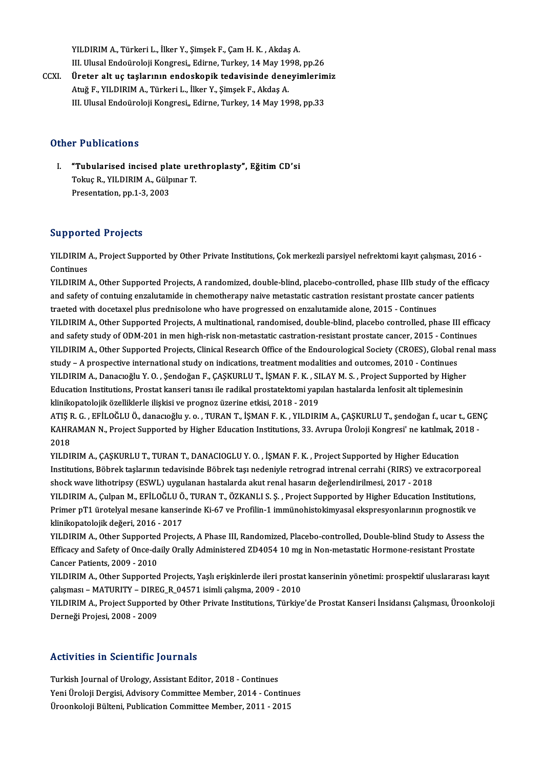YILDIRIM A., Türkeri L., İlker Y., Şimşek F., Çam H. K. , Akdaş A.<br>III. Illyasl Endeüraleji Kongresi, Edirne, Turkey, 14 Mey 1998 YILDIRIM A., Türkeri L., İlker Y., Şimşek F., Çam H. K. , Akdaş A.<br>III. Ulusal Endoüroloji Kongresi,, Edirne, Turkey, 14 May 1998, pp.26<br>Üneter alt ve taslarının andaskapik tadevisinde danayimlenim YILDIRIM A., Türkeri L., İlker Y., Şimşek F., Çam H. K., Akdaş A.<br>III. Ulusal Endoüroloji Kongresi., Edirne, Turkey, 14 May 1998, pp.26<br>CCXI. Üreter alt uç taşlarının endoskopik tedavisinde deneyimlerimiz<br>Atvě E. VII.DIBIM

III. Ulusal Endoüroloji Kongresi,, Edirne, Turkey, 14 May 1998, pp.26<br>Üreter alt uç taşlarının endoskopik tedavisinde deneyimlerimiz<br>Atuğ F., YILDIRIM A., Türkeri L., İlker Y., Şimşek F., Akdaş A. III. Ulusal Endoüroloji Kongresi,, Edirne, Turkey, 14 May 1998, pp.33

#### Other Publications

ther Publications<br>I. "Tubularised incised plate urethroplasty", Eğitim CD'si<br>Telus B. YU DIBIMA, Gümnar T The absolutions<br>"Tubularised incised plate ure<br>Tokuç R., YILDIRIM A., Gülpınar T. Tokuç R., YILDIRIM A., Gülpinar T.<br>Presentation, pp.1-3, 2003

#### Supported Projects

Supported Projects<br>YILDIRIM A., Project Supported by Other Private Institutions, Çok merkezli parsiyel nefrektomi kayıt çalışması, 2016 -<br>Centinues Support<br>YILDIRIM<br>Continues<br>YILDIM YILDIRIM A., Project Supported by Other Private Institutions, Çok merkezli parsiyel nefrektomi kayıt çalışması, 2016 -<br>Continues<br>YILDIRIM A., Other Supported Projects, A randomized, double-blind, placebo-controlled, phase

Continues<br>YILDIRIM A., Other Supported Projects, A randomized, double-blind, placebo-controlled, phase IIIb study of the effic<br>and safety of contuing enzalutamide in chemotherapy naive metastatic castration resistant prost YILDIRIM A., Other Supported Projects, A randomized, double-blind, placebo-controlled, phase IIIb study<br>and safety of contuing enzalutamide in chemotherapy naive metastatic castration resistant prostate cance<br>traeted with and safety of contuing enzalutamide in chemotherapy naive metastatic castration resistant prostate cancer patients<br>traeted with docetaxel plus prednisolone who have progressed on enzalutamide alone, 2015 - Continues<br>YILDIR traeted with docetaxel plus prednisolone who have progressed on enzalutamide alone, 2015 - Continues<br>YILDIRIM A., Other Supported Projects, A multinational, randomised, double-blind, placebo controlled, phase III effici<br>an YILDIRIM A., Other Supported Projects, A multinational, randomised, double-blind, placebo controlled, phase III efficacy<br>and safety study of ODM-201 in men high-risk non-metastatic castration-resistant prostate cancer, 201 and safety study of ODM-201 in men high-risk non-metastatic castration-resistant prostate cancer, 2015 - Continues<br>YILDIRIM A., Other Supported Projects, Clinical Research Office of the Endourological Society (CROES), Glob YILDIRIM A., Other Supported Projects, Clinical Research Office of the Endourological Society (CROES), Global ren<br>study – A prospective international study on indications, treatment modalities and outcomes, 2010 - Continue study – A prospective international study on indications, treatment modalities and outcomes, 2010 - Continues<br>ILDIRIM A., Danacıoğlu Y. O. , Şendoğan F., ÇAŞKURLU T., İŞMAN F. K. , SILAY M. S. , Project Supported by Highe<br> klinikopatolojik özelliklerle ilişkisi ve prognoz üzerine etkisi, 2018 - 2019 Education Institutions, Prostat kanseri tanısı ile radikal prostatektomi yapılan hastalarda lenfosit alt tiplemesinin<br>klinikopatolojik özelliklerle ilişkisi ve prognoz üzerine etkisi, 2018 - 2019<br>ATIŞ R. G. , EFİLOĞLU Ö.,

klinikopatolojik özelliklerle ilişkisi ve prognoz üzerine etkisi, 2018 - 2019<br>ATIŞ R. G. , EFİLOĞLU Ö., danacıoğlu y. o. , TURAN T., İŞMAN F. K. , YILDIRIM A., ÇAŞKURLU T., şendoğan f., ucar t., GEN<br>KAHRAMAN N., Project Su ATI<mark>Ş F</mark><br>KAHR<br>2018<br>VU DU KAHRAMAN N., Project Supported by Higher Education Institutions, 33. Avrupa Üroloji Kongresi' ne katılmak, 2018<br>2018<br>YILDIRIM A., ÇAŞKURLU T., TURAN T., DANACIOGLU Y. O. , İŞMAN F. K. , Project Supported by Higher Educatio

2018<br>YILDIRIM A., ÇAŞKURLU T., TURAN T., DANACIOGLU Y. O. , İŞMAN F. K. , Project Supported by Higher Education<br>Institutions, Böbrek taşlarının tedavisinde Böbrek taşı nedeniyle retrograd intrenal cerrahi (RIRS) ve extraco shock wave lithotripsy (ESWL) uygulanan hastalarda akut renal hasarın değerlendirilmesi, 2017 - 2018<br>YILDIRIM A., Culpan M., EFİLOĞLU Ö., TURAN T., ÖZKANLI S. S. , Project Supported by Higher Education Institutions, Institutions, Böbrek taşlarının tedavisinde Böbrek taşı nedeniyle retrograd intrenal cerrahi (RIRS) ve extracorporea<br>shock wave lithotripsy (ESWL) uygulanan hastalarda akut renal hasarın değerlendirilmesi, 2017 - 2018<br>YILD

shock wave lithotripsy (ESWL) uygulanan hastalarda akut renal hasarın değerlendirilmesi, 2017 - 2018<br>YILDIRIM A., Çulpan M., EFİLOĞLU Ö., TURAN T., ÖZKANLI S. Ş. , Project Supported by Higher Education Institutions,<br>Primer klinikopatolojik değeri, 2016 - 2017<br>YILDIRIM A., Other Supported Projects, A Phase III, Randomized, Placebo-controlled, Double-blind Study to Assess the Primer pT1 ürotelyal mesane kanserinde Ki-67 ve Profilin-1 immünohistokimyasal ekspresyonlarının prognostik ve<br>klinikopatolojik değeri, 2016 - 2017<br>YILDIRIM A., Other Supported Projects, A Phase III, Randomized, Placebo-co

klinikopatolojik değeri, 2016 - 2017<br>YILDIRIM A., Other Supported Projects, A Phase III, Randomized, Placebo-controlled, Double-blind Study to Assess tl<br>Efficacy and Safety of Once-daily Orally Administered ZD4054 10 mg in YILDIRIM A., Other Supported<br>Efficacy and Safety of Once-da<br>Cancer Patients, 2009 - 2010<br>VILDIBIM A. Other Supported Efficacy and Safety of Once-daily Orally Administered ZD4054 10 mg in Non-metastatic Hormone-resistant Prostate<br>Cancer Patients, 2009 - 2010<br>YILDIRIM A., Other Supported Projects, Yaşlı erişkinlerde ileri prostat kanserini

Cancer Patients, 2009 - 2010<br>YILDIRIM A., Other Supported Projects, Yaşlı erişkinlerde ileri prosta<br>çalışması – MATURITY – DIREG\_R\_04571 isimli çalışma, 2009 - 2010<br>YU DIRIM A. Project Supported by Other Private Institutio YILDIRIM A., Other Supported Projects, Yaşlı erişkinlerde ileri prostat kanserinin yönetimi: prospektif uluslararası kayıt<br>çalışması – MATURITY – DIREG\_R\_04571 isimli çalışma, 2009 - 2010<br>YILDIRIM A., Project Supported by

çalışması – MATURITY – DIRE<br>YILDIRIM A., Project Supporte<br>Derneği Projesi, 2008 - 2009

# Derneği Projesi, 2008 - 2009<br>Activities in Scientific Journals

Turkish Journal of Urology, Assistant Editor, 2018 - Continues YeniVicto III octoniine journals<br>Turkish Journal of Urology, Assistant Editor, 2018 - Continues<br>Yeni Üroloji Dergisi, Advisory Committee Member, 2014 - Continues<br>Üroonkalaji Bültoni, Bublication Committee Member, 2011 - 20 Turkish Journal of Urology, Assistant Editor, 2018 - Continues<br>Yeni Üroloji Dergisi, Advisory Committee Member, 2014 - Continu<br>Üroonkoloji Bülteni, Publication Committee Member, 2011 - 2015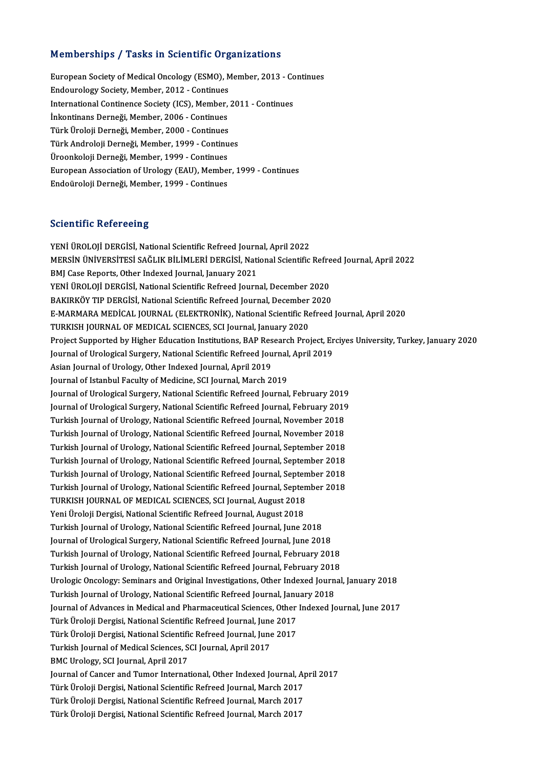#### Memberships / Tasks in Scientific Organizations

Memberships / Tasks in Scientific Organizations<br>European Society of Medical Oncology (ESMO), Member, 2013 - Continues<br>Endouralogy Society Member 2012 - Continues European Society of Medical Oncology (ESMO), Member, 2012 - Continues<br>Endourology Society, Member, 2012 - Continues<br>International Continues Society (ICS), Member European Society of Medical Oncology (ESMO), Member, 2013 - Continuour Continence Society, Member, 2012 - Continues<br>International Continence Society (ICS), Member, 2011 - Continues<br>Inkontinence Derneği, Member, 2006 - Cont Endourology Society, Member, 2012 - Continues<br>International Continence Society (ICS), Member,<br>İnkontinans Derneği, Member, 2006 - Continues<br>Türk Üneleji Derneği, Member, 2000 - Continues International Continence Society (ICS), Member,<br>İnkontinans Derneği, Member, 2006 - Continues<br>Türk Üroloji Derneği, Member, 2000 - Continues<br>Türk Andreleji Derneği, Member, 1999, Centinu İnkontinans Derneği, Member, 2006 - Continues<br>Türk Üroloji Derneği, Member, 2000 - Continues<br>Türk Androloji Derneği, Member, 1999 - Continues<br>Üroonkalaji Derneği, Member, 1999 - Continues Türk Üroloji Derneği, Member, 2000 - Continues<br>Türk Androloji Derneği, Member, 1999 - Continu<br>Üroonkoloji Derneği, Member, 1999 - Continues<br>Euronean Assesiation of Urology (EAU), Member European Association of Urology (EAU), Member, 1999 - Continues<br>Endoüroloji Derneği, Member, 1999 - Continues Üroonkoloji Derneği, Member, 1999 - Continues

#### **Scientific Refereeing**

S<mark>cientific Refereeing</mark><br>YENİ ÜROLOJİ DERGİSİ, National Scientific Refreed Journal, April 2022<br>MERSİN ÜNİVERSİTESİ SAĞLIK RİLİMLERİ DERÇİSİ, National Scientific SSISINIMIYE NENSI SEMI<br>YENİ ÜROLOJİ DERGİSİ, National Scientific Refreed Journal, April 2022<br>MERSİN ÜNİVERSİTESİ SAĞLIK BİLİMLERİ DERGİSİ, National Scientific Refreed Journal, April 2022<br>PML Case Benerta Other Indexed Jour YENİ ÜROLOJİ DERGİSİ, National Scientific Refreed Journ<br>MERSİN ÜNİVERSİTESİ SAĞLIK BİLİMLERİ DERGİSİ, Nati<br>BMJ Case Reports, Other Indexed Journal, January 2021<br>YENİ ÜROLOJİ DERÇİSİ, National Scientific Refreed Journ MERSİN ÜNİVERSİTESİ SAĞLIK BİLİMLERİ DERGİSİ, National Scientific Refre<br>BMJ Case Reports, Other Indexed Journal, January 2021<br>YENİ ÜROLOJİ DERGİSİ, National Scientific Refreed Journal, December 2020<br>BAKIRKÖV TIR DERGİSİ, N BMJ Case Reports, Other Indexed Journal, January 2021<br>1999 YENİ ÜROLOJİ DERGİSİ, National Scientific Refreed Journal, December 2020<br>1992 BAKIRKÖY TIP DERGİSİ, National Scientific Refreed Journal, December 2020 YENİ ÜROLOJİ DERGİSİ, National Scientific Refreed Journal, December 2020<br>BAKIRKÖY TIP DERGİSİ, National Scientific Refreed Journal, December 2020<br>E-MARMARA MEDİCAL JOURNAL (ELEKTRONİK), National Scientific Refreed Journal, BAKIRKÖY TIP DERGİSİ, National Scientific Refreed Journal, December<br>E-MARMARA MEDİCAL JOURNAL (ELEKTRONİK), National Scientific Re<br>TURKISH JOURNAL OF MEDICAL SCIENCES, SCI Journal, January 2020<br>Preject Sunnerted by Higher TURKISH JOURNAL OF MEDICAL SCIENCES, SCI Journal, January 2020<br>Project Supported by Higher Education Institutions, BAP Research Project, Erciyes University, Turkey, January 2020 TURKISH JOURNAL OF MEDICAL SCIENCES, SCI Journal, January 2020<br>Project Supported by Higher Education Institutions, BAP Research Project, Er<br>Journal of Urological Surgery, National Scientific Refreed Journal, April 2019<br>Asi Project Supported by Higher Education Institutions, BAP Res<br>Journal of Urological Surgery, National Scientific Refreed Jou<br>Asian Journal of Urology, Other Indexed Journal, April 2019<br>Journal of Jetophyl Fogulty of Modisine Journal of Urological Surgery, National Scientific Refreed Journal<br>Asian Journal of Urology, Other Indexed Journal, April 2019<br>Journal of Istanbul Faculty of Medicine, SCI Journal, March 2019<br>Journal of Urological Surgery, Asian Journal of Urology, Other Indexed Journal, April 2019<br>Journal of Istanbul Faculty of Medicine, SCI Journal, March 2019<br>Journal of Urological Surgery, National Scientific Refreed Journal, February 2019 Journal of Istanbul Faculty of Medicine, SCI Journal, March 2019<br>Journal of Urological Surgery, National Scientific Refreed Journal, February 2019<br>Journal of Urological Surgery, National Scientific Refreed Journal, Februar Journal of Urological Surgery, National Scientific Refreed Journal, February 2019<br>Journal of Urological Surgery, National Scientific Refreed Journal, February 2019<br>Turkish Journal of Urology, National Scientific Refreed Jo Journal of Urological Surgery, National Scientific Refreed Journal, February 2019<br>Turkish Journal of Urology, National Scientific Refreed Journal, November 2018<br>Turkish Journal of Urology, National Scientific Refreed Journ Turkish Journal of Urology, National Scientific Refreed Journal, November 2018<br>Turkish Journal of Urology, National Scientific Refreed Journal, November 2018<br>Turkish Journal of Urology, National Scientific Refreed Journal, Turkish Journal of Urology, National Scientific Refreed Journal, November 2018<br>Turkish Journal of Urology, National Scientific Refreed Journal, September 2018<br>Turkish Journal of Urology, National Scientific Refreed Journal Turkish Journal of Urology, National Scientific Refreed Journal, September 2018<br>Turkish Journal of Urology, National Scientific Refreed Journal, September 2018<br>Turkish Journal of Urology, National Scientific Refreed Journa Turkish Journal of Urology, National Scientific Refreed Journal, September 2018<br>Turkish Journal of Urology, National Scientific Refreed Journal, September 2018<br>Turkish Journal of Urology, National Scientific Refreed Journa Turkish Journal of Urology, National Scientific Refreed Journal, Septen<br>Turkish Journal of Urology, National Scientific Refreed Journal, Septen<br>TURKISH JOURNAL OF MEDICAL SCIENCES, SCI Journal, August 2018<br>Yoni Üroloji Der Turkish Journal of Urology, National Scientific Refreed Journal, September 2018<br>TURKISH JOURNAL OF MEDICAL SCIENCES, SCI Journal, August 2018<br>Yeni Üroloji Dergisi, National Scientific Refreed Journal, August 2018 Turkish Journal of Urology, National Scientific Refreed Journal, June 2018 Journal of Urological Surgery, National Scientific Refreed Journal, June 2018 Turkish Journal of Urology, National Scientific Refreed Journal, June 2018<br>Journal of Urological Surgery, National Scientific Refreed Journal, June 2018<br>Turkish Journal of Urology, National Scientific Refreed Journal, Febr Journal of Urological Surgery, National Scientific Refreed Journal, June 2018<br>Turkish Journal of Urology, National Scientific Refreed Journal, February 2018<br>Turkish Journal of Urology, National Scientific Refreed Journal, Turkish Journal of Urology, National Scientific Refreed Journal, February 2018<br>Urologic Oncology: Seminars and Original Investigations, Other Indexed Journal, January 2018 Turkish Journal of Urology, National Scientific Refreed Journal, February 2018<br>Urologic Oncology: Seminars and Original Investigations, Other Indexed Journ<br>Turkish Journal of Urology, National Scientific Refreed Journal, J Urologic Oncology: Seminars and Original Investigations, Other Indexed Journal, January 2018<br>Turkish Journal of Urology, National Scientific Refreed Journal, January 2018<br>Journal of Advances in Medical and Pharmaceutical S Turkish Journal of Urology, National Scientific Refreed Journal, Janu<br>Journal of Advances in Medical and Pharmaceutical Sciences, Other<br>Türk Üroloji Dergisi, National Scientific Refreed Journal, June 2017<br>Türk Üroloji Derg Journal of Advances in Medical and Pharmaceutical Sciences, Other<br>Türk Üroloji Dergisi, National Scientific Refreed Journal, June 2017<br>Türk Üroloji Dergisi, National Scientific Refreed Journal, June 2017<br>Turkish Journal of Türk Üroloji Dergisi, National Scientific Refreed Journal, June 2017<br>Türk Üroloji Dergisi, National Scientific Refreed Journal, June 2017<br>Turkish Journal of Medical Sciences, SCI Journal, April 2017<br>BMC Urology, SCI Journa Türk Üroloji Dergisi, National Scientific Refreed Journal, June 2017 Turkish Journal of Medical Sciences, SCI Journal, April 2017<br>BMC Urology, SCI Journal, April 2017<br>Journal of Cancer and Tumor International, Other Indexed Journal, April 2017<br>Türk Üroloji Dorgisi, National Scientific Pefre BMC Urology, SCI Journal, April 2017<br>Journal of Cancer and Tumor International, Other Indexed Journal, A<sub>l</sub><br>Türk Üroloji Dergisi, National Scientific Refreed Journal, March 2017<br>Türk Üroloji Dergisi, National Scientific Re Journal of Cancer and Tumor International, Other Indexed Journal, A<mark>J</mark><br>Türk Üroloji Dergisi, National Scientific Refreed Journal, March 2017<br>Türk Üroloji Dergisi, National Scientific Refreed Journal, March 2017<br>Türk Üroloj Türk Üroloji Dergisi, National Scientific Refreed Journal, March 2017<br>Türk Üroloji Dergisi, National Scientific Refreed Journal, March 2017<br>Türk Üroloji Dergisi, National Scientific Refreed Journal, March 2017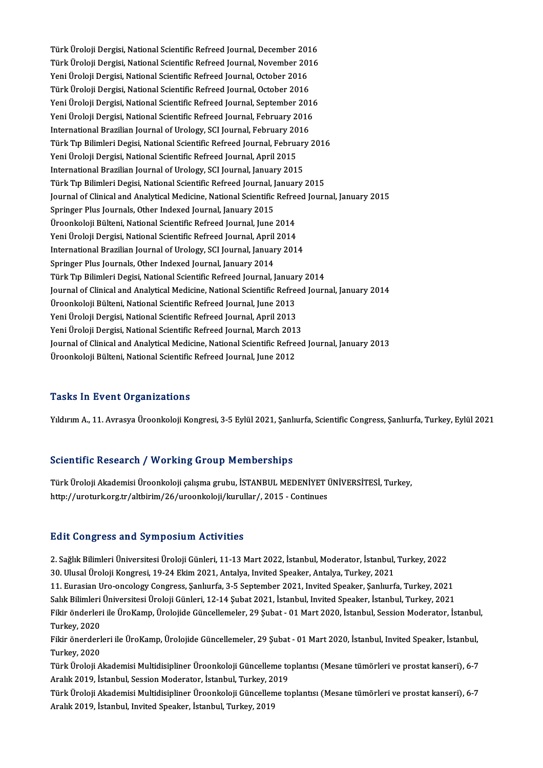Türk Üroloji Dergisi, National Scientific Refreed Journal, December 2016<br>Türk Üroloji Dergisi, National Scientific Refreed Journal, December 2016 Türk Üroloji Dergisi, National Scientific Refreed Journal, December 2016<br>Türk Üroloji Dergisi, National Scientific Refreed Journal, November 2016<br>Yoni Üroloji Dergisi, National Scientific Refreed Journal, October 2016 Türk Üroloji Dergisi, National Scientific Refreed Journal, December 201<br>Türk Üroloji Dergisi, National Scientific Refreed Journal, November 2016<br>Yeni Üroloji Dergisi, National Scientific Refreed Journal, October 2016<br>Türk Türk Üroloji Dergisi, National Scientific Refreed Journal, November 2016<br>Yeni Üroloji Dergisi, National Scientific Refreed Journal, October 2016<br>Türk Üroloji Dergisi, National Scientific Refreed Journal, October 2016 Yeni Üroloji Dergisi, National Scientific Refreed Journal, October 2016<br>Türk Üroloji Dergisi, National Scientific Refreed Journal, October 2016<br>Yeni Üroloji Dergisi, National Scientific Refreed Journal, September 2016<br>Yeni Türk Üroloji Dergisi, National Scientific Refreed Journal, October 2016<br>Yeni Üroloji Dergisi, National Scientific Refreed Journal, September 2016<br>Yeni Üroloji Dergisi, National Scientific Refreed Journal, February 2016<br>Int Yeni Üroloji Dergisi, National Scientific Refreed Journal, September 201<br>Yeni Üroloji Dergisi, National Scientific Refreed Journal, February 2016<br>International Brazilian Journal of Urology, SCI Journal, February 2016<br>Türk Yeni Üroloji Dergisi, National Scientific Refreed Journal, February 2016<br>International Brazilian Journal of Urology, SCI Journal, February 2016<br>Türk Tıp Bilimleri Degisi, National Scientific Refreed Journal, February 2016<br> International Brazilian Journal of Urology, SCI Journal, February 2016 International Brazilian Journal of Urology, SCI Journal, January 2015 Yeni Üroloji Dergisi, National Scientific Refreed Journal, April 2015<br>International Brazilian Journal of Urology, SCI Journal, January 2015<br>Türk Tıp Bilimleri Degisi, National Scientific Refreed Journal, January 2015<br>Journ Journal of Clinical and Analytical Medicine, National Scientific Refreed Journal, January 2015<br>Springer Plus Journals, Other Indexed Journal, January 2015 Türk Tıp Bilimleri Degisi, National Scientific Refreed Journal, J<br>Journal of Clinical and Analytical Medicine, National Scientific<br>Springer Plus Journals, Other Indexed Journal, January 2015<br>Üreonkalaji Bültoni, National S Journal of Clinical and Analytical Medicine, National Scientific Refreed Springer Plus Journals, Other Indexed Journal, January 2015<br>Üroonkoloji Bülteni, National Scientific Refreed Journal, June 2014<br>Voni Üroloji Dergisi, Springer Plus Journals, Other Indexed Journal, January 2015<br>Üroonkoloji Bülteni, National Scientific Refreed Journal, June 2014<br>Yeni Üroloji Dergisi, National Scientific Refreed Journal, April 2014<br>International Bregilian Üroonkoloji Bülteni, National Scientific Refreed Journal, June 2014<br>Yeni Üroloji Dergisi, National Scientific Refreed Journal, April 2014<br>International Brazilian Journal of Urology, SCI Journal, January 2014<br>Springer Plus Yeni Üroloji Dergisi, National Scientific Refreed Journal, April 2014<br>International Brazilian Journal of Urology, SCI Journal, January 2014<br>Springer Plus Journals, Other Indexed Journal, January 2014 Türk Tıp Bilimleri Degisi, National Scientific Refreed Journal, January 2014 Journal of Clinical and Analytical Medicine, National Scientific Refreed Journal, January 2014 Türk Tıp Bilimleri Degisi, National Scientific Refreed Journal, Januar<br>Journal of Clinical and Analytical Medicine, National Scientific Refre<br>Üroonkoloji Bülteni, National Scientific Refreed Journal, June 2013<br>Yoni Üroloji Journal of Clinical and Analytical Medicine, National Scientific Refreed<br>Üroonkoloji Bülteni, National Scientific Refreed Journal, June 2013<br>Yeni Üroloji Dergisi, National Scientific Refreed Journal, April 2013<br>Yeni Üroloj Üroonkoloji Bülteni, National Scientific Refreed Journal, June 2013<br>Yeni Üroloji Dergisi, National Scientific Refreed Journal, April 2013<br>Yeni Üroloji Dergisi, National Scientific Refreed Journal, March 2013<br>Journal of Cli Yeni Üroloji Dergisi, National Scientific Refreed Journal, April 2013<br>Yeni Üroloji Dergisi, National Scientific Refreed Journal, March 2013<br>Journal of Clinical and Analytical Medicine, National Scientific Refreed Journal, Yeni Üroloji Dergisi, National Scientific Refreed Journal, March 201:<br>Journal of Clinical and Analytical Medicine, National Scientific Refre<br>Üroonkoloji Bülteni, National Scientific Refreed Journal, June 2012 Üroonkoloji Bülteni, National Scientific Refreed Journal, June 2012<br>Tasks In Event Organizations

YıldırımA.,11.AvrasyaÜroonkolojiKongresi,3-5Eylül2021,Şanlıurfa,ScientificCongress,Şanlıurfa,Turkey,Eylül2021

#### Scientific Research / Working Group Memberships

Scientific Research / Working Group Memberships<br>Türk Üroloji Akademisi Üroonkoloji çalışma grubu, İSTANBUL MEDENİYET ÜNİVERSİTESİ, Turkey,<br>http://westyrk.org.tr/ekhirim/26/wesenkoloji/luyuylar/.2015...Continues. berentime Nebeuren / Worning droup Memberbinps<br>Türk Üroloji Akademisi Üroonkoloji çalışma grubu, İSTANBUL MEDENİYET İ<br>http://uroturk.org.tr/altbirim/26/uroonkoloji/kurullar/, 2015 - Continues http://uroturk.org.tr/altbirim/26/uroonkoloji/kurullar/, 2015 - Continues<br>Edit Congress and Symposium Activities

Edit Congress and Symposium Activities<br>2. Sağlık Bilimleri Üniversitesi Üroloji Günleri, 11-13 Mart 2022, İstanbul, Moderator, İstanbul, Turkey, 2022<br>20. Ulusal Üroloji Kongresi, 19.24 Eltim 2021, Antalya İnvited Speaker, 2. Sağlık Bilimleri Üniversitesi Üroloji Günleri, 11-13 Mart 2022, İstanbul, Moderator, İstanbul, Turkey, 2022<br>30. Ulusal Üroloji Kongresi, 19-24 Ekim 2021, Antalya, Invited Speaker, Antalya, Turkey, 2021<br>11. Eurasian Uro-

30. Ulusal Üroloji Kongresi, 19-24 Ekim 2021, Antalya, Invited Speaker, Antalya, Turkey, 2021<br>11. Eurasian Uro-oncology Congress, Sanlıurfa, 3-5 September 2021, Invited Speaker, Sanlıurfa, Turkey, 2021

Salık Bilimleri Üniversitesi Üroloji Günleri, 12-14 Şubat 2021, İstanbul, Invited Speaker, İstanbul, Turkey, 2021

11. Eurasian Uro-oncology Congress, Şanlıurfa, 3-5 September 2021, Invited Speaker, Şanlıurfa, Turkey, 2021<br>Salık Bilimleri Üniversitesi Üroloji Günleri, 12-14 Şubat 2021, İstanbul, Invited Speaker, İstanbul, Turkey, 2021<br> Salık Bilimleri<br>Fikir önderler<br>Turkey, 2020<br>Eikir önerderl Fikir önderleri ile ÜroKamp, Ürolojide Güncellemeler, 29 Şubat - 01 Mart 2020, İstanbul, Session Moderator, İstanbul<br>Turkey, 2020<br>Fikir önerderleri ile ÜroKamp, Ürolojide Güncellemeler, 29 Şubat - 01 Mart 2020, İstanbul, I

Turkey, 2020<br>Fikir önerderleri ile ÜroKamp, Ürolojide Güncellemeler, 29 Şubat - 01 Mart 2020, İstanbul, Invited Speaker, İstanbul,<br>Turkey, 2020 Fikir önerderleri ile ÜroKamp, Ürolojide Güncellemeler, 29 Şubat - 01 Mart 2020, İstanbul, Invited Speaker, İstanbul,<br>Türk Üroloji Akademisi Multidisipliner Üroonkoloji Güncelleme toplantısı (Mesane tümörleri ve prostat ka

Turkey, 2020<br>Türk Üroloji Akademisi Multidisipliner Üroonkoloji Güncelleme to<br>Aralık 2019, İstanbul, Session Moderator, İstanbul, Turkey, 2019<br>Türk Üroloji Akademisi Multidisipliner Üroonkoloji Güncelleme to Türk Üroloji Akademisi Multidisipliner Üroonkoloji Güncelleme toplantısı (Mesane tümörleri ve prostat kanseri), 6-7<br>Aralık 2019, İstanbul, Session Moderator, İstanbul, Turkey, 2019<br>Türk Üroloji Akademisi Multidisipliner Ür

Aralık 2019, İstanbul, Session Moderator, İstanbul, Turkey, 20<br>Türk Üroloji Akademisi Multidisipliner Üroonkoloji Güncellen<br>Aralık 2019, İstanbul, Invited Speaker, İstanbul, Turkey, 2019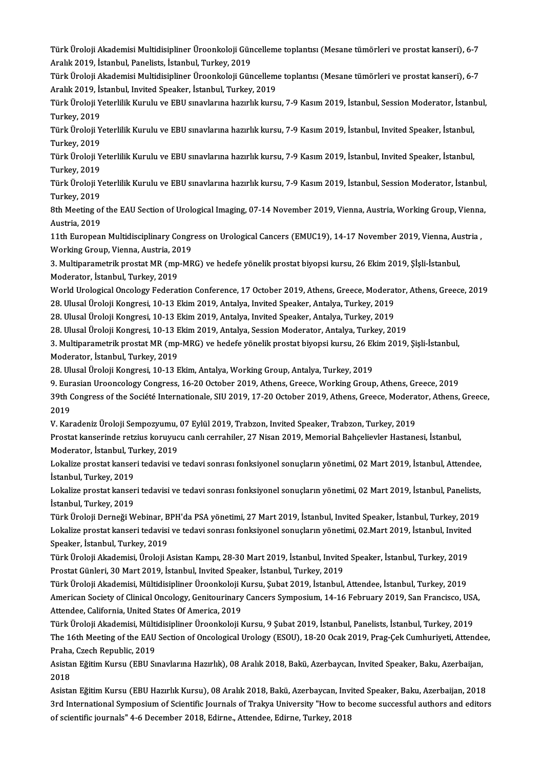Türk Üroloji Akademisi Multidisipliner Üroonkoloji Güncelleme toplantısı (Mesane tümörleri ve prostat kanseri), 6-7<br>Aralık 2019, İstanbul, Panelista İstanbul, Turkay, 2019 Türk Üroloji Akademisi Multidisipliner Üroonkoloji Gün<br>Aralık 2019, İstanbul, Panelists, İstanbul, Turkey, 2019<br>Türk Üroloji Akademisi Multidisipliner Üroonkoloji Gün Türk Üroloji Akademisi Multidisipliner Üroonkoloji Güncelleme toplantısı (Mesane tümörleri ve prostat kanseri), 6-7<br>Aralık 2019, İstanbul, Panelists, İstanbul, Turkey, 2019<br>Türk Üroloji Akademisi Multidisipliner Üroonkoloj

Aralık 2019, İstanbul, Panelists, İstanbul, Turkey, 2019<br>Türk Üroloji Akademisi Multidisipliner Üroonkoloji Güncellem<br>Aralık 2019, İstanbul, Invited Speaker, İstanbul, Turkey, 2019<br>Türk Üroloji Yeterlilir Kurulu ve EBU spe Türk Üroloji Akademisi Multidisipliner Üroonkoloji Güncelleme toplantısı (Mesane tümörleri ve prostat kanseri), 6-7<br>Aralık 2019, İstanbul, Invited Speaker, İstanbul, Turkey, 2019<br>Türk Üroloji Yeterlilik Kurulu ve EBU sınav

Aralık 2019, İs<br>Türk Üroloji Y<br>Turkey, 2019<br>Türk Üroloji Y Türk Üroloji Yeterlilik Kurulu ve EBU sınavlarına hazırlık kursu, 7-9 Kasım 2019, İstanbul, Session Moderator, İstanl<br>Türkey, 2019<br>Türk Üroloji Yeterlilik Kurulu ve EBU sınavlarına hazırlık kursu, 7-9 Kasım 2019, İstanbul,

Turkey, 2019<br>Türk Üroloji Y<br>Turkey, 2019<br>Türk Üroloji Y Türk Üroloji Yeterlilik Kurulu ve EBU sınavlarına hazırlık kursu, 7-9 Kasım 2019, İstanbul, Invited Speaker, İstanbul,<br>Türkey, 2019<br>Türk Üroloji Yeterlilik Kurulu ve EBU sınavlarına hazırlık kursu, 7-9 Kasım 2019, İstanbul

Turkey, 2019<br>Türk Üroloji Yeterlilik Kurulu ve EBU sınavlarına hazırlık kursu, 7-9 Kasım 2019, İstanbul, Invited Speaker, İstanbul,<br>Turkey, 2019 Türk Üroloji Yeterlilik Kurulu ve EBU sınavlarına hazırlık kursu, 7-9 Kasım 2019, İstanbul, Invited Speaker, İstanbul,<br>Türkey, 2019<br>Türk Üroloji Yeterlilik Kurulu ve EBU sınavlarına hazırlık kursu, 7-9 Kasım 2019, İstanbul

Turkey, 2019<br>Türk Üroloji Y<br>Turkey, 2019<br><sup>9th</sup> Meeting ei Türk Üroloji Yeterlilik Kurulu ve EBU sınavlarına hazırlık kursu, 7-9 Kasım 2019, İstanbul, Session Moderator, İstanbul,<br>Turkey, 2019<br>8th Meeting of the EAU Section of Urological Imaging, 07-14 November 2019, Vienna, Austr

Turkey, 2019<br>8th Meeting of<br>Austria, 2019<br>11th Euroneer 8th Meeting of the EAU Section of Urological Imaging, 07-14 November 2019, Vienna, Austria, Working Group, Vienna<br>Austria, 2019<br>11th European Multidisciplinary Congress on Urological Cancers (EMUC19), 14-17 November 2019,

Austria, 2019<br>11th European Multidisciplinary Congr<br>Working Group, Vienna, Austria, 2019<br>2. Multineremetrik prestat MB (mp. MB 11th European Multidisciplinary Congress on Urological Cancers (EMUC19), 14-17 November 2019, Vienna, Au<br>Working Group, Vienna, Austria, 2019<br>3. Multiparametrik prostat MR (mp-MRG) ve hedefe yönelik prostat biyopsi kursu,

Working Group, Vienna, Austria, 2019<br>3. Multiparametrik prostat MR (mp-MRG) ve hedefe yönelik prostat biyopsi kursu, 26 Ekim 2019, Şİşli-İstanbul,<br>Moderator, İstanbul, Turkey, 2019 3. Multiparametrik prostat MR (mp-MRG) ve hedefe yönelik prostat biyopsi kursu, 26 Ekim 2019, Şİşli-İstanbul,<br>Moderator, İstanbul, Turkey, 2019<br>World Urological Oncology Federation Conference, 17 October 2019, Athens, Gree

Moderator, İstanbul, Turkey, 2019<br>World Urological Oncology Federation Conference, 17 October 2019, Athens, Greece, Moderat<br>28. Ulusal Üroloji Kongresi, 10-13 Ekim 2019, Antalya, Invited Speaker, Antalya, Turkey, 2019<br>28. World Urological Oncology Federation Conference, 17 October 2019, Athens, Greece, Moderat<br>28. Ulusal Üroloji Kongresi, 10-13 Ekim 2019, Antalya, Invited Speaker, Antalya, Turkey, 2019<br>28. Ulusal Üroloji Kongresi, 10-13 Eki

28. Ulusal Üroloji Kongresi, 10-13 Ekim 2019, Antalya, Invited Speaker, Antalya, Turkey, 2019<br>28. Ulusal Üroloji Kongresi, 10-13 Ekim 2019, Antalya, Invited Speaker, Antalya, Turkey, 2019<br>28. Ulusal Üroloji Kongresi, 10-13

28. Ulusal Üroloji Kongresi, 10-13 Ekim 2019, Antalya, Invited Speaker, Antalya, Turkey, 2019<br>28. Ulusal Üroloji Kongresi, 10-13 Ekim 2019, Antalya, Session Moderator, Antalya, Turkey, 2019<br>3. Multiparametrik prostat MR (m 28. Ulusal Üroloji Kongresi, 10-13 E<br>3. Multiparametrik prostat MR (mp<br>Moderator, İstanbul, Turkey, 2019<br>28. Ulusal Üroloji Kongresi, 10,13 E 3. Multiparametrik prostat MR (mp-MRG) ve hedefe yönelik prostat biyopsi kursu, 26 Ek<br>Moderator, İstanbul, Turkey, 2019<br>28. Ulusal Üroloji Kongresi, 10-13 Ekim, Antalya, Working Group, Antalya, Turkey, 2019<br>9. Euresian Uro

Moderator, İstanbul, Turkey, 2019<br>28. Ulusal Üroloji Kongresi, 10-13 Ekim, Antalya, Working Group, Antalya, Turkey, 2019<br>9. Eurasian Urooncology Congress, 16-20 October 2019, Athens, Greece, Working Group, Athens, Greece,

28. Ulusal Üroloji Kongresi, 10-13 Ekim, Antalya, Working Group, Antalya, Turkey, 2019<br>9. Eurasian Urooncology Congress, 16-20 October 2019, Athens, Greece, Working Group, Athens, Greece, 2019<br>39th Congress of the Société 9. Eur<br>39th (<br>2019<br><sup>V. Kor</sup> 39th Congress of the Société Internationale, SIU 2019, 17-20 October 2019, Athens, Greece, Modera<br>2019<br>V. Karadeniz Üroloji Sempozyumu, 07 Eylül 2019, Trabzon, Invited Speaker, Trabzon, Turkey, 2019<br>Prestat kansarinde retr

V. Karadeniz Üroloji Sempozyumu, 07 Eylül 2019, Trabzon, Invited Speaker, Trabzon, Turkey, 2019

2019<br>V. Karadeniz Üroloji Sempozyumu, 07 Eylül 2019, Trabzon, Invited Speaker, Trabzon, Turkey, 2019<br>Prostat kanserinde retzius koruyucu canlı cerrahiler, 27 Nisan 2019, Memorial Bahçelievler Hastanesi, İstanbul,<br>Moderator Prostat kanserinde retzius koruyucu canlı cerrahiler, 27 Nisan 2019, Memorial Bahçelievler Hastanesi, İstanbul,<br>Moderator, İstanbul, Turkey, 2019<br>Lokalize prostat kanseri tedavisi ve tedavi sonrası fonksiyonel sonuçların y

Moderator, İstanbul, Tu<br>Lokalize prostat kanser<br>İstanbul, Turkey, 2019<br>Lokalire prestat kanser Lokalize prostat kanseri tedavisi ve tedavi sonrası fonksiyonel sonuçların yönetimi, 02 Mart 2019, İstanbul, Attendee,<br>İstanbul, Turkey, 2019<br>Lokalize prostat kanseri tedavisi ve tedavi sonrası fonksiyonel sonuçların yönet

İstanbul, Turkey, 2019<br>Lokalize prostat kanser<br>İstanbul, Turkey, 2019<br>Türk Üreleji Derneği W Lokalize prostat kanseri tedavisi ve tedavi sonrası fonksiyonel sonuçların yönetimi, 02 Mart 2019, İstanbul, Panelists,<br>İstanbul, Turkey, 2019<br>Türk Üroloji Derneği Webinar, BPH'da PSA yönetimi, 27 Mart 2019, İstanbul, Invi İstanbul, Turkey, 2019<br>Türk Üroloji Derneği Webinar, BPH'da PSA yönetimi, 27 Mart 2019, İstanbul, Invited Speaker, İstanbul, Turkey, 2019

Speaker, İstanbul,Turkey,2019 Lokalize prostat kanseri tedavisi ve tedavi sonrası fonksiyonel sonuçların yönetimi, 02.Mart 2019, İstanbul, Invited<br>Speaker, İstanbul, Turkey, 2019<br>Türk Üroloji Akademisi, Üroloji Asistan Kampı, 28-30 Mart 2019, İstanbul,

Speaker, İstanbul, Turkey, 2019<br>Türk Üroloji Akademisi, Üroloji Asistan Kampı, 28-30 Mart 2019, İstanbul, Invited<br>Prostat Günleri, 30 Mart 2019, İstanbul, Invited Speaker, İstanbul, Turkey, 2019<br>Türk Üroloji Akademisi, Mül Türk Üroloji Akademisi, Üroloji Asistan Kampı, 28-30 Mart 2019, İstanbul, Invited Speaker, İstanbul, Turkey, 2019<br>Prostat Günleri, 30 Mart 2019, İstanbul, Invited Speaker, İstanbul, Turkey, 2019<br>Türk Üroloji Akademisi, Mül

Prostat Günleri, 30 Mart 2019, İstanbul, Invited Speaker, İstanbul, Turkey, 2019<br>Türk Üroloji Akademisi, Mültidisipliner Üroonkoloji Kursu, Şubat 2019, İstanbul, Attendee, İstanbul, Turkey, 2019<br>American Society of Clinica Türk Üroloji Akademisi, Mültidisipliner Üroonkoloji F<br>American Society of Clinical Oncology, Genitourinary<br>Attendee, California, United States Of America, 2019<br>Türk Üroloji Akademisi, Mültidisipliner Üroonkoloji t American Society of Clinical Oncology, Genitourinary Cancers Symposium, 14-16 February 2019, San Francisco, USA<br>Attendee, California, United States Of America, 2019<br>Türk Üroloji Akademisi, Mültidisipliner Üroonkoloji Kursu

Attendee, California, United States Of America, 2019<br>Türk Üroloji Akademisi, Mültidisipliner Üroonkoloji Kursu, 9 Şubat 2019, İstanbul, Panelists, İstanbul, Turkey, 2019<br>The 16th Meeting of the EAU Section of Oncological U Türk Üroloji Akademisi, Mülti<br>The 16th Meeting of the EAU<br>Praha, Czech Republic, 2019<br>Asistan Eğitim Kunsu (EPU Su The 16th Meeting of the EAU Section of Oncological Urology (ESOU), 18-20 Ocak 2019, Prag-Çek Cumhuriyeti, Attende<br>Praha, Czech Republic, 2019<br>Asistan Eğitim Kursu (EBU Sınavlarına Hazırlık), 08 Aralık 2018, Bakü, Azerbayca

Praha, Czech Republic, 2019<br>Asistan Eğitim Kursu (EBU Sınavlarına Hazırlık), 08 Aralık 2018, Bakü, Azerbaycan, Invited Speaker, Baku, Azerbaijan,<br>2018<br>Asistan Eğitim Kursu (EBU Hazırlık Kursu), 08 Aralık 2018, Bakü, Azerba Asistan Eğitim Kursu (EBU Sınavlarına Hazırlık),08 Aralık 2018, Bakü, Azerbaycan, Invited Speaker, Baku, Azerbaijan,

3rd International Symposium of Scientific Journals of Trakya University "How to become successful authors and editors of scientific journals" 4-6 December 2018, Edirne., Attendee, Edirne, Turkey, 2018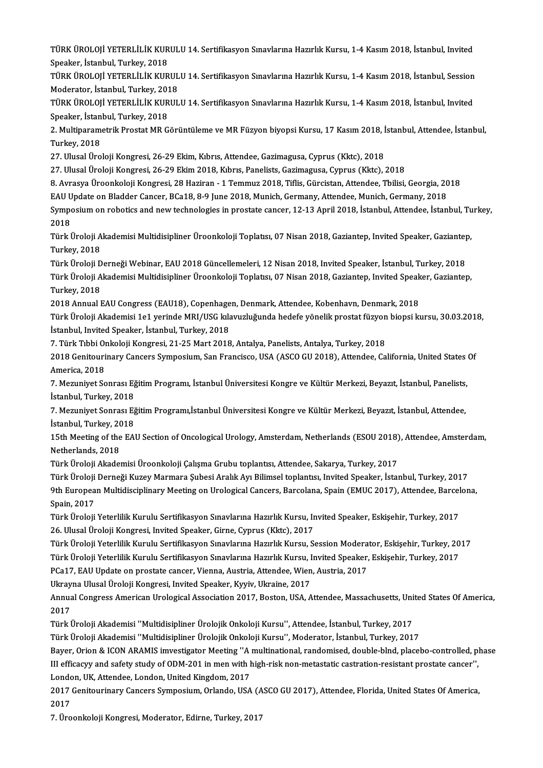TÜRK ÜROLOJİ YETERLİLİK KURULU 14. Sertifikasyon Sınavlarına Hazırlık Kursu, 1-4 Kasım 2018, İstanbul, Invited<br>Snaakar, İstanbul, Turkay, 2019 TÜRK ÜROLOJİ YETERLİLİK KUR<br>Speaker, İstanbul, Turkey, 2018<br>TÜRK ÜROLOJİ YETERLİLİK KUR TÜRK ÜROLOJİ YETERLİLİK KURULU 14. Sertifikasyon Sınavlarına Hazırlık Kursu, 1-4 Kasım 2018, İstanbul, Invited<br>Speaker, İstanbul, Turkey, 2018<br>TÜRK ÜROLOJİ YETERLİLİK KURULU 14. Sertifikasyon Sınavlarına Hazırlık Kursu, 1-

Speaker, İstanbul, Turkey, 2018<br>TÜRK ÜROLOJİ YETERLİLİK KURUL<br>Moderator, İstanbul, Turkey, 2018<br>TÜRK ÜROLOJİ YETERLİL İK KURUL TÜRK ÜROLOJİ YETERLİLİK KURULU 14. Sertifikasyon Sınavlarına Hazırlık Kursu, 1-4 Kasım 2018, İstanbul, Session<br>Moderator, İstanbul, Turkey, 2018<br>TÜRK ÜROLOJİ YETERLİLİK KURULU 14. Sertifikasyon Sınavlarına Hazırlık Kursu,

Moderator, İstanbul, Turkey, 2018<br>TÜRK ÜROLOJİ YETERLİLİK KURULU 14. Sertifikasyon Sınavlarına Hazırlık Kursu, 1-4 Kasım 2018, İstanbul, Invited<br>Speaker, İstanbul, Turkey, 2018 TÜRK ÜROLOJİ YETERLİLİK KURULU 14. Sertifikasyon Sınavlarına Hazırlık Kursu, 1-4 Kasım 2018, İstanbul, Invited<br>Speaker, İstanbul, Turkey, 2018<br>2. Multiparametrik Prostat MR Görüntüleme ve MR Füzyon biyopsi Kursu, 17 Kasım

Speaker, İstan<br>2. Multiparamı<br>Turkey, 2018<br>27. Ulusal Üra 2. Multiparametrik Prostat MR Görüntüleme ve MR Füzyon biyopsi Kursu, 17 Kasım 2018, İ<br>Turkey, 2018<br>27. Ulusal Üroloji Kongresi, 26-29 Ekim, Kıbrıs, Attendee, Gazimagusa, Cyprus (Kktc), 2018<br>27. Ulusal Üroloji Kongresi, 26

Turkey, 2018<br>27. Ulusal Üroloji Kongresi, 26-29 Ekim, Kıbrıs, Attendee, Gazimagusa, Cyprus (Kktc), 2018<br>27. Ulusal Üroloji Kongresi, 26-29 Ekim 2018, Kıbrıs, Panelists, Gazimagusa, Cyprus (Kktc), 2018

27. Ulusal Üroloji Kongresi, 26-29 Ekim, Kıbrıs, Attendee, Gazimagusa, Cyprus (Kktc), 2018<br>27. Ulusal Üroloji Kongresi, 26-29 Ekim 2018, Kıbrıs, Panelists, Gazimagusa, Cyprus (Kktc), 2018<br>8. Avrasya Üroonkoloji Kongresi, 2 27. Ulusal Üroloji Kongresi, 26-29 Ekim 2018, Kıbrıs, Panelists, Gazimagusa, Cyprus (Kktc), 2018<br>8. Avrasya Üroonkoloji Kongresi, 28 Haziran - 1 Temmuz 2018, Tiflis, Gürcistan, Attendee, Tbilisi, Georgia, 20<br>EAU Update on

8. Avrasya Üroonkoloji Kongresi, 28 Haziran - 1 Temmuz 2018, Tiflis, Gürcistan, Attendee, Tbilisi, Georgia, 2018<br>EAU Update on Bladder Cancer, BCa18, 8-9 June 2018, Munich, Germany, Attendee, Munich, Germany, 2018<br>Symposiu EAU U<br>Sympo<br>2018<br>Türk İ Symposium on robotics and new technologies in prostate cancer, 12-13 April 2018, İstanbul, Attendee, İstanbul, Tu<br>2018<br>Türk Üroloji Akademisi Multidisipliner Üroonkoloji Toplatısı, 07 Nisan 2018, Gaziantep, Invited Speaker

2018<br>Türk Üroloji A<br>Turkey, 2018<br>Türk Üroloji D Türk Üroloji Akademisi Multidisipliner Üroonkoloji Toplatısı, 07 Nisan 2018, Gaziantep, Invited Speaker, Gaziantep<br>Türk Üroloji Derneği Webinar, EAU 2018 Güncellemeleri, 12 Nisan 2018, Invited Speaker, İstanbul, Turkey, 20

Turkey, 2018<br>Türk Üroloji Derneği Webinar, EAU 2018 Güncellemeleri, 12 Nisan 2018, Invited Speaker, İstanbul, Turkey, 2018<br>Türk Üroloji Akademisi Multidisipliner Üroonkoloji Toplatısı, 07 Nisan 2018, Gaziantep, Invited Spe Türk Üroloji Derneği Webinar, EAU 2018 Güncellemeleri, 12 Nisan 2018, Invited Speaker, İstanbul, Turkey, 2018<br>Türk Üroloji Akademisi Multidisipliner Üroonkoloji Toplatısı, 07 Nisan 2018, Gaziantep, Invited Speaker, Gaziant Türk Üroloji Akademisi Multidisipliner Üroonkoloji Toplatısı, 07 Nisan 2018, Gaziantep, Invited Speak<br>Turkey, 2018<br>2018 Annual EAU Congress (EAU18), Copenhagen, Denmark, Attendee, Kobenhavn, Denmark, 2018<br>Türk Üroloji Akad

2018 Annual EAU Congress (EAU18), Copenhagen, Denmark, Attendee, Kobenhavn, Denmark, 2018

Türk Üroloji Akademisi 1e1 yerinde MRI/USG kılavuzluğunda hedefe yönelik prostat füzyon biopsi kursu, 30.03.2018,<br>İstanbul, Invited Speaker, İstanbul, Turkey, 2018 Türk Üroloji Akademisi 1e1 yerinde MRI/USG kılavuzluğunda hedefe yönelik prostat füzyon<br>İstanbul, Invited Speaker, İstanbul, Turkey, 2018<br>7. Türk Tıbbi Onkoloji Kongresi, 21-25 Mart 2018, Antalya, Panelists, Antalya, Turke

İstanbul, Invited Speaker, İstanbul, Turkey, 2018<br>7. Türk Tıbbi Onkoloji Kongresi, 21-25 Mart 2018, Antalya, Panelists, Antalya, Turkey, 2018<br>2018 Genitourinary Cancers Symposium, San Francisco, USA (ASCO GU 2018), Attende 7. Türk Tıbbi Ol<br>2018 Genitouri<br>America, 2018<br>7. Meruniyat So 2018 Genitourinary Cancers Symposium, San Francisco, USA (ASCO GU 2018), Attendee, California, United States<br>America, 2018<br>7. Mezuniyet Sonrası Eğitim Programı, İstanbul Üniversitesi Kongre ve Kültür Merkezi, Beyazıt, İsta

America, 2018<br>7. Mezuniyet Sonrası Eğ<br>İstanbul, Turkey, 2018<br>7. Mezuniyet Sonrası Eğ 7. Mezuniyet Sonrası Eğitim Programı, İstanbul Üniversitesi Kongre ve Kültür Merkezi, Beyazıt, İstanbul, Panelists,<br>İstanbul, Turkey, 2018<br>7. Mezuniyet Sonrası Eğitim Programı,İstanbul Üniversitesi Kongre ve Kültür Merkezi

İstanbul, Turkey, 2018<br>7. Mezuniyet Sonrası Eğitim Programı,İstanbul Üniversitesi Kongre ve Kültür Merkezi, Beyazıt, İstanbul, Attendee,<br>İstanbul, Turkey, 2018 7. Mezuniyet Sonrası Eğitim Programı,İstanbul Üniversitesi Kongre ve Kültür Merkezi, Beyazıt, İstanbul, Attendee,<br>İstanbul, Turkey, 2018<br>15th Meeting of the EAU Section of Oncological Urology, Amsterdam, Netherlands (ESOU

İstanbul, Turkey, 20<br>15th Meeting of the<br>Netherlands, 2018<br>Türk Üraleji Akadeı 15th Meeting of the EAU Section of Oncological Urology, Amsterdam, Netherlands (ESOU 2018)<br>Netherlands, 2018<br>Türk Üroloji Akademisi Üroonkoloji Çalışma Grubu toplantısı, Attendee, Sakarya, Turkey, 2017<br>Türk Üroloji Derneği

Netherlands, 2018<br>Türk Üroloji Akademisi Üroonkoloji Çalışma Grubu toplantısı, Attendee, Sakarya, Turkey, 2017<br>Türk Üroloji Derneği Kuzey Marmara Şubesi Aralık Ayı Bilimsel toplantısı, Invited Speaker, İstanbul, Turkey, 20

Türk Üroloji Akademisi Üroonkoloji Çalışma Grubu toplantısı, Attendee, Sakarya, Turkey, 2017<br>Türk Üroloji Derneği Kuzey Marmara Şubesi Aralık Ayı Bilimsel toplantısı, Invited Speaker, İstanbul, Turkey, 2017<br>9th European Mu Türk Üroloji<br>9th Europea<br>Spain, 2017<br>Türk Üroloji 9th European Multidisciplinary Meeting on Urological Cancers, Barcolana, Spain (EMUC 2017), Attendee, Barcel<br>Spain, 2017<br>Türk Üroloji Yeterlilik Kurulu Sertifikasyon Sınavlarına Hazırlık Kursu, Invited Speaker, Eskişehir,

Spain, 2017<br>Türk Üroloji Yeterlilik Kurulu Sertifikasyon Sınavlarına Hazırlık Kursu, Invited Speaker, Eskişehir, Turkey, 2017<br>26. Ulusal Üroloji Kongresi, Invited Speaker, Girne, Cyprus (Kktc), 2017 Türk Üroloji Yeterlilik Kurulu Sertifikasyon Sınavlarına Hazırlık Kursu, Invited Speaker, Eskişehir, Turkey, 2017<br>26. Ulusal Üroloji Kongresi, Invited Speaker, Girne, Cyprus (Kktc), 2017<br>Türk Üroloji Yeterlilik Kurulu Sert 26. Ulusal Üroloji Kongresi, Invited Speaker, Girne, Cyprus (Kktc), 2017<br>Türk Üroloji Yeterlilik Kurulu Sertifikasyon Sınavlarına Hazırlık Kursu, Session Moderator, Eskişehir, Turkey, 20<br>Türk Üroloji Yeterlilik Kurulu Sert

Türk Üroloji Yeterlilik Kurulu Sertifikasyon Sınavlarına Hazırlık Kursu, Session Modera<br>Türk Üroloji Yeterlilik Kurulu Sertifikasyon Sınavlarına Hazırlık Kursu, Invited Speaker,<br>PCa17, EAU Update on prostate cancer, Vienna

Türk Üroloji Yeterlilik Kurulu Sertifikasyon Sınavlarına Hazırlık Kursu, Invited Speaker, Eskişehir, Turkey, 2017<br>PCa17, EAU Update on prostate cancer, Vienna, Austria, Attendee, Wien, Austria, 2017<br>Ukrayna Ulusal Üroloji

PCa17, EAU Update on prostate cancer, Vienna, Austria, Attendee, Wien, Austria, 2017<br>Ukrayna Ulusal Üroloji Kongresi, Invited Speaker, Kyyiv, Ukraine, 2017<br>Annual Congress American Urological Association 2017, Boston, USA, Ukray<br>Annua<br>2017<br>Türk İ Annual Congress American Urological Association 2017, Boston, USA, Attendee, Massachusetts, Uni<br>2017<br>Türk Üroloji Akademisi ''Multidisipliner Ürolojik Onkoloji Kursu'', Attendee, İstanbul, Turkey, 2017<br>Türk Üroloji Akademi

2017<br>Türk Üroloji Akademisi ''Multidisipliner Ürolojik Onkoloji Kursu'', Attendee, İstanbul, Turkey, 2017<br>Türk Üroloji Akademisi ''Multidisipliner Ürolojik Onkoloji Kursu'', Moderator, İstanbul, Turkey, 2017

Türk Üroloji Akademisi ''Multidisipliner Ürolojik Onkoloji Kursu'', Attendee, İstanbul, Turkey, 2017<br>Türk Üroloji Akademisi ''Multidisipliner Ürolojik Onkoloji Kursu'', Moderator, İstanbul, Turkey, 2017<br>Bayer, Orion & ICON Türk Üroloji Akademisi ''Multidisipliner Ürolojik Onkoloji Kursu'', Moderator, İstanbul, Turkey, 2017<br>Bayer, Orion & ICON ARAMIS imvestigator Meeting ''A multinational, randomised, double-blnd, placebo-controlled, pl<br>III e Bayer, Orion & ICON ARAMIS imvestigator Meeting ''A<br>III efficacyy and safety study of ODM-201 in men with l<br>London, UK, Attendee, London, United Kingdom, 2017<br>2017 Conitouringwy Cancers Symnesium, Orlando, USA III efficacyy and safety study of ODM-201 in men with high-risk non-metastatic castration-resistant prostate cancer'',<br>London, UK, Attendee, London, United Kingdom, 2017<br>2017 Genitourinary Cancers Symposium, Orlando, USA (

London, UK, Attendee, London, United Kingdom, 2017<br>2017 Genitourinary Cancers Symposium, Orlando, USA (A.<br>2017<br>7. Üroonkoloji Kongresi, Moderator, Edirne, Turkey, 2017 2017 Genitourinary Cancers Symposium, Orlando, USA (A<br>2017<br>7. Üroonkoloji Kongresi, Moderator, Edirne, Turkey, 2017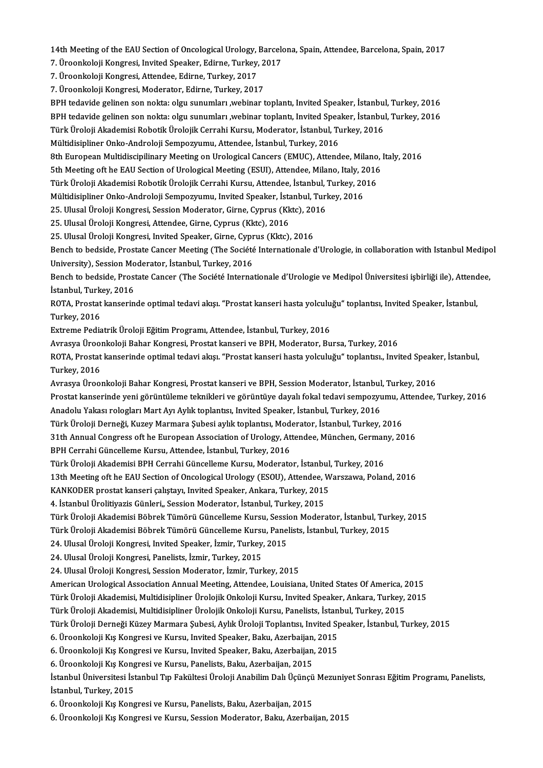14th Meeting of the EAU Section of Oncological Urology, Barcelona, Spain, Attendee, Barcelona, Spain, 2017<br>Z. Ürooplisleji Kongresi, Invited Speeljen, Edinne, Turkey, 2017 14th Meeting of the EAU Section of Oncological Urology, Barcelo<br>7. Üroonkoloji Kongresi, Invited Speaker, Edirne, Turkey, 2017<br>7. Üroonkoloji Kongresi, Attandee, Edirne, Turkey, 2017

14th Meeting of the EAU Section of Oncological Urology,<br>7. Üroonkoloji Kongresi, Invited Speaker, Edirne, Turkey,<br>7. Üroonkoloji Kongresi, Attendee, Edirne, Turkey, 2017<br>7. Üroonkoloji Kongresi, Moderator, Edirne, Turkey,

7. Üroonkoloji Kongresi, Invited Speaker, Edirne, Turkey, 2<br>7. Üroonkoloji Kongresi, Attendee, Edirne, Turkey, 2017<br>7. Üroonkoloji Kongresi, Moderator, Edirne, Turkey, 2017<br>PPH tedavide gelinen son nekte: elay sunumları, y

7. Üroonkoloji Kongresi, Attendee, Edirne, Turkey, 2017<br>7. Üroonkoloji Kongresi, Moderator, Edirne, Turkey, 2017<br>BPH tedavide gelinen son nokta: olgu sunumları ,webinar toplantı, Invited Speaker, İstanbul, Turkey, 2016<br>BPH 7. Üroonkoloji Kongresi, Moderator, Edirne, Turkey, 2017<br>BPH tedavide gelinen son nokta: olgu sunumları ,webinar toplantı, Invited Speaker, İstanbul, Turkey, 2016<br>BPH tedavide gelinen son nokta: olgu sunumları ,webinar top BPH tedavide gelinen son nokta: olgu sunumları ,webinar toplantı, Invited Speaker, İstanbul<br>BPH tedavide gelinen son nokta: olgu sunumları ,webinar toplantı, Invited Speaker, İstanbul<br>Türk Üroloji Akademisi Robotik Üroloji

BPH tedavide gelinen son nokta: olgu sunumları ,webinar toplantı, Invited Speaker, İstanbul, Turkey, 2016<br>Türk Üroloji Akademisi Robotik Ürolojik Cerrahi Kursu, Moderator, İstanbul, Turkey, 2016<br>Mültidisipliner Onko-Androl

8th European Multidiscipilinary Meeting on Urological Cancers (EMUC), Attendee, Milano, Italy, 2016 Mültidisipliner Onko-Androloji Sempozyumu, Attendee, İstanbul, Turkey, 2016<br>8th European Multidiscipilinary Meeting on Urological Cancers (EMUC), Attendee, Milano, I<br>5th Meeting oft he EAU Section of Urological Meeting (ES

8th European Multidiscipilinary Meeting on Urological Cancers (EMUC), Attendee, Milano<br>5th Meeting oft he EAU Section of Urological Meeting (ESUI), Attendee, Milano, Italy, 2016<br>Türk Üroloji Akademisi Robotik Ürolojik Cerr 5th Meeting oft he EAU Section of Urological Meeting (ESUI), Attendee, Milano, Italy, 2<br>Türk Üroloji Akademisi Robotik Ürolojik Cerrahi Kursu, Attendee, İstanbul, Turkey, 20<br>Mültidisipliner Onko-Androloji Sempozyumu, Invit Türk Üroloji Akademisi Robotik Ürolojik Cerrahi Kursu, Attendee, İstanbul, Turkey, 2016<br>Mültidisipliner Onko-Androloji Sempozyumu, Invited Speaker, İstanbul, Turkey, 2016

25. Ulusal Üroloji Kongresi, Session Moderator, Girne, Cyprus (Kktc), 2016

25. Ulusal Üroloji Kongresi, Attendee, Girne, Cyprus (Kktc), 2016

25. Ulusal Üroloji Kongresi, Invited Speaker, Girne, Cyprus (Kktc), 2016

25. Ulusal Üroloji Kongresi, Attendee, Girne, Cyprus (Kktc), 2016<br>25. Ulusal Üroloji Kongresi, Invited Speaker, Girne, Cyprus (Kktc), 2016<br>Bench to bedside, Prostate Cancer Meeting (The Société Internationale d'Urologie, i Bench to bedside, Prostate Cancer Meeting (The Société Internationale d'Urologie, in collaboration with Istanbul Medipo<br>University), Session Moderator, İstanbul, Turkey, 2016<br>Bench to bedside, Prostate Cancer (The Société

University), Session Moderator, İstanbul, Turkey, 2016<br>Bench to bedside, Prostate Cancer (The Société Interna<br>İstanbul, Turkey, 2016 Bench to bedside, Prostate Cancer (The Société Internationale d'Urologie ve Medipol Üniversitesi işbirliği ile), Attendee, İstanbul, Turkey, 2016<br>ROTA, Prostat kanserinde optimal tedavi akışı. "Prostat kanseri hasta yolcul

İstanbul, Turk<br>ROTA, Prostat<br>Turkey, 2016<br>Eytromo Podia ROTA, Prostat kanserinde optimal tedavi akışı. "Prostat kanseri hasta yolculu<br>Turkey, 2016<br>Extreme Pediatrik Üroloji Eğitim Programı, Attendee, İstanbul, Turkey, 2016<br>Ayrasya Üroonkoloji Babar Konsresi, Prostat kanseri ve Turkey, 2016<br>Extreme Pediatrik Üroloji Eğitim Programı, Attendee, İstanbul, Turkey, 2016<br>Avrasya Üroonkoloji Bahar Kongresi, Prostat kanseri ve BPH, Moderator, Bursa, Turkey, 2016<br>POTA, Prostat kanserinde ontimal tedavi ak

Extreme Pediatrik Üroloji Eğitim Programı, Attendee, İstanbul, Turkey, 2016<br>Avrasya Üroonkoloji Bahar Kongresi, Prostat kanseri ve BPH, Moderator, Bursa, Turkey, 2016<br>ROTA, Prostat kanserinde optimal tedavi akışı. "Prostat Avrasya Ürool<br>ROTA, Prostat<br>Turkey, 2016<br>Aurasya Ürool ROTA, Prostat kanserinde optimal tedavi akışı. "Prostat kanseri hasta yolculuğu" toplantısı., Invited Speake<br>Turkey, 2016<br>Avrasya Üroonkoloji Bahar Kongresi, Prostat kanseri ve BPH, Session Moderator, İstanbul, Turkey, 201

Avrasya Üroonkoloji Bahar Kongresi, Prostat kanseri ve BPH, Session Moderator, İstanbul, Turkey, 2016

Turkey, 2016<br>Avrasya Üroonkoloji Bahar Kongresi, Prostat kanseri ve BPH, Session Moderator, İstanbul, Turkey, 2016<br>Prostat kanserinde yeni görüntüleme teknikleri ve görüntüye dayalı fokal tedavi sempozyumu, Attendee, Turke Prostat kanserinde yeni görüntüleme teknikleri ve görüntüye dayalı fokal tedavi sempozyumu, A<br>Anadolu Yakası rologları Mart Ayı Aylık toplantısı, Invited Speaker, İstanbul, Turkey, 2016<br>Türk Üroloji Derneği, Kuzey Marmara

Anadolu Yakası rologları Mart Ayı Aylık toplantısı, Invited Speaker, İstanbul, Turkey, 2016<br>Türk Üroloji Derneği, Kuzey Marmara Şubesi aylık toplantısı, Moderator, İstanbul, Turkey, 2016<br>31th Annual Congress oft he Europea

Türk Üroloji Derneği, Kuzey Marmara Şubesi aylık toplantısı, Mod<br>31th Annual Congress oft he European Association of Urology, At<br>BPH Cerrahi Güncelleme Kursu, Attendee, İstanbul, Turkey, 2016<br>Türk Üroloji Akademisi BBH Cer

31th Annual Congress oft he European Association of Urology, Attendee, München, Germany, 2016<br>BPH Cerrahi Güncelleme Kursu, Attendee, İstanbul, Turkey, 2016<br>Türk Üroloji Akademisi BPH Cerrahi Güncelleme Kursu, Moderator, İ

Türk Üroloji Akademisi BPH Cerrahi Güncelleme Kursu, Moderator, İstanbul,<br>13th Meeting oft he EAU Section of Oncological Urology (ESOU), Attendee, W<br>KANKODER prostat kanseri çalıştayı, Invited Speaker, Ankara, Turkey, 2015

BPH Cerrahi Güncelleme Kursu, Attendee, İstanbul, Turkey, 2016<br>Türk Üroloji Akademisi BPH Cerrahi Güncelleme Kursu, Moderator, İstanbul, Turkey, 2016<br>13th Meeting oft he EAU Section of Oncological Urology (ESOU), Attendee, 13th Meeting oft he EAU Section of Oncological Urology (ESOU), Attendee, V<br>KANKODER prostat kanseri çalıştayı, Invited Speaker, Ankara, Turkey, 2015<br>4. İstanbul Ürolitiyazis Günleri,, Session Moderator, İstanbul, Turkey, 2

KANKODER prostat kanseri çalıştayı, Invited Speaker, Ankara, Turkey, 2015<br>4. İstanbul Ürolitiyazis Günleri,, Session Moderator, İstanbul, Turkey, 2015<br>Türk Üroloji Akademisi Böbrek Tümörü Güncelleme Kursu, Session Moderato 4. İstanbul Ürolitiyazis Günleri,, Session Moderator, İstanbul, Turkey, 2015<br>Türk Üroloji Akademisi Böbrek Tümörü Güncelleme Kursu, Session Moderator, İstanbul, Turl<br>Türk Üroloji Akademisi Böbrek Tümörü Güncelleme Kursu, P

Türk Üroloji Akademisi Böbrek Tümörü Güncelleme Kursu, Sessi<br>Türk Üroloji Akademisi Böbrek Tümörü Güncelleme Kursu, Pane<br>24. Ulusal Üroloji Kongresi, Invited Speaker, İzmir, Turkey, 2015<br>24. Ulusal Üroloji Kongresi, Banoli Türk Üroloji Akademisi Böbrek Tümörü Güncelleme Kursu<br>24. Ulusal Üroloji Kongresi, Invited Speaker, İzmir, Turkey,<br>24. Ulusal Üroloji Kongresi, Panelists, İzmir, Turkey, 2015<br>24. Ulusal Üroloji Kongresi, Sessian Moderator,

24. Ulusal Üroloji Kongresi, Invited Speaker, İzmir, Turkey, 2015<br>24. Ulusal Üroloji Kongresi, Panelists, İzmir, Turkey, 2015<br>24. Ulusal Üroloji Kongresi, Session Moderator, İzmir, Turkey, 2015<br>American Urological Associat

24. Ulusal Üroloji Kongresi, Panelists, İzmir, Turkey, 2015<br>24. Ulusal Üroloji Kongresi, Session Moderator, İzmir, Turkey, 2015<br>American Urological Association Annual Meeting, Attendee, Louisiana, United States Of America, 24. Ulusal Üroloji Kongresi, Session Moderator, İzmir, Turkey, 2015<br>American Urological Association Annual Meeting, Attendee, Louisiana, United States Of America, 2015<br>Türk Üroloji Akademisi, Multidisipliner Ürolojik Onkol American Urological Association Annual Meeting, Attendee, Louisiana, United States Of America, 2<br>Türk Üroloji Akademisi, Multidisipliner Ürolojik Onkoloji Kursu, Invited Speaker, Ankara, Turkey,<br>Türk Üroloji Akademisi, Mul

Türk Üroloji Akademisi, Multidisipliner Ürolojik Onkoloji Kursu, Panelists, İstan<br>Türk Üroloji Derneği Küzey Marmara Şubesi, Aylık Üroloji Toplantısı, Invited Sp<br>6. Üroonkoloji Kış Kongresi ve Kursu, Invited Speaker, Baku,

Türk Üroloji Akademisi, Multidisipliner Ürolojik Onkoloji Kursu, Invited Speaker, Ankara, Turkey, 2015<br>Türk Üroloji Akademisi, Multidisipliner Ürolojik Onkoloji Kursu, Panelists, İstanbul, Turkey, 2015<br>Türk Üroloji Derneği

Türk Üroloji Derneği Küzey Marmara Şubesi, Aylık Üroloji Toplantısı, Invited S<sub>I</sub><br>6. Üroonkoloji Kış Kongresi ve Kursu, Invited Speaker, Baku, Azerbaijan, 2015<br>6. Üroonkoloji Kış Kongresi ve Kursu, Invited Speaker, Baku, A 6. Üroonkoloji Kış Kongresi ve Kursu, Invited Speaker, Baku, Azerbaijan, 2015<br>6. Üroonkoloji Kış Kongresi ve Kursu, Invited Speaker, Baku, Azerbaijan, 2015<br>6. Üroonkoloji Kış Kongresi ve Kursu, Panelists, Baku, Azerbaijan,

6. Üroonkoloji Kış Kongresi ve Kursu, Invited Speaker, Baku, Azerbaijan, 2015<br>6. Üroonkoloji Kış Kongresi ve Kursu, Panelists, Baku, Azerbaijan, 2015<br>İstanbul Turkey, 2015 6. Üroonkoloji Kış Kong<br>İstanbul Üniversitesi İst<br>İstanbul, Turkey, 2015 İstanbul Üniversitesi İstanbul Tıp Fakültesi Üroloji Anabilim Dalı Üçünçü<br>İstanbul, Turkey, 2015<br>6. Üroonkoloji Kış Kongresi ve Kursu, Panelists, Baku, Azerbaijan, 2015<br>6. Üroonkoloji Kış Kongresi ve Kursu, Sessian Madarat

İstanbul, Turkey, 2015<br>6. Üroonkoloji Kış Kongresi ve Kursu, Panelists, Baku, Azerbaijan, 2015<br>6. Üroonkoloji Kış Kongresi ve Kursu, Session Moderator, Baku, Azerbaijan, 2015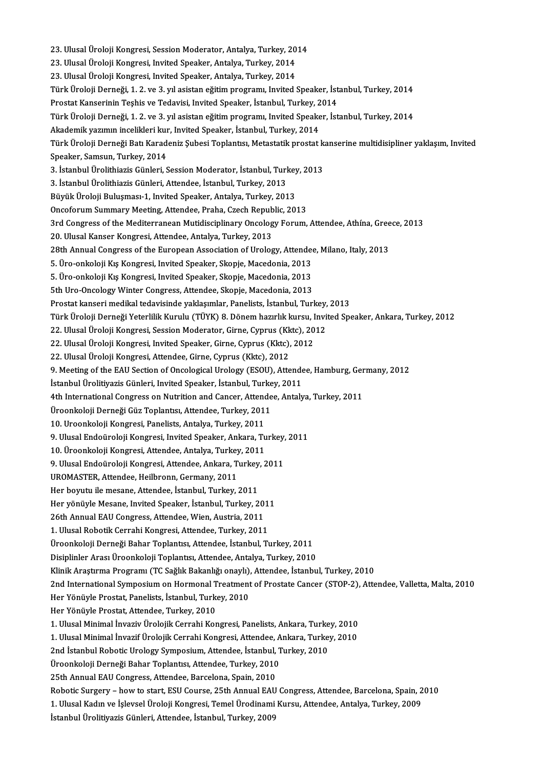23. Ulusal Üroloji Kongresi, Session Moderator, Antalya, Turkey, 2014<br>23. Ulusal Üroloji Kongresi, Session Moderator, Antalya, Turkey, 2014 23. Ulusal Üroloji Kongresi, Session Moderator, Antalya, Turkey, 20<br>23. Ulusal Üroloji Kongresi, Invited Speaker, Antalya, Turkey, 2014<br>23. Ulusal Üroloji Kongresi, Invited Speaker, Antalya, Turkey, 2014 23. Ulusal Üroloji Kongresi, Invited Speaker, Antalya, Turkey, 2014<br>23. Ulusal Üroloji Kongresi, Invited Speaker, Antalya, Turkey, 2014 TürkÜrolojiDerneği,1.2.ve 3.yılasistaneğitimprogramı, Invited Speaker, İstanbul,Turkey,2014 23. Ulusal Üroloji Kongresi, Invited Speaker, Antalya, Turkey, 2014<br>Türk Üroloji Derneği, 1. 2. ve 3. yıl asistan eğitim programı, Invited Speaker, İst<br>Prostat Kanserinin Teşhis ve Tedavisi, Invited Speaker, İstanbul, Turk TürkÜrolojiDerneği,1.2.ve 3.yılasistaneğitimprogramı, Invited Speaker, İstanbul,Turkey,2014 Prostat Kanserinin Teşhis ve Tedavisi, Invited Speaker, İstanbul, Turkey, 2<br>Türk Üroloji Derneği, 1. 2. ve 3. yıl asistan eğitim programı, Invited Speake<br>Akademik yazımın incelikleri kur, Invited Speaker, İstanbul, Turkey, Türk Üroloji Derneği Batı Karadeniz Şubesi Toplantısı, Metastatik prostat kanserine multidisipliner yaklaşım, Invited<br>Speaker, Samsun, Turkev, 2014 Akademik yazımın incelikleri kur, Invited Speaker, İstanbul, Turkey, 2014 Türk Üroloji Derneği Batı Karadeniz Şubesi Toplantısı, Metastatik prostat k<br>Speaker, Samsun, Turkey, 2014<br>3. İstanbul Ürolithiazis Günleri, Session Moderator, İstanbul, Turkey, 2013<br><sup>2.</sup> İstanbul Ürolithiazis Günleri, Atta Speaker, Samsun, Turkey, 2014<br>3. İstanbul Ürolithiazis Günleri, Session Moderator, İstanbul, Turl<br>3. İstanbul Ürolithiazis Günleri, Attendee, İstanbul, Turkey, 2013<br>Büyük Üroleji Bulusması 1. İnvited Speaker, Antakız, Turk 3. İstanbul Ürolithiazis Günleri, Session Moderator, İstanbul, Turkey<br>3. İstanbul Ürolithiazis Günleri, Attendee, İstanbul, Turkey, 2013<br>Büyük Üroloji Buluşması-1, Invited Speaker, Antalya, Turkey, 2013<br>Onsaforum Summary M 3. İstanbul Ürolithiazis Günleri, Attendee, İstanbul, Turkey, 2013<br>Büyük Üroloji Buluşması-1, Invited Speaker, Antalya, Turkey, 2013<br>Oncoforum Summary Meeting, Attendee, Praha, Czech Republic, 2013 Büyük Üroloji Buluşması-1, Invited Speaker, Antalya, Turkey, 2013<br>Oncoforum Summary Meeting, Attendee, Praha, Czech Republic, 2013<br>3rd Congress of the Mediterranean Mutidisciplinary Oncology Forum, Attendee, Athína, Greece Oncoforum Summary Meeting, Attendee, Praha, Czech Repub<br>3rd Congress of the Mediterranean Mutidisciplinary Oncolog<br>20. Ulusal Kanser Kongresi, Attendee, Antalya, Turkey, 2013<br>29th Annual Congress of the Euronean Associatio 3rd Congress of the Mediterranean Mutidisciplinary Oncology Forum, Attendee, Athína, Gree<br>20. Ulusal Kanser Kongresi, Attendee, Antalya, Turkey, 2013<br>28th Annual Congress of the European Association of Urology, Attendee, M 20. Ulusal Kanser Kongresi, Attendee, Antalya, Turkey, 2013<br>28th Annual Congress of the European Association of Urology, Attendee<br>5. Üro-onkoloji Kış Kongresi, Invited Speaker, Skopje, Macedonia, 2013<br>5. Üro-onkoloji Kış K 28th Annual Congress of the European Association of Urology, Attended<br>5. Üro-onkoloji Kış Kongresi, Invited Speaker, Skopje, Macedonia, 2013<br>5. Üro-onkoloji Kış Kongresi, Invited Speaker, Skopje, Macedonia, 2013<br>5th Uro-On 5. Üro-onkoloji Kış Kongresi, Invited Speaker, Skopje, Macedonia, 2013<br>5. Üro-onkoloji Kış Kongresi, Invited Speaker, Skopje, Macedonia, 2013<br>5th Uro-Oncology Winter Congress, Attendee, Skopje, Macedonia, 2013<br>Prestat kans 5. Üro-onkoloji Kış Kongresi, Invited Speaker, Skopje, Macedonia, 2013<br>5th Uro-Oncology Winter Congress, Attendee, Skopje, Macedonia, 2013<br>Prostat kanseri medikal tedavisinde yaklaşımlar, Panelists, İstanbul, Turkey, 2013<br> Türk Üroloji Derneği Yeterlilik Kurulu (TÜYK) 8. Dönem hazırlık kursu, Invited Speaker, Ankara, Turkey, 2012<br>22. Ulusal Üroloji Kongresi, Session Moderator, Girne, Cyprus (Kktc), 2012 Prostat kanseri medikal tedavisinde yaklaşımlar, Panelists, İstanbul, Turkey, 2013 Türk Üroloji Derneği Yeterlilik Kurulu (TÜYK) 8. Dönem hazırlık kursu, 1<br>22. Ulusal Üroloji Kongresi, Session Moderator, Girne, Cyprus (Kktc), 20<br>22. Ulusal Üroloji Kongresi, Invited Speaker, Girne, Cyprus (Kktc), 2012<br>22. 22. Ulusal Üroloji Kongresi, Session Moderator, Girne, Cyprus (Kk<br>22. Ulusal Üroloji Kongresi, Invited Speaker, Girne, Cyprus (Kktc),<br>22. Ulusal Üroloji Kongresi, Attendee, Girne, Cyprus (Kktc), 2012<br>9. Meeting of the FAU 22. Ulusal Üroloji Kongresi, Invited Speaker, Girne, Cyprus (Kktc), 2012<br>22. Ulusal Üroloji Kongresi, Attendee, Girne, Cyprus (Kktc), 2012<br>9. Meeting of the EAU Section of Oncological Urology (ESOU), Attendee, Hamburg, Ger 22. Ulusal Üroloji Kongresi, Attendee, Girne, Cyprus (Kktc), 2012<br>9. Meeting of the EAU Section of Oncological Urology (ESOU), Attende<br>İstanbul Ürolitiyazis Günleri, Invited Speaker, İstanbul, Turkey, 2011<br>4th Internationa 9. Meeting of the EAU Section of Oncological Urology (ESOU), Attendee, Hamburg, Ger<br>İstanbul Ürolitiyazis Günleri, Invited Speaker, İstanbul, Turkey, 2011<br>4th International Congress on Nutrition and Cancer, Attendee, Antal İstanbul Ürolitiyazis Günleri, Invited Speaker, İstanbul, Turkey, 2011<br>4th International Congress on Nutrition and Cancer, Attendee, Antalya, Turkey, 2011<br>Üroonkoloji Derneği Güz Toplantısı, Attendee, Turkey, 2011 10. Uroonkoloji Kongresi, Panelists, Antalya, Turkey, 2011 Üroonkoloji Derneği Güz Toplantısı, Attendee, Turkey, 2011<br>10. Uroonkoloji Kongresi, Panelists, Antalya, Turkey, 2011<br>9. Ulusal Endoüroloji Kongresi, Invited Speaker, Ankara, Turkey, 2011<br>10. Üroonkoloji Kongresi, Attendee 10. Uroonkoloji Kongresi, Panelists, Antalya, Turkey, 2011<br>9. Ulusal Endoüroloji Kongresi, Invited Speaker, Ankara, Tu<br>10. Üroonkoloji Kongresi, Attendee, Antalya, Turkey, 2011<br>9. Ulusal Endoüroloji Kongresi, Attendee, Ank 9. Ulusal Endoüroloji Kongresi, Invited Speaker, Ankara, Turkey,<br>10. Üroonkoloji Kongresi, Attendee, Antalya, Turkey, 2011<br>9. Ulusal Endoüroloji Kongresi, Attendee, Ankara, Turkey, 2011<br>UPOMASTEP, Attendee, Heilbrerr, Germ 10. Üroonkoloji Kongresi, Attendee, Antalya, Turkey<br>9. Ulusal Endoüroloji Kongresi, Attendee, Ankara, T<br>UROMASTER, Attendee, Heilbronn, Germany, 2011<br>Han bouutu ila masane, Attendee, İstanbul, Turkey 9. Ulusal Endoüroloji Kongresi, Attendee, Ankara, Turkey,<br>UROMASTER, Attendee, Heilbronn, Germany, 2011<br>Her boyutu ile mesane, Attendee, İstanbul, Turkey, 2011<br>Her vänüvle Mesane, Invited Speeker, İstanbul, Turkey, 2 UROMASTER, Attendee, Heilbronn, Germany, 2011<br>Her boyutu ile mesane, Attendee, İstanbul, Turkey, 2011<br>Her yönüyle Mesane, Invited Speaker, İstanbul, Turkey, 2011<br>26th Annual FAU Congress, Attandea Wien, Austria, 2011 Her boyutu ile mesane, Attendee, İstanbul, Turkey, 2011<br>Her yönüyle Mesane, Invited Speaker, İstanbul, Turkey, 201<br>26th Annual EAU Congress, Attendee, Wien, Austria, 2011<br>1 Husel Bebetik Cerrebi Kongresi, Attendee, Turkey, Her yönüyle Mesane, Invited Speaker, İstanbul, Turkey, 201<br>26th Annual EAU Congress, Attendee, Wien, Austria, 2011<br>1. Ulusal Robotik Cerrahi Kongresi, Attendee, Turkey, 2011<br>Üreenkeleji Derneği Bahar Toplantey, Attendee, İ 26th Annual EAU Congress, Attendee, Wien, Austria, 2011<br>1. Ulusal Robotik Cerrahi Kongresi, Attendee, Turkey, 2011<br>Üroonkoloji Derneği Bahar Toplantısı, Attendee, İstanbul, Turkey, 2011<br>Disiplinler Aresı Üroonkoloji Toplan 1. Ulusal Robotik Cerrahi Kongresi, Attendee, Turkey, 2011<br>Üroonkoloji Derneği Bahar Toplantısı, Attendee, İstanbul, Turkey, 2011<br>Disiplinler Arası Üroonkoloji Toplantısı, Attendee, Antalya, Turkey, 2010<br>Klinik Anastuma Pr Disiplinler Arası Üroonkoloji Toplantısı, Attendee, Antalya, Turkey, 2010<br>Klinik Araştırma Programı (TC Sağlık Bakanlığı onaylı), Attendee, İstanbul, Turkey, 2010 Disiplinler Arası Üroonkoloji Toplantısı, Attendee, Antalya, Turkey, 2010<br>Klinik Araştırma Programı (TC Sağlık Bakanlığı onaylı), Attendee, İstanbul, Turkey, 2010<br>2nd International Symposium on Hormonal Treatment of Prosta Klinik Araştırma Programı (TC Sağlık Bakanlığı onaylı),<br>2nd International Symposium on Hormonal Treatment<br>Her Yönüyle Prostat, Panelists, İstanbul, Turkey, 2010<br>Her Yönüyle Prostat, Attandea Turkey, 2010 2nd International Symposium on Hormonal T<br>Her Yönüyle Prostat, Panelists, İstanbul, Turke<br>Her Yönüyle Prostat, Attendee, Turkey, 2010<br>1 Hlusel Minimal İnvasiy Ürolojik Corrabi Kor Her Yönüyle Prostat, Panelists, İstanbul, Turkey, 2010<br>Her Yönüyle Prostat, Attendee, Turkey, 2010<br>1. Ulusal Minimal İnvaziv Ürolojik Cerrahi Kongresi, Panelists, Ankara, Turkey, 2010<br>1. Ulusal Minimal İnvazif Ürolojik Cer Her Yönüyle Prostat, Attendee, Turkey, 2010<br>1. Ulusal Minimal İnvaziv Ürolojik Cerrahi Kongresi, Panelists, Ankara, Turkey, 2010<br>1. Ulusal Minimal İnvazif Ürolojik Cerrahi Kongresi, Attendee, Ankara, Turkey, 2010<br>2nd İstan 1. Ulusal Minimal İnvaziv Ürolojik Cerrahi Kongresi, Panelists, Ankara, Turke<br>1. Ulusal Minimal İnvazif Ürolojik Cerrahi Kongresi, Attendee, Ankara, Turkey,<br>2nd İstanbul Robotic Urology Symposium, Attendee, İstanbul, Turke 1. Ulusal Minimal İnvazif Ürolojik Cerrahi Kongresi, Attendee, Ankara, Turkey, 2010<br>2nd İstanbul Robotic Urology Symposium, Attendee, İstanbul, Turkey, 2010<br>Üroonkoloji Derneği Bahar Toplantısı, Attendee, Turkey, 2010<br>25th 2nd İstanbul Robotic Urology Symposium, Attendee, İstanbul, Turkey, 2010 Robotic Surgery – how to start, ESU Course, 25th Annual EAU Congress, Attendee, Barcelona, Spain, 2010 25th Annual EAU Congress, Attendee, Barcelona, Spain, 2010<br>Robotic Surgery – how to start, ESU Course, 25th Annual EAU Congress, Attendee, Barcelona, Spain, 2<br>1. Ulusal Kadın ve İşlevsel Üroloji Kongresi, Temel Ürodinami K Robotic Surgery – how to start, ESU Course, 25th Annual EAU<br>1. Ulusal Kadın ve İşlevsel Üroloji Kongresi, Temel Ürodinami<br>İstanbul Ürolitiyazis Günleri, Attendee, İstanbul, Turkey, 2009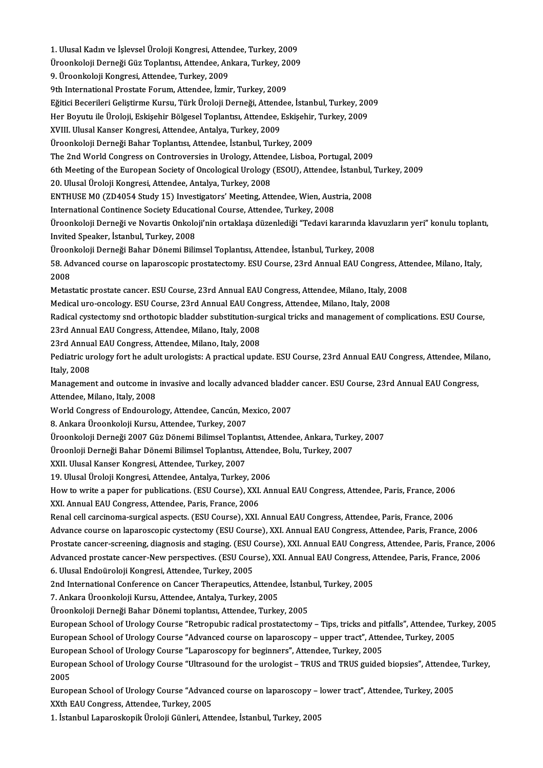1. Ulusal Kadın ve İşlevsel Üroloji Kongresi, Attendee, Turkey, 2009<br>Üroonkaleji Derneği Güz Toplantay Attendee, Ankara, Turkey, 2009 1. Ulusal Kadın ve İşlevsel Üroloji Kongresi, Attendee, Turkey, 2009<br>Üroonkoloji Derneği Güz Toplantısı, Attendee, Ankara, Turkey, 2009<br>9. Üroonkaleji Kongresi, Attendee, Turkey, 2009 1. Ulusal Kadın ve İşlevsel Üroloji Kongresi, Atten<br>Üroonkoloji Derneği Güz Toplantısı, Attendee, An<br>9. Üroonkoloji Kongresi, Attendee, Turkey, 2009<br><sup>Oth</sup> International Brestate Forum, Attendee, İrmi Üroonkoloji Derneği Güz Toplantısı, Attendee, Ankara, Turkey, 2009<br>9. Üroonkoloji Kongresi, Attendee, Turkey, 2009<br>9th International Prostate Forum, Attendee, İzmir, Turkey, 2009 9. Üroonkoloji Kongresi, Attendee, Turkey, 2009<br>9th International Prostate Forum, Attendee, İzmir, Turkey, 2009<br>Eğitici Becerileri Geliştirme Kursu, Türk Üroloji Derneği, Attendee, İstanbul, Turkey, 2009<br>Her Beyutu ile Üro 9th International Prostate Forum, Attendee, İzmir, Turkey, 2009<br>Eğitici Becerileri Geliştirme Kursu, Türk Üroloji Derneği, Attendee, İstanbul, Turkey, 200<br>Her Boyutu ile Üroloji, Eskişehir Bölgesel Toplantısı, Attendee, Es Eğitici Becerileri Geliştirme Kursu, Türk Üroloji Derneği, Attend<br>Her Boyutu ile Üroloji, Eskişehir Bölgesel Toplantısı, Attendee, I<br>XVIII. Ulusal Kanser Kongresi, Attendee, Antalya, Turkey, 2009<br>Üroonkaloji Derneği Bahar Her Boyutu ile Üroloji, Eskişehir Bölgesel Toplantısı, Attendee, Eskişehir, Turkey, 2009<br>XVIII. Ulusal Kanser Kongresi, Attendee, Antalya, Turkey, 2009<br>Üroonkoloji Derneği Bahar Toplantısı, Attendee, İstanbul, Turkey, 2009 The 2nd World Congress on Controversies in Urology, Attendee, Lisboa, Portugal, 2009 Üroonkoloji Derneği Bahar Toplantısı, Attendee, İstanbul, Turkey, 2009<br>The 2nd World Congress on Controversies in Urology, Attendee, Lisboa, Portugal, 2009<br>6th Meeting of the European Society of Oncological Urology (ESOU), The 2nd World Congress on Controversies in Urology, Atten<br>6th Meeting of the European Society of Oncological Urology<br>20. Ulusal Üroloji Kongresi, Attendee, Antalya, Turkey, 2008<br>ENTHUSE MO (ZD40E4 Study 15) Investigatore' 6th Meeting of the European Society of Oncological Urology (ESOU), Attendee, İstanbul, '<br>20. Ulusal Üroloji Kongresi, Attendee, Antalya, Turkey, 2008<br>ENTHUSE M0 (ZD4054 Study 15) Investigators' Meeting, Attendee, Wien, Aus 20. Ulusal Üroloji Kongresi, Attendee, Antalya, Turkey, 2008<br>ENTHUSE M0 (ZD4054 Study 15) Investigators' Meeting, Attendee, Wien, Austria, 2008<br>International Continence Society Educational Course, Attendee, Turkey, 2008 ENTHUSE M0 (ZD4054 Study 15) Investigators' Meeting, Attendee, Wien, Austria, 2008<br>International Continence Society Educational Course, Attendee, Turkey, 2008<br>Üroonkoloji Derneği ve Novartis Onkoloji'nin ortaklaşa düzenled International Continence Society Educat<br>Üroonkoloji Derneği ve Novartis Onkolo<br>Invited Speaker, İstanbul, Turkey, 2008<br>Üroonkoloji Derneği Behar Dönemi Bili Üroonkoloji Derneği ve Novartis Onkoloji'nin ortaklaşa düzenlediği "Tedavi kararında kla<br>Invited Speaker, İstanbul, Turkey, 2008<br>Üroonkoloji Derneği Bahar Dönemi Bilimsel Toplantısı, Attendee, İstanbul, Turkey, 2008<br>58. Ad Invited Speaker, İstanbul, Turkey, 2008<br>Üroonkoloji Derneği Bahar Dönemi Bilimsel Toplantısı, Attendee, İstanbul, Turkey, 2008<br>58. Advanced course on laparoscopic prostatectomy. ESU Course, 23rd Annual EAU Congress, Attend Üroonkoloji Derneği Bahar Dönemi Bilimsel Toplantısı, Attendee, İstanbul, Turkey, 2008<br>58. Advanced course on laparoscopic prostatectomy. ESU Course, 23rd Annual EAU Con<br>2008 58. Advanced course on laparoscopic prostatectomy. ESU Course, 23rd Annual EAU Congress, Att<br>2008<br>Metastatic prostate cancer. ESU Course, 23rd Annual EAU Congress, Attendee, Milano, Italy, 2008<br>Medisal ure enselegy. ESU Co Metastatic prostate cancer. ESU Course, 23rd Annual EAU Congress, Attendee, Milano, Italy, 2008 Radical cystectomy snd orthotopic bladder substitution-surgical tricks and management of complications. ESU Course,<br>23rd Annual EAU Congress, Attendee, Milano, Italy, 2008 Medical uro-oncology. ESU Course, 23rd Annual EAU Congress, Attendee, Milano, Italy, 2008 Radical cystectomy snd orthotopic bladder substitution-st<br>23rd Annual EAU Congress, Attendee, Milano, Italy, 2008<br>23rd Annual EAU Congress, Attendee, Milano, Italy, 2008<br>Pediatria urelegy fort be adult urelegists: A presti 23rd Annual EAU Congress, Attendee, Milano, Italy, 2008<br>23rd Annual EAU Congress, Attendee, Milano, Italy, 2008<br>Pediatric urology fort he adult urologists: A practical update. ESU Course, 23rd Annual EAU Congress, Attendee 23rd Annua<br>Pediatric ur<br>Italy, 2008<br>Managamar Pediatric urology fort he adult urologists: A practical update. ESU Course, 23rd Annual EAU Congress, Attendee, Mila<br>Italy, 2008<br>Management and outcome in invasive and locally advanced bladder cancer. ESU Course, 23rd Annu Italy, 2008<br>Management and outcome in<br>Attendee, Milano, Italy, 2008<br>World Congress of Endoural Management and outcome in invasive and locally advanced bladde<br>Attendee, Milano, Italy, 2008<br>World Congress of Endourology, Attendee, Cancún, Mexico, 2007<br>8. Ankara Üreenkeleji Kursu, Attendee, Turkey, 2007 Attendee, Milano, Italy, 2008<br>World Congress of Endourology, Attendee, Cancún, Mexico, 2007<br>8. Ankara Üroonkoloji Kursu, Attendee, Turkey, 2007 World Congress of Endourology, Attendee, Cancún, Mexico, 2007<br>8. Ankara Üroonkoloji Kursu, Attendee, Turkey, 2007<br>Üroonkoloji Derneği 2007 Güz Dönemi Bilimsel Toplantısı, Attendee, Ankara, Turkey, 2007<br>Üroonkij Derneği Bab 8. Ankara Üroonkoloji Kursu, Attendee, Turkey, 2007<br>Üroonkoloji Derneği 2007 Güz Dönemi Bilimsel Toplantısı, Attendee, Ankara, Turke<br>Üroonloji Derneği Bahar Dönemi Bilimsel Toplantısı, Attendee, Bolu, Turkey, 2007<br>YYU, Ulu Üroonloji Derneği Bahar Dönemi Bilimsel Toplantısı, Attendee, Bolu, Turkey, 2007<br>XXII. Ulusal Kanser Kongresi, Attendee, Turkey, 2007 Üroonloji Derneği Bahar Dönemi Bilimsel Toplantısı, Attende<br>XXII. Ulusal Kanser Kongresi, Attendee, Turkey, 2007<br>19. Ulusal Üroloji Kongresi, Attendee, Antalya, Turkey, 2006<br>Hou to urite e naner for publisations. (ESU Cour How to write a paper for publications. (ESU Course), XXI. Annual EAU Congress, Attendee, Paris, France, 2006<br>XXI. Annual EAU Congress, Attendee, Paris, France, 2006 19. Ulusal Üroloji Kongresi, Attendee, Antalya, Turkey, 20<br>How to write a paper for publications. (ESU Course), XXI.<br>XXI. Annual EAU Congress, Attendee, Paris, France, 2006<br>Papel sell sarsineme surgisel espects. (ESU Cours Renal cell carcinoma-surgical aspects. (ESU Course), XXI. Annual EAU Congress, Attendee, Paris, France, 2006 Advance course on laparoscopic cystectomy (ESU Course), XXI. Annual EAU Congress, Attendee, Paris, France, 2006 Renal cell carcinoma-surgical aspects. (ESU Course), XXI. Annual EAU Congress, Attendee, Paris, France, 2006<br>Advance course on laparoscopic cystectomy (ESU Course), XXI. Annual EAU Congress, Attendee, Paris, France, 2006<br>P Advance course on laparoscopic cystectomy (ESU Course), XXI. Annual EAU Congress, Attendee, Paris, France, 2006<br>Prostate cancer-screening, diagnosis and staging. (ESU Course), XXI. Annual EAU Congress, Attendee, Paris, Fra Prostate cancer-screening, diagnosis and staging. (ESU 6)<br>Advanced prostate cancer-New perspectives. (ESU Cour<br>6. Ulusal Endoüroloji Kongresi, Attendee, Turkey, 2005<br>2nd International Conference on Cancer Theraneutics Advanced prostate cancer-New perspectives. (ESU Course), XXI. Annual EAU Congress, Attendee, Paris, France, 2006<br>6. Ulusal Endoüroloji Kongresi, Attendee, Turkey, 2005<br>2nd International Conference on Cancer Therapeutics, A 6. Ulusal Endoüroloji Kongresi, Attendee, Turkey, 2005<br>2nd International Conference on Cancer Therapeutics, Attende<br>7. Ankara Üroonkoloji Kursu, Attendee, Antalya, Turkey, 2005<br>Üroonkoloji Derneči Behar Dönemi tenlantısı, 2nd International Conference on Cancer Therapeutics, Attendee, İstanl<br>7. Ankara Üroonkoloji Kursu, Attendee, Antalya, Turkey, 2005<br>Üroonkoloji Derneği Bahar Dönemi toplantısı, Attendee, Turkey, 2005<br>European School of Urol Üroonkoloji Derneği Bahar Dönemi toplantısı, Attendee, Turkey, 2005<br>European School of Urology Course "Retropubic radical prostatectomy – Tips, tricks and pitfalls", Attendee, Turkey, 2005 Üroonkoloji Derneği Bahar Dönemi toplantısı, Attendee, Turkey, 2005<br>European School of Urology Course "Retropubic radical prostatectomy – Tips, tricks and pitfalls", Attendee, Tu<br>European School of Urology Course "Advanced European School of Urology Course "Retropubic radical prostatectomy – Tips, tricks and pi<br>European School of Urology Course "Advanced course on laparoscopy – upper tract", Atten<br>European School of Urology Course "Laparosco European School of Urology Course "Advanced course on laparoscopy – upper tract", Attendee, Turkey, 2005<br>European School of Urology Course "Laparoscopy for beginners", Attendee, Turkey, 2005<br>European School of Urology Cour European School of Urology Course "Laparoscopy for beginners", Attendee, Turkey, 2005<br>European School of Urology Course "Ultrasound for the urologist – TRUS and TRUS guided biopsies", Attende<br>2005<br>European School of Urolog European School of Urology Course "Ultrasound for the urologist – TRUS and TRUS guided biopsies", Attendee<br>2005<br>European School of Urology Course "Advanced course on laparoscopy – lower tract", Attendee, Turkey, 2005<br>YYth XXth EAU Congress, Attendee, Turkey, 2005

1. İstanbul Laparoskopik Üroloji Günleri, Attendee, İstanbul, Turkey, 2005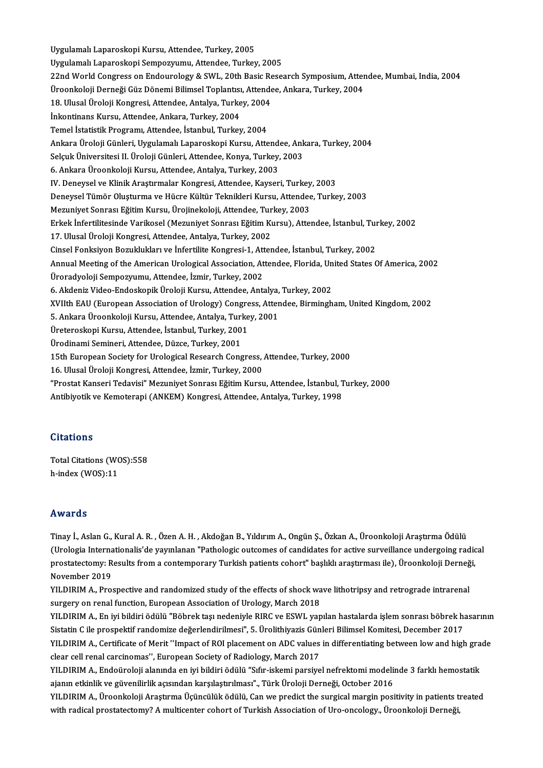Uygulamalı Laparoskopi Kursu, Attendee, Turkey, 2005 Uygulamalı Laparoskopi Sempozyumu, Attendee, Turkey, 2005 22nd World Congress on Endourology & SWL, 20th Basic Research Symposium, Attendee, Mumbai, India, 2004 Uygulamalı Laparoskopi Sempozyumu, Attendee, Turkey, 2005<br>22nd World Congress on Endourology & SWL, 20th Basic Research Symposium, Atter<br>Üroonkoloji Derneği Güz Dönemi Bilimsel Toplantısı, Attendee, Ankara, Turkey, 2004<br>18 22nd World Congress on Endourology & SWL, 20th Basic Re<br>Üroonkoloji Derneği Güz Dönemi Bilimsel Toplantısı, Attende<br>18. Ulusal Üroloji Kongresi, Attendee, Antalya, Turkey, 2004<br>İnkontinans Kursu, Attendee, Ankara, Turkey, Üroonkoloji Derneği Güz Dönemi Bilimsel Toplantısı<br>18. Ulusal Üroloji Kongresi, Attendee, Antalya, Turke<br>İnkontinans Kursu, Attendee, Ankara, Turkey, 2004<br>Tamel İstatistik Programı, Attandee, İstanbul, Turkey 18. Ulusal Üroloji Kongresi, Attendee, Antalya, Turkey, 2004<br>İnkontinans Kursu, Attendee, Ankara, Turkey, 2004<br>Temel İstatistik Programı, Attendee, İstanbul, Turkey, 2004 İnkontinans Kursu, Attendee, Ankara, Turkey, 2004<br>Temel İstatistik Programı, Attendee, İstanbul, Turkey, 2004<br>Ankara Üroloji Günleri, Uygulamalı Laparoskopi Kursu, Attendee, Ankara, Turkey, 2004<br>Selayk Üniversitesi II. Üro Temel İstatistik Programı, Attendee, İstanbul, Turkey, 2004<br>Ankara Üroloji Günleri, Uygulamalı Laparoskopi Kursu, Attendee, Ank<br>Selçuk Üniversitesi II. Üroloji Günleri, Attendee, Konya, Turkey, 2003<br>6. Ankara Üroonkaleji K Selçuk Üniversitesi II. Üroloji Günleri, Attendee, Konya, Turkey, 2003<br>6. Ankara Üroonkoloji Kursu, Attendee, Antalya, Turkey, 2003 Selçuk Üniversitesi II. Üroloji Günleri, Attendee, Konya, Turkey, 2003<br>6. Ankara Üroonkoloji Kursu, Attendee, Antalya, Turkey, 2003<br>IV. Deneysel ve Klinik Araştırmalar Kongresi, Attendee, Kayseri, Turkey, 2003<br>Deneysel Tüm Deneysel Tümör Oluşturma ve Hücre Kültür Teknikleri Kursu, Attendee, Turkey, 2003<br>Mezuniyet Sonrası Eğitim Kursu, Ürojinekoloji, Attendee, Turkey, 2003 IV. Deneysel ve Klinik Araştırmalar Kongresi, Attendee, Kayseri, Turkey<br>Deneysel Tümör Oluşturma ve Hücre Kültür Teknikleri Kursu, Attendee<br>Mezuniyet Sonrası Eğitim Kursu, Ürojinekoloji, Attendee, Turkey, 2003<br>Frkek İnfort Deneysel Tümör Oluşturma ve Hücre Kültür Teknikleri Kursu, Attendee, Turkey, 2003<br>Mezuniyet Sonrası Eğitim Kursu, Ürojinekoloji, Attendee, Turkey, 2003<br>Erkek İnfertilitesinde Varikosel (Mezuniyet Sonrası Eğitim Kursu), Att Mezuniyet Sonrası Eğitim Kursu, Ürojinekoloji, Attendee, Tur<br>Erkek İnfertilitesinde Varikosel (Mezuniyet Sonrası Eğitim Kı<br>17. Ulusal Üroloji Kongresi, Attendee, Antalya, Turkey, 2002<br>Cinsel Fonksiven Beruklukları ve İnfer Erkek İnfertilitesinde Varikosel (Mezuniyet Sonrası Eğitim Kursu), Attendee, İstanbul, Tur<br>17. Ulusal Üroloji Kongresi, Attendee, Antalya, Turkey, 2002<br>Cinsel Fonksiyon Bozuklukları ve İnfertilite Kongresi-1, Attendee, İst 17. Ulusal Üroloji Kongresi, Attendee, Antalya, Turkey, 2002<br>Cinsel Fonksiyon Bozuklukları ve İnfertilite Kongresi-1, Attendee, İstanbul, Turkey, 2002<br>Annual Meeting of the American Urological Association, Attendee, Florid Cinsel Fonksiyon Bozuklukları ve İnfertilite Kongresi-1, Attendee, İstanbul, Turkey, 2002<br>Annual Meeting of the American Urological Association, Attendee, Florida, United States<br>Üroradyoloji Sempozyumu, Attendee, İzmir, Tu Annual Meeting of the American Urological Association, Attendee, Florida, Un<br>Üroradyoloji Sempozyumu, Attendee, İzmir, Turkey, 2002<br>6. Akdeniz Video-Endoskopik Üroloji Kursu, Attendee, Antalya, Turkey, 2002<br>YUHb EAU (Europ Üroradyoloji Sempozyumu, Attendee, İzmir, Turkey, 2002<br>6. Akdeniz Video-Endoskopik Üroloji Kursu, Attendee, Antalya, Turkey, 2002<br>XVIIth EAU (European Association of Urology) Congress, Attendee, Birmingham, United Kingdom, 6. Akdeniz Video-Endoskopik Üroloji Kursu, Attendee, Antalya, Turkey, 2002<br>XVIIth EAU (European Association of Urology) Congress, Attendee, Birmingł<br>5. Ankara Üroonkoloji Kursu, Attendee, Antalya, Turkey, 2001<br>Üreteroskopi XVIIth EAU (European Association of Urology) Congre<br>5. Ankara Üroonkoloji Kursu, Attendee, Antalya, Turke<br>Üreteroskopi Kursu, Attendee, İstanbul, Turkey, 2001<br>Üredinami Saminari, Attendee, Dürce, Turkey, 2001 Ürodinami Semineri, Attendee, Düzce, Turkey, 2001 Üreteroskopi Kursu, Attendee, İstanbul, Turkey, 2001<br>Ürodinami Semineri, Attendee, Düzce, Turkey, 2001<br>15th European Society for Urological Research Congress, Attendee, Turkey, 2000<br>16 Hlugal Üroloji Kongresi, Attendee, İz Ürodinami Semineri, Attendee, Düzce, Turkey, 2001<br>15th European Society for Urological Research Congress, .<br>16. Ulusal Üroloji Kongresi, Attendee, İzmir, Turkey, 2000<br>"Prestat Kanseri Tedavisi" Meruniyat Sonresı Fğitim Kur 16. Ulusal Üroloji Kongresi, Attendee, İzmir, Turkey, 2000<br>"Prostat Kanseri Tedavisi" Mezuniyet Sonrası Eğitim Kursu, Attendee, İstanbul, Turkey, 2000 Antibiyotik ve Kemoterapi (ANKEM) Kongresi, Attendee, Antalya, Turkey, 1998

#### **Citations**

Total Citations (WOS):558 h-index (WOS):11

#### Awards

**Awards**<br>Tinay İ., Aslan G., Kural A. R. , Özen A. H. , Akdoğan B., Yıldırım A., Ongün Ş., Özkan A., Üroonkoloji Araştırma Ödülü<br>(Urologia Internationalis'de yayınlanan "Pathologia autsomas of sandidates for astiye suryeil rrwar as<br>Tinay İ., Aslan G., Kural A. R. , Özen A. H. , Akdoğan B., Yıldırım A., Ongün Ş., Özkan A., Üroonkoloji Araştırma Ödülü<br>(Urologia Internationalis'de yayınlanan "Pathologic outcomes of candidates for active surveil Tinay İ., Aslan G., Kural A. R. , Özen A. H. , Akdoğan B., Yıldırım A., Ongün Ş., Özkan A., Üroonkoloji Araştırma Ödülü<br>(Urologia Internationalis'de yayınlanan "Pathologic outcomes of candidates for active surveillance und (Urologia Interna)<br>prostatectomy: R<br>November 2019<br>VILDIM A. Pro prostatectomy: Results from a contemporary Turkish patients cohort" başlıklı araştırması ile), Üroonkoloji Derneğ<br>November 2019<br>YILDIRIM A., Prospective and randomized study of the effects of shock wave lithotripsy and ret

November 2019<br>YILDIRIM A., Prospective and randomized study of the effects of shock wave lithotripsy and retrograde intrarenal<br>surgery on renal function, European Association of Urology, March 2018<br>YILDIRIM A., En iyi bild YILDIRIM A., Prospective and randomized study of the effects of shock wave lithotripsy and retrograde intrarenal

Sistatin C ile prospektif randomize değerlendirilmesi", 5. Ürolithiyazis Günleri Bilimsel Komitesi, December 2017 YILDIRIM A., En iyi bildiri ödülü "Böbrek taşı nedeniyle RIRC ve ESWL yapılan hastalarda işlem sonrası böbrek hasarının<br>Sistatin C ile prospektif randomize değerlendirilmesi", 5. Ürolithiyazis Günleri Bilimsel Komitesi, De Sistatin C ile prospektif randomize değerlendirilmesi", 5. Ürolithiyazis Gün<br>YILDIRIM A., Certificate of Merit ''Impact of ROI placement on ADC values<br>clear cell renal carcinomas'', European Society of Radiology, March 201 YILDIRIM A., Certificate of Merit "Impact of ROI placement on ADC values in differentiating between low and high gra<br>clear cell renal carcinomas'', European Society of Radiology, March 2017<br>YILDIRIM A., Endoüroloji alanınd

clear cell renal carcinomas'', European Society of Radiology, March 2017<br>YILDIRIM A., Endoüroloji alanında en iyi bildiri ödülü "Sıfır-iskemi parsiyel nefrektomi modelinde 3 farklı hemostatik<br>ajanın etkinlik ve güvenilirli YILDIRIM A., Endoüroloji alanında en iyi bildiri ödülü "Sıfır-iskemi parsiyel nefrektomi modelinde 3 farklı hemostatik<br>ajanın etkinlik ve güvenilirlik açısından karşılaştırılması"., Türk Üroloji Derneği, October 2016<br>YILDI

ajanın etkinlik ve güvenilirlik açısından karşılaştırılması"., Türk Üroloji Derneği, October 2016<br>YILDIRIM A., Üroonkoloji Araştırma Üçüncülük ödülü, Can we predict the surgical margin positivity in patients t<br>with radical